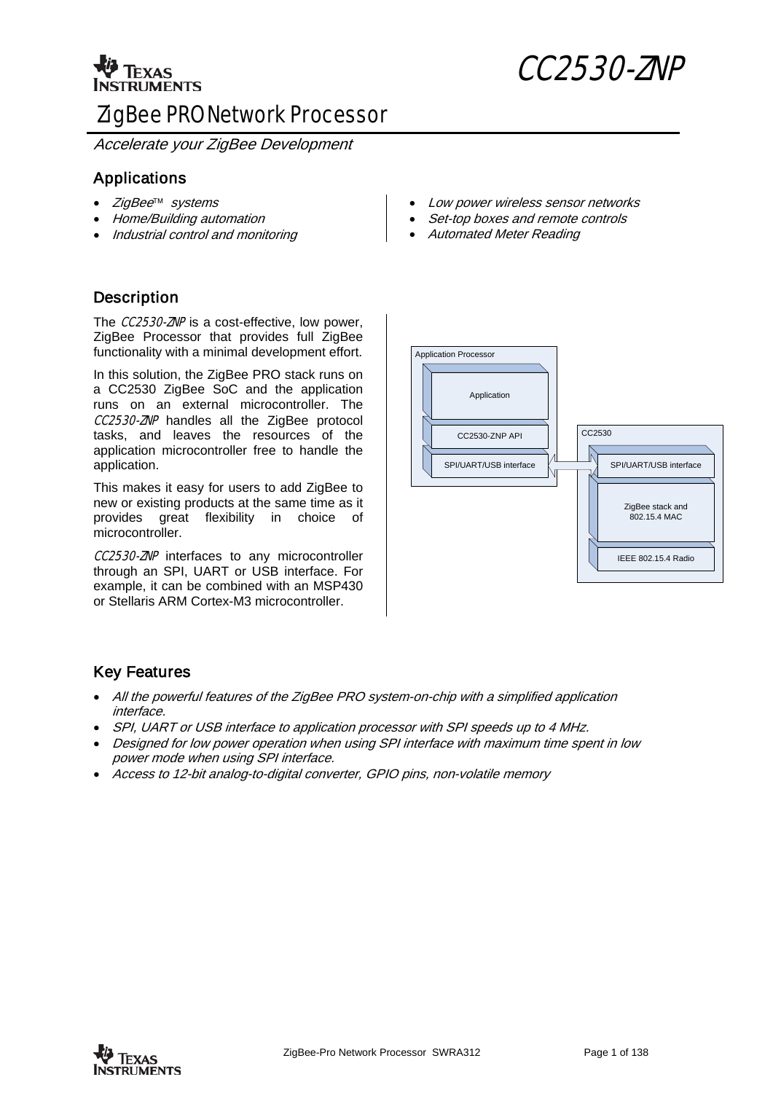

# <sup>1</sup> Texas CC2530-ZNP

# ZigBee PRO Network Processor

Accelerate your ZigBee Development

# Applications

- ZigBee<sup>™</sup> systems
- Home/Building automation
- Industrial control and monitoring

# **Description**

The **CC2530-ZNP** is a cost-effective, low power, ZigBee Processor that provides full ZigBee functionality with a minimal development effort.

In this solution, the ZigBee PRO stack runs on a CC2530 ZigBee SoC and the application runs on an external microcontroller. The **CC2530-ZNP** handles all the ZigBee protocol tasks, and leaves the resources of the application microcontroller free to handle the application.

This makes it easy for users to add ZigBee to new or existing products at the same time as it provides great flexibility in choice of microcontroller.

**CC2530-ZNP** interfaces to any microcontroller through an SPI, UART or USB interface. For example, it can be combined with an MSP430 or Stellaris ARM Cortex-M3 microcontroller.

- Low power wireless sensor networks
- Set-top boxes and remote controls
- Automated Meter Reading



# Key Features

- All the powerful features of the ZigBee PRO system-on-chip with a simplified application interface.
- SPI, UART or USB interface to application processor with SPI speeds up to 4 MHz.
- Designed for low power operation when using SPI interface with maximum time spent in low power mode when using SPI interface.
- Access to 12-bit analog-to-digital converter, GPIO pins, non-volatile memory

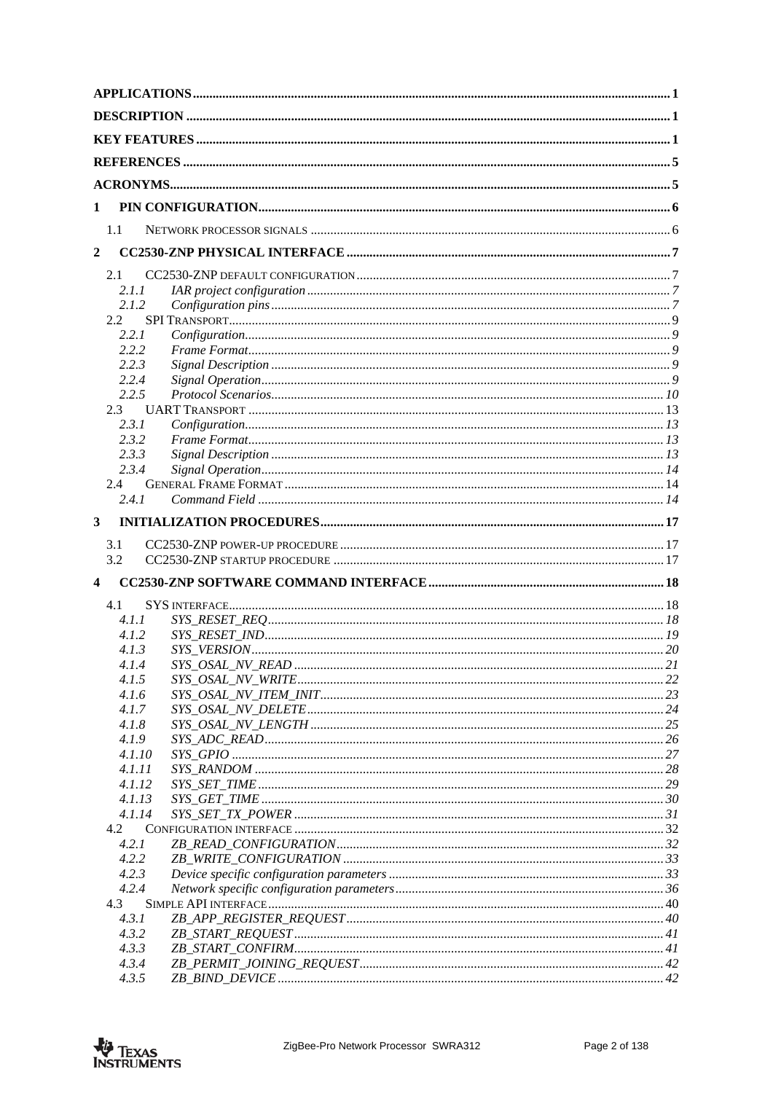| 1            |                  |  |  |
|--------------|------------------|--|--|
|              | 1.1              |  |  |
| $\mathbf{2}$ |                  |  |  |
|              | 2.1              |  |  |
|              | 2.1.1            |  |  |
|              | 2.1.2            |  |  |
|              | 2.2              |  |  |
|              | 2.2.1            |  |  |
|              | 2.2.2            |  |  |
|              | 2.2.3            |  |  |
|              | 2.2.4            |  |  |
|              | 2.2.5            |  |  |
|              | 2.3              |  |  |
|              | 2.3.1<br>2.3.2   |  |  |
|              | 2.3.3            |  |  |
|              | 2.3.4            |  |  |
|              | 2.4              |  |  |
|              | 2.4.1            |  |  |
| 3            |                  |  |  |
|              |                  |  |  |
|              | 3.1              |  |  |
|              | 3.2              |  |  |
|              |                  |  |  |
|              | 4.1              |  |  |
|              | 4.1.1            |  |  |
|              | 4.1.2            |  |  |
|              | 4.1.3            |  |  |
|              | 4.1.4            |  |  |
|              | 4.1.5            |  |  |
|              | 4.1.6            |  |  |
|              | 4.1.7            |  |  |
|              | 4.1.8            |  |  |
|              | 4.1.9            |  |  |
|              | 4.1.10           |  |  |
|              | 4.1.11           |  |  |
|              | 4.1.12<br>4.1.13 |  |  |
|              | 4.1.14           |  |  |
|              | 4.2              |  |  |
|              | 4.2.1            |  |  |
|              | 4.2.2            |  |  |
|              | 4.2.3            |  |  |
|              | 4.2.4            |  |  |
|              | 4.3              |  |  |
|              | 4.3.1            |  |  |
|              | 4.3.2            |  |  |
|              | 4.3.3            |  |  |
|              | 4.3.4<br>4.3.5   |  |  |
|              |                  |  |  |

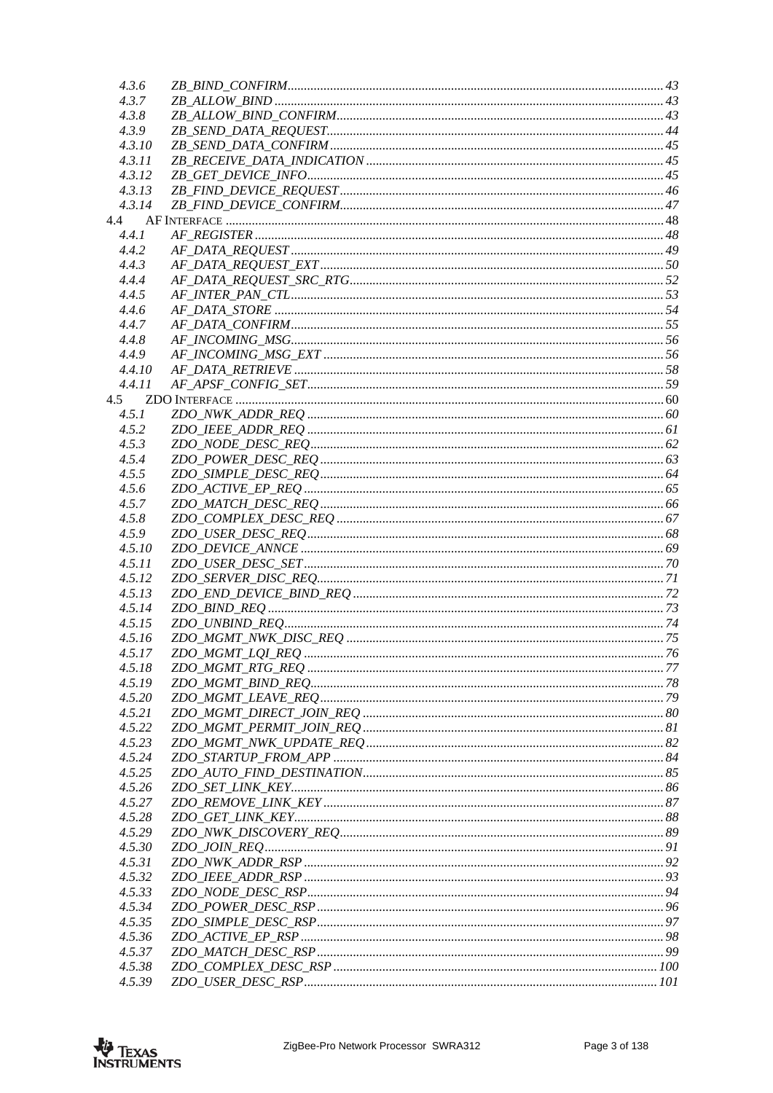| 4.3.6  |  |
|--------|--|
| 4.3.7  |  |
| 4.3.8  |  |
| 4.3.9  |  |
| 4.3.10 |  |
| 4.3.11 |  |
| 4.3.12 |  |
| 4.3.13 |  |
| 4.3.14 |  |
|        |  |
| 4.4    |  |
| 4.4.1  |  |
| 4.4.2  |  |
| 4.4.3  |  |
| 4.4.4  |  |
| 4.4.5  |  |
| 4.4.6  |  |
| 4.4.7  |  |
| 4.4.8  |  |
| 4.4.9  |  |
| 4.4.10 |  |
| 4.4.11 |  |
| 4.5    |  |
| 4.5.1  |  |
| 4.5.2  |  |
| 4.5.3  |  |
| 4.5.4  |  |
| 4.5.5  |  |
| 4.5.6  |  |
| 4.5.7  |  |
| 4.5.8  |  |
| 4.5.9  |  |
| 4.5.10 |  |
| 4.5.11 |  |
|        |  |
| 4.5.12 |  |
| 4.5.13 |  |
| 4.5.14 |  |
| 4.5.15 |  |
| 4.5.16 |  |
| 4.5.17 |  |
| 4.5.18 |  |
| 4.5.19 |  |
| 4.5.20 |  |
| 4.5.21 |  |
| 4.5.22 |  |
| 4.5.23 |  |
| 4.5.24 |  |
| 4.5.25 |  |
| 4.5.26 |  |
| 4.5.27 |  |
| 4.5.28 |  |
| 4.5.29 |  |
| 4.5.30 |  |
| 4.5.31 |  |
| 4.5.32 |  |
| 4.5.33 |  |
| 4.5.34 |  |
|        |  |
| 4.5.35 |  |
| 4.5.36 |  |
| 4.5.37 |  |
| 4.5.38 |  |
| 4.5.39 |  |

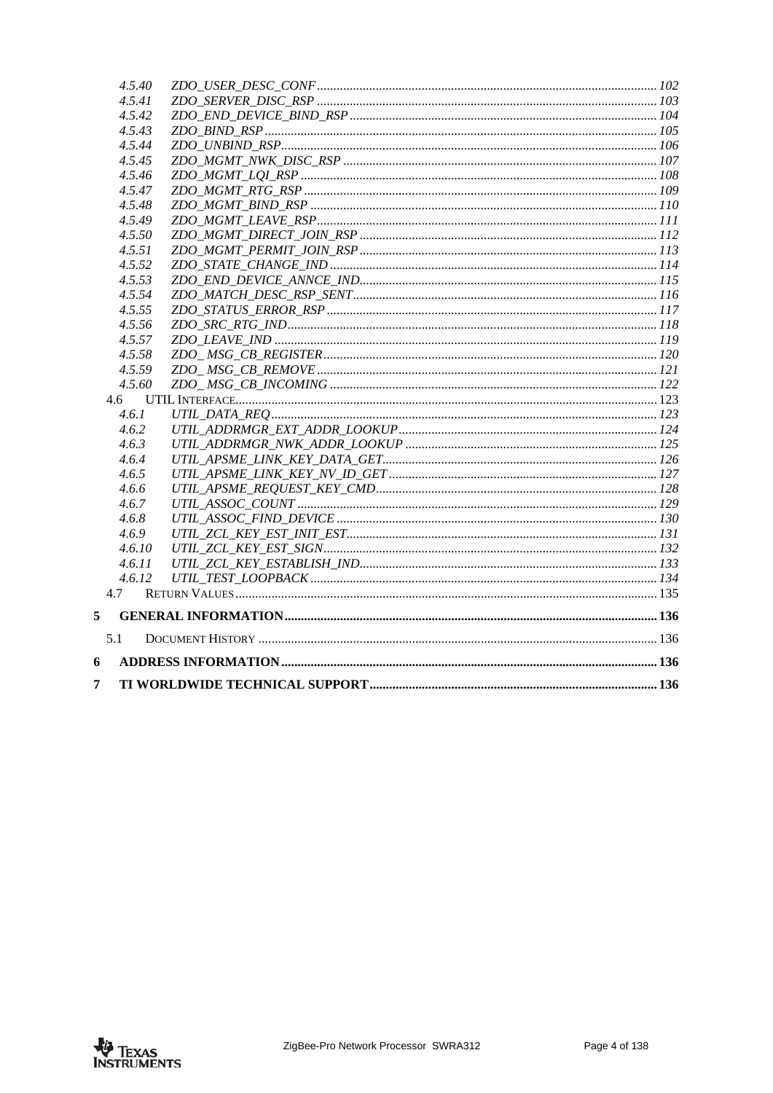|     | 4.5.40 |  |
|-----|--------|--|
|     | 4.5.41 |  |
|     | 4.5.42 |  |
|     | 4.5.43 |  |
|     | 4.5.44 |  |
|     | 4.5.45 |  |
|     | 4.5.46 |  |
|     | 4.5.47 |  |
|     | 4.5.48 |  |
|     | 4.5.49 |  |
|     | 4.5.50 |  |
|     | 4.5.51 |  |
|     | 4.5.52 |  |
|     | 4.5.53 |  |
|     | 4.5.54 |  |
|     | 4.5.55 |  |
|     | 4.5.56 |  |
|     | 4.5.57 |  |
|     | 4.5.58 |  |
|     | 4.5.59 |  |
|     | 4.5.60 |  |
| 4.6 |        |  |
|     | 4.6.1  |  |
|     | 4.6.2  |  |
|     | 4.6.3  |  |
|     | 4.6.4  |  |
|     | 4.6.5  |  |
|     | 4.6.6  |  |
|     | 4.6.7  |  |
|     | 4.6.8  |  |
|     | 4.6.9  |  |
|     | 4.6.10 |  |
|     | 4.6.11 |  |
|     | 4.6.12 |  |
| 4.7 |        |  |
|     |        |  |
| 5.1 |        |  |
|     |        |  |
|     |        |  |

 $\sqrt{5}$ 

 $\boldsymbol{6}$  $\overline{7}$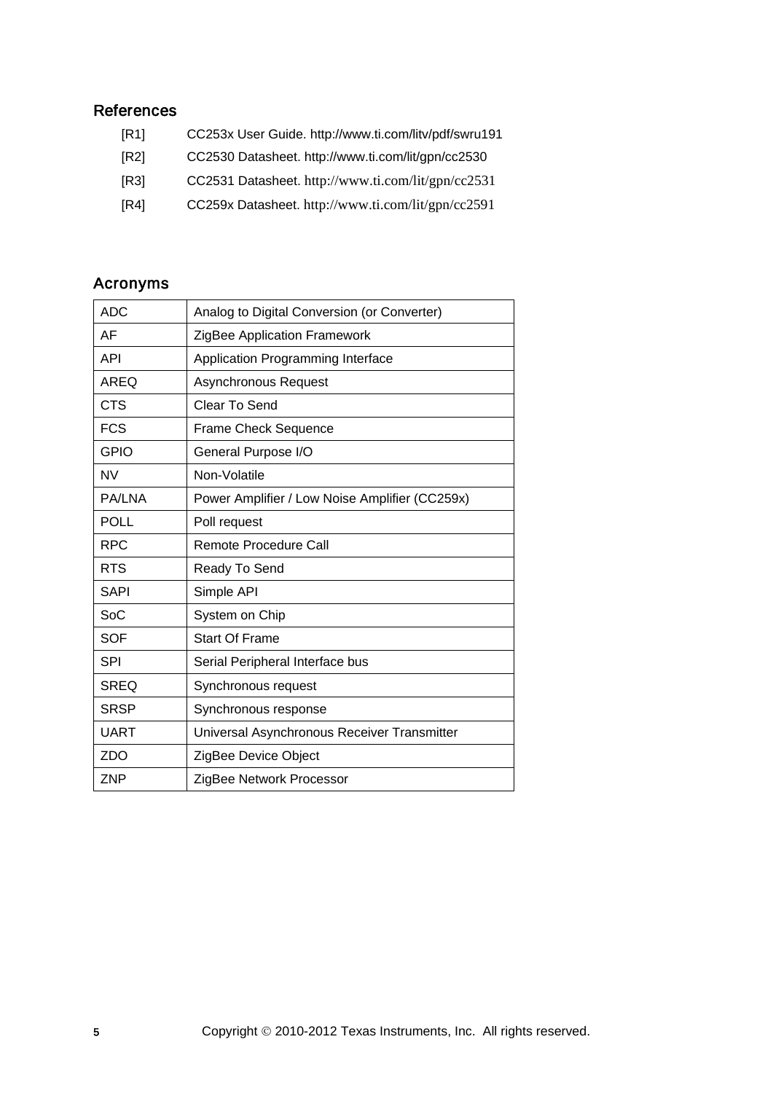# <span id="page-4-0"></span>References

- [R1] CC253x User Guide.<http://www.ti.com/litv/pdf/swru191>
- <span id="page-4-2"></span>[R2] CC2530 Datasheet.<http://www.ti.com/lit/gpn/cc2530>
- <span id="page-4-3"></span>[R3] CC2531 Datasheet. <http://www.ti.com/lit/gpn/cc2531>
- <span id="page-4-1"></span>[R4] CC259x Datasheet. <http://www.ti.com/lit/gpn/cc2591>

# Acronyms

| <b>ADC</b><br>Analog to Digital Conversion (or Converter) |                                                |  |  |
|-----------------------------------------------------------|------------------------------------------------|--|--|
| AF                                                        | ZigBee Application Framework                   |  |  |
| <b>API</b>                                                | Application Programming Interface              |  |  |
| <b>AREQ</b>                                               | <b>Asynchronous Request</b>                    |  |  |
| <b>CTS</b>                                                | Clear To Send                                  |  |  |
| <b>FCS</b>                                                | <b>Frame Check Sequence</b>                    |  |  |
| <b>GPIO</b>                                               | General Purpose I/O                            |  |  |
| <b>NV</b>                                                 | Non-Volatile                                   |  |  |
| <b>PA/LNA</b>                                             | Power Amplifier / Low Noise Amplifier (CC259x) |  |  |
| <b>POLL</b>                                               | Poll request                                   |  |  |
| <b>RPC</b>                                                | <b>Remote Procedure Call</b>                   |  |  |
| <b>RTS</b>                                                | Ready To Send                                  |  |  |
| <b>SAPI</b>                                               | Simple API                                     |  |  |
| SoC                                                       | System on Chip                                 |  |  |
| <b>SOF</b>                                                | <b>Start Of Frame</b>                          |  |  |
| <b>SPI</b>                                                | Serial Peripheral Interface bus                |  |  |
| <b>SREQ</b>                                               | Synchronous request                            |  |  |
| <b>SRSP</b>                                               | Synchronous response                           |  |  |
| <b>UART</b>                                               | Universal Asynchronous Receiver Transmitter    |  |  |
| <b>ZDO</b>                                                | ZigBee Device Object                           |  |  |
| <b>ZNP</b>                                                | ZigBee Network Processor                       |  |  |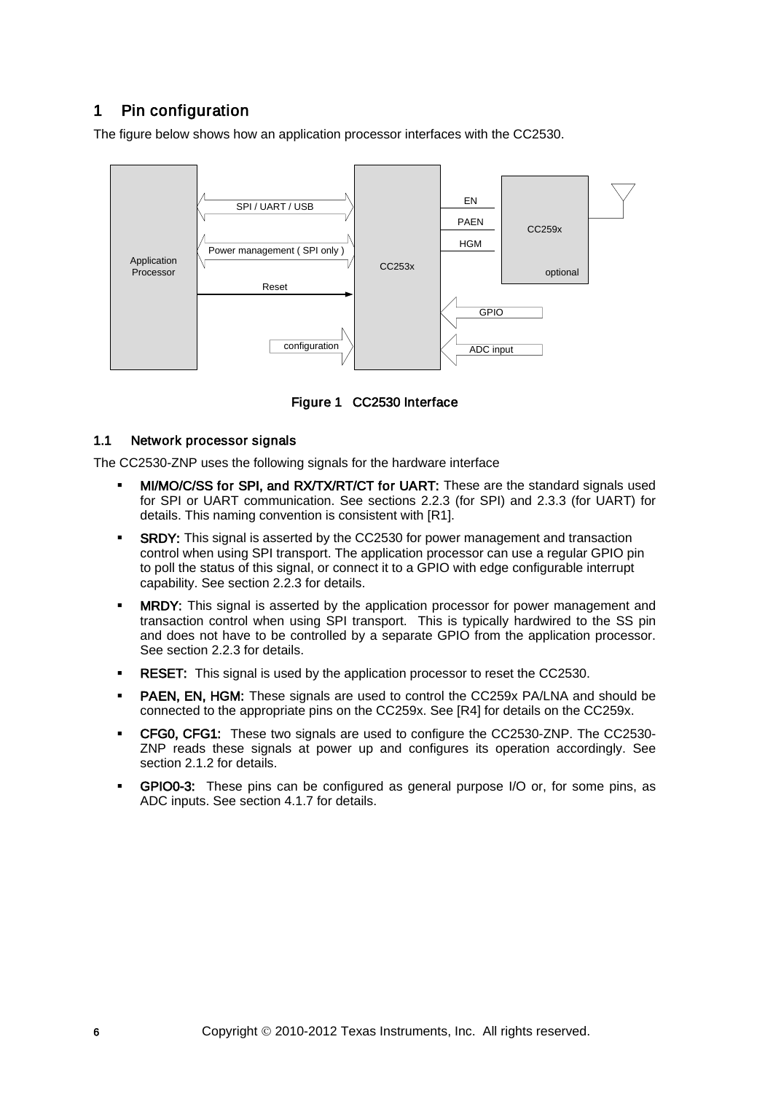# 1 Pin configuration

The figure below shows how an application processor interfaces with the CC2530.



Figure 1 CC2530 Interface

# 1.1 Network processor signals

The CC2530-ZNP uses the following signals for the hardware interface

- MI/MO/C/SS for SPI, and RX/TX/RT/CT for UART: These are the standard signals used for SPI or UART communication. See sections [2.2.3](#page-8-0) (for SPI) and [2.3.3](#page-12-0) (for UART) for details. This naming convention is consistent with [\[R1\].](#page-4-0)
- **SRDY:** This signal is asserted by the CC2530 for power management and transaction control when using SPI transport. The application processor can use a regular GPIO pin to poll the status of this signal, or connect it to a GPIO with edge configurable interrupt capability. See section [2.2.3](#page-8-0) for details.
- MRDY: This signal is asserted by the application processor for power management and transaction control when using SPI transport. This is typically hardwired to the SS pin and does not have to be controlled by a separate GPIO from the application processor. See section [2.2.3](#page-8-0) for details.
- **RESET:** This signal is used by the application processor to reset the CC2530.
- PAEN, EN, HGM: These signals are used to control the CC259x PA/LNA and should be connected to the appropriate pins on the CC259x. See [\[R4\]](#page-4-1) for details on the CC259x.
- CFG0, CFG1: These two signals are used to configure the CC2530-ZNP. The CC2530- ZNP reads these signals at power up and configures its operation accordingly. See section [2.1.2](#page-6-0) for details.
- GPIO0-3: These pins can be configured as general purpose I/O or, for some pins, as ADC inputs. See section [4.1.7](#page-25-0) for details.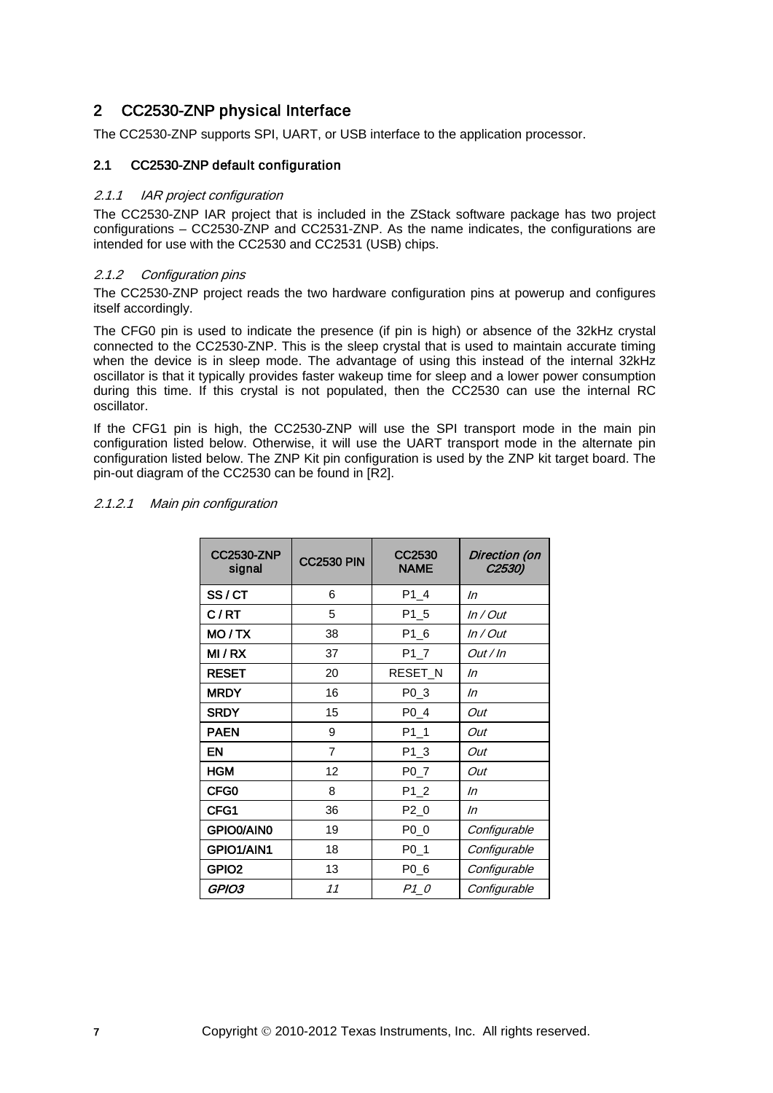# 2 CC2530-ZNP physical Interface

The CC2530-ZNP supports SPI, UART, or USB interface to the application processor.

#### 2.1 CC2530-ZNP default configuration

#### 2.1.1 IAR project configuration

The CC2530-ZNP IAR project that is included in the ZStack software package has two project configurations – CC2530-ZNP and CC2531-ZNP. As the name indicates, the configurations are intended for use with the CC2530 and CC2531 (USB) chips.

#### <span id="page-6-0"></span>2.1.2 Configuration pins

The CC2530-ZNP project reads the two hardware configuration pins at powerup and configures itself accordingly.

The CFG0 pin is used to indicate the presence (if pin is high) or absence of the 32kHz crystal connected to the CC2530-ZNP. This is the sleep crystal that is used to maintain accurate timing when the device is in sleep mode. The advantage of using this instead of the internal 32kHz oscillator is that it typically provides faster wakeup time for sleep and a lower power consumption during this time. If this crystal is not populated, then the CC2530 can use the internal RC oscillator.

If the CFG1 pin is high, the CC2530-ZNP will use the SPI transport mode in the main pin configuration listed below. Otherwise, it will use the UART transport mode in the alternate pin configuration listed below. The ZNP Kit pin configuration is used by the ZNP kit target board. The pin-out diagram of the CC2530 can be found in [\[R2\].](#page-4-2)

#### 2.1.2.1 Main pin configuration

| <b>CC2530-ZNP</b><br>signal | <b>CC2530 PIN</b> | CC2530<br><b>NAME</b> | Direction (on<br>C <sub>2530</sub> ) |
|-----------------------------|-------------------|-----------------------|--------------------------------------|
| SS/CT                       | 6                 | P1 4                  | In                                   |
| C/RT                        | 5                 | P1 5                  | In / Out                             |
| MO/TX                       | 38                | $P1_6$                | $In/O$ ut                            |
| MI/RX                       | 37                | $P1_7$                | Out / In                             |
| <b>RESET</b>                | 20                | RESET_N               | In                                   |
| <b>MRDY</b>                 | 16                | P0_3                  | In                                   |
| <b>SRDY</b>                 | 15                | $P0_4$                | Out                                  |
| <b>PAEN</b>                 | 9                 | P1 1                  | Out                                  |
| EN                          | $\overline{7}$    | $P1_3$                | Out                                  |
| <b>HGM</b>                  | 12                | P <sub>0_7</sub>      | Out                                  |
| CFG0                        | 8                 | $P1_2$                | In                                   |
| CFG1                        | 36                | $P2_0$                | In                                   |
| GPIO0/AIN0                  | 19                | $P0_0$                | Configurable                         |
| GPIO1/AIN1                  | 18                | $P0_1$                | Configurable                         |
| GPIO <sub>2</sub>           | 13                | P <sub>0_6</sub>      | Configurable                         |
| GPIO3                       | 11                | $P1_0$                | Configurable                         |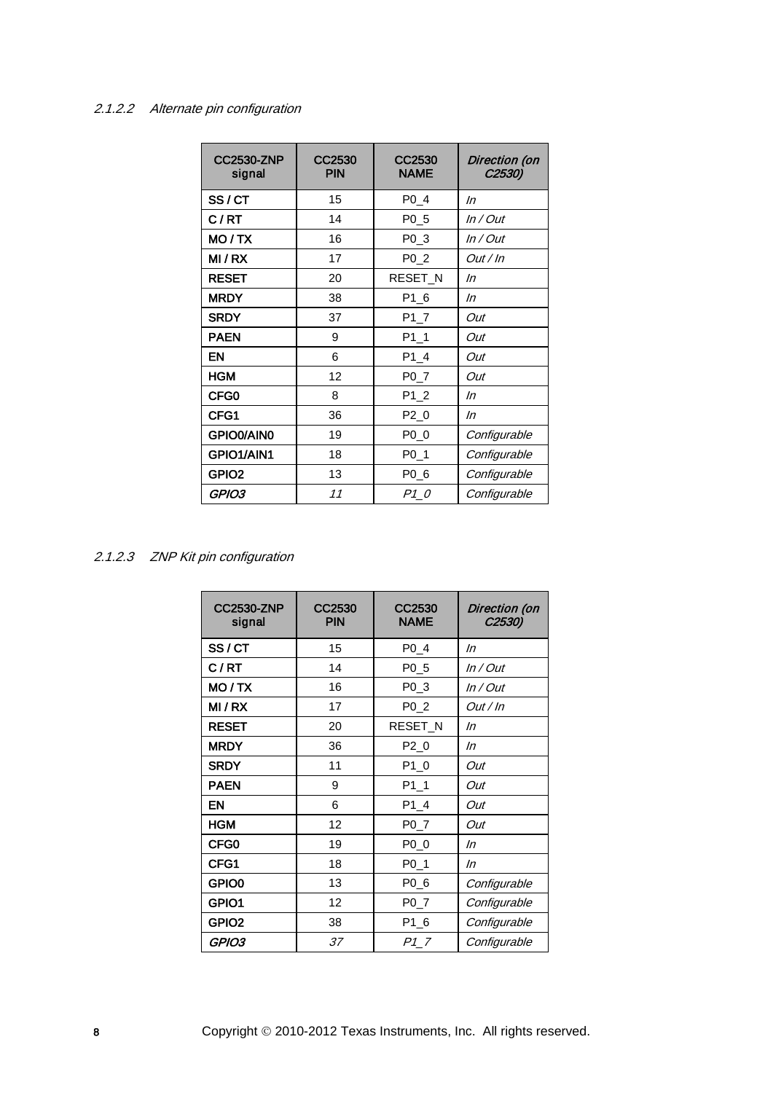# 2.1.2.2 Alternate pin configuration

| <b>CC2530-ZNP</b><br>signal | CC2530<br><b>PIN</b> | CC2530<br><b>NAME</b> | Direction (on<br>C2530) |
|-----------------------------|----------------------|-----------------------|-------------------------|
| SS/CT                       | 15                   | $P0_4$                | In                      |
| C/RT                        | 14                   | P <sub>0_5</sub>      | $In/O$ ut               |
| MO/TX                       | 16                   | P <sub>0</sub> 3      | In / Out                |
| MI/RX                       | 17                   | P <sub>0</sub> 2      | <i>Out / In</i>         |
| <b>RESET</b>                | 20                   | RESET N               | In                      |
| <b>MRDY</b>                 | 38                   | P1 6                  | In                      |
| <b>SRDY</b>                 | 37                   | $P1_7$                | Out                     |
| <b>PAEN</b>                 | 9                    | $P1_1$                | Out                     |
| <b>EN</b>                   | 6                    | $P1_4$                | Out                     |
| <b>HGM</b>                  | 12                   | $P0-7$                | Out                     |
| CFG0                        | 8                    | $P1_2$                | In                      |
| CFG1                        | 36                   | $P2_0$                | In                      |
| GPIO0/AIN0                  | 19                   | P0 0                  | Configurable            |
| GPIO1/AIN1                  | 18                   | P <sub>0</sub> _1     | Configurable            |
| GPIO <sub>2</sub>           | 13                   | PO 6                  | Configurable            |
| GPIO3                       | 11                   | P1 0                  | Configurable            |

2.1.2.3 ZNP Kit pin configuration

| <b>CC2530-ZNP</b><br>signal | CC2530<br><b>PIN</b> | CC2530<br><b>NAME</b> | Direction (on<br>C2530) |
|-----------------------------|----------------------|-----------------------|-------------------------|
| SS/CT                       | 15                   | P0 4                  | In                      |
| C/RT                        | 14                   | P <sub>0</sub> 5      | In / Out                |
| MO / TX                     | 16                   | P <sub>0</sub> 3      | In / Out                |
| MI/RX                       | 17                   | P <sub>0</sub> 2      | <i>Out / In</i>         |
| <b>RESET</b>                | 20                   | RESET_N               | In                      |
| <b>MRDY</b>                 | 36                   | $P2_0$                | In                      |
| <b>SRDY</b>                 | 11                   | $P1_0$                | Out                     |
| <b>PAEN</b>                 | 9                    | $P1_1$                | Out                     |
| EN                          | 6                    | $P1_4$                | Out                     |
| <b>HGM</b>                  | 12                   | $P0_7$                | Out                     |
| CFG0                        | 19                   | P0 0                  | In                      |
| CFG1                        | 18                   | $P0_1$                | In                      |
| GPIO0                       | 13                   | P <sub>0_6</sub>      | Configurable            |
| GPIO1                       | 12                   | $P0-7$                | Configurable            |
| GPIO <sub>2</sub>           | 38                   | P1_6                  | Configurable            |
| GPIO3                       | 37                   | P17                   | Configurable            |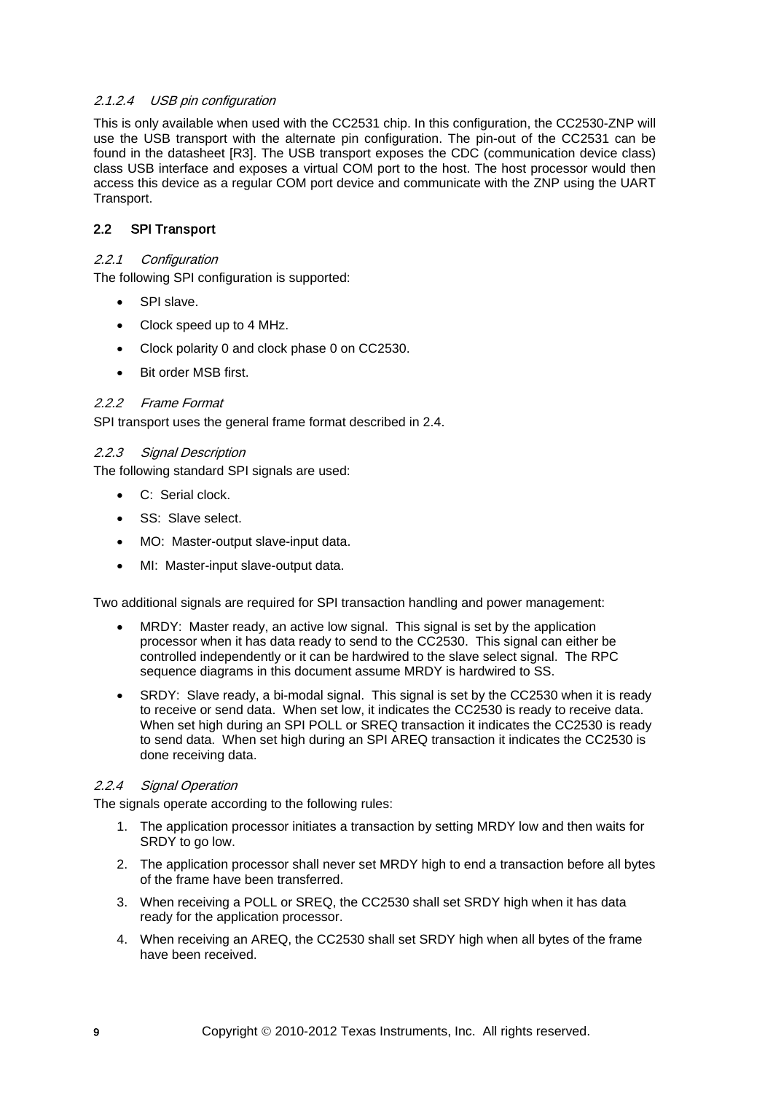## 2.1.2.4 USB pin configuration

This is only available when used with the CC2531 chip. In this configuration, the CC2530-ZNP will use the USB transport with the alternate pin configuration. The pin-out of the CC2531 can be found in the datasheet [\[R3\].](#page-4-3) The USB transport exposes the CDC (communication device class) class USB interface and exposes a virtual COM port to the host. The host processor would then access this device as a regular COM port device and communicate with the ZNP using the UART Transport.

# 2.2 SPI Transport

## 2.2.1 Configuration

The following SPI configuration is supported:

- SPI slave.
- Clock speed up to 4 MHz.
- Clock polarity 0 and clock phase 0 on CC2530.
- Bit order MSB first.

# 2.2.2 Frame Format

SPI transport uses the general frame format described in [2.4.](#page-13-0)

# <span id="page-8-0"></span>2.2.3 Signal Description

The following standard SPI signals are used:

- C: Serial clock.
- SS: Slave select.
- MO: Master-output slave-input data.
- MI: Master-input slave-output data.

Two additional signals are required for SPI transaction handling and power management:

- MRDY: Master ready, an active low signal. This signal is set by the application processor when it has data ready to send to the CC2530. This signal can either be controlled independently or it can be hardwired to the slave select signal. The RPC sequence diagrams in this document assume MRDY is hardwired to SS.
- SRDY: Slave ready, a bi-modal signal. This signal is set by the CC2530 when it is ready to receive or send data. When set low, it indicates the CC2530 is ready to receive data. When set high during an SPI POLL or SREQ transaction it indicates the CC2530 is ready to send data. When set high during an SPI AREQ transaction it indicates the CC2530 is done receiving data.

#### 2.2.4 Signal Operation

The signals operate according to the following rules:

- 1. The application processor initiates a transaction by setting MRDY low and then waits for SRDY to go low.
- 2. The application processor shall never set MRDY high to end a transaction before all bytes of the frame have been transferred.
- 3. When receiving a POLL or SREQ, the CC2530 shall set SRDY high when it has data ready for the application processor.
- 4. When receiving an AREQ, the CC2530 shall set SRDY high when all bytes of the frame have been received.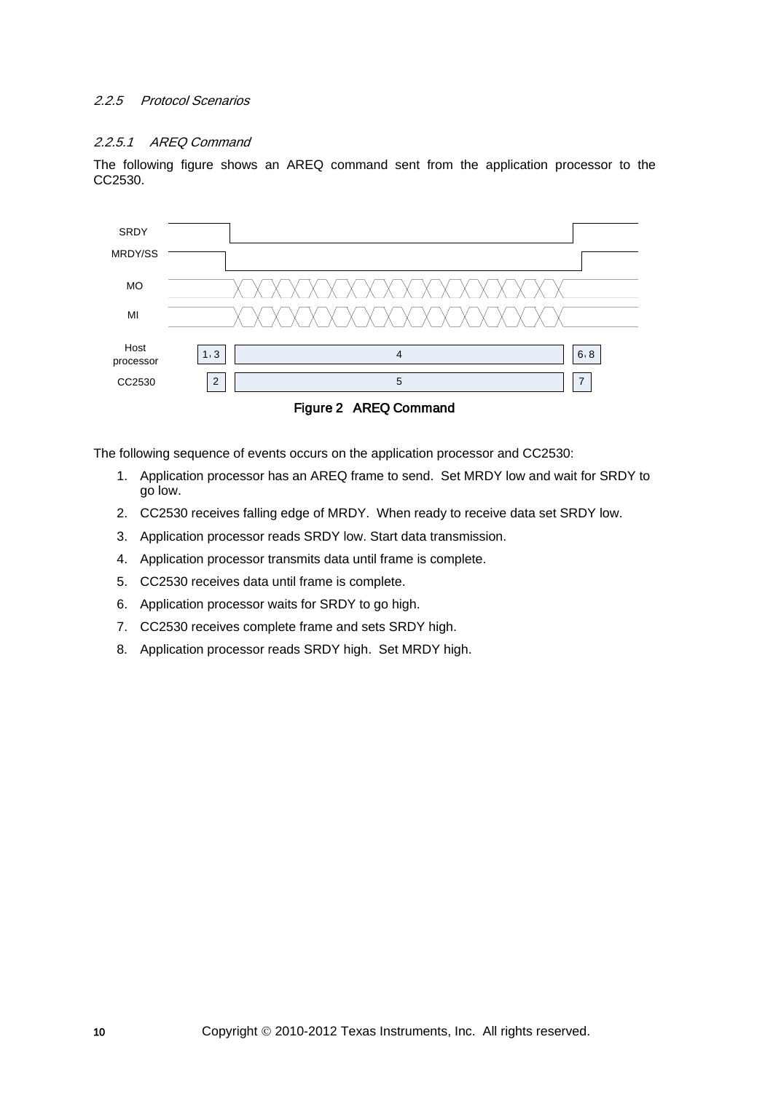## 2.2.5 Protocol Scenarios

#### 2.2.5.1 AREQ Command

The following figure shows an AREQ command sent from the application processor to the CC2530.



The following sequence of events occurs on the application processor and CC2530:

- 1. Application processor has an AREQ frame to send. Set MRDY low and wait for SRDY to go low.
- 2. CC2530 receives falling edge of MRDY. When ready to receive data set SRDY low.
- 3. Application processor reads SRDY low. Start data transmission.
- 4. Application processor transmits data until frame is complete.
- 5. CC2530 receives data until frame is complete.
- 6. Application processor waits for SRDY to go high.
- 7. CC2530 receives complete frame and sets SRDY high.
- 8. Application processor reads SRDY high. Set MRDY high.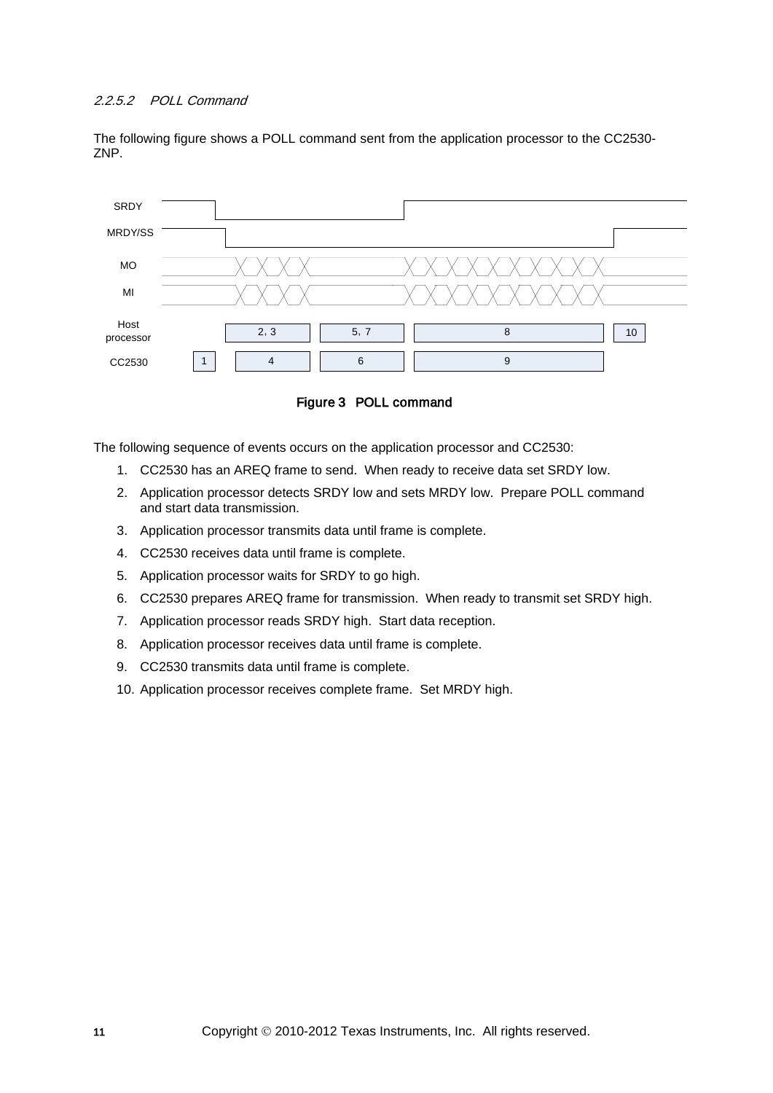## 2.2.5.2 POLL Command

The following figure shows a POLL command sent from the application processor to the CC2530- ZNP.



Figure 3 POLL command

The following sequence of events occurs on the application processor and CC2530:

- 1. CC2530 has an AREQ frame to send. When ready to receive data set SRDY low.
- 2. Application processor detects SRDY low and sets MRDY low. Prepare POLL command and start data transmission.
- 3. Application processor transmits data until frame is complete.
- 4. CC2530 receives data until frame is complete.
- 5. Application processor waits for SRDY to go high.
- 6. CC2530 prepares AREQ frame for transmission. When ready to transmit set SRDY high.
- 7. Application processor reads SRDY high. Start data reception.
- 8. Application processor receives data until frame is complete.
- 9. CC2530 transmits data until frame is complete.
- 10. Application processor receives complete frame. Set MRDY high.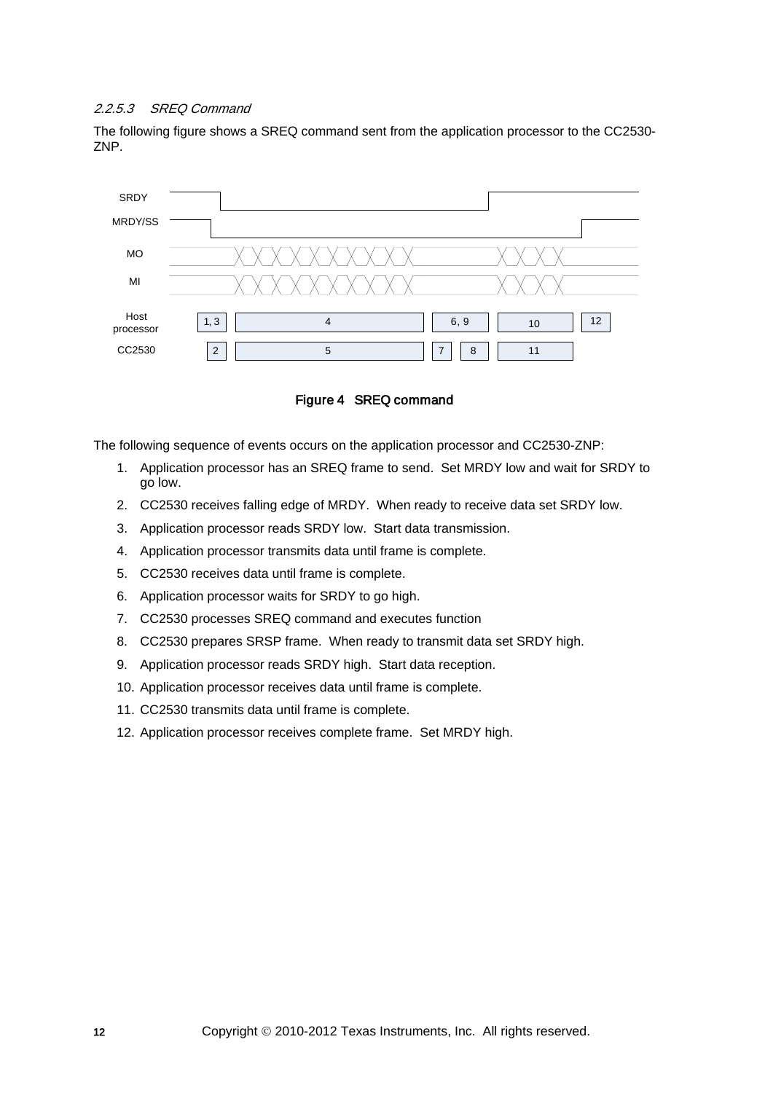#### 2.2.5.3 SREQ Command

The following figure shows a SREQ command sent from the application processor to the CC2530- ZNP.



Figure 4 SREQ command

The following sequence of events occurs on the application processor and CC2530-ZNP:

- 1. Application processor has an SREQ frame to send. Set MRDY low and wait for SRDY to go low.
- 2. CC2530 receives falling edge of MRDY. When ready to receive data set SRDY low.
- 3. Application processor reads SRDY low. Start data transmission.
- 4. Application processor transmits data until frame is complete.
- 5. CC2530 receives data until frame is complete.
- 6. Application processor waits for SRDY to go high.
- 7. CC2530 processes SREQ command and executes function
- 8. CC2530 prepares SRSP frame. When ready to transmit data set SRDY high.
- 9. Application processor reads SRDY high. Start data reception.
- 10. Application processor receives data until frame is complete.
- 11. CC2530 transmits data until frame is complete.
- 12. Application processor receives complete frame. Set MRDY high.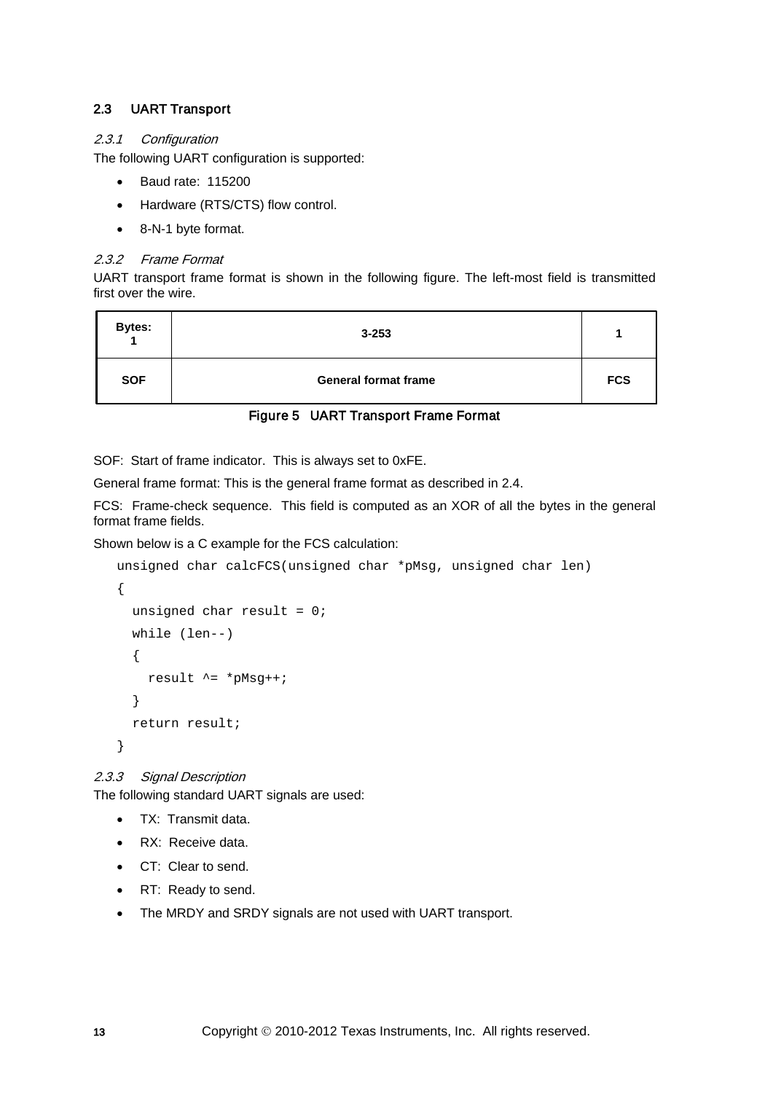# 2.3 UART Transport

# 2.3.1 Configuration

The following UART configuration is supported:

- Baud rate: 115200
- Hardware (RTS/CTS) flow control.
- 8-N-1 byte format.

# 2.3.2 Frame Format

UART transport frame format is shown in the following figure. The left-most field is transmitted first over the wire.

| <b>Bytes:</b> | $3 - 253$                   |            |
|---------------|-----------------------------|------------|
| <b>SOF</b>    | <b>General format frame</b> | <b>FCS</b> |

# Figure 5 UART Transport Frame Format

SOF: Start of frame indicator. This is always set to 0xFE.

General frame format: This is the general frame format as described in [2.4.](#page-13-0)

FCS: Frame-check sequence. This field is computed as an XOR of all the bytes in the general format frame fields.

Shown below is a C example for the FCS calculation:

```
unsigned char calcFCS(unsigned char *pMsg, unsigned char len)
{
  unsigned char result = 0;
   while (len--)
   {
    result ^* = *pMsq++;
   }
   return result;
}
```
<span id="page-12-0"></span>2.3.3 Signal Description

The following standard UART signals are used:

- TX: Transmit data.
- RX: Receive data.
- CT: Clear to send.
- RT: Ready to send.
- The MRDY and SRDY signals are not used with UART transport.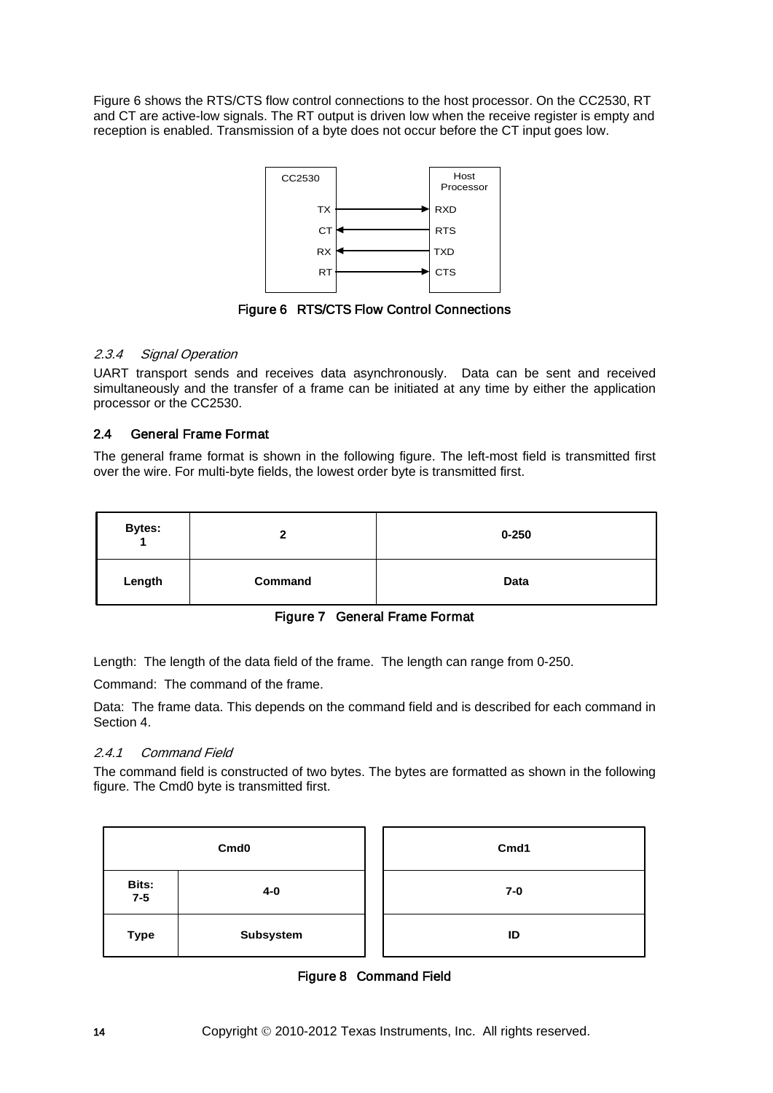Figure 6 shows the RTS/CTS flow control connections to the host processor. On the CC2530, RT and CT are active-low signals. The RT output is driven low when the receive register is empty and reception is enabled. Transmission of a byte does not occur before the CT input goes low.



Figure 6 RTS/CTS Flow Control Connections

# 2.3.4 Signal Operation

UART transport sends and receives data asynchronously. Data can be sent and received simultaneously and the transfer of a frame can be initiated at any time by either the application processor or the CC2530.

# <span id="page-13-0"></span>2.4 General Frame Format

The general frame format is shown in the following figure. The left-most field is transmitted first over the wire. For multi-byte fields, the lowest order byte is transmitted first.

| <b>Bytes:</b><br>$\overline{A}$ |         | $0 - 250$ |
|---------------------------------|---------|-----------|
| Length                          | Command | Data      |

Figure 7 General Frame Format

Length: The length of the data field of the frame. The length can range from 0-250.

Command: The command of the frame.

Data: The frame data. This depends on the command field and is described for each command in Section [4.](#page-17-0)

# 2.4.1 Command Field

The command field is constructed of two bytes. The bytes are formatted as shown in the following figure. The Cmd0 byte is transmitted first.

| Cmd <sub>0</sub> |           | Cmd1  |
|------------------|-----------|-------|
| Bits:<br>$7-5$   | 4-0       | $7-0$ |
| <b>Type</b>      | Subsystem | ID    |

Figure 8 Command Field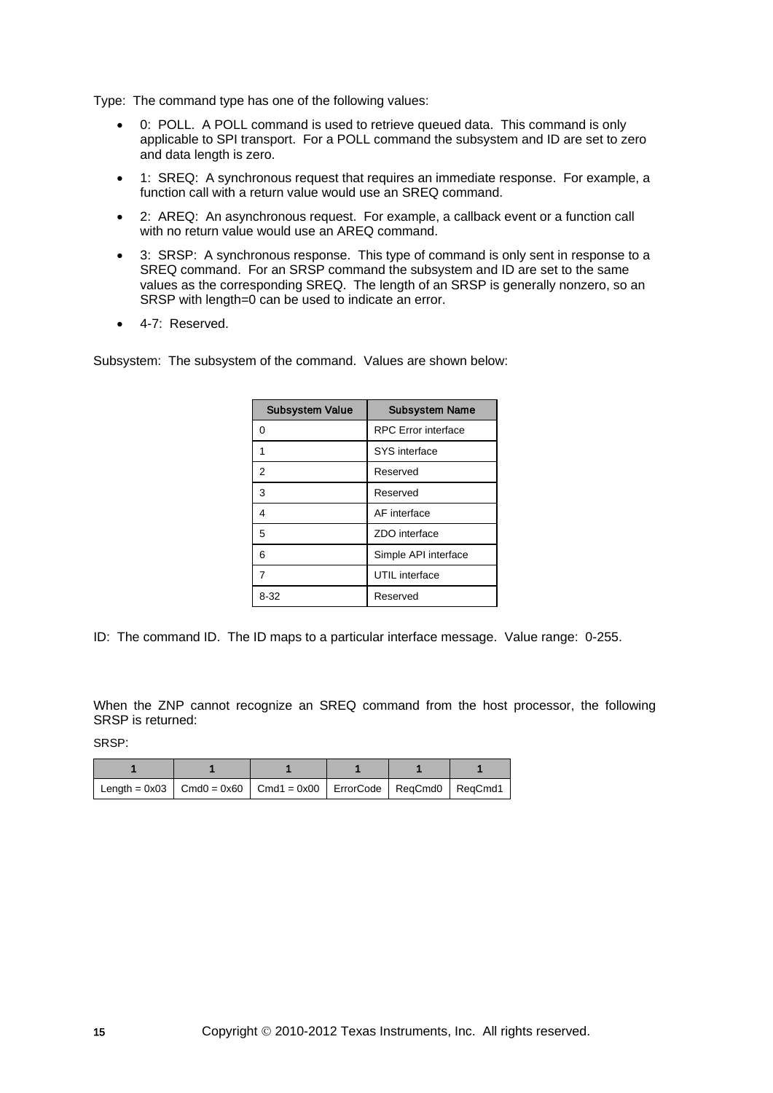Type: The command type has one of the following values:

- 0: POLL. A POLL command is used to retrieve queued data. This command is only applicable to SPI transport. For a POLL command the subsystem and ID are set to zero and data length is zero.
- 1: SREQ: A synchronous request that requires an immediate response. For example, a function call with a return value would use an SREQ command.
- 2: AREQ: An asynchronous request. For example, a callback event or a function call with no return value would use an AREQ command.
- 3: SRSP: A synchronous response. This type of command is only sent in response to a SREQ command. For an SRSP command the subsystem and ID are set to the same values as the corresponding SREQ. The length of an SRSP is generally nonzero, so an SRSP with length=0 can be used to indicate an error.
- 4-7: Reserved.

Subsystem: The subsystem of the command. Values are shown below:

| <b>Subsystem Value</b> | <b>Subsystem Name</b>      |
|------------------------|----------------------------|
| O                      | <b>RPC</b> Error interface |
| 1                      | SYS interface              |
| 2                      | Reserved                   |
| 3                      | Reserved                   |
| 4                      | AF interface               |
| 5                      | ZDO interface              |
| 6                      | Simple API interface       |
| 7                      | UTIL interface             |
| $8 - 32$               | Reserved                   |

ID: The command ID. The ID maps to a particular interface message. Value range: 0-255.

When the ZNP cannot recognize an SREQ command from the host processor, the following SRSP is returned:

SRSP:

| Length = $0x03$   Cmd0 = $0x60$   Cmd1 = $0x00$   ErrorCode   RegCmd0   RegCmd1 |  |  |
|---------------------------------------------------------------------------------|--|--|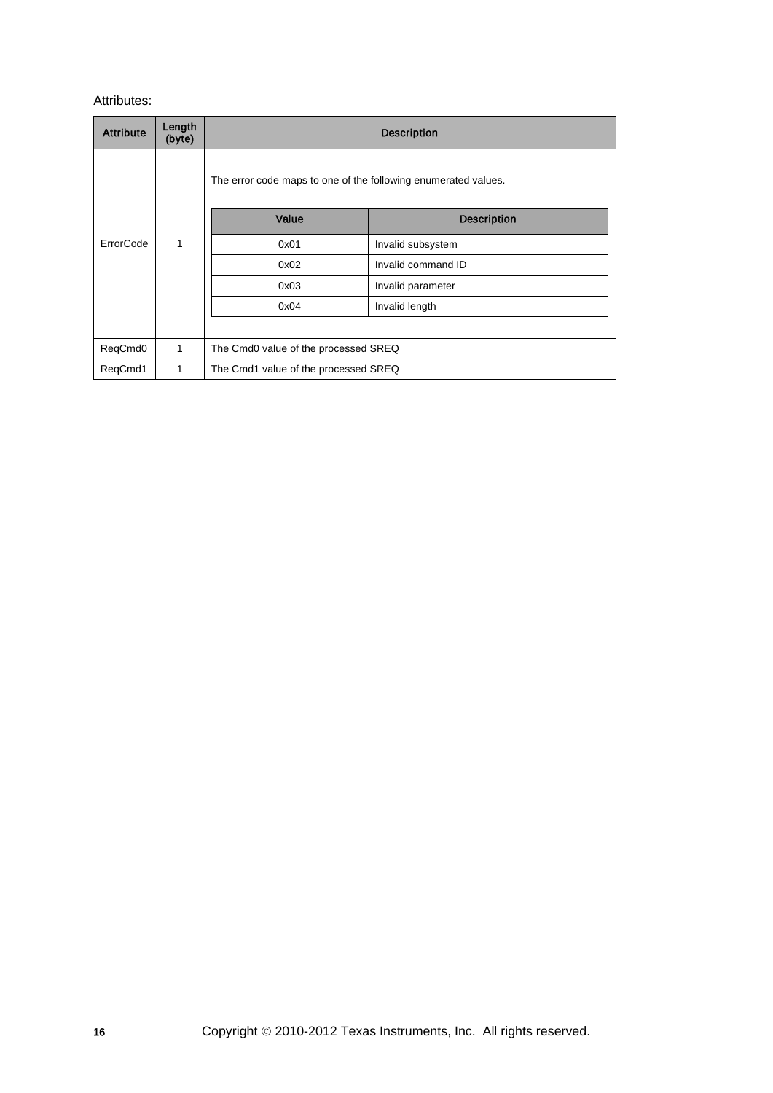# Attributes:

| <b>Attribute</b> | Length<br>(byte) | <b>Description</b>                                             |                    |  |  |
|------------------|------------------|----------------------------------------------------------------|--------------------|--|--|
|                  |                  | The error code maps to one of the following enumerated values. |                    |  |  |
|                  |                  | Value                                                          | <b>Description</b> |  |  |
| ErrorCode        | 1                | 0x01                                                           | Invalid subsystem  |  |  |
|                  |                  | 0x02                                                           | Invalid command ID |  |  |
|                  |                  | 0x03                                                           | Invalid parameter  |  |  |
|                  |                  | 0x04                                                           | Invalid length     |  |  |
|                  |                  |                                                                |                    |  |  |
| ReqCmd0          | 1                | The Cmd0 value of the processed SREQ                           |                    |  |  |
| ReqCmd1          | 1                | The Cmd1 value of the processed SREQ                           |                    |  |  |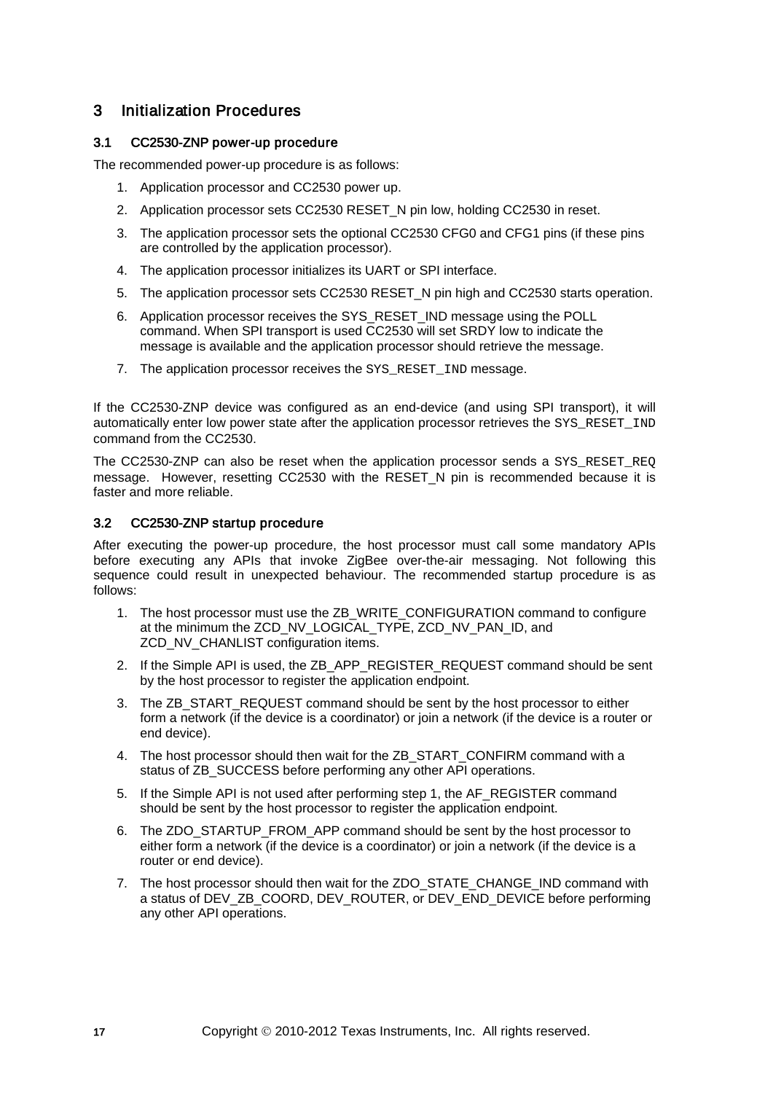# 3 Initialization Procedures

# 3.1 CC2530-ZNP power-up procedure

The recommended power-up procedure is as follows:

- 1. Application processor and CC2530 power up.
- 2. Application processor sets CC2530 RESET N pin low, holding CC2530 in reset.
- 3. The application processor sets the optional CC2530 CFG0 and CFG1 pins (if these pins are controlled by the application processor).
- 4. The application processor initializes its UART or SPI interface.
- 5. The application processor sets CC2530 RESET N pin high and CC2530 starts operation.
- 6. Application processor receives the SYS\_RESET\_IND message using the POLL command. When SPI transport is used CC2530 will set SRDY low to indicate the message is available and the application processor should retrieve the message.
- 7. The application processor receives the SYS\_RESET\_IND message.

If the CC2530-ZNP device was configured as an end-device (and using SPI transport), it will automatically enter low power state after the application processor retrieves the SYS\_RESET\_IND command from the CC2530.

The CC2530-ZNP can also be reset when the application processor sends a SYS\_RESET\_REQ message. However, resetting CC2530 with the RESET N pin is recommended because it is faster and more reliable.

#### 3.2 CC2530-ZNP startup procedure

After executing the power-up procedure, the host processor must call some mandatory APIs before executing any APIs that invoke ZigBee over-the-air messaging. Not following this sequence could result in unexpected behaviour. The recommended startup procedure is as follows:

- 1. The host processor must use the ZB\_WRITE\_CONFIGURATION command to configure at the minimum the ZCD\_NV\_LOGICAL\_TYPE, ZCD\_NV\_PAN\_ID, and ZCD\_NV\_CHANLIST configuration items.
- 2. If the Simple API is used, the ZB\_APP\_REGISTER\_REQUEST command should be sent by the host processor to register the application endpoint.
- 3. The ZB\_START\_REQUEST command should be sent by the host processor to either form a network (if the device is a coordinator) or join a network (if the device is a router or end device).
- 4. The host processor should then wait for the ZB\_START\_CONFIRM command with a status of ZB\_SUCCESS before performing any other API operations.
- 5. If the Simple API is not used after performing step 1, the AF\_REGISTER command should be sent by the host processor to register the application endpoint.
- 6. The ZDO\_STARTUP\_FROM\_APP command should be sent by the host processor to either form a network (if the device is a coordinator) or join a network (if the device is a router or end device).
- 7. The host processor should then wait for the ZDO\_STATE\_CHANGE\_IND command with a status of DEV\_ZB\_COORD, DEV\_ROUTER, or DEV\_END\_DEVICE before performing any other API operations.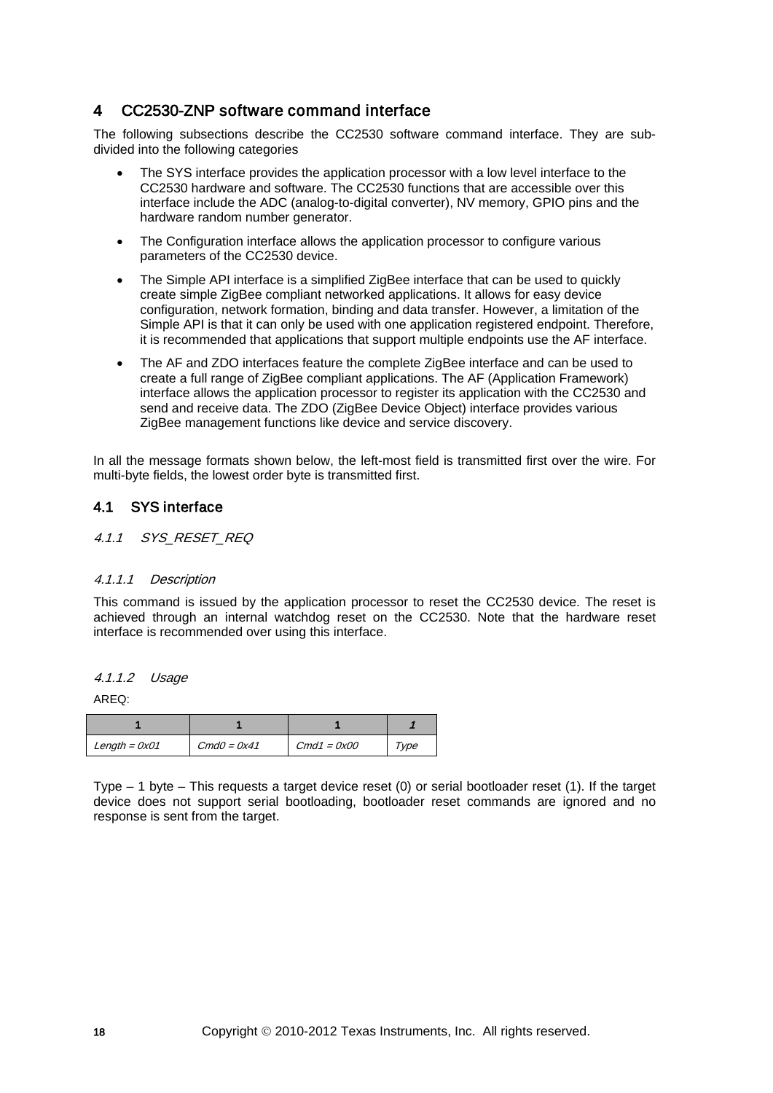# <span id="page-17-0"></span>4 CC2530-ZNP software command interface

The following subsections describe the CC2530 software command interface. They are subdivided into the following categories

- The SYS interface provides the application processor with a low level interface to the CC2530 hardware and software. The CC2530 functions that are accessible over this interface include the ADC (analog-to-digital converter), NV memory, GPIO pins and the hardware random number generator.
- The Configuration interface allows the application processor to configure various parameters of the CC2530 device.
- The Simple API interface is a simplified ZigBee interface that can be used to quickly create simple ZigBee compliant networked applications. It allows for easy device configuration, network formation, binding and data transfer. However, a limitation of the Simple API is that it can only be used with one application registered endpoint. Therefore, it is recommended that applications that support multiple endpoints use the AF interface.
- The AF and ZDO interfaces feature the complete ZigBee interface and can be used to create a full range of ZigBee compliant applications. The AF (Application Framework) interface allows the application processor to register its application with the CC2530 and send and receive data. The ZDO (ZigBee Device Object) interface provides various ZigBee management functions like device and service discovery.

In all the message formats shown below, the left-most field is transmitted first over the wire. For multi-byte fields, the lowest order byte is transmitted first.

# 4.1 SYS interface

#### 4.1.1 SYS RESET REQ

#### 4.1.1.1 Description

This command is issued by the application processor to reset the CC2530 device. The reset is achieved through an internal watchdog reset on the CC2530. Note that the hardware reset interface is recommended over using this interface.

#### 4.1.1.2 Usage

AREQ:

| $Length = 0x01$ | $CmdO = 0x41$ | $Cmd1 = 0x00$ | Type |
|-----------------|---------------|---------------|------|

Type – 1 byte – This requests a target device reset (0) or serial bootloader reset (1). If the target device does not support serial bootloading, bootloader reset commands are ignored and no response is sent from the target.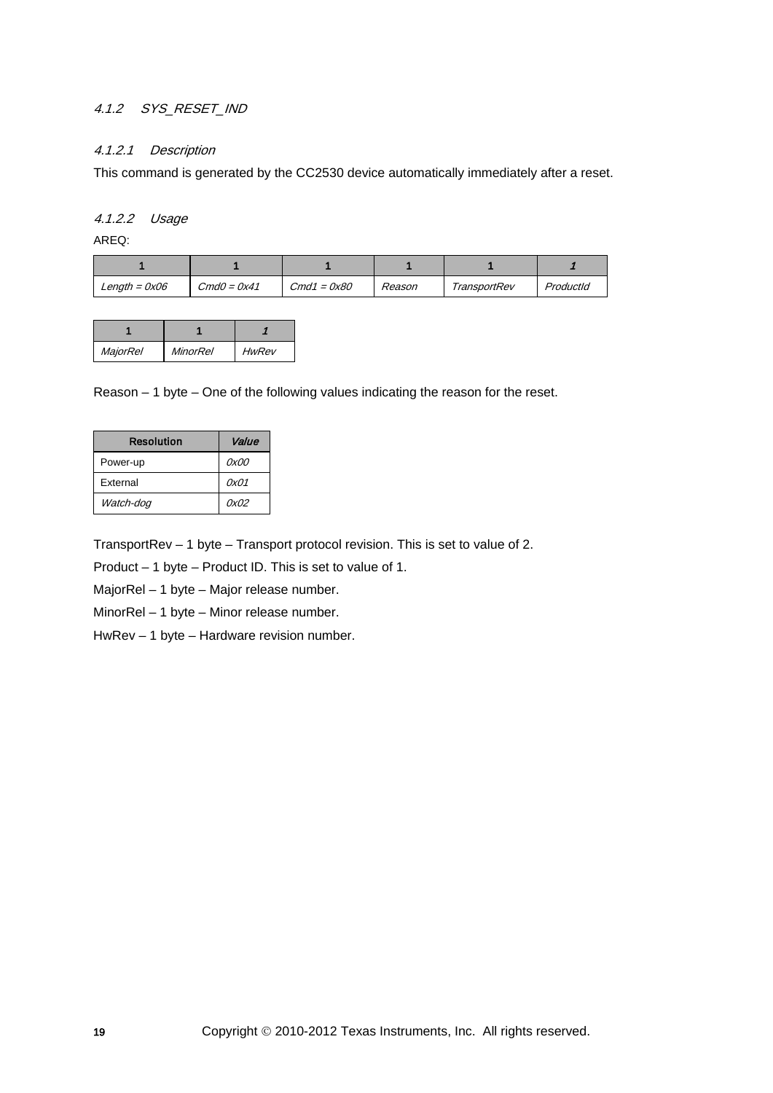# 4.1.2 SYS RESET IND

#### 4.1.2.1 Description

This command is generated by the CC2530 device automatically immediately after a reset.

#### 4.1.2.2 Usage

AREQ:

| Length = $0x06$ | $CmdO = 0x41$ | $Cmd1 = 0x80$ | Reason | TransportRev | ProductId |
|-----------------|---------------|---------------|--------|--------------|-----------|

| <b>MajorRel</b> | MinorRel | <b>HwRev</b> |
|-----------------|----------|--------------|

Reason – 1 byte – One of the following values indicating the reason for the reset.

| <b>Resolution</b> | Value |
|-------------------|-------|
| Power-up          | 0x00  |
| <b>External</b>   | 0x01  |
| Watch-dog         | 0x02  |

TransportRev – 1 byte – Transport protocol revision. This is set to value of 2.

Product – 1 byte – Product ID. This is set to value of 1.

MajorRel – 1 byte – Major release number.

MinorRel – 1 byte – Minor release number.

HwRev – 1 byte – Hardware revision number.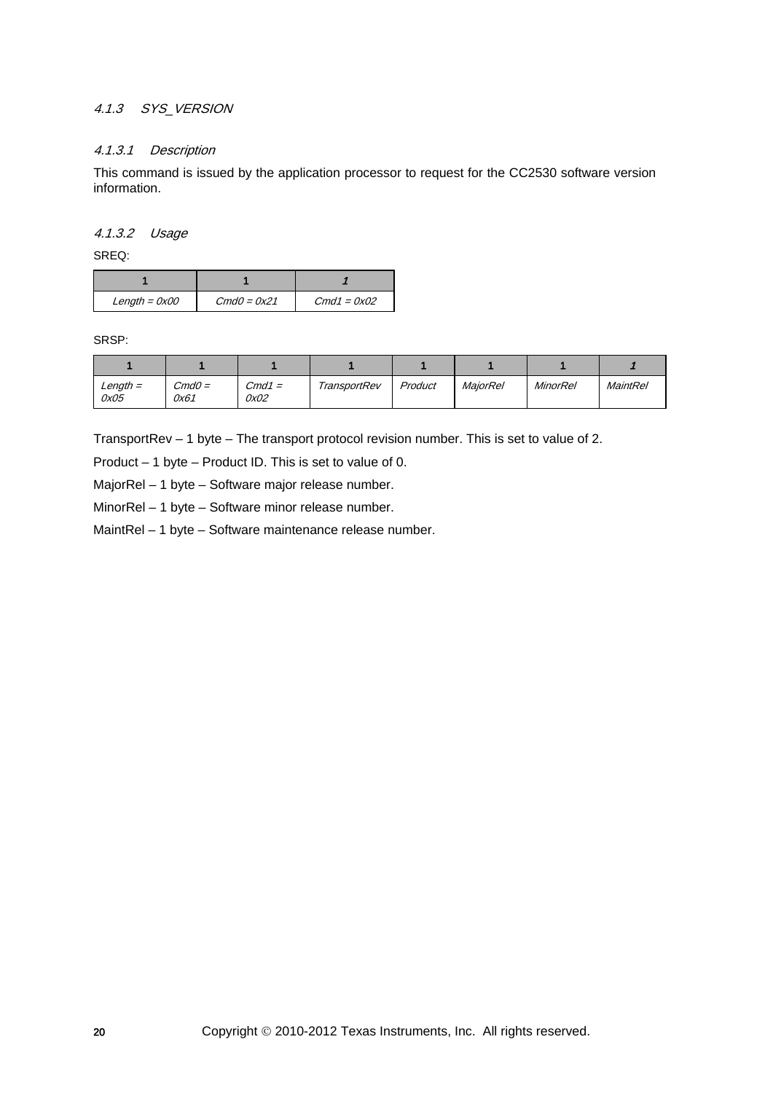# 4.1.3 SYS\_VERSION

## 4.1.3.1 Description

This command is issued by the application processor to request for the CC2530 software version information.

#### 4.1.3.2 Usage

SREQ:

| $Length = 0x00$ | $CmdO = 0x21$ | $Cmd1 = 0x02$ |
|-----------------|---------------|---------------|

SRSP:

| Length =<br>0x05 | $CmdO=$<br>0x61 | $Cmd1 =$<br>0x02 | TransportRev | Product | <b>MaiorRel</b> | MinorRel | <b>MaintRel</b> |
|------------------|-----------------|------------------|--------------|---------|-----------------|----------|-----------------|

TransportRev – 1 byte – The transport protocol revision number. This is set to value of 2.

Product – 1 byte – Product ID. This is set to value of 0.

MajorRel – 1 byte – Software major release number.

MinorRel – 1 byte – Software minor release number.

MaintRel – 1 byte – Software maintenance release number.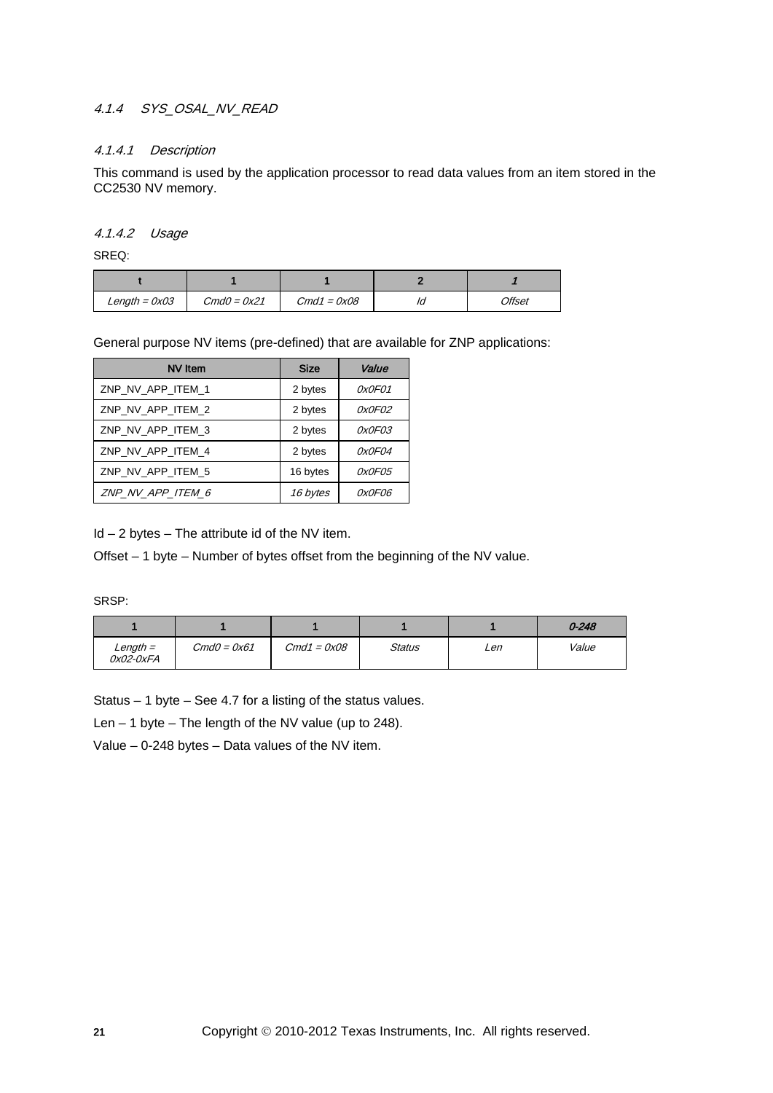# 4.1.4 SYS\_OSAL\_NV\_READ

#### 4.1.4.1 Description

This command is used by the application processor to read data values from an item stored in the CC2530 NV memory.

#### 4.1.4.2 Usage

SREQ:

| $Length = 0x03$ | $CmdO = 0x21$ | $Cmd1 = 0x08$ | Ia | Offset |
|-----------------|---------------|---------------|----|--------|

General purpose NV items (pre-defined) that are available for ZNP applications:

| NV Item           | <b>Size</b> | Value         |
|-------------------|-------------|---------------|
| ZNP NV APP ITEM 1 | 2 bytes     | 0x0F01        |
| ZNP NV APP ITEM 2 | 2 bytes     | 0x0F02        |
| ZNP NV APP ITEM 3 | 2 bytes     | 0x0F03        |
| ZNP NV APP ITEM 4 | 2 bytes     | 0x0F04        |
| ZNP NV APP ITEM 5 | 16 bytes    | <i>OxOFO5</i> |
| ZNP NV APP ITEM 6 | 16 bytes    | 0x0F06        |

 $Id - 2$  bytes  $-$  The attribute id of the NV item.

Offset – 1 byte – Number of bytes offset from the beginning of the NV value.

SRSP:

|                       |               |               |        |     | $0 - 248$ |
|-----------------------|---------------|---------------|--------|-----|-----------|
| Length =<br>0x02-0xFA | $CmdO = 0x61$ | $Cmd1 = 0x08$ | Status | Len | Value     |

Status – 1 byte – See [4.7](#page-133-0) for a listing of the status values.

Len  $-$  1 byte  $-$  The length of the NV value (up to 248).

Value – 0-248 bytes – Data values of the NV item.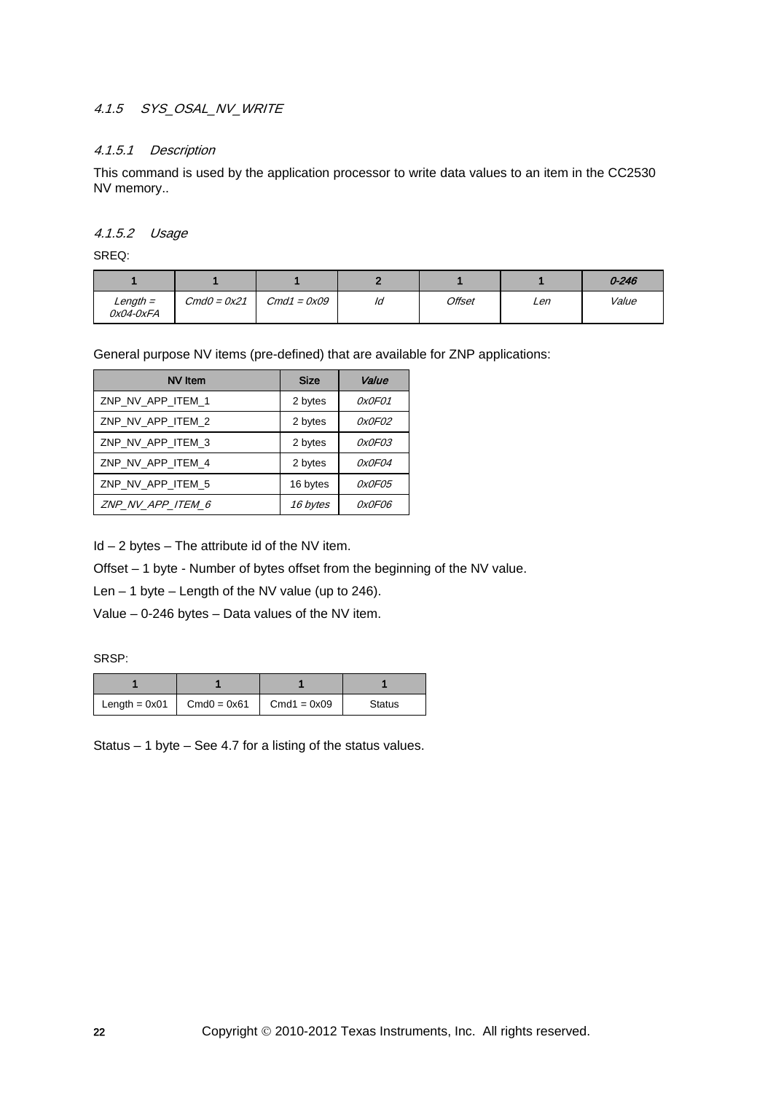# 4.1.5 SYS\_OSAL\_NV\_WRITE

#### 4.1.5.1 Description

This command is used by the application processor to write data values to an item in the CC2530 NV memory..

#### 4.1.5.2 Usage

SREQ:

|                             |               |               |    |        |     | $0 - 246$ |
|-----------------------------|---------------|---------------|----|--------|-----|-----------|
| $Length =$<br>$0x04 - 0xFA$ | $CmdO = 0x21$ | $Cmd1 = 0x09$ | ld | Offset | Len | Value     |

General purpose NV items (pre-defined) that are available for ZNP applications:

| <b>NV</b> Item    | <b>Size</b>     | Value         |
|-------------------|-----------------|---------------|
| ZNP NV APP ITEM 1 | 2 bytes         | 0x0F01        |
| ZNP NV APP ITEM 2 | 2 bytes         | 0x0F02        |
| ZNP NV APP ITEM 3 | 2 bytes         | <i>0x0F03</i> |
| ZNP NV APP ITEM 4 | 2 bytes         | <i>OxOFO4</i> |
| ZNP NV APP ITEM 5 | 16 bytes        | 0x0F05        |
| ZNP NV APP ITEM 6 | <i>16 bytes</i> | 0x0F06        |

 $Id - 2$  bytes  $-$  The attribute id of the NV item.

Offset – 1 byte - Number of bytes offset from the beginning of the NV value.

Len  $-$  1 byte  $-$  Length of the NV value (up to 246).

Value – 0-246 bytes – Data values of the NV item.

SRSP:

| Length = $0x01$   Cmd0 = $0x61$   Cmd1 = $0x09$ | <b>Status</b> |
|-------------------------------------------------|---------------|

Status – 1 byte – See [4.7](#page-133-0) for a listing of the status values.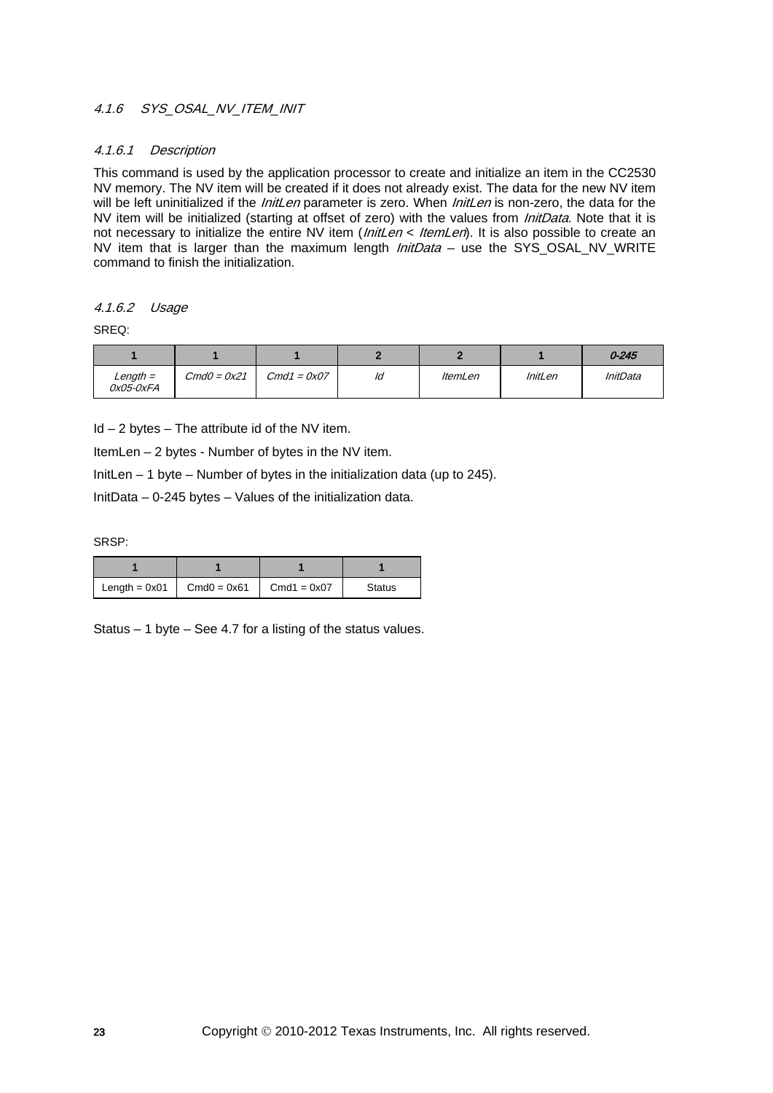## 4.1.6 SYS\_OSAL\_NV\_ITEM\_INIT

#### 4.1.6.1 Description

This command is used by the application processor to create and initialize an item in the CC2530 NV memory. The NV item will be created if it does not already exist. The data for the new NV item will be left uninitialized if the *InitLen* parameter is zero. When *InitLen* is non-zero, the data for the NV item will be initialized (starting at offset of zero) with the values from *InitData*. Note that it is not necessary to initialize the entire NV item (*InitLen < ItemLen*). It is also possible to create an NV item that is larger than the maximum length *InitData* – use the SYS\_OSAL\_NV\_WRITE command to finish the initialization.

# 4.1.6.2 Usage

SREQ:

|                         |               |               |    |                |                | $0 - 245$       |
|-------------------------|---------------|---------------|----|----------------|----------------|-----------------|
| $Length =$<br>0x05-0xFA | $CmdO = 0x21$ | $Cmd1 = 0x07$ | ld | <i>ItemLen</i> | <b>InitLen</b> | <b>InitData</b> |

 $Id - 2$  bytes  $-$  The attribute id of the NV item.

ItemLen – 2 bytes - Number of bytes in the NV item.

InitLen – 1 byte – Number of bytes in the initialization data (up to 245).

InitData – 0-245 bytes – Values of the initialization data.

SRSP:

| Length $= 0x01$ | $Cmd0 = 0x61$ | $Cmd1 = 0x07$ | <b>Status</b> |
|-----------------|---------------|---------------|---------------|

Status – 1 byte – See [4.7](#page-133-0) for a listing of the status values.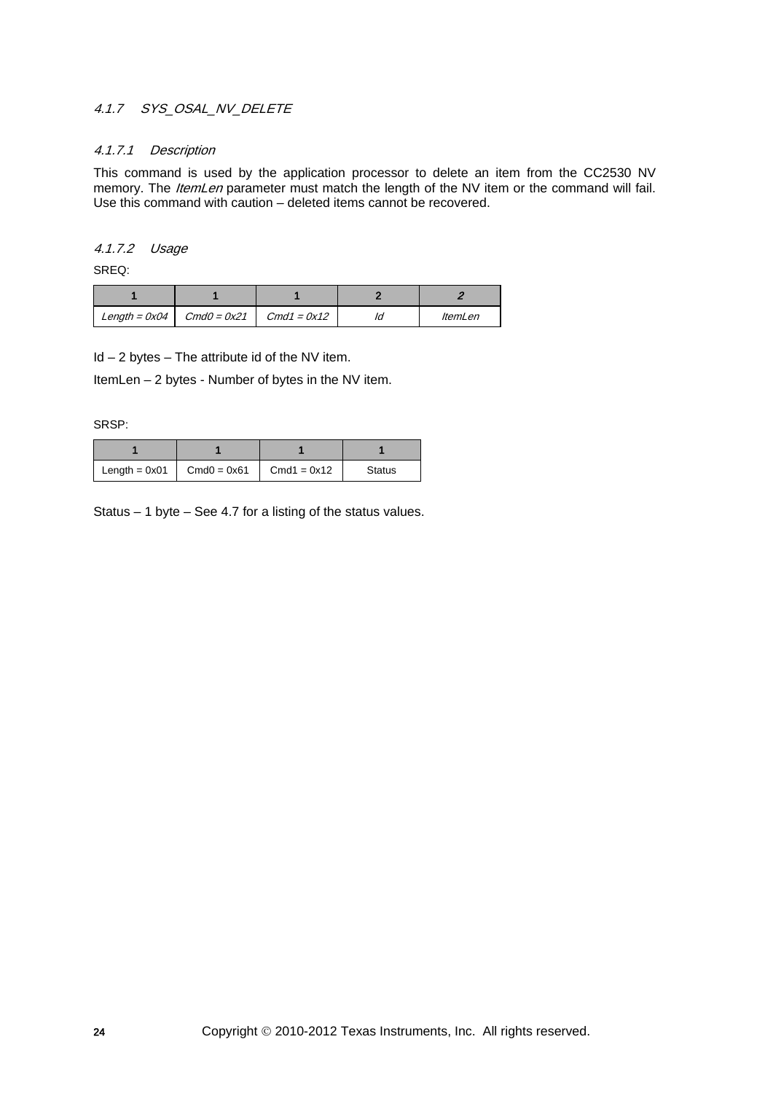# 4.1.7 SYS OSAL NV DELETE

#### 4.1.7.1 Description

This command is used by the application processor to delete an item from the CC2530 NV memory. The *ItemLen* parameter must match the length of the NV item or the command will fail. Use this command with caution – deleted items cannot be recovered.

## 4.1.7.2 Usage

SREQ:

| Length = $0x04$   Cmd0 = $0x21$   Cmd1 = $0x12$ |  | <i>ItemLen</i> |
|-------------------------------------------------|--|----------------|

 $Id - 2$  bytes  $-$  The attribute id of the NV item.

ItemLen – 2 bytes - Number of bytes in the NV item.

SRSP:

| Length $= 0x01$ | $Cmd0 = 0x61$ | $Cmd1 = 0x12$ | <b>Status</b> |
|-----------------|---------------|---------------|---------------|

Status – 1 byte – See [4.7](#page-133-0) for a listing of the status values.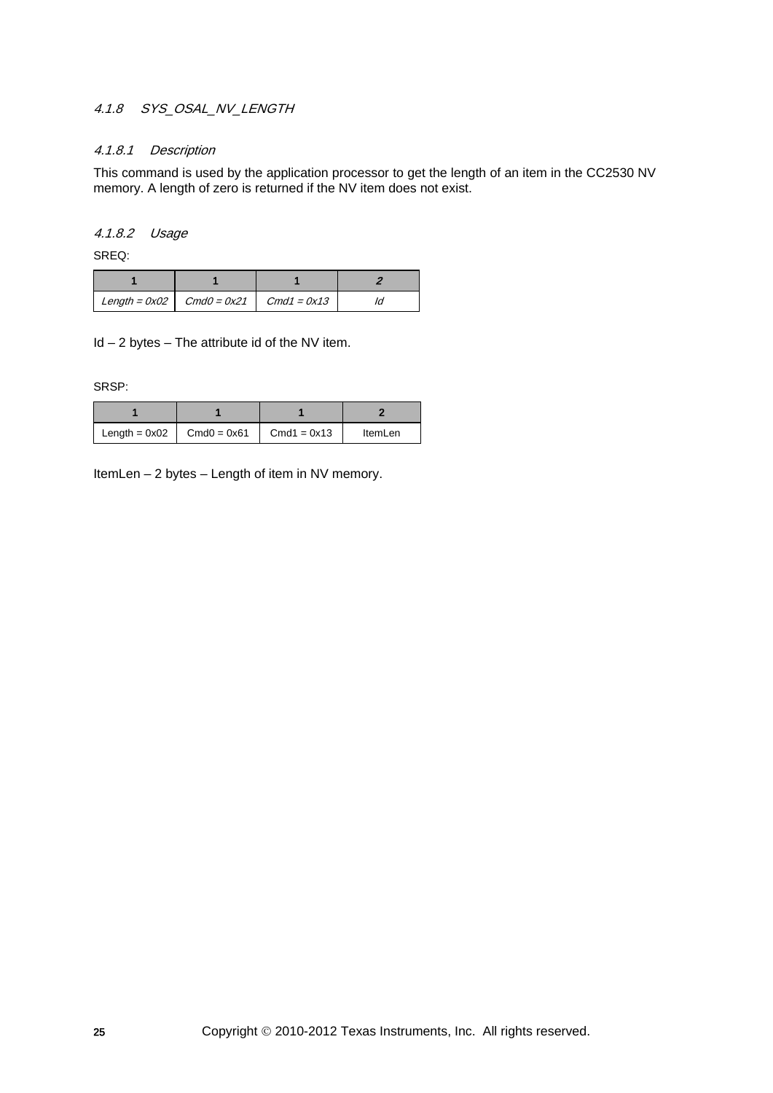# 4.1.8 SYS OSAL NV LENGTH

#### 4.1.8.1 Description

This command is used by the application processor to get the length of an item in the CC2530 NV memory. A length of zero is returned if the NV item does not exist.

#### 4.1.8.2 Usage

SREQ:

| Length = $0x02$ $\cdot$ Cmd0 = $0x21$ $\cdot$ Cmd1 = $0x13$ |  |
|-------------------------------------------------------------|--|

 $Id - 2$  bytes  $-$  The attribute id of the NV item.

SRSP:

| Length = $0x02$ Cmd0 = $0x61$ | $\Box$ Cmd1 = 0x13 | ItemLen |
|-------------------------------|--------------------|---------|

ItemLen – 2 bytes – Length of item in NV memory.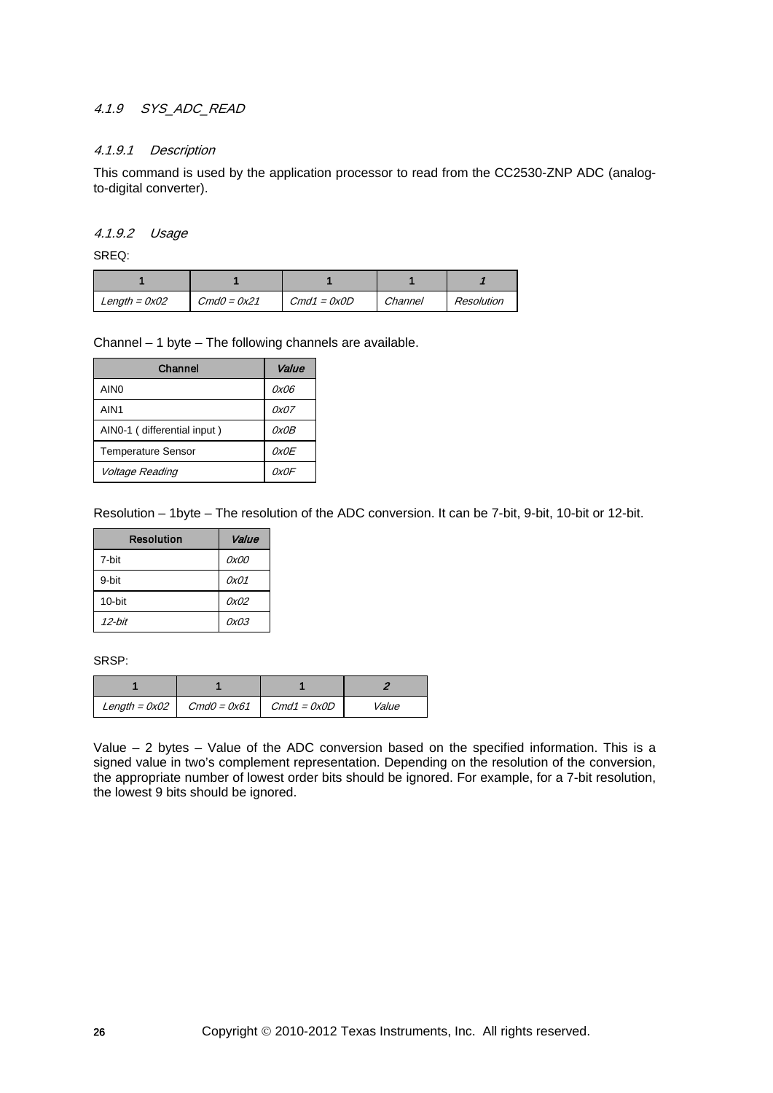# 4.1.9 SYS\_ADC\_READ

#### 4.1.9.1 Description

This command is used by the application processor to read from the CC2530-ZNP ADC (analogto-digital converter).

#### 4.1.9.2 Usage

SREQ:

| Length = $0x02$ | $CmdO = 0x21$ | $Cmd1 = 0x0D$ | Channel | Resolution |
|-----------------|---------------|---------------|---------|------------|

Channel – 1 byte – The following channels are available.

| Channel                     | Value |
|-----------------------------|-------|
| AIN <sub>0</sub>            | 0x06  |
| AIN <sub>1</sub>            | 0x07  |
| AINO-1 (differential input) | 0x0B  |
| <b>Temperature Sensor</b>   | OxOE  |
| Voltage Reading             | 0x0F  |

Resolution – 1byte – The resolution of the ADC conversion. It can be 7-bit, 9-bit, 10-bit or 12-bit.

| <b>Resolution</b> | Value |
|-------------------|-------|
| 7-hit             | 0x00  |
| 9-hit             | 0x01  |
| $10$ -bit         | 0x02  |
| 12-hit            | 0x03  |

SRSP:

| Length = $0x02$   Cmd0 = $0x61$   Cmd1 = $0x0D$ | Value |
|-------------------------------------------------|-------|

<span id="page-25-0"></span>Value – 2 bytes – Value of the ADC conversion based on the specified information. This is a signed value in two's complement representation. Depending on the resolution of the conversion, the appropriate number of lowest order bits should be ignored. For example, for a 7-bit resolution, the lowest 9 bits should be ignored.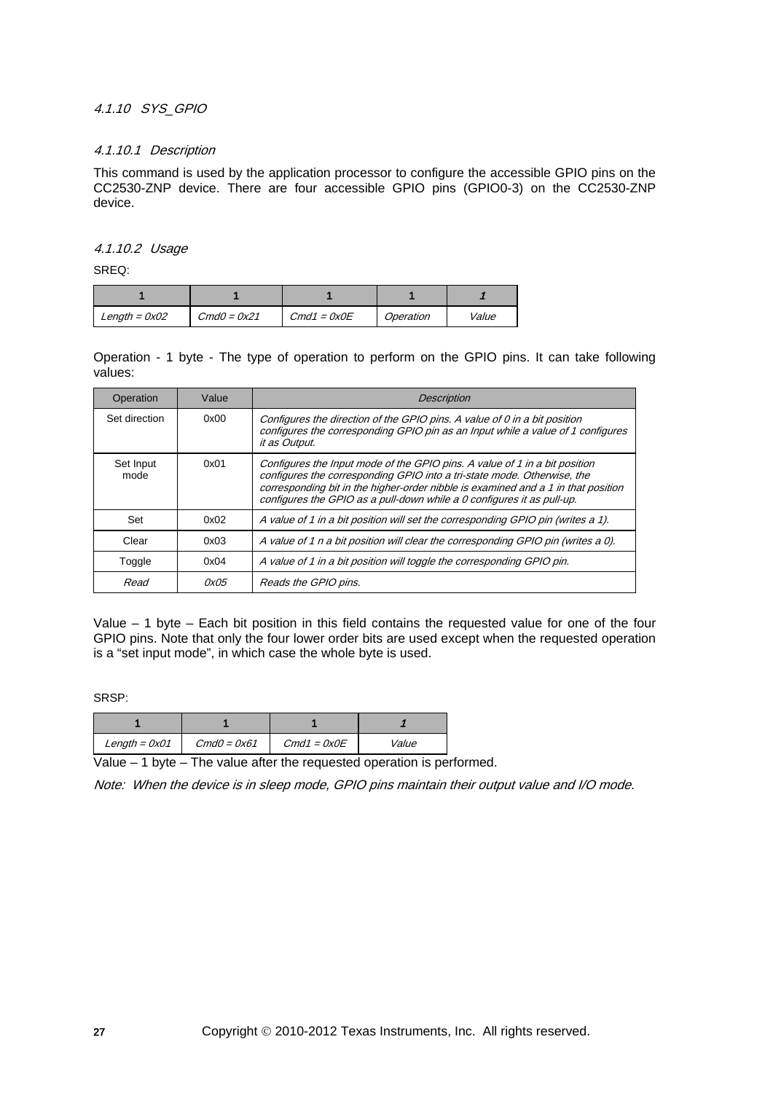#### 4.1.10 SYS\_GPIO

#### 4.1.10.1 Description

This command is used by the application processor to configure the accessible GPIO pins on the CC2530-ZNP device. There are four accessible GPIO pins (GPIO0-3) on the CC2530-ZNP device.

#### 4.1.10.2 Usage

SREQ:

| Length = $0x02$ | $CmdO = 0x21$ | $Cmd1 = 0x0E$ | Operation | Value |
|-----------------|---------------|---------------|-----------|-------|

Operation - 1 byte - The type of operation to perform on the GPIO pins. It can take following values:

| Operation         | Value | <b>Description</b>                                                                                                                                                                                                                                                                                                   |
|-------------------|-------|----------------------------------------------------------------------------------------------------------------------------------------------------------------------------------------------------------------------------------------------------------------------------------------------------------------------|
| Set direction     | 0x00  | Configures the direction of the GPIO pins. A value of 0 in a bit position<br>configures the corresponding GPIO pin as an Input while a value of 1 configures<br>it as Output.                                                                                                                                        |
| Set Input<br>mode | 0x01  | Configures the Input mode of the GPIO pins. A value of 1 in a bit position<br>configures the corresponding GPIO into a tri-state mode. Otherwise, the<br>corresponding bit in the higher-order nibble is examined and a 1 in that position<br>configures the GPIO as a pull-down while a 0 configures it as pull-up. |
| Set               | 0x02  | A value of 1 in a bit position will set the corresponding GPIO pin (writes a 1).                                                                                                                                                                                                                                     |
| Clear             | 0x03  | A value of 1 n a bit position will clear the corresponding GPIO pin (writes a 0).                                                                                                                                                                                                                                    |
| Toggle            | 0x04  | A value of 1 in a bit position will toggle the corresponding GPIO pin.                                                                                                                                                                                                                                               |
| Read              | 0x05  | Reads the GPIO pins.                                                                                                                                                                                                                                                                                                 |

Value – 1 byte – Each bit position in this field contains the requested value for one of the four GPIO pins. Note that only the four lower order bits are used except when the requested operation is a "set input mode", in which case the whole byte is used.

SRSP:

| Length = $0x01$ | $CmdO = 0x61$ | $Cmd1 = 0x0E$ | Value |  |
|-----------------|---------------|---------------|-------|--|

Value  $-1$  byte – The value after the requested operation is performed.

Note: When the device is in sleep mode, GPIO pins maintain their output value and I/O mode.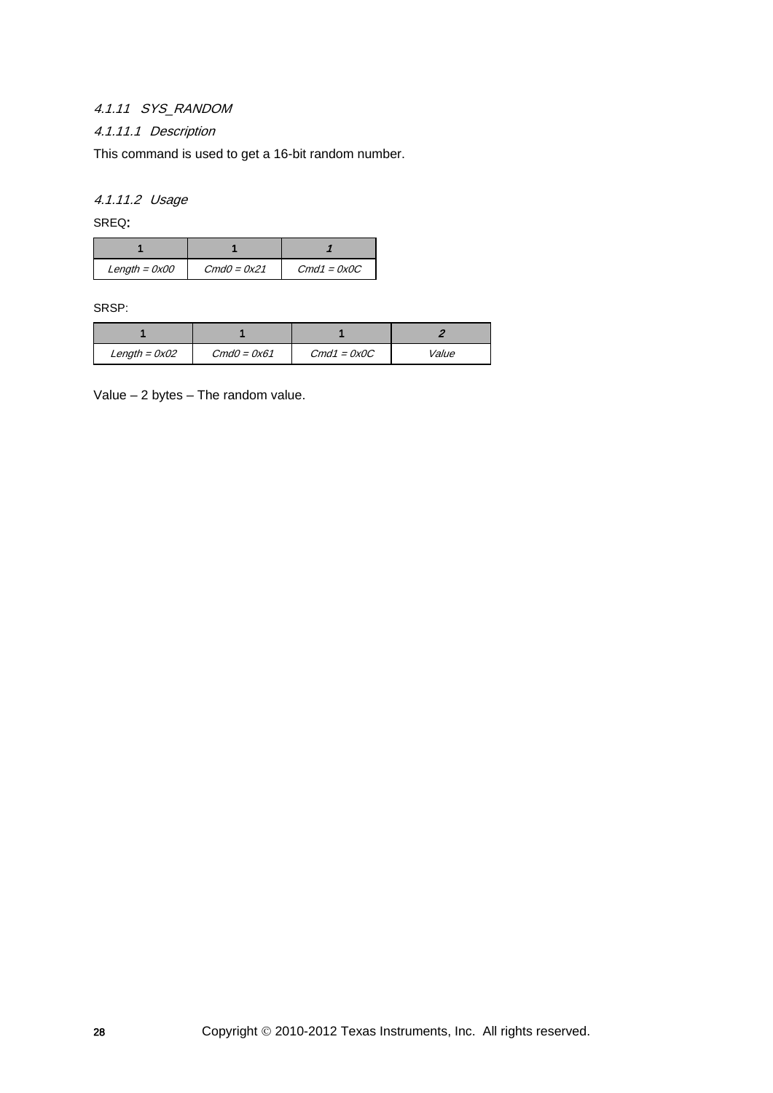# 4.1.11 SYS\_RANDOM

# 4.1.11.1 Description

This command is used to get a 16-bit random number.

4.1.11.2 Usage

SREQ:

| Length = $0x00$ | $CmdO = 0x21$ | $Cmd1 = 0x0C$ |  |
|-----------------|---------------|---------------|--|

SRSP:

| $Length = 0x02$ | $CmdO = 0x61$ | $Cmd1 = 0x0C$ | Value |  |
|-----------------|---------------|---------------|-------|--|

Value – 2 bytes – The random value.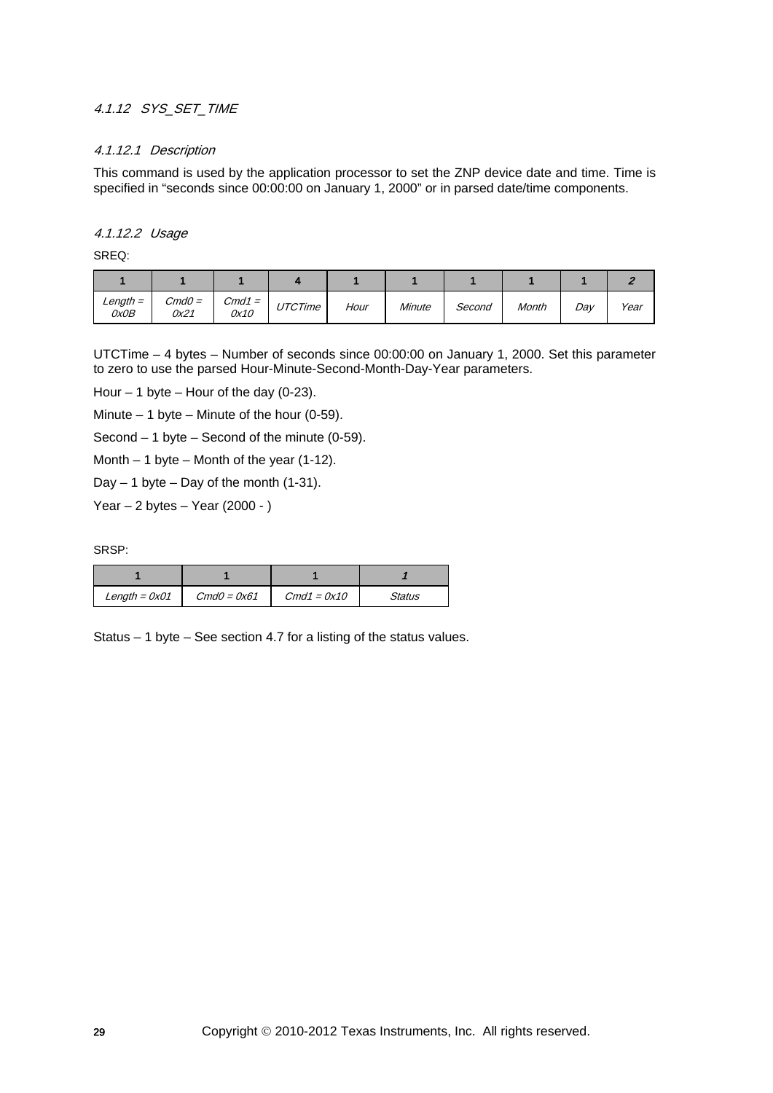# 4.1.12 SYS\_SET\_TIME

## 4.1.12.1 Description

This command is used by the application processor to set the ZNP device date and time. Time is specified in "seconds since 00:00:00 on January 1, 2000" or in parsed date/time components.

#### 4.1.12.2 Usage

SREQ:

| $Length =$<br>0x0B | $CmdO =$<br>0x21 | $Cmd1 =$<br>0x10 | UTCTime | Hour | Minute | Second | Month | Dav | Year |
|--------------------|------------------|------------------|---------|------|--------|--------|-------|-----|------|

UTCTime – 4 bytes – Number of seconds since 00:00:00 on January 1, 2000. Set this parameter to zero to use the parsed Hour-Minute-Second-Month-Day-Year parameters.

Hour  $-1$  byte  $-$  Hour of the day (0-23).

Minute  $-1$  byte  $-$  Minute of the hour (0-59).

Second  $-1$  byte  $-$  Second of the minute (0-59).

Month  $-1$  byte  $-$  Month of the year (1-12).

Day  $-1$  byte  $-$  Day of the month (1-31).

Year  $-2$  bytes  $-$  Year (2000 - )

SRSP:

| Length = $0x01$ | $CmdO = 0x61$ | $Cmd1 = 0x10$ | Status |  |
|-----------------|---------------|---------------|--------|--|

Status – 1 byte – See section [4.7](#page-133-0) for a listing of the status values.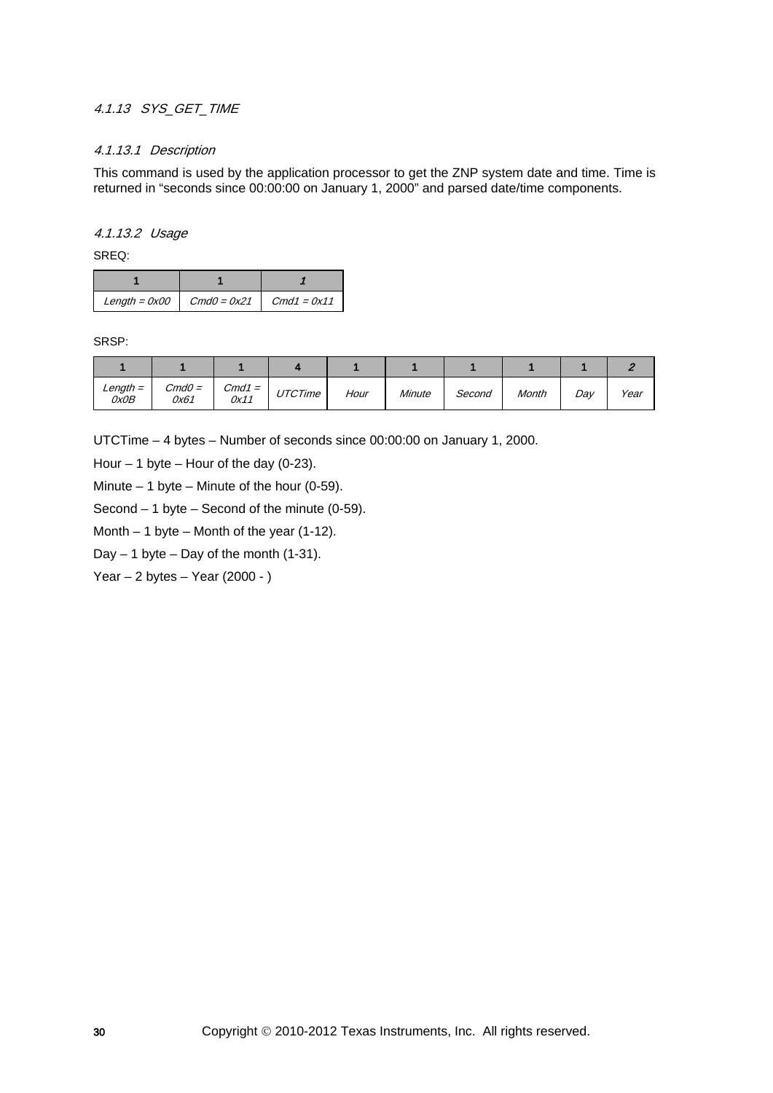# 4.1.13 SYS\_GET\_TIME

#### 4.1.13.1 Description

This command is used by the application processor to get the ZNP system date and time. Time is returned in "seconds since 00:00:00 on January 1, 2000" and parsed date/time components.

#### 4.1.13.2 Usage

SREQ:

| $Length = 0x00$ | $CmdO = 0x21$ | $Cmd1 = 0x11$ |  |
|-----------------|---------------|---------------|--|

SRSP:

| $Length =$<br>OxOB | $CmdO =$<br>0x61 | $Cmd1 =$<br>0x11 | <b>UTCTime</b> | Hour | Minute | Second | Month | Day | Year |
|--------------------|------------------|------------------|----------------|------|--------|--------|-------|-----|------|

UTCTime – 4 bytes – Number of seconds since 00:00:00 on January 1, 2000.

Hour  $-1$  byte  $-$  Hour of the day (0-23).

Minute  $-1$  byte  $-$  Minute of the hour (0-59).

Second – 1 byte – Second of the minute (0-59).

Month  $-1$  byte  $-$  Month of the year (1-12).

Day  $-1$  byte  $-$  Day of the month (1-31).

Year  $-2$  bytes  $-$  Year (2000 - )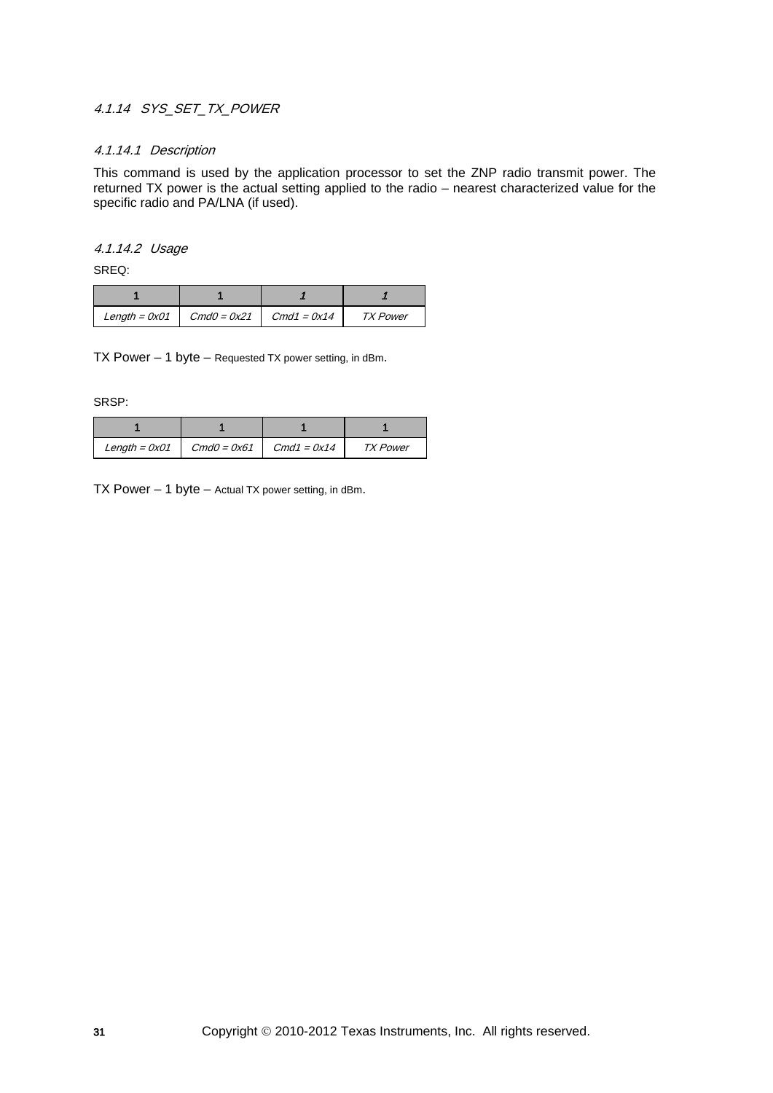# 4.1.14 SYS SET TX POWER

#### 4.1.14.1 Description

This command is used by the application processor to set the ZNP radio transmit power. The returned TX power is the actual setting applied to the radio – nearest characterized value for the specific radio and PA/LNA (if used).

#### 4.1.14.2 Usage

SREQ:

|  | Length = $0x01$ $\cdot$ Cmd0 = $0x21$ $\cdot$ Cmd1 = $0x14$ | <b>TX Power</b> |  |
|--|-------------------------------------------------------------|-----------------|--|

TX Power – 1 byte – Requested TX power setting, in dBm.

SRSP:

| Length = $0x01$ | $CmdO = 0x61$ | $Cmd1 = 0x14$ | <b>TX Power</b> |  |
|-----------------|---------------|---------------|-----------------|--|

TX Power  $-1$  byte  $-$  Actual TX power setting, in dBm.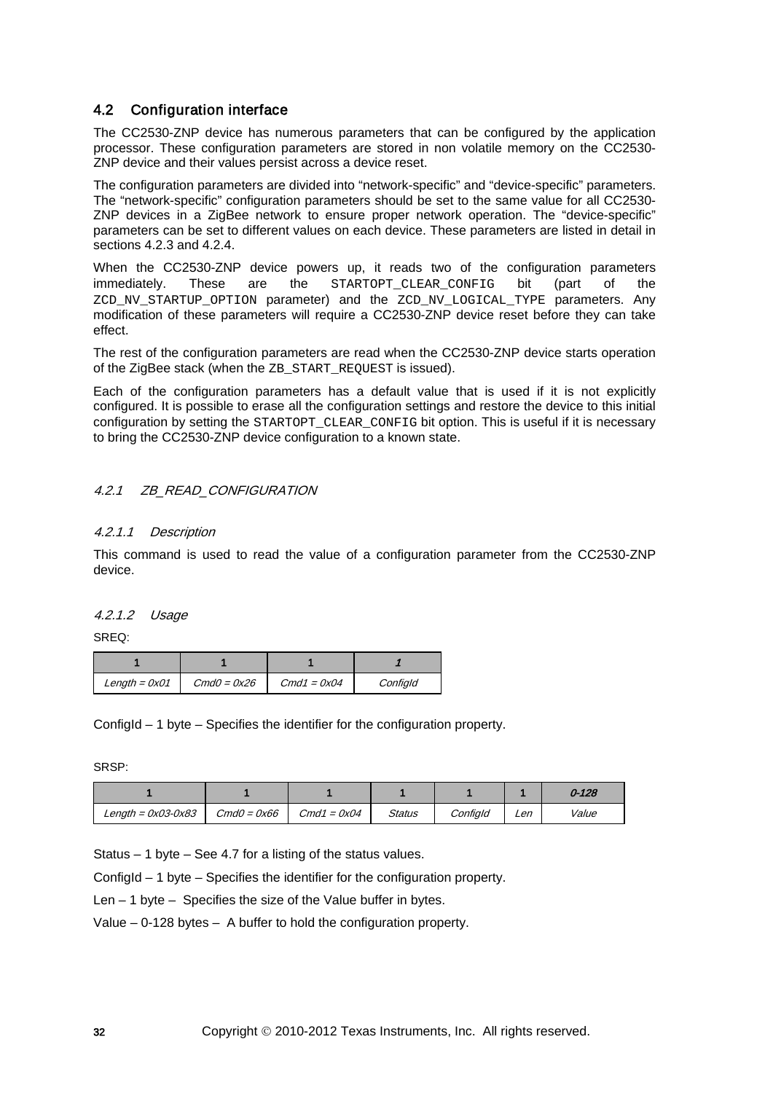# 4.2 Configuration interface

The CC2530-ZNP device has numerous parameters that can be configured by the application processor. These configuration parameters are stored in non volatile memory on the CC2530- ZNP device and their values persist across a device reset.

The configuration parameters are divided into "network-specific" and "device-specific" parameters. The "network-specific" configuration parameters should be set to the same value for all CC2530- ZNP devices in a ZigBee network to ensure proper network operation. The "device-specific" parameters can be set to different values on each device. These parameters are listed in detail in sections [4.2.3](#page-32-0) and [4.2.4.](#page-35-0)

When the CC2530-ZNP device powers up, it reads two of the configuration parameters immediately. These are the STARTOPT\_CLEAR\_CONFIG bit (part of the ZCD\_NV\_STARTUP\_OPTION parameter) and the ZCD\_NV\_LOGICAL\_TYPE parameters. Any modification of these parameters will require a CC2530-ZNP device reset before they can take effect.

The rest of the configuration parameters are read when the CC2530-ZNP device starts operation of the ZigBee stack (when the ZB\_START\_REQUEST is issued).

Each of the configuration parameters has a default value that is used if it is not explicitly configured. It is possible to erase all the configuration settings and restore the device to this initial configuration by setting the STARTOPT\_CLEAR\_CONFIG bit option. This is useful if it is necessary to bring the CC2530-ZNP device configuration to a known state.

# 4.2.1 *ZB\_READ\_CONFIGURATION*

#### 4.2.1.1 Description

This command is used to read the value of a configuration parameter from the CC2530-ZNP device.

#### 4.2.1.2 Usage

SREQ:

| Length = $0x01$ | $CmdO = 0x26$ | $Cmd1 = 0x04$ | Configld |  |
|-----------------|---------------|---------------|----------|--|

ConfigId – 1 byte – Specifies the identifier for the configuration property.

SRSP:

|                        |               |               |        |          |     | $0 - 128$ |
|------------------------|---------------|---------------|--------|----------|-----|-----------|
| Length = $0x03 - 0x83$ | $CmdO = 0x66$ | $Cmd1 = 0x04$ | Status | Configld | Len | Value     |

Status – 1 byte – See [4.7](#page-133-0) for a listing of the status values.

ConfigId – 1 byte – Specifies the identifier for the configuration property.

Len – 1 byte – Specifies the size of the Value buffer in bytes.

Value – 0-128 bytes – A buffer to hold the configuration property.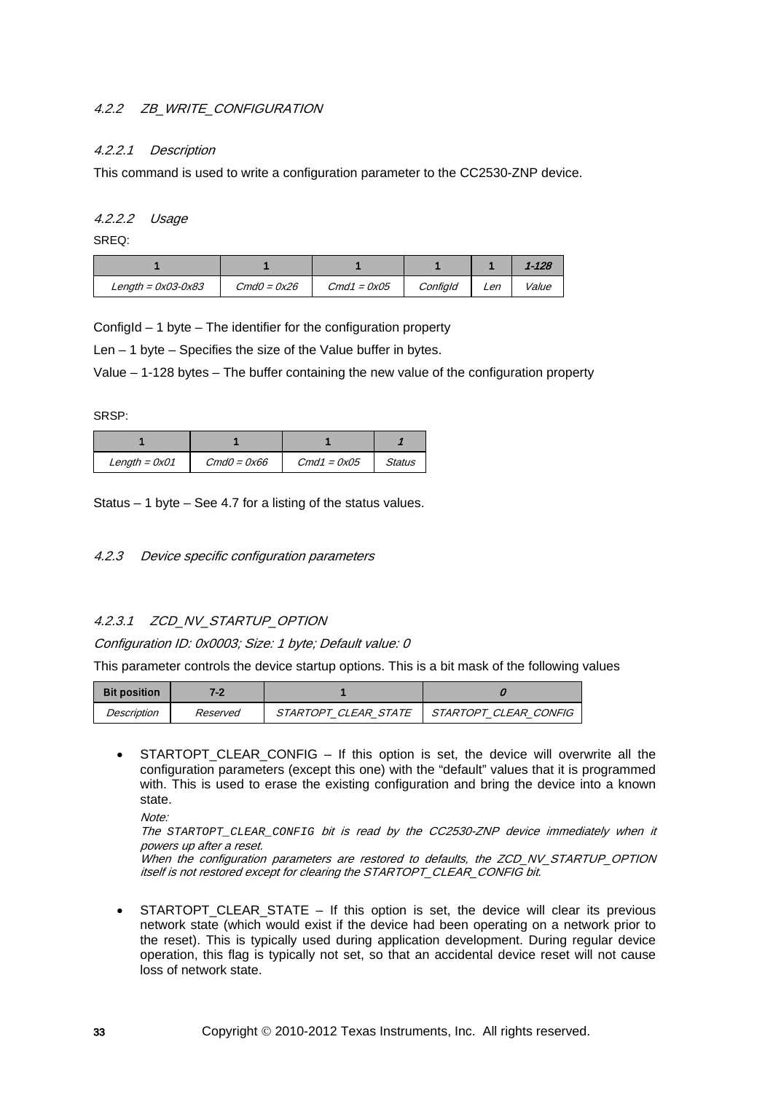# 4.2.2 ZB\_WRITE\_CONFIGURATION

## 4.2.2.1 Description

This command is used to write a configuration parameter to the CC2530-ZNP device.

#### 4.2.2.2 Usage

SREQ:

|                        |               |               |          |     | $1 - 128$    |
|------------------------|---------------|---------------|----------|-----|--------------|
| Length = $0x03 - 0x83$ | $CmdO = 0x26$ | $Cmd1 = 0x05$ | Configld | ∟en | <i>Value</i> |

ConfigId – 1 byte – The identifier for the configuration property

Len – 1 byte – Specifies the size of the Value buffer in bytes.

Value – 1-128 bytes – The buffer containing the new value of the configuration property

SRSP:

| Length = $0x01$ | $CmdO = 0x66$ | $Cmd1 = 0x05$ | Status |
|-----------------|---------------|---------------|--------|

Status – 1 byte – See [4.7](#page-133-0) for a listing of the status values.

<span id="page-32-0"></span>4.2.3 Device specific configuration parameters

#### 4.2.3.1 ZCD\_NV\_STARTUP\_OPTION

Configuration ID: 0x0003; Size: 1 byte; Default value: 0

This parameter controls the device startup options. This is a bit mask of the following values

| <b>Bit position</b> | 70       |                             |                       |
|---------------------|----------|-----------------------------|-----------------------|
| Description         | Reserved | <i>STARTOPT CLEAR STATE</i> | STARTOPT CLEAR CONFIG |

STARTOPT CLEAR CONFIG – If this option is set, the device will overwrite all the configuration parameters (except this one) with the "default" values that it is programmed with. This is used to erase the existing configuration and bring the device into a known state.

Note:

The *STARTOPT\_CLEAR\_CONFIG* bit is read by the CC2530-ZNP device immediately when it powers up after a reset.

When the configuration parameters are restored to defaults, the ZCD\_NV\_STARTUP\_OPTION itself is not restored except for clearing the STARTOPT\_CLEAR\_CONFIG bit.

• STARTOPT CLEAR STATE – If this option is set, the device will clear its previous network state (which would exist if the device had been operating on a network prior to the reset). This is typically used during application development. During regular device operation, this flag is typically not set, so that an accidental device reset will not cause loss of network state.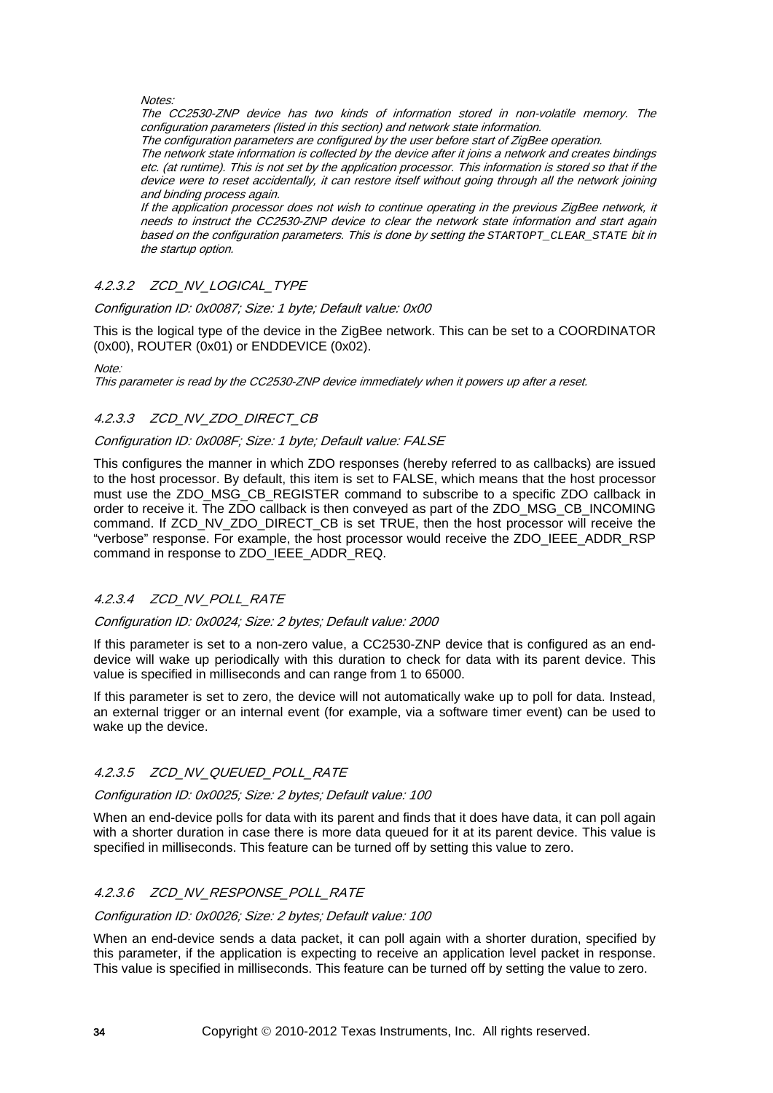#### **Notes:**

The CC2530-ZNP device has two kinds of information stored in non-volatile memory. The configuration parameters (listed in this section) and network state information.

The configuration parameters are configured by the user before start of ZigBee operation.

The network state information is collected by the device after it joins a network and creates bindings etc. (at runtime). This is not set by the application processor. This information is stored so that if the device were to reset accidentally, it can restore itself without going through all the network joining and binding process again.

If the application processor does not wish to continue operating in the previous ZigBee network, it needs to instruct the CC2530-ZNP device to clear the network state information and start again based on the configuration parameters. This is done by setting the *STARTOPT\_CLEAR\_STATE* bit in the startup option.

#### 4.2.3.2 ZCD\_NV\_LOGICAL\_TYPE

Configuration ID: 0x0087; Size: 1 byte; Default value: 0x00

This is the logical type of the device in the ZigBee network. This can be set to a COORDINATOR (0x00), ROUTER (0x01) or ENDDEVICE (0x02).

#### $M$ nte:

This parameter is read by the CC2530-ZNP device immediately when it powers up after a reset.

#### 4.2.3.3 ZCD\_NV\_ZDO\_DIRECT\_CB

#### Configuration ID: 0x008F; Size: 1 byte; Default value: FALSE

This configures the manner in which ZDO responses (hereby referred to as callbacks) are issued to the host processor. By default, this item is set to FALSE, which means that the host processor must use the ZDO\_MSG\_CB\_REGISTER command to subscribe to a specific ZDO callback in order to receive it. The ZDO callback is then conveyed as part of the ZDO\_MSG\_CB\_INCOMING command. If ZCD\_NV\_ZDO\_DIRECT\_CB is set TRUE, then the host processor will receive the "verbose" response. For example, the host processor would receive the ZDO\_IEEE\_ADDR\_RSP command in response to ZDO\_IEEE\_ADDR\_REQ.

#### 4.2.3.4 ZCD\_NV\_POLL\_RATE

#### Configuration ID: 0x0024; Size: 2 bytes; Default value: 2000

If this parameter is set to a non-zero value, a CC2530-ZNP device that is configured as an enddevice will wake up periodically with this duration to check for data with its parent device. This value is specified in milliseconds and can range from 1 to 65000.

If this parameter is set to zero, the device will not automatically wake up to poll for data. Instead, an external trigger or an internal event (for example, via a software timer event) can be used to wake up the device.

#### 4.2.3.5 ZCD\_NV\_QUEUED\_POLL\_RATE

#### Configuration ID: 0x0025; Size: 2 bytes; Default value: 100

When an end-device polls for data with its parent and finds that it does have data, it can poll again with a shorter duration in case there is more data queued for it at its parent device. This value is specified in milliseconds. This feature can be turned off by setting this value to zero.

#### 4.2.3.6 ZCD\_NV\_RESPONSE\_POLL\_RATE

#### Configuration ID: 0x0026; Size: 2 bytes; Default value: 100

When an end-device sends a data packet, it can poll again with a shorter duration, specified by this parameter, if the application is expecting to receive an application level packet in response. This value is specified in milliseconds. This feature can be turned off by setting the value to zero.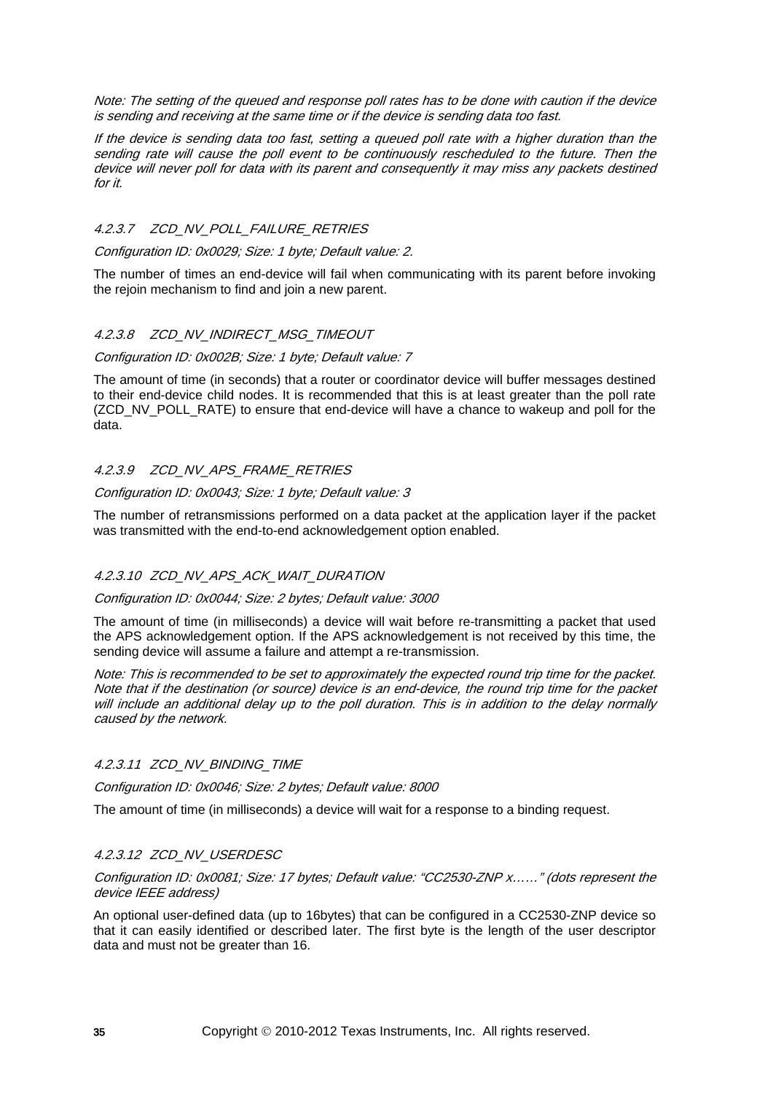Note: The setting of the queued and response poll rates has to be done with caution if the device is sending and receiving at the same time or if the device is sending data too fast.

If the device is sending data too fast, setting a queued poll rate with a higher duration than the sending rate will cause the poll event to be continuously rescheduled to the future. Then the device will never poll for data with its parent and consequently it may miss any packets destined for it.

#### 4.2.3.7 ZCD\_NV\_POLL\_FAILURE\_RETRIES

Configuration ID: 0x0029; Size: 1 byte; Default value: 2.

The number of times an end-device will fail when communicating with its parent before invoking the rejoin mechanism to find and join a new parent.

#### 4.2.3.8 ZCD\_NV\_INDIRECT\_MSG\_TIMEOUT

#### Configuration ID: 0x002B; Size: 1 byte; Default value: 7

The amount of time (in seconds) that a router or coordinator device will buffer messages destined to their end-device child nodes. It is recommended that this is at least greater than the poll rate (ZCD\_NV\_POLL\_RATE) to ensure that end-device will have a chance to wakeup and poll for the data.

#### 4.2.3.9 ZCD\_NV\_APS\_FRAME\_RETRIES

#### Configuration ID: 0x0043; Size: 1 byte; Default value: 3

The number of retransmissions performed on a data packet at the application layer if the packet was transmitted with the end-to-end acknowledgement option enabled.

#### 4.2.3.10 ZCD NV APS ACK WAIT DURATION

#### Configuration ID: 0x0044; Size: 2 bytes; Default value: 3000

The amount of time (in milliseconds) a device will wait before re-transmitting a packet that used the APS acknowledgement option. If the APS acknowledgement is not received by this time, the sending device will assume a failure and attempt a re-transmission.

Note: This is recommended to be set to approximately the expected round trip time for the packet. Note that if the destination (or source) device is an end-device, the round trip time for the packet will include an additional delay up to the poll duration. This is in addition to the delay normally caused by the network.

#### 4.2.3.11 ZCD\_NV\_BINDING\_TIME

Configuration ID: 0x0046; Size: 2 bytes; Default value: 8000

The amount of time (in milliseconds) a device will wait for a response to a binding request.

#### 4.2.3.12 ZCD\_NV\_USERDESC

#### Configuration ID: 0x0081; Size: 17 bytes; Default value: "CC2530-ZNP x……" (dots represent the device IEEE address)

An optional user-defined data (up to 16bytes) that can be configured in a CC2530-ZNP device so that it can easily identified or described later. The first byte is the length of the user descriptor data and must not be greater than 16.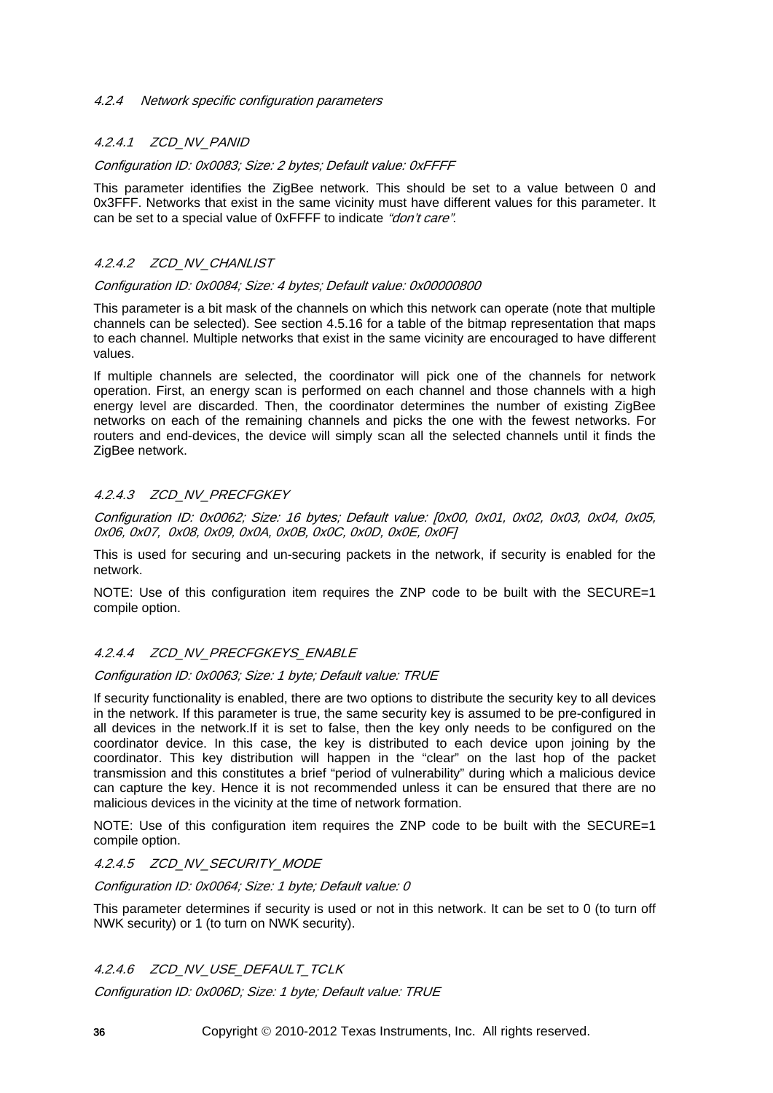#### <span id="page-35-0"></span>4.2.4 Network specific configuration parameters

# 4.2.4.1 ZCD\_NV\_PANID

#### Configuration ID: 0x0083; Size: 2 bytes; Default value: 0xFFFF

This parameter identifies the ZigBee network. This should be set to a value between 0 and 0x3FFF. Networks that exist in the same vicinity must have different values for this parameter. It can be set to a special value of 0xFFFF to indicate "don't care".

# 4.2.4.2 ZCD NV CHANLIST

#### Configuration ID: 0x0084; Size: 4 bytes; Default value: 0x00000800

This parameter is a bit mask of the channels on which this network can operate (note that multiple channels can be selected). See section [4.5.16](#page-73-0) for a table of the bitmap representation that maps to each channel. Multiple networks that exist in the same vicinity are encouraged to have different values.

If multiple channels are selected, the coordinator will pick one of the channels for network operation. First, an energy scan is performed on each channel and those channels with a high energy level are discarded. Then, the coordinator determines the number of existing ZigBee networks on each of the remaining channels and picks the one with the fewest networks. For routers and end-devices, the device will simply scan all the selected channels until it finds the ZigBee network.

# 4.2.4.3 ZCD NV PRECFGKEY

Configuration ID: 0x0062; Size: 16 bytes; Default value: [0x00, 0x01, 0x02, 0x03, 0x04, 0x05, 0x06, 0x07, 0x08, 0x09, 0x0A, 0x0B, 0x0C, 0x0D, 0x0E, 0x0F]

This is used for securing and un-securing packets in the network, if security is enabled for the network.

NOTE: Use of this configuration item requires the ZNP code to be built with the SECURE=1 compile option.

#### 4.2.4.4 ZCD\_NV\_PRECFGKEYS\_ENABLE

#### Configuration ID: 0x0063; Size: 1 byte; Default value: TRUE

If security functionality is enabled, there are two options to distribute the security key to all devices in the network. If this parameter is true, the same security key is assumed to be pre-configured in all devices in the network.If it is set to false, then the key only needs to be configured on the coordinator device. In this case, the key is distributed to each device upon joining by the coordinator. This key distribution will happen in the "clear" on the last hop of the packet transmission and this constitutes a brief "period of vulnerability" during which a malicious device can capture the key. Hence it is not recommended unless it can be ensured that there are no malicious devices in the vicinity at the time of network formation.

NOTE: Use of this configuration item requires the ZNP code to be built with the SECURE=1 compile option.

#### 4.2.4.5 ZCD\_NV\_SECURITY\_MODE

#### Configuration ID: 0x0064; Size: 1 byte; Default value: 0

This parameter determines if security is used or not in this network. It can be set to 0 (to turn off NWK security) or 1 (to turn on NWK security).

#### 4.2.4.6 ZCD\_NV\_USE\_DEFAULT\_TCLK

Configuration ID: 0x006D; Size: 1 byte; Default value: TRUE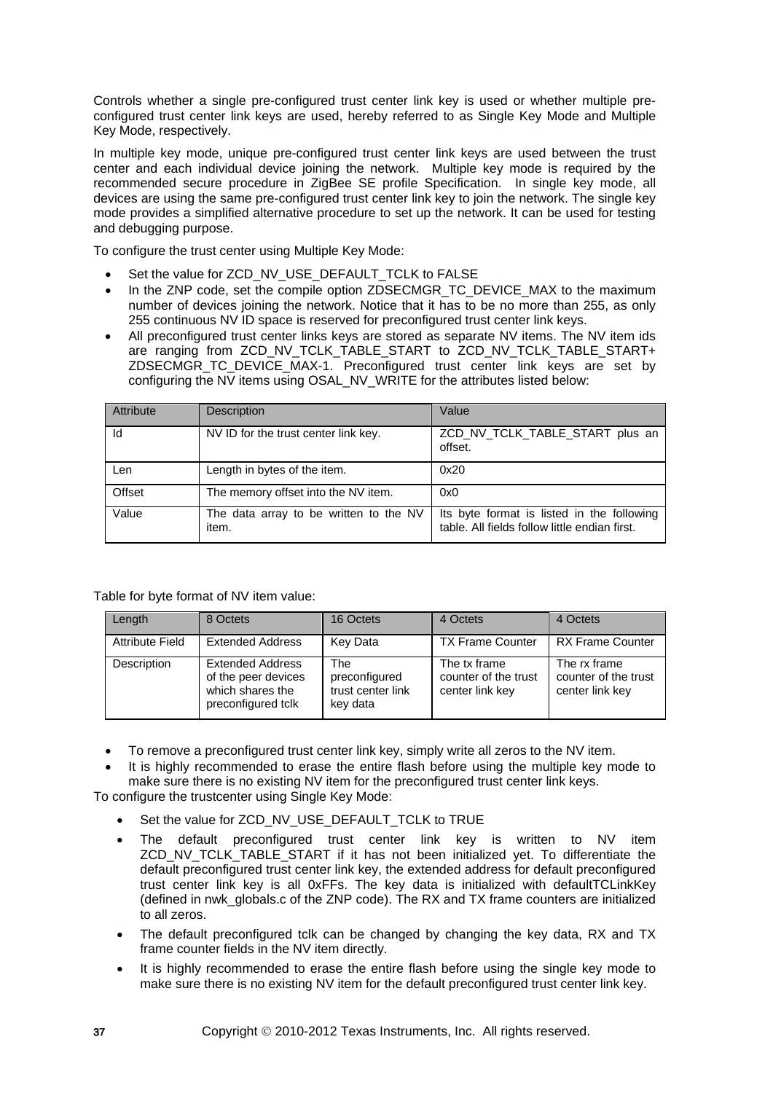Controls whether a single pre-configured trust center link key is used or whether multiple preconfigured trust center link keys are used, hereby referred to as Single Key Mode and Multiple Key Mode, respectively.

In multiple key mode, unique pre-configured trust center link keys are used between the trust center and each individual device joining the network. Multiple key mode is required by the recommended secure procedure in ZigBee SE profile Specification. In single key mode, all devices are using the same pre-configured trust center link key to join the network. The single key mode provides a simplified alternative procedure to set up the network. It can be used for testing and debugging purpose.

To configure the trust center using Multiple Key Mode:

- Set the value for ZCD\_NV\_USE\_DEFAULT\_TCLK to FALSE
- In the ZNP code, set the compile option ZDSECMGR\_TC\_DEVICE\_MAX to the maximum number of devices joining the network. Notice that it has to be no more than 255, as only 255 continuous NV ID space is reserved for preconfigured trust center link keys.
- All preconfigured trust center links keys are stored as separate NV items. The NV item ids are ranging from ZCD\_NV\_TCLK\_TABLE\_START to ZCD\_NV\_TCLK\_TABLE\_START+ ZDSECMGR\_TC\_DEVICE\_MAX-1. Preconfigured trust center link keys are set by configuring the NV items using OSAL\_NV\_WRITE for the attributes listed below:

| Attribute | <b>Description</b>                              | Value                                                                                       |
|-----------|-------------------------------------------------|---------------------------------------------------------------------------------------------|
| Id        | NV ID for the trust center link key.            | ZCD_NV_TCLK_TABLE_START plus an<br>offset.                                                  |
| Len       | Length in bytes of the item.                    | 0x20                                                                                        |
| Offset    | The memory offset into the NV item.             | 0x0                                                                                         |
| Value     | The data array to be written to the NV<br>item. | Its byte format is listed in the following<br>table. All fields follow little endian first. |

Table for byte format of NV item value:

| Length                 | 8 Octets                                                                                 | 16 Octets                                             | 4 Octets                                                | 4 Octets                                                |
|------------------------|------------------------------------------------------------------------------------------|-------------------------------------------------------|---------------------------------------------------------|---------------------------------------------------------|
| <b>Attribute Field</b> | <b>Extended Address</b>                                                                  | Key Data                                              | <b>TX Frame Counter</b>                                 | <b>RX Frame Counter</b>                                 |
| Description            | <b>Extended Address</b><br>of the peer devices<br>which shares the<br>preconfigured tclk | The<br>preconfigured<br>trust center link<br>key data | The tx frame<br>counter of the trust<br>center link key | The rx frame<br>counter of the trust<br>center link key |

- To remove a preconfigured trust center link key, simply write all zeros to the NV item.
- It is highly recommended to erase the entire flash before using the multiple key mode to make sure there is no existing NV item for the preconfigured trust center link keys.

To configure the trustcenter using Single Key Mode:

- Set the value for ZCD\_NV\_USE\_DEFAULT\_TCLK to TRUE
- The default preconfigured trust center link key is written to NV item ZCD\_NV\_TCLK\_TABLE\_START if it has not been initialized yet. To differentiate the default preconfigured trust center link key, the extended address for default preconfigured trust center link key is all 0xFFs. The key data is initialized with defaultTCLinkKey (defined in nwk\_globals.c of the ZNP code). The RX and TX frame counters are initialized to all zeros.
- The default preconfigured tclk can be changed by changing the key data, RX and TX frame counter fields in the NV item directly.
- It is highly recommended to erase the entire flash before using the single key mode to make sure there is no existing NV item for the default preconfigured trust center link key.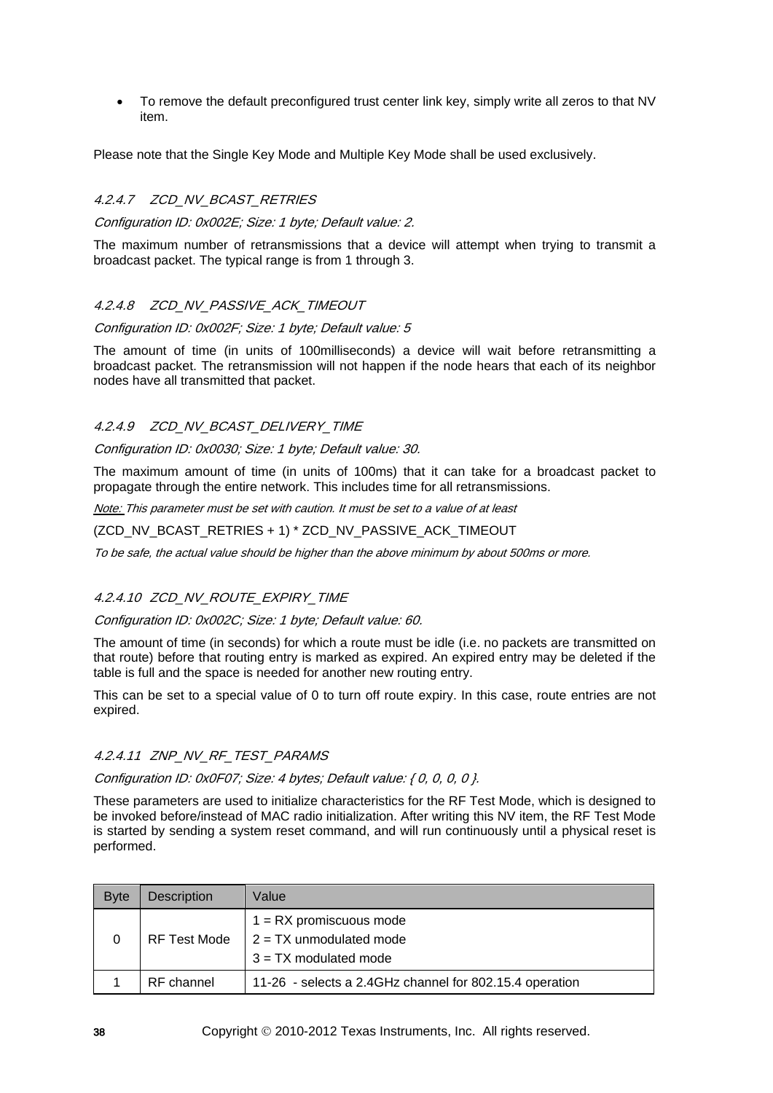• To remove the default preconfigured trust center link key, simply write all zeros to that NV item.

Please note that the Single Key Mode and Multiple Key Mode shall be used exclusively.

## 4.2.4.7 ZCD\_NV\_BCAST\_RETRIES

Configuration ID: 0x002E; Size: 1 byte; Default value: 2.

The maximum number of retransmissions that a device will attempt when trying to transmit a broadcast packet. The typical range is from 1 through 3.

### 4.2.4.8 ZCD\_NV\_PASSIVE\_ACK\_TIMEOUT

Configuration ID: 0x002F; Size: 1 byte; Default value: 5

The amount of time (in units of 100milliseconds) a device will wait before retransmitting a broadcast packet. The retransmission will not happen if the node hears that each of its neighbor nodes have all transmitted that packet.

### 4.2.4.9 ZCD\_NV\_BCAST\_DELIVERY\_TIME

Configuration ID: 0x0030; Size: 1 byte; Default value: 30.

The maximum amount of time (in units of 100ms) that it can take for a broadcast packet to propagate through the entire network. This includes time for all retransmissions.

Note: This parameter must be set with caution. It must be set to a value of at least

(ZCD\_NV\_BCAST\_RETRIES + 1) \* ZCD\_NV\_PASSIVE\_ACK\_TIMEOUT

To be safe, the actual value should be higher than the above minimum by about 500ms or more.

#### 4.2.4.10 ZCD NV ROUTE EXPIRY TIME

## Configuration ID: 0x002C; Size: 1 byte; Default value: 60.

The amount of time (in seconds) for which a route must be idle (i.e. no packets are transmitted on that route) before that routing entry is marked as expired. An expired entry may be deleted if the table is full and the space is needed for another new routing entry.

This can be set to a special value of 0 to turn off route expiry. In this case, route entries are not expired.

#### 4.2.4.11 ZNP\_NV\_RF\_TEST\_PARAMS

Configuration ID: 0x0F07; Size: 4 bytes; Default value: { 0, 0, 0, 0 }.

These parameters are used to initialize characteristics for the RF Test Mode, which is designed to be invoked before/instead of MAC radio initialization. After writing this NV item, the RF Test Mode is started by sending a system reset command, and will run continuously until a physical reset is performed.

| <b>Byte</b> | <b>Description</b> | Value                                                                             |
|-------------|--------------------|-----------------------------------------------------------------------------------|
| 0           | RF Test Mode       | $1 = RX$ promiscuous mode<br>$2 = TX$ unmodulated mode<br>$3 = TX$ modulated mode |
|             | RF channel         | 11-26 - selects a 2.4GHz channel for 802.15.4 operation                           |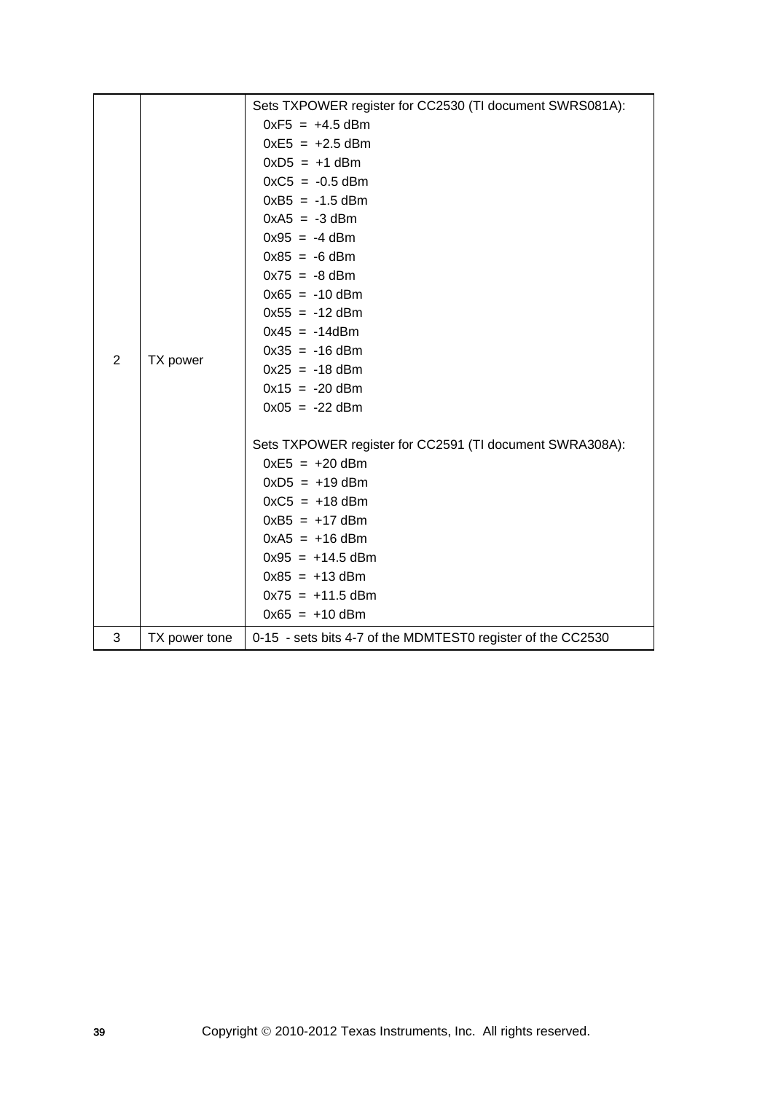|   |               | Sets TXPOWER register for CC2530 (TI document SWRS081A):    |
|---|---------------|-------------------------------------------------------------|
|   |               | $0xF5 = +4.5$ dBm                                           |
|   |               | $0xE5 = +2.5$ dBm                                           |
|   |               | $0xD5 = +1$ dBm                                             |
|   |               | $0xC5 = -0.5$ dBm                                           |
|   |               | $0xB5 = -1.5$ dBm                                           |
|   |               | $0xA5 = -3$ dBm                                             |
|   |               | $0x95 = -4$ dBm                                             |
|   |               | $0x85 = -6$ dBm                                             |
|   |               | $0x75 = -8$ dBm                                             |
|   |               | $0x65 = -10$ dBm                                            |
|   |               | $0x55 = -12$ dBm                                            |
|   |               | $0x45 = -14dBm$                                             |
| 2 | TX power      | $0x35 = -16$ dBm                                            |
|   |               | $0x25 = -18$ dBm                                            |
|   |               | $0x15 = -20$ dBm                                            |
|   |               | $0x05 = -22$ dBm                                            |
|   |               | Sets TXPOWER register for CC2591 (TI document SWRA308A):    |
|   |               | $0xE5 = +20$ dBm                                            |
|   |               | $0xD5 = +19$ dBm                                            |
|   |               | $0xC5 = +18$ dBm                                            |
|   |               | $0xB5 = +17$ dBm                                            |
|   |               | $0xA5 = +16$ dBm                                            |
|   |               | $0x95 = +14.5$ dBm                                          |
|   |               | $0x85 = +13$ dBm                                            |
|   |               | $0x75 = +11.5$ dBm                                          |
|   |               | $0x65 = +10$ dBm                                            |
| 3 | TX power tone | 0-15 - sets bits 4-7 of the MDMTEST0 register of the CC2530 |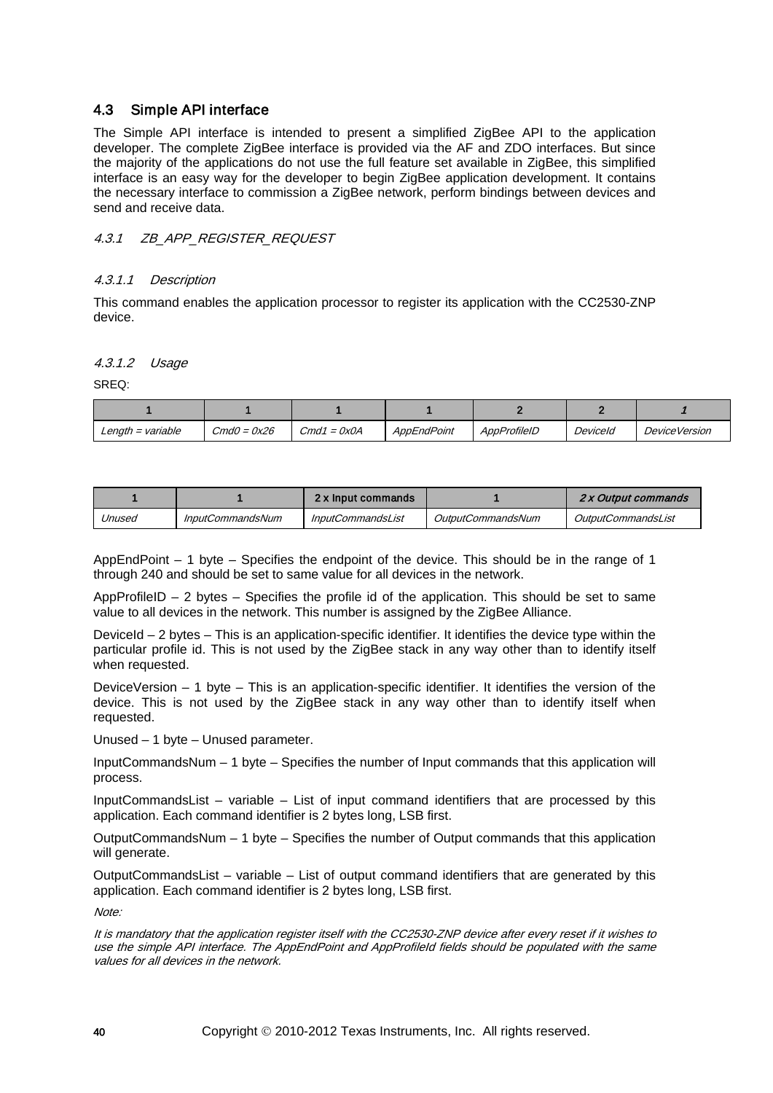## 4.3 Simple API interface

The Simple API interface is intended to present a simplified ZigBee API to the application developer. The complete ZigBee interface is provided via the AF and ZDO interfaces. But since the majority of the applications do not use the full feature set available in ZigBee, this simplified interface is an easy way for the developer to begin ZigBee application development. It contains the necessary interface to commission a ZigBee network, perform bindings between devices and send and receive data.

## 4.3.1 *ZB* APP REGISTER REQUEST

## 4.3.1.1 Description

This command enables the application processor to register its application with the CC2530-ZNP device.

4.3.1.2 Usage

SREQ:

| Length $=$ variable | $CmdO = 0x26$ | $Cmd1 = 0x0A$ | AppEndPoint | AppProfileID | Deviceld | <i>DeviceVersion</i> |
|---------------------|---------------|---------------|-------------|--------------|----------|----------------------|

|        |                         | 2 x Input commands |                   | 2 x Output commands       |
|--------|-------------------------|--------------------|-------------------|---------------------------|
| Jnused | <b>InputCommandsNum</b> | InputCommandsList  | OutputCommandsNum | <i>OutputCommandsList</i> |

AppEndPoint – 1 byte – Specifies the endpoint of the device. This should be in the range of 1 through 240 and should be set to same value for all devices in the network.

AppProfileID – 2 bytes – Specifies the profile id of the application. This should be set to same value to all devices in the network. This number is assigned by the ZigBee Alliance.

DeviceId – 2 bytes – This is an application-specific identifier. It identifies the device type within the particular profile id. This is not used by the ZigBee stack in any way other than to identify itself when requested.

DeviceVersion – 1 byte – This is an application-specific identifier. It identifies the version of the device. This is not used by the ZigBee stack in any way other than to identify itself when requested.

Unused – 1 byte – Unused parameter.

InputCommandsNum – 1 byte – Specifies the number of Input commands that this application will process.

InputCommandsList – variable – List of input command identifiers that are processed by this application. Each command identifier is 2 bytes long, LSB first.

OutputCommandsNum – 1 byte – Specifies the number of Output commands that this application will generate.

OutputCommandsList – variable – List of output command identifiers that are generated by this application. Each command identifier is 2 bytes long, LSB first.

 $M \cap f \cap f$ 

It is mandatory that the application register itself with the CC2530-ZNP device after every reset if it wishes to use the simple API interface. The AppEndPoint and AppProfileId fields should be populated with the same values for all devices in the network.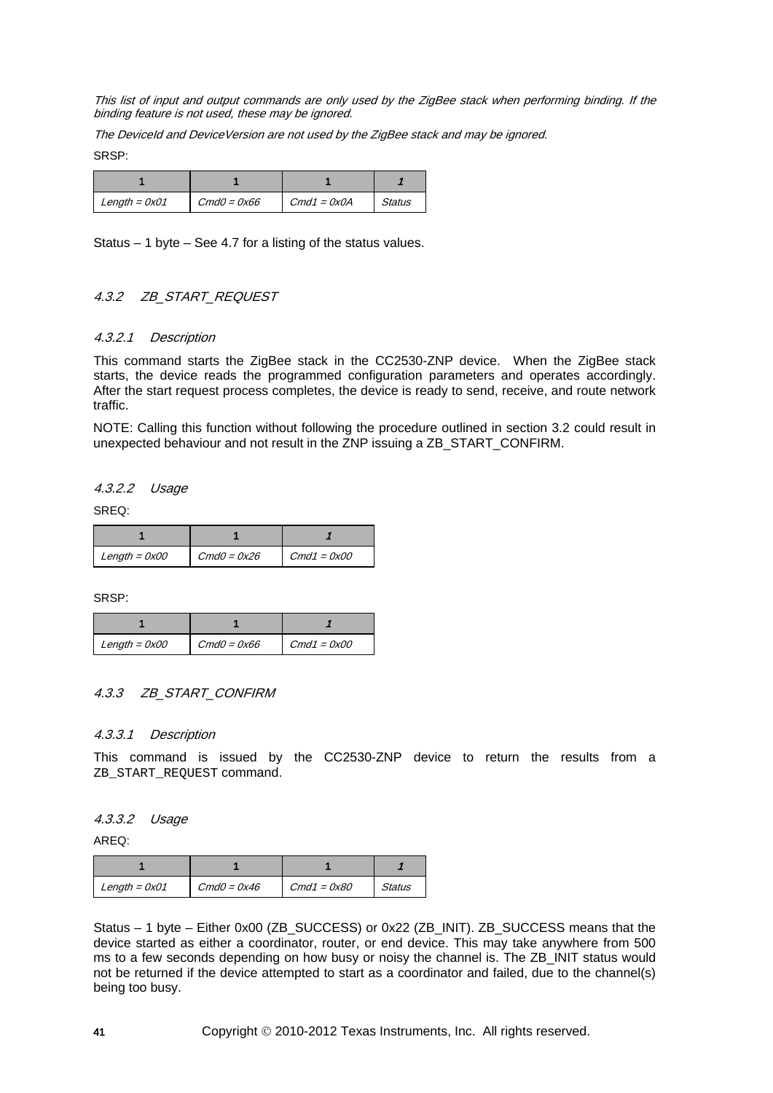This list of input and output commands are only used by the ZigBee stack when performing binding. If the binding feature is not used, these may be ignored.

The DeviceId and DeviceVersion are not used by the ZigBee stack and may be ignored. SRSP:

| Length = $0x01$ | $CmdO = 0x66$ | $Cmd1 = 0x0A$ | <b>Status</b> |
|-----------------|---------------|---------------|---------------|

Status – 1 byte – See [4.7](#page-133-0) for a listing of the status values.

## 4.3.2 ZB\_START\_REQUEST

### 4.3.2.1 Description

This command starts the ZigBee stack in the CC2530-ZNP device. When the ZigBee stack starts, the device reads the programmed configuration parameters and operates accordingly. After the start request process completes, the device is ready to send, receive, and route network traffic.

NOTE: Calling this function without following the procedure outlined in section [3.2](#page-16-0) could result in unexpected behaviour and not result in the ZNP issuing a ZB\_START\_CONFIRM.

4.3.2.2 Usage

SREQ:

| Length = $0x00$ | $CmdO = 0x26$ | Cmd1 = 0x00 |
|-----------------|---------------|-------------|

SRSP:

| Length = $0x00$ | $CmdO = 0x66$ | $Cmd1 = 0x00$ |
|-----------------|---------------|---------------|

## 4.3.3 ZB\_START\_CONFIRM

### 4.3.3.1 Description

This command is issued by the CC2530-ZNP device to return the results from a ZB\_START\_REQUEST command.

### 4.3.3.2 Usage

AREQ:

| Length = $0x01$ | $CmdO = 0x46$ | $Cmd1 = 0x80$ | Status |
|-----------------|---------------|---------------|--------|

Status – 1 byte – Either 0x00 (ZB\_SUCCESS) or 0x22 (ZB\_INIT). ZB\_SUCCESS means that the device started as either a coordinator, router, or end device. This may take anywhere from 500 ms to a few seconds depending on how busy or noisy the channel is. The ZB\_INIT status would not be returned if the device attempted to start as a coordinator and failed, due to the channel(s) being too busy.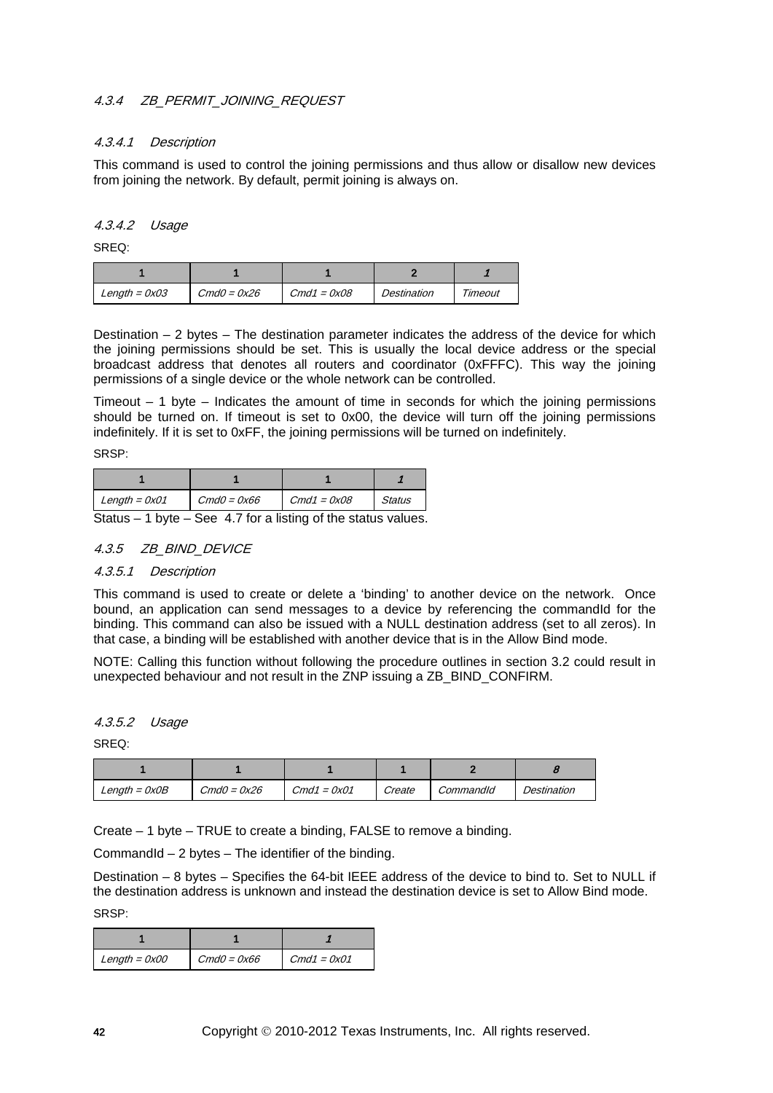## 4.3.4 ZB\_PERMIT\_JOINING\_REQUEST

### 4.3.4.1 Description

This command is used to control the joining permissions and thus allow or disallow new devices from joining the network. By default, permit joining is always on.

## 4.3.4.2 Usage

SREQ:

| Length = $0x03$ | $CmdO = 0x26$ | $Cmd1 = 0x08$ | Destination | Timeout |
|-----------------|---------------|---------------|-------------|---------|

Destination  $-2$  bytes  $-$  The destination parameter indicates the address of the device for which the joining permissions should be set. This is usually the local device address or the special broadcast address that denotes all routers and coordinator (0xFFFC). This way the joining permissions of a single device or the whole network can be controlled.

Timeout  $-1$  byte – Indicates the amount of time in seconds for which the joining permissions should be turned on. If timeout is set to 0x00, the device will turn off the joining permissions indefinitely. If it is set to 0xFF, the joining permissions will be turned on indefinitely.

SRSP:

| Length = $0x01$ | $CmdO = 0x66$ | $Cmd1 = 0x08$ | <b>Status</b> |
|-----------------|---------------|---------------|---------------|

Status  $-1$  byte  $-$  See [4.7](#page-133-0) for a listing of the status values.

### 4.3.5 ZB\_BIND\_DEVICE

#### 4.3.5.1 Description

This command is used to create or delete a 'binding' to another device on the network. Once bound, an application can send messages to a device by referencing the commandId for the binding. This command can also be issued with a NULL destination address (set to all zeros). In that case, a binding will be established with another device that is in the Allow Bind mode.

NOTE: Calling this function without following the procedure outlines in section [3.2](#page-16-0) could result in unexpected behaviour and not result in the ZNP issuing a ZB\_BIND\_CONFIRM.

### 4.3.5.2 Usage

SREQ:

| $Length = 0x0B$ | $CmdO = 0x26$ | $Cmd1 = 0x01$ | Create | CommandId | Destination |
|-----------------|---------------|---------------|--------|-----------|-------------|

Create – 1 byte – TRUE to create a binding, FALSE to remove a binding.

CommandId  $-2$  bytes  $-$  The identifier of the binding.

Destination – 8 bytes – Specifies the 64-bit IEEE address of the device to bind to. Set to NULL if the destination address is unknown and instead the destination device is set to Allow Bind mode. SRSP:

| Length = $0x00$ | $CmdO = 0x66$ | $Cmd1 = 0x01$ |
|-----------------|---------------|---------------|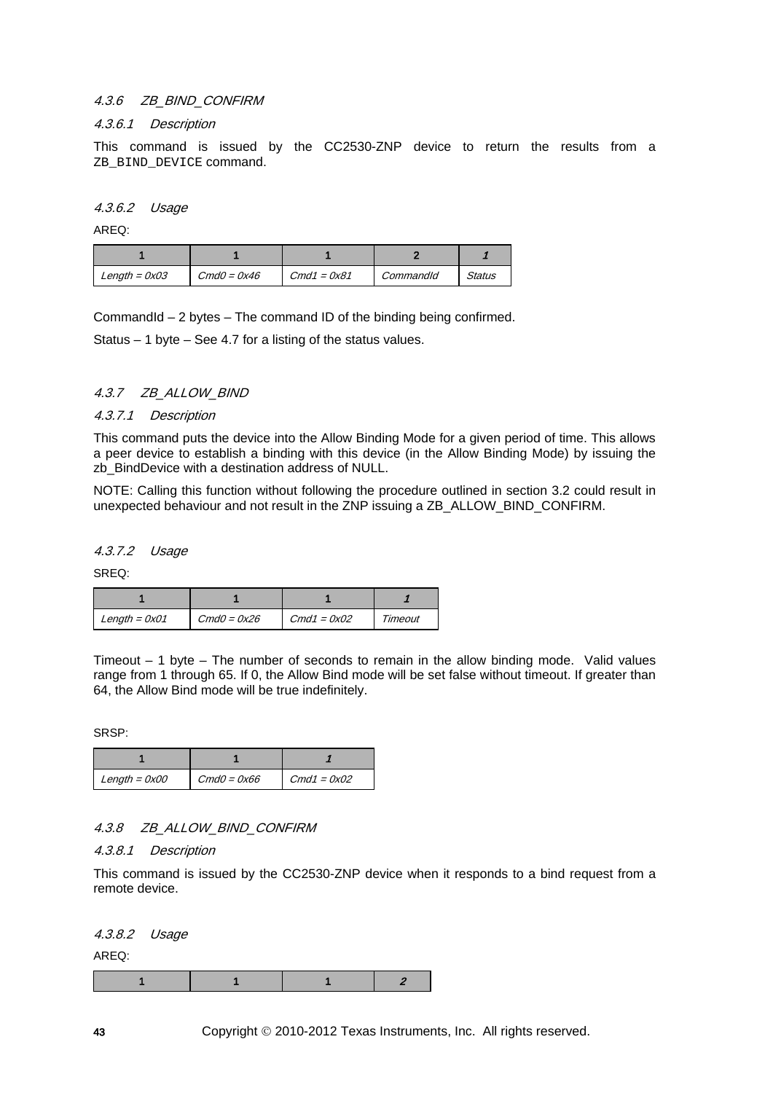### 4.3.6 ZB\_BIND\_CONFIRM

#### 4.3.6.1 Description

This command is issued by the CC2530-ZNP device to return the results from a ZB\_BIND\_DEVICE command.

4.3.6.2 Usage

AREQ:

| Length = $0x03$ | $CmdO = 0x46$ | $Cmd1 = 0x81$ | CommandId | Status |
|-----------------|---------------|---------------|-----------|--------|

CommandId – 2 bytes – The command ID of the binding being confirmed.

Status – 1 byte – See [4.7](#page-133-0) for a listing of the status values.

### 4.3.7 ZB\_ALLOW\_BIND

#### 4.3.7.1 Description

This command puts the device into the Allow Binding Mode for a given period of time. This allows a peer device to establish a binding with this device (in the Allow Binding Mode) by issuing the zb BindDevice with a destination address of NULL.

NOTE: Calling this function without following the procedure outlined in section [3.2](#page-16-0) could result in unexpected behaviour and not result in the ZNP issuing a ZB\_ALLOW\_BIND\_CONFIRM.

4.3.7.2 Usage

SREQ:

| Length = $0x01$ | $CmdO = 0x26$ | $Cmd1 = 0x02$ | Timeout |
|-----------------|---------------|---------------|---------|

Timeout – 1 byte – The number of seconds to remain in the allow binding mode. Valid values range from 1 through 65. If 0, the Allow Bind mode will be set false without timeout. If greater than 64, the Allow Bind mode will be true indefinitely.

SRSP:

| Length = $0x00$ | $CmdO = 0x66$ | $Cmd1 = 0x02$ |
|-----------------|---------------|---------------|

## 4.3.8 ZB\_ALLOW\_BIND\_CONFIRM

4.3.8.1 Description

This command is issued by the CC2530-ZNP device when it responds to a bind request from a remote device.

4.3.8.2 Usage

AREQ: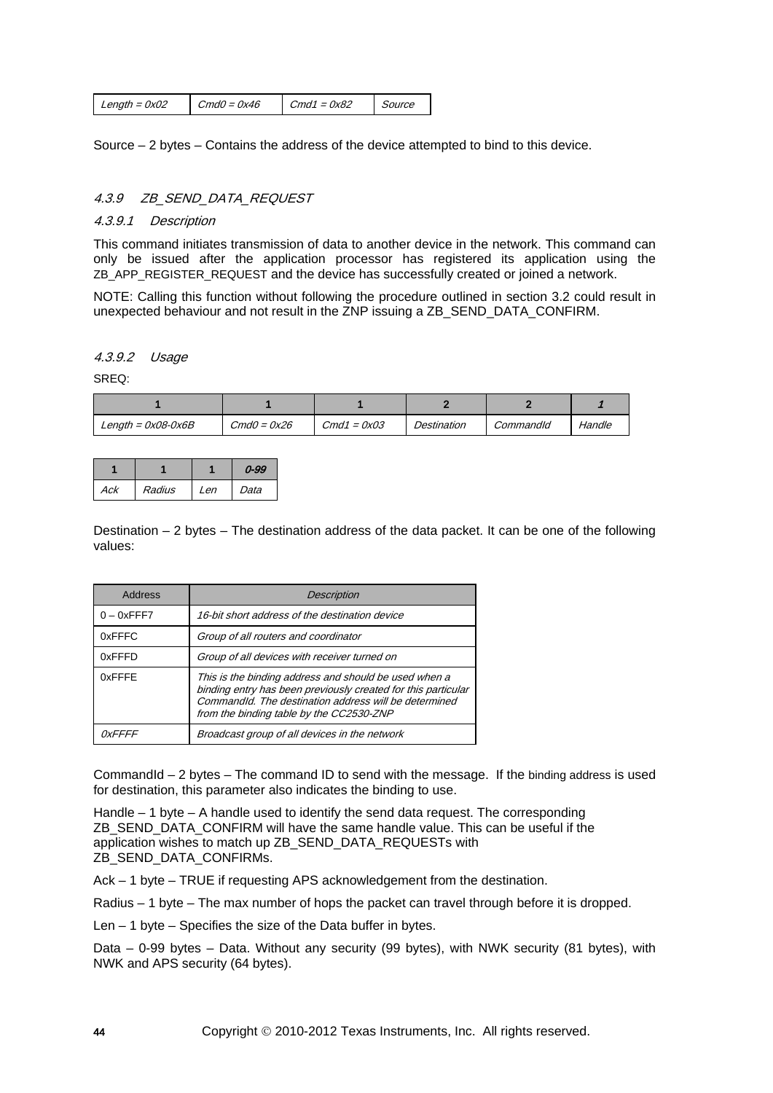Source – 2 bytes – Contains the address of the device attempted to bind to this device.

## 4.3.9 ZB\_SEND\_DATA\_REQUEST

#### 4.3.9.1 Description

This command initiates transmission of data to another device in the network. This command can only be issued after the application processor has registered its application using the ZB\_APP\_REGISTER\_REQUEST and the device has successfully created or joined a network.

NOTE: Calling this function without following the procedure outlined in section [3.2](#page-16-0) could result in unexpected behaviour and not result in the ZNP issuing a ZB\_SEND\_DATA\_CONFIRM.

## 4.3.9.2 Usage

SREQ:

| $Length = 0x08 - 0x6B$ | $CmdO = 0x26$ | $Cmd1 = 0x03$ | Destination | CommandId | Handle |
|------------------------|---------------|---------------|-------------|-----------|--------|

|     |        |      | 0-99 |
|-----|--------|------|------|
| Ack | Radius | l en | Data |

Destination – 2 bytes – The destination address of the data packet. It can be one of the following values:

| Address              | <b>Description</b>                                                                                                                                                                                                          |
|----------------------|-----------------------------------------------------------------------------------------------------------------------------------------------------------------------------------------------------------------------------|
| $0 - 0x$ FFF7        | 16-bit short address of the destination device                                                                                                                                                                              |
| 0xFFFC               | Group of all routers and coordinator                                                                                                                                                                                        |
| 0xFFFD               | Group of all devices with receiver turned on                                                                                                                                                                                |
| 0xFFFE               | This is the binding address and should be used when a<br>binding entry has been previously created for this particular<br>CommandId. The destination address will be determined<br>from the binding table by the CC2530-ZNP |
| <i><b>OxFFFF</b></i> | Broadcast group of all devices in the network                                                                                                                                                                               |

CommandId – 2 bytes – The command ID to send with the message. If the binding address is used for destination, this parameter also indicates the binding to use.

Handle – 1 byte – A handle used to identify the send data request. The corresponding ZB\_SEND\_DATA\_CONFIRM will have the same handle value. This can be useful if the application wishes to match up ZB\_SEND\_DATA\_REQUESTs with ZB\_SEND\_DATA\_CONFIRMs.

Ack – 1 byte – TRUE if requesting APS acknowledgement from the destination.

Radius – 1 byte – The max number of hops the packet can travel through before it is dropped.

Len – 1 byte – Specifies the size of the Data buffer in bytes.

Data – 0-99 bytes – Data. Without any security (99 bytes), with NWK security (81 bytes), with NWK and APS security (64 bytes).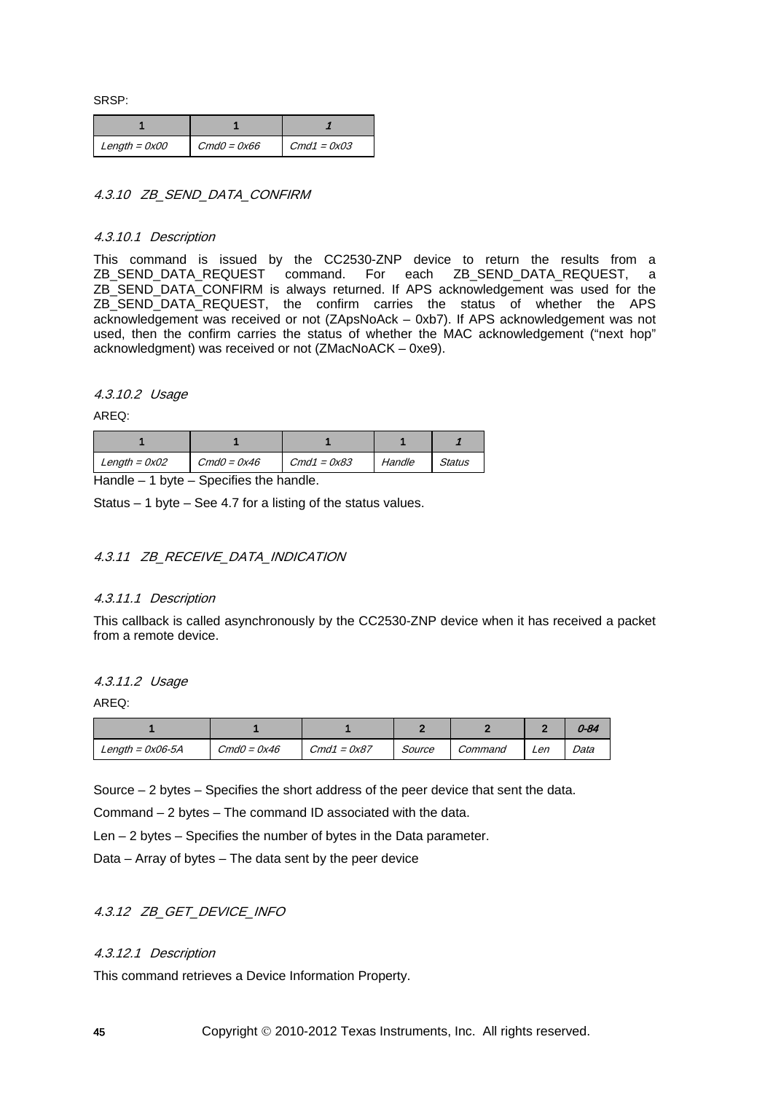SRSP:

| $Length = 0x00$ | $CmdO = 0x66$ | $Cmd1 = 0x03$ |
|-----------------|---------------|---------------|

## 4.3.10 ZB\_SEND\_DATA\_CONFIRM

#### 4.3.10.1 Description

This command is issued by the CC2530-ZNP device to return the results from a ZB\_SEND\_DATA\_REQUEST, a ZB\_SEND\_DATA\_REQUEST command. For each ZB\_SEND\_DATA\_REQUEST, a ZB\_SEND\_DATA\_CONFIRM is always returned. If APS acknowledgement was used for the ZB\_SEND\_DATA\_REQUEST, the confirm carries the status of whether the APS acknowledgement was received or not (ZApsNoAck – 0xb7). If APS acknowledgement was not used, then the confirm carries the status of whether the MAC acknowledgement ("next hop" acknowledgment) was received or not (ZMacNoACK – 0xe9).

#### 4.3.10.2 Usage

AREQ:

| $Length = 0x02$ | $CmdO = 0x46$                                                                                                                                                                                                                                                                                                                                                                         | $Cmd1 = 0x83$ | Handle | Status |
|-----------------|---------------------------------------------------------------------------------------------------------------------------------------------------------------------------------------------------------------------------------------------------------------------------------------------------------------------------------------------------------------------------------------|---------------|--------|--------|
| .               | $\bigcap_{i=1}^n A_i = \bigcup_{i=1}^n A_i = \bigcup_{i=1}^n A_i = \bigcup_{i=1}^n A_i = \bigcup_{i=1}^n A_i = \bigcup_{i=1}^n A_i = \bigcup_{i=1}^n A_i = \bigcup_{i=1}^n A_i = \bigcup_{i=1}^n A_i = \bigcup_{i=1}^n A_i = \bigcup_{i=1}^n A_i = \bigcup_{i=1}^n A_i = \bigcup_{i=1}^n A_i = \bigcup_{i=1}^n A_i = \bigcup_{i=1}^n A_i = \bigcup_{i=1}^n A_i = \bigcup_{i=1}^n A_i$ |               |        |        |

Handle  $-1$  byte  $-$  Specifies the handle.

Status – 1 byte – See [4.7](#page-133-0) for a listing of the status values.

## 4.3.11 ZB\_RECEIVE\_DATA\_INDICATION

#### 4.3.11.1 Description

This callback is called asynchronously by the CC2530-ZNP device when it has received a packet from a remote device.

### 4.3.11.2 Usage

AREQ:

|                    |               |               |        |         |     | 0-84 |
|--------------------|---------------|---------------|--------|---------|-----|------|
| Length = $0x06-5A$ | $CmdO = 0x46$ | $Cmd1 = 0x87$ | Source | Command | Len | Data |

Source – 2 bytes – Specifies the short address of the peer device that sent the data.

Command – 2 bytes – The command ID associated with the data.

Len – 2 bytes – Specifies the number of bytes in the Data parameter.

Data – Array of bytes – The data sent by the peer device

## 4.3.12 ZB GET DEVICE INFO

## 4.3.12.1 Description

This command retrieves a Device Information Property.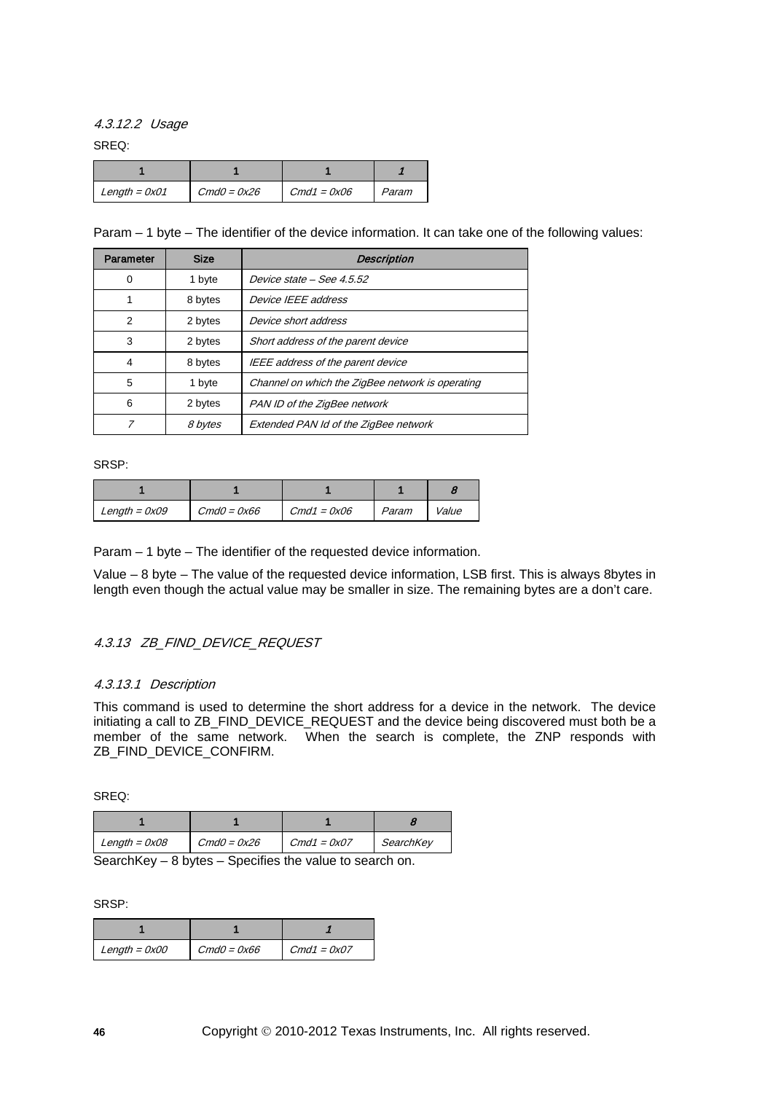4.3.12.2 Usage

SREQ:

| Length = $0x01$ | $CmdO = 0x26$ | $Cmd1 = 0x06$ | Param |
|-----------------|---------------|---------------|-------|

Param – 1 byte – The identifier of the device information. It can take one of the following values:

| Parameter    | <b>Size</b> | <b>Description</b>                               |  |
|--------------|-------------|--------------------------------------------------|--|
| 0            | 1 byte      | Device state - See 4.5.52                        |  |
| 8 bytes      |             | Device IEEE address                              |  |
| 2            | 2 bytes     | Device short address                             |  |
| 3            | 2 bytes     | Short address of the parent device               |  |
| 4            | 8 bytes     | IEEE address of the parent device                |  |
| 5            | 1 byte      | Channel on which the ZigBee network is operating |  |
| 6<br>2 bytes |             | PAN ID of the ZigBee network                     |  |
|              | 8 bytes     | Extended PAN Id of the ZigBee network            |  |

SRSP:

| Length = $0x09$ | $CmdO = 0x66$ | $Cmd1 = 0x06$ | Param | Value |
|-----------------|---------------|---------------|-------|-------|

Param – 1 byte – The identifier of the requested device information.

Value – 8 byte – The value of the requested device information, LSB first. This is always 8bytes in length even though the actual value may be smaller in size. The remaining bytes are a don't care.

## 4.3.13 ZB\_FIND\_DEVICE\_REQUEST

## 4.3.13.1 Description

This command is used to determine the short address for a device in the network. The device initiating a call to ZB\_FIND\_DEVICE\_REQUEST and the device being discovered must both be a member of the same network. When the search is complete, the ZNP responds with ZB\_FIND\_DEVICE\_CONFIRM.

SREQ:

| $Length = 0x08$ | $CmdO = 0x26$ | $Cmd1 = 0x07$ | SearchKey |
|-----------------|---------------|---------------|-----------|

SearchKey – 8 bytes – Specifies the value to search on.

| $Length = 0x00$ | $CmdO = 0x66$ | $Cmd1 = 0x07$ |
|-----------------|---------------|---------------|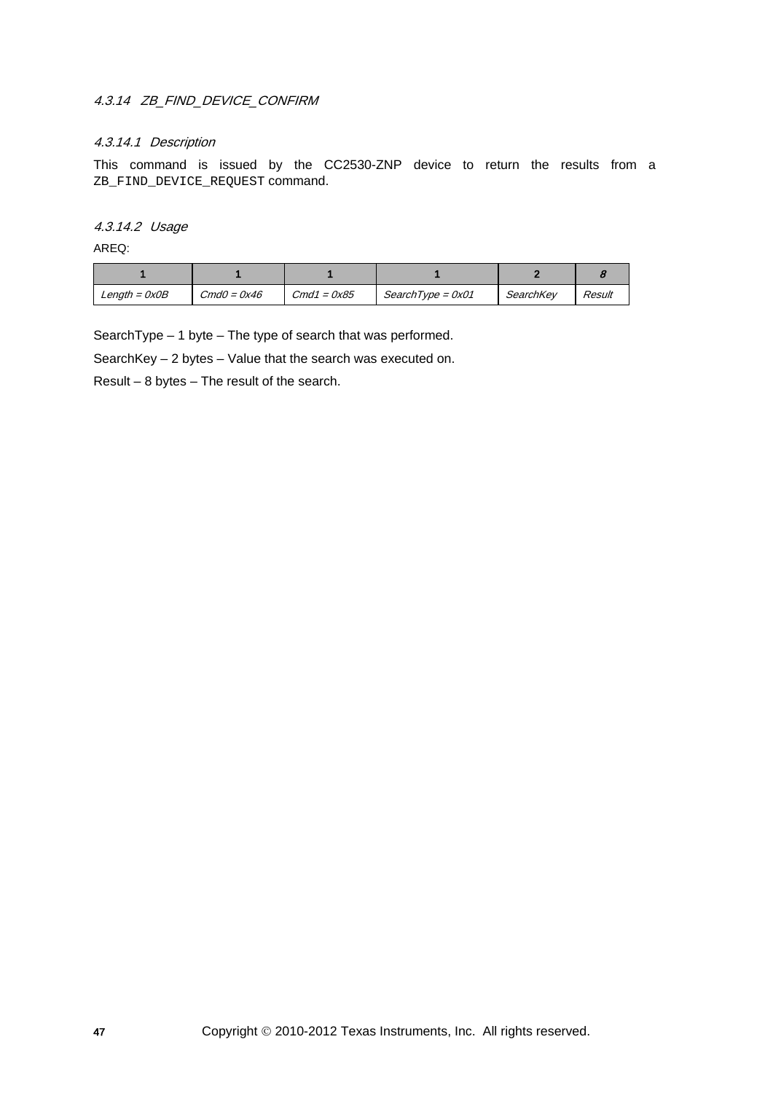## 4.3.14 ZB\_FIND\_DEVICE\_CONFIRM

## 4.3.14.1 Description

This command is issued by the CC2530-ZNP device to return the results from a ZB\_FIND\_DEVICE\_REQUEST command.

### 4.3.14.2 Usage

AREQ:

| $Length = OxOB$ | $CmdO = 0x46$ | $Cmd1 = 0x85$ | $SearchType = 0x01$ | SearchKey | Result |
|-----------------|---------------|---------------|---------------------|-----------|--------|

SearchType – 1 byte – The type of search that was performed.

SearchKey – 2 bytes – Value that the search was executed on.

Result – 8 bytes – The result of the search.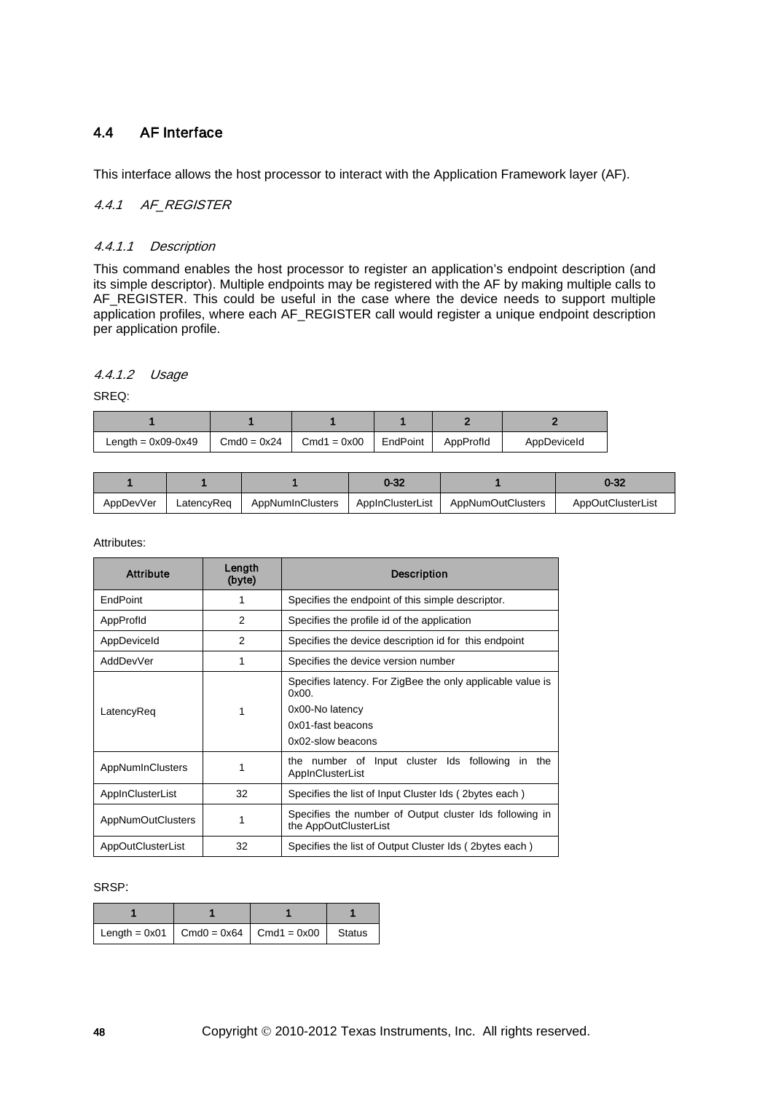## 4.4 AF Interface

This interface allows the host processor to interact with the Application Framework layer (AF).

## 4.4.1 AF REGISTER

## 4.4.1.1 Description

This command enables the host processor to register an application's endpoint description (and its simple descriptor). Multiple endpoints may be registered with the AF by making multiple calls to AF\_REGISTER. This could be useful in the case where the device needs to support multiple application profiles, where each AF\_REGISTER call would register a unique endpoint description per application profile.

### 4.4.1.2 Usage

SREQ:

| Length = $0x09-0x49$ | $Cmd0 = 0x24$ | $Cmd1 = 0x00$ | EndPoint | AppProfid | AppDeviceId |
|----------------------|---------------|---------------|----------|-----------|-------------|

|           |            |                  | 0-32             |                          | 1-32                     |
|-----------|------------|------------------|------------------|--------------------------|--------------------------|
| AppDevVer | LatencvReg | AppNumInClusters | AppInClusterList | <b>AppNumOutClusters</b> | <b>AppOutClusterList</b> |

Attributes:

| <b>Attribute</b>         | Length<br>(byte) | <b>Description</b>                                                                                                               |
|--------------------------|------------------|----------------------------------------------------------------------------------------------------------------------------------|
| <b>EndPoint</b>          |                  | Specifies the endpoint of this simple descriptor.                                                                                |
| AppProfid                | 2                | Specifies the profile id of the application                                                                                      |
| AppDeviceId              | $\overline{2}$   | Specifies the device description id for this endpoint                                                                            |
| AddDevVer                | 1                | Specifies the device version number                                                                                              |
| LatencyReq               | 1                | Specifies latency. For ZigBee the only applicable value is<br>0x00.<br>0x00-No latency<br>0x01-fast beacons<br>0x02-slow beacons |
| AppNumInClusters         |                  | the number of Input cluster Ids following<br>in the<br>AppInClusterList                                                          |
| AppInClusterList         | 32               | Specifies the list of Input Cluster Ids (2bytes each)                                                                            |
| <b>AppNumOutClusters</b> | 1                | Specifies the number of Output cluster Ids following in<br>the AppOutClusterList                                                 |
| AppOutClusterList        | 32               | Specifies the list of Output Cluster Ids (2bytes each)                                                                           |

| Length = 0x01   Cmd0 = 0x64   Cmd1 = 0x00   Status |  |  |
|----------------------------------------------------|--|--|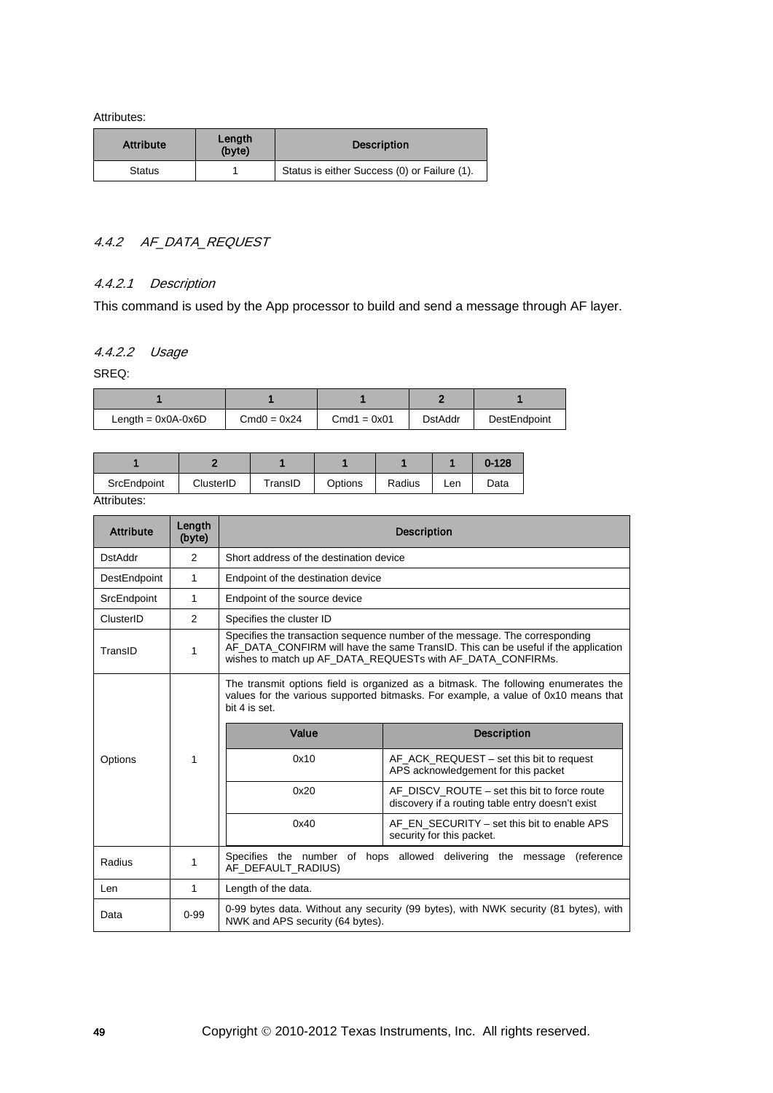| <b>Attribute</b> | Length<br>(byte) | <b>Description</b>                           |
|------------------|------------------|----------------------------------------------|
| <b>Status</b>    |                  | Status is either Success (0) or Failure (1). |

## 4.4.2 AF\_DATA\_REQUEST

## 4.4.2.1 Description

This command is used by the App processor to build and send a message through AF layer.

## 4.4.2.2 Usage

SREQ:

| Length = $0x0A-0x6D$ | $Cmd0 = 0x24$ | $Cmd1 = 0x01$ | <b>DstAddr</b> | DestEndpoint |  |
|----------------------|---------------|---------------|----------------|--------------|--|

|                         |           |         |         |        |     | $0 - 128$ |
|-------------------------|-----------|---------|---------|--------|-----|-----------|
| SrcEndpoint             | ClusterID | TransID | Options | Radius | Len | Data      |
| $A + A + B + C + C + C$ |           |         |         |        |     |           |

| <b>Attribute</b> | Length<br>(byte) | <b>Description</b>                                                                                                                                                                        |                                                                                                                                                                                                                                |  |  |  |
|------------------|------------------|-------------------------------------------------------------------------------------------------------------------------------------------------------------------------------------------|--------------------------------------------------------------------------------------------------------------------------------------------------------------------------------------------------------------------------------|--|--|--|
| <b>DstAddr</b>   | $\overline{2}$   | Short address of the destination device                                                                                                                                                   |                                                                                                                                                                                                                                |  |  |  |
| DestEndpoint     | 1                | Endpoint of the destination device                                                                                                                                                        |                                                                                                                                                                                                                                |  |  |  |
| SrcEndpoint      | $\mathbf{1}$     | Endpoint of the source device                                                                                                                                                             |                                                                                                                                                                                                                                |  |  |  |
| ClusterID        | $\overline{2}$   | Specifies the cluster ID                                                                                                                                                                  |                                                                                                                                                                                                                                |  |  |  |
| TransID          | 1                |                                                                                                                                                                                           | Specifies the transaction sequence number of the message. The corresponding<br>AF_DATA_CONFIRM will have the same TransID. This can be useful if the application<br>wishes to match up AF DATA REQUESTs with AF DATA CONFIRMs. |  |  |  |
|                  |                  | The transmit options field is organized as a bitmask. The following enumerates the<br>values for the various supported bitmasks. For example, a value of 0x10 means that<br>bit 4 is set. |                                                                                                                                                                                                                                |  |  |  |
|                  | 1                | Value                                                                                                                                                                                     | <b>Description</b>                                                                                                                                                                                                             |  |  |  |
| Options          |                  | 0x10                                                                                                                                                                                      | AF ACK REQUEST – set this bit to request<br>APS acknowledgement for this packet                                                                                                                                                |  |  |  |
|                  |                  | 0x20                                                                                                                                                                                      | AF DISCV ROUTE – set this bit to force route<br>discovery if a routing table entry doesn't exist                                                                                                                               |  |  |  |
|                  |                  | 0x40                                                                                                                                                                                      | AF_EN_SECURITY – set this bit to enable APS<br>security for this packet.                                                                                                                                                       |  |  |  |
| Radius           | 1                | Specifies the number of hops allowed delivering the message<br>(reference<br>AF_DEFAULT_RADIUS)                                                                                           |                                                                                                                                                                                                                                |  |  |  |
| Len              | 1                | Length of the data.                                                                                                                                                                       |                                                                                                                                                                                                                                |  |  |  |
| Data             | $0 - 99$         | NWK and APS security (64 bytes).                                                                                                                                                          | 0-99 bytes data. Without any security (99 bytes), with NWK security (81 bytes), with                                                                                                                                           |  |  |  |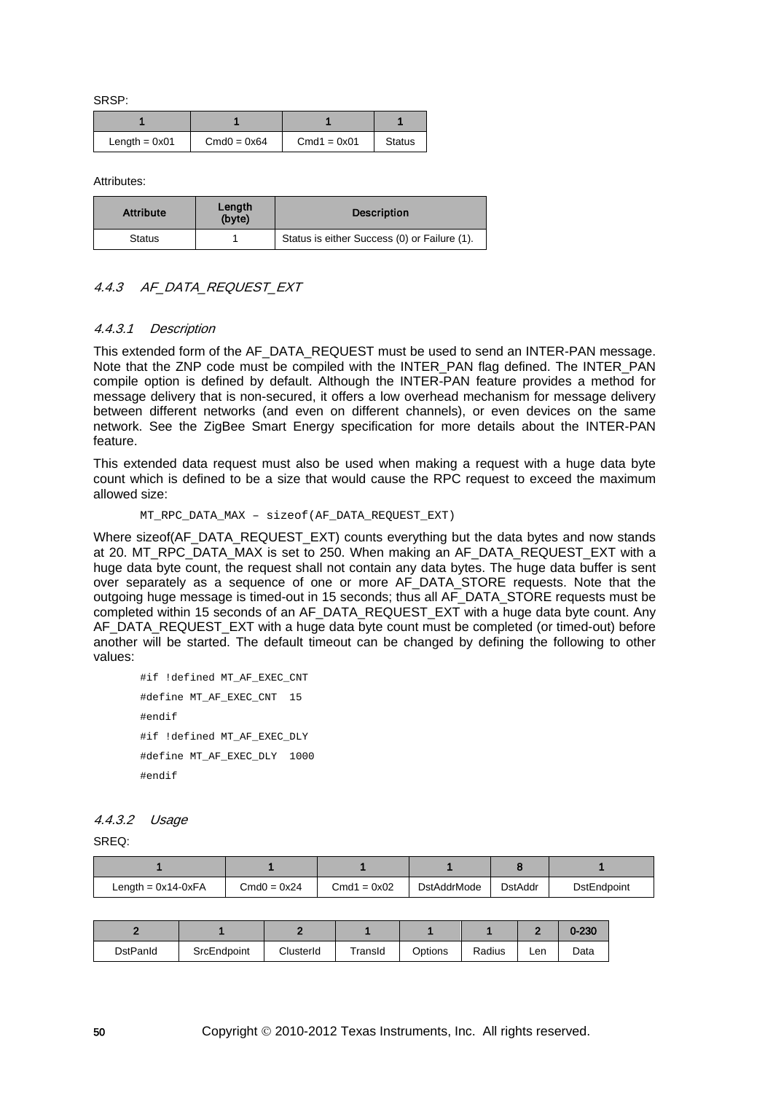SRSP:

| Length = $0x01$ | $Cmd0 = 0x64$ | $Cmd1 = 0x01$ | <b>Status</b> |
|-----------------|---------------|---------------|---------------|

Attributes:

| <b>Attribute</b> | Length<br>(byte) | <b>Description</b>                           |
|------------------|------------------|----------------------------------------------|
| <b>Status</b>    |                  | Status is either Success (0) or Failure (1). |

### 4.4.3 AF\_DATA\_REQUEST\_EXT

#### 4.4.3.1 Description

This extended form of the AF\_DATA\_REQUEST must be used to send an INTER-PAN message. Note that the ZNP code must be compiled with the INTER\_PAN flag defined. The INTER\_PAN compile option is defined by default. Although the INTER-PAN feature provides a method for message delivery that is non-secured, it offers a low overhead mechanism for message delivery between different networks (and even on different channels), or even devices on the same network. See the ZigBee Smart Energy specification for more details about the INTER-PAN feature.

This extended data request must also be used when making a request with a huge data byte count which is defined to be a size that would cause the RPC request to exceed the maximum allowed size:

```
MT_RPC_DATA_MAX – sizeof(AF_DATA_REQUEST_EXT)
```
Where sizeof(AF\_DATA\_REQUEST\_EXT) counts everything but the data bytes and now stands at 20. MT\_RPC\_DATA\_MAX is set to 250. When making an AF\_DATA\_REQUEST\_EXT with a huge data byte count, the request shall not contain any data bytes. The huge data buffer is sent over separately as a sequence of one or more AF\_DATA\_STORE requests. Note that the outgoing huge message is timed-out in 15 seconds; thus all AF\_DATA\_STORE requests must be completed within 15 seconds of an AF\_DATA\_REQUEST\_EXT with a huge data byte count. Any AF\_DATA\_REQUEST\_EXT with a huge data byte count must be completed (or timed-out) before another will be started. The default timeout can be changed by defining the following to other values:

```
#if !defined MT_AF_EXEC_CNT
#define MT_AF_EXEC_CNT 15
#endif
#if !defined MT AF EXEC DLY
#define MT_AF_EXEC_DLY 1000
#endif
```
#### 4.4.3.2 Usage

SREQ:

| Length = $0x14-0xFA$ | $Cmd0 = 0x24$ | $Cmd1 = 0x02$ | <b>DstAddrMode</b> | <b>DstAddr</b> | DstEndpoint |
|----------------------|---------------|---------------|--------------------|----------------|-------------|

|          |             |           |         |         |        |     | $0 - 230$ |
|----------|-------------|-----------|---------|---------|--------|-----|-----------|
| DstPanId | SrcEndpoint | ClusterId | TransId | Options | Radius | Len | Data      |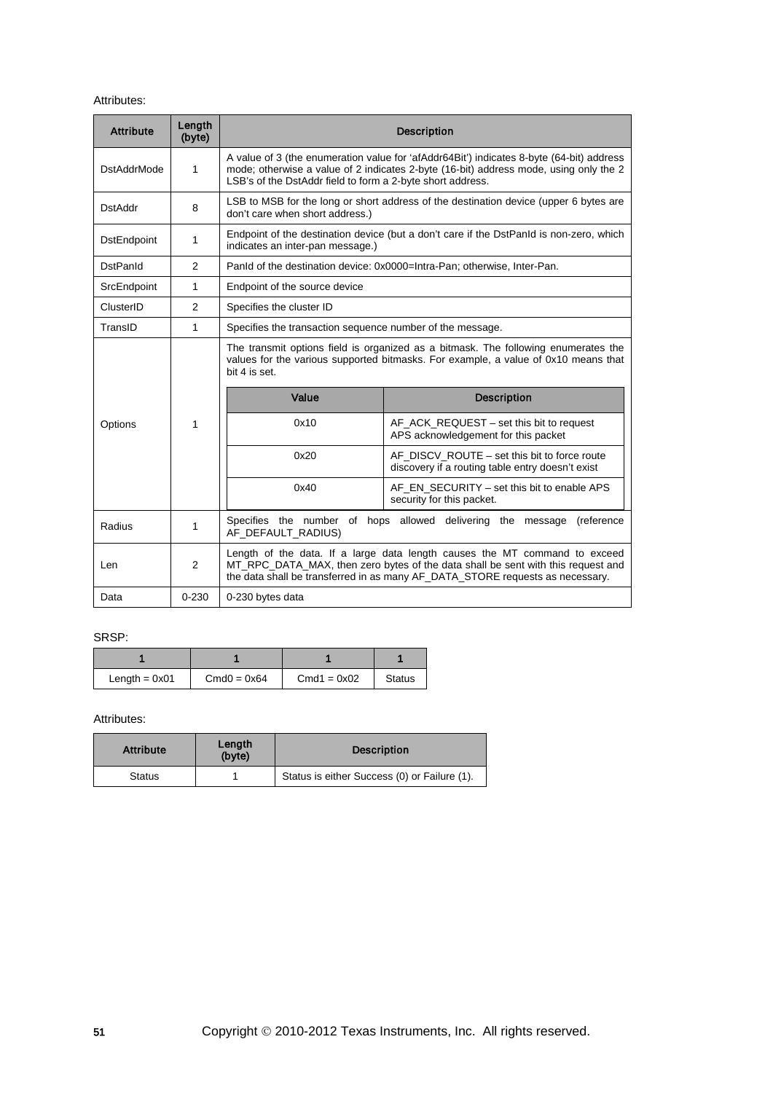| <b>Attribute</b>   | Length<br>(byte) | <b>Description</b>                                                                                                                                                                                                                              |                                                                                                                                                                                                                                                 |  |  |  |
|--------------------|------------------|-------------------------------------------------------------------------------------------------------------------------------------------------------------------------------------------------------------------------------------------------|-------------------------------------------------------------------------------------------------------------------------------------------------------------------------------------------------------------------------------------------------|--|--|--|
| <b>DstAddrMode</b> | 1                | A value of 3 (the enumeration value for 'afAddr64Bit') indicates 8-byte (64-bit) address<br>mode; otherwise a value of 2 indicates 2-byte (16-bit) address mode, using only the 2<br>LSB's of the DstAddr field to form a 2-byte short address. |                                                                                                                                                                                                                                                 |  |  |  |
| DstAddr            | 8                | don't care when short address.)                                                                                                                                                                                                                 | LSB to MSB for the long or short address of the destination device (upper 6 bytes are                                                                                                                                                           |  |  |  |
| <b>DstEndpoint</b> | 1                | indicates an inter-pan message.)                                                                                                                                                                                                                | Endpoint of the destination device (but a don't care if the DstPanId is non-zero, which                                                                                                                                                         |  |  |  |
| <b>DstPanId</b>    | 2                |                                                                                                                                                                                                                                                 | PanId of the destination device: 0x0000=Intra-Pan; otherwise, Inter-Pan.                                                                                                                                                                        |  |  |  |
| SrcEndpoint        | $\mathbf{1}$     | Endpoint of the source device                                                                                                                                                                                                                   |                                                                                                                                                                                                                                                 |  |  |  |
| ClusterID          | 2                | Specifies the cluster ID                                                                                                                                                                                                                        |                                                                                                                                                                                                                                                 |  |  |  |
| TransID            | $\mathbf{1}$     | Specifies the transaction sequence number of the message.                                                                                                                                                                                       |                                                                                                                                                                                                                                                 |  |  |  |
|                    |                  | The transmit options field is organized as a bitmask. The following enumerates the<br>values for the various supported bitmasks. For example, a value of 0x10 means that<br>bit 4 is set.                                                       |                                                                                                                                                                                                                                                 |  |  |  |
|                    |                  | Value                                                                                                                                                                                                                                           | <b>Description</b>                                                                                                                                                                                                                              |  |  |  |
| Options            | 1                | 0x10                                                                                                                                                                                                                                            | AF_ACK_REQUEST - set this bit to request<br>APS acknowledgement for this packet                                                                                                                                                                 |  |  |  |
|                    |                  | 0x20                                                                                                                                                                                                                                            | AF DISCV ROUTE – set this bit to force route<br>discovery if a routing table entry doesn't exist                                                                                                                                                |  |  |  |
|                    |                  | 0x40                                                                                                                                                                                                                                            | AF EN SECURITY – set this bit to enable APS<br>security for this packet.                                                                                                                                                                        |  |  |  |
| Radius             | 1                | Specifies the number of hops allowed delivering the message<br>(reference<br>AF_DEFAULT_RADIUS)                                                                                                                                                 |                                                                                                                                                                                                                                                 |  |  |  |
| Len                | 2                |                                                                                                                                                                                                                                                 | Length of the data. If a large data length causes the MT command to exceed<br>MT_RPC_DATA_MAX, then zero bytes of the data shall be sent with this request and<br>the data shall be transferred in as many AF_DATA_STORE requests as necessary. |  |  |  |
| Data               | $0 - 230$        | 0-230 bytes data                                                                                                                                                                                                                                |                                                                                                                                                                                                                                                 |  |  |  |

## SRSP:

| Length = $0x01$ | $Cmd0 = 0x64$ | $Cmd1 = 0x02$ | <b>Status</b> |  |
|-----------------|---------------|---------------|---------------|--|

| <b>Attribute</b> | Length<br>(byte) | <b>Description</b>                           |
|------------------|------------------|----------------------------------------------|
| <b>Status</b>    |                  | Status is either Success (0) or Failure (1). |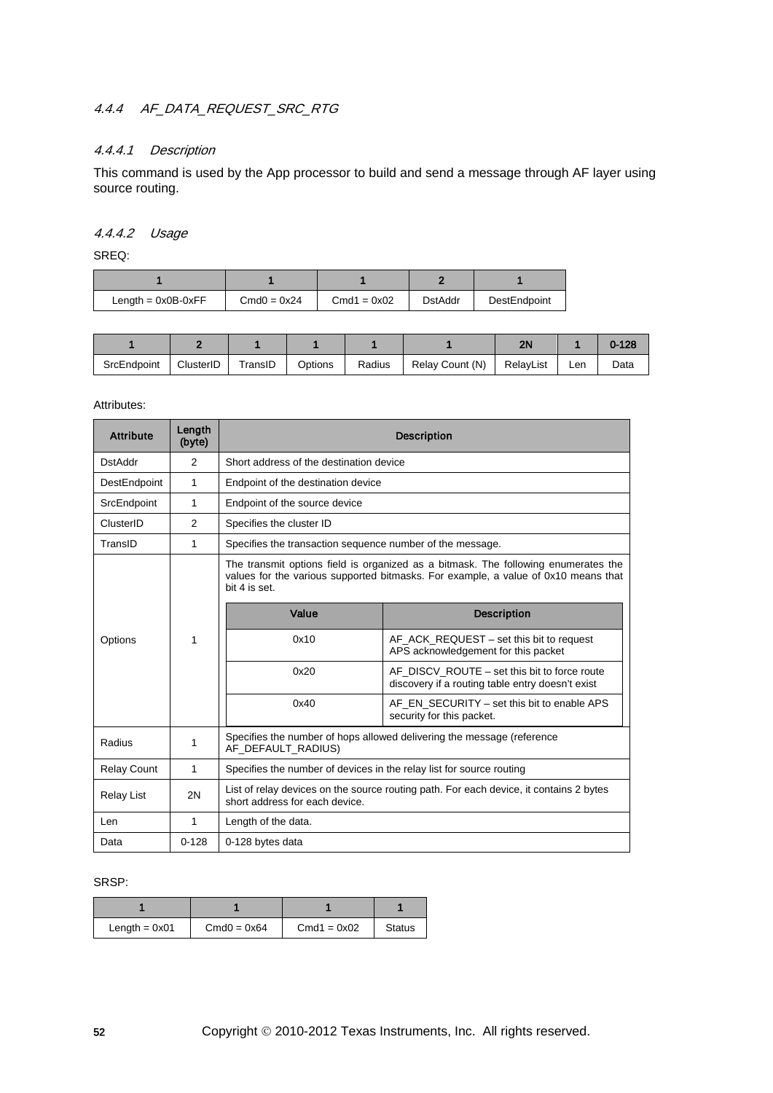# 4.4.4 AF\_DATA\_REQUEST\_SRC\_RTG

## 4.4.4.1 Description

This command is used by the App processor to build and send a message through AF layer using source routing.

## 4.4.4.2 Usage

SREQ:

| Length = $0x0B-0xFF$ | $Cmd0 = 0x24$ | $Cmd1 = 0x02$ | <b>DstAddr</b> | DestEndpoint |  |
|----------------------|---------------|---------------|----------------|--------------|--|

|             |           |                     |         |        |                 | 2 <sub>h</sub> |     | 0-128 |
|-------------|-----------|---------------------|---------|--------|-----------------|----------------|-----|-------|
| SrcEndpoint | ClusterID | <sup>-</sup> ransID | Options | Radius | Relay Count (N) | RelavList      | Len | Data  |

#### Attributes:

| <b>Attribute</b>   | Length<br>(byte) | <b>Description</b>                                                                                                       |                                                                                                                                                                          |  |  |
|--------------------|------------------|--------------------------------------------------------------------------------------------------------------------------|--------------------------------------------------------------------------------------------------------------------------------------------------------------------------|--|--|
| <b>DstAddr</b>     | $\overline{2}$   | Short address of the destination device                                                                                  |                                                                                                                                                                          |  |  |
| DestEndpoint       | $\mathbf{1}$     | Endpoint of the destination device                                                                                       |                                                                                                                                                                          |  |  |
| SrcEndpoint        | 1                | Endpoint of the source device                                                                                            |                                                                                                                                                                          |  |  |
| ClusterID          | $\mathfrak{p}$   | Specifies the cluster ID                                                                                                 |                                                                                                                                                                          |  |  |
| TransID            | 1                | Specifies the transaction sequence number of the message.                                                                |                                                                                                                                                                          |  |  |
|                    |                  | bit 4 is set.                                                                                                            | The transmit options field is organized as a bitmask. The following enumerates the<br>values for the various supported bitmasks. For example, a value of 0x10 means that |  |  |
| Options            |                  | Value                                                                                                                    | <b>Description</b>                                                                                                                                                       |  |  |
|                    | 1                | 0x10                                                                                                                     | AF ACK REQUEST – set this bit to request<br>APS acknowledgement for this packet                                                                                          |  |  |
|                    |                  | 0x20                                                                                                                     | AF DISCV ROUTE – set this bit to force route<br>discovery if a routing table entry doesn't exist                                                                         |  |  |
|                    |                  | 0x40                                                                                                                     | AF EN SECURITY – set this bit to enable APS<br>security for this packet.                                                                                                 |  |  |
| Radius             | 1                | Specifies the number of hops allowed delivering the message (reference<br>AF DEFAULT RADIUS)                             |                                                                                                                                                                          |  |  |
| <b>Relay Count</b> | 1                | Specifies the number of devices in the relay list for source routing                                                     |                                                                                                                                                                          |  |  |
| Relay List         | 2N               | List of relay devices on the source routing path. For each device, it contains 2 bytes<br>short address for each device. |                                                                                                                                                                          |  |  |
| Len                | 1                | Length of the data.                                                                                                      |                                                                                                                                                                          |  |  |
| Data               | $0 - 128$        | 0-128 bytes data                                                                                                         |                                                                                                                                                                          |  |  |

| Length $= 0x01$ | $Cmd0 = 0x64$ | $Cmd1 = 0x02$ | Status |
|-----------------|---------------|---------------|--------|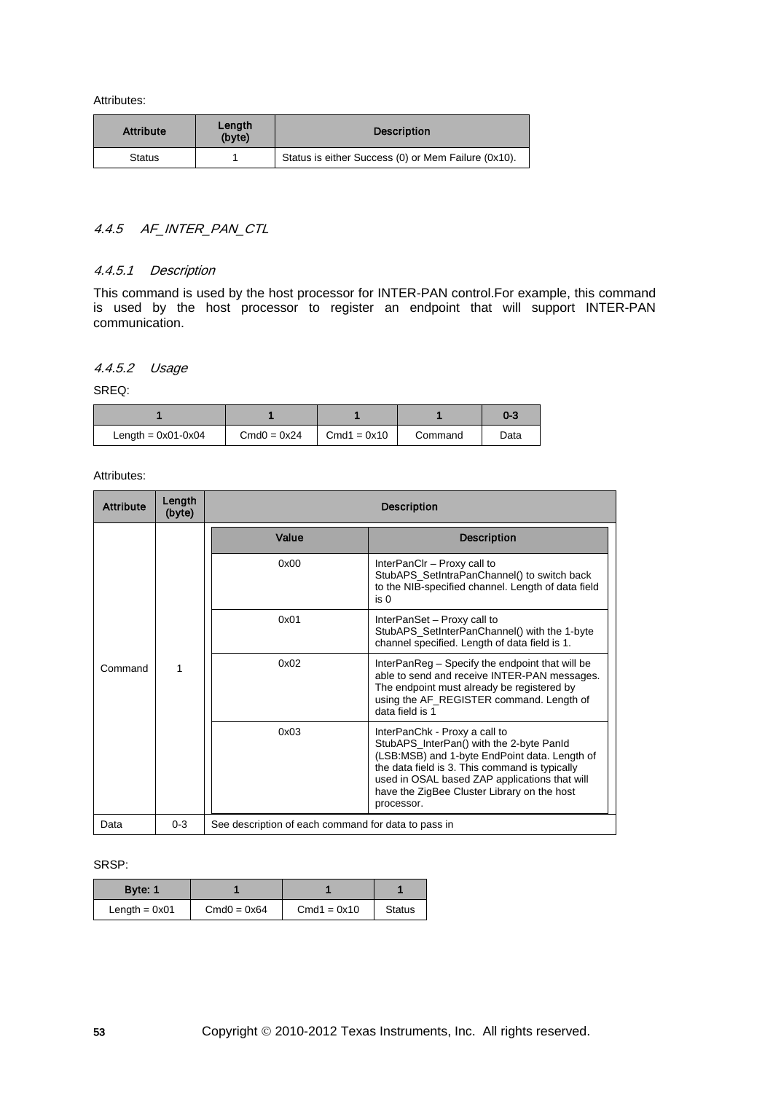| <b>Attribute</b> | Length<br>(byte) | <b>Description</b>                                  |
|------------------|------------------|-----------------------------------------------------|
| Status           |                  | Status is either Success (0) or Mem Failure (0x10). |

## 4.4.5 AF\_INTER\_PAN\_CTL

### 4.4.5.1 Description

This command is used by the host processor for INTER-PAN control.For example, this command is used by the host processor to register an endpoint that will support INTER-PAN communication.

## 4.4.5.2 Usage

SREQ:

|                      |               |               |         | 0-3  |
|----------------------|---------------|---------------|---------|------|
| Length = $0x01-0x04$ | $Cmd0 = 0x24$ | $Cmd1 = 0x10$ | Command | Data |

Attributes:

| <b>Attribute</b> | Length<br>(byte) |                                                     | <b>Description</b>                                                                                                                                                                                                                                                                         |  |
|------------------|------------------|-----------------------------------------------------|--------------------------------------------------------------------------------------------------------------------------------------------------------------------------------------------------------------------------------------------------------------------------------------------|--|
| Command          |                  | Value                                               | <b>Description</b>                                                                                                                                                                                                                                                                         |  |
|                  | 1                | 0x00                                                | InterPanCIr - Proxy call to<br>StubAPS_SetIntraPanChannel() to switch back<br>to the NIB-specified channel. Length of data field<br>is 0                                                                                                                                                   |  |
|                  |                  | 0x01                                                | InterPanSet - Proxy call to<br>StubAPS_SetInterPanChannel() with the 1-byte<br>channel specified. Length of data field is 1.                                                                                                                                                               |  |
|                  |                  | 0x02                                                | InterPanReg – Specify the endpoint that will be<br>able to send and receive INTER-PAN messages.<br>The endpoint must already be registered by<br>using the AF_REGISTER command. Length of<br>data field is 1                                                                               |  |
|                  |                  | 0x03                                                | InterPanChk - Proxy a call to<br>StubAPS_InterPan() with the 2-byte PanId<br>(LSB:MSB) and 1-byte EndPoint data. Length of<br>the data field is 3. This command is typically<br>used in OSAL based ZAP applications that will<br>have the ZigBee Cluster Library on the host<br>processor. |  |
| Data             | $0 - 3$          | See description of each command for data to pass in |                                                                                                                                                                                                                                                                                            |  |

| Byte: 1         |               |               |               |
|-----------------|---------------|---------------|---------------|
| Length $= 0x01$ | $Cmd0 = 0x64$ | $Cmd1 = 0x10$ | <b>Status</b> |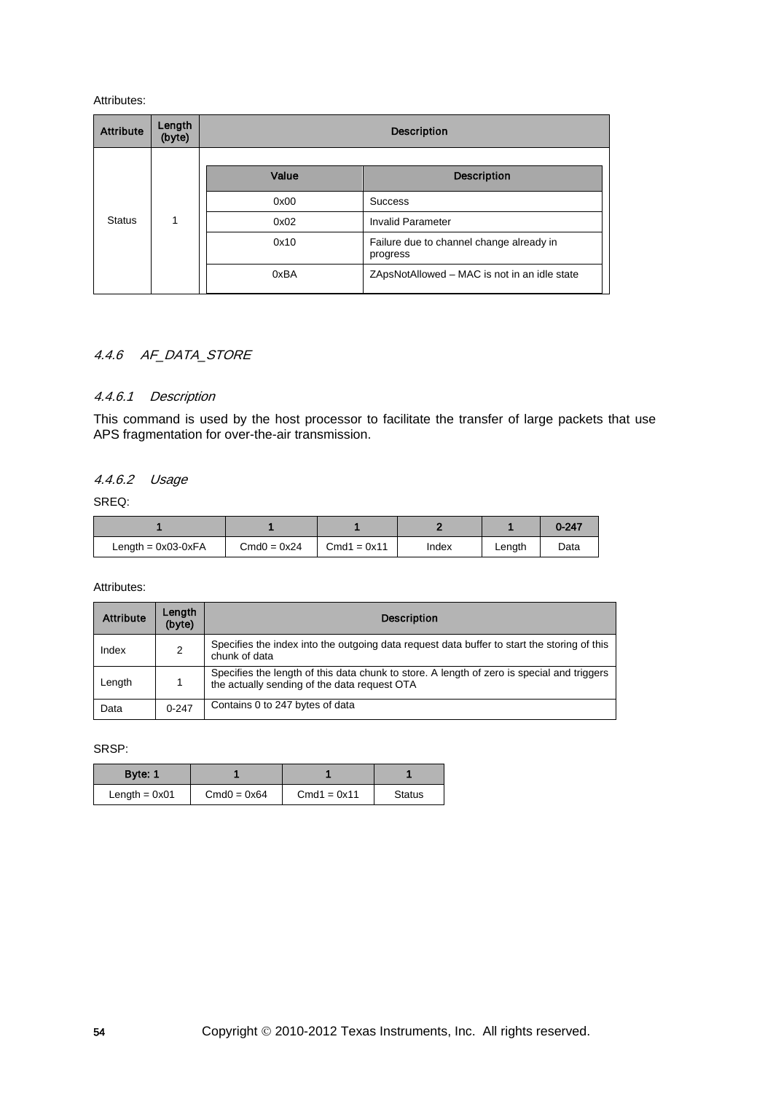| <b>Attribute</b> | Length<br>(byte) | <b>Description</b> |                                                      |  |  |  |
|------------------|------------------|--------------------|------------------------------------------------------|--|--|--|
|                  |                  |                    |                                                      |  |  |  |
|                  |                  | Value              | <b>Description</b>                                   |  |  |  |
|                  |                  | 0x00               | <b>Success</b>                                       |  |  |  |
| <b>Status</b>    |                  | 0x02               | <b>Invalid Parameter</b>                             |  |  |  |
|                  |                  | 0x10               | Failure due to channel change already in<br>progress |  |  |  |
|                  |                  | 0xBA               | ZApsNotAllowed – MAC is not in an idle state         |  |  |  |

## 4.4.6 AF\_DATA\_STORE

### 4.4.6.1 Description

This command is used by the host processor to facilitate the transfer of large packets that use APS fragmentation for over-the-air transmission.

## 4.4.6.2 Usage

SREQ:

|                      |               |               |       |        | $0 - 247$ |
|----------------------|---------------|---------------|-------|--------|-----------|
| Length = $0x03-0xFA$ | $Cmd0 = 0x24$ | $Cmd1 = 0x11$ | Index | Length | Data      |

Attributes:

| <b>Attribute</b> | Lenath<br>(byte) | <b>Description</b>                                                                                                                         |
|------------------|------------------|--------------------------------------------------------------------------------------------------------------------------------------------|
| Index            | $\overline{2}$   | Specifies the index into the outgoing data request data buffer to start the storing of this<br>chunk of data                               |
| Length           |                  | Specifies the length of this data chunk to store. A length of zero is special and triggers<br>the actually sending of the data request OTA |
| Data             | $0 - 247$        | Contains 0 to 247 bytes of data                                                                                                            |

| Byte: 1         |               |               |               |
|-----------------|---------------|---------------|---------------|
| Length $= 0x01$ | $Cmd0 = 0x64$ | $Cmd1 = 0x11$ | <b>Status</b> |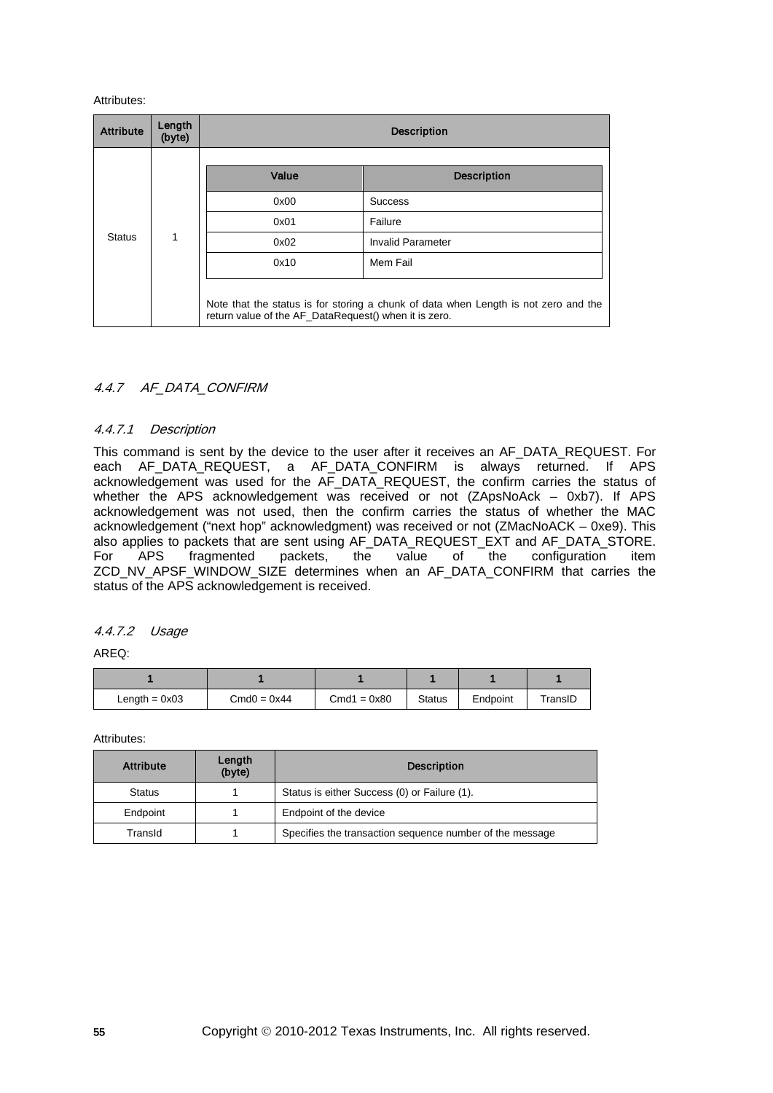| <b>Attribute</b> | Length<br>(byte) | <b>Description</b>                                    |                                                                                     |  |  |  |
|------------------|------------------|-------------------------------------------------------|-------------------------------------------------------------------------------------|--|--|--|
|                  |                  | Value                                                 | <b>Description</b>                                                                  |  |  |  |
|                  |                  | 0x00                                                  | <b>Success</b>                                                                      |  |  |  |
|                  |                  | 0x01                                                  | Failure                                                                             |  |  |  |
| <b>Status</b>    | 1                | 0x02                                                  | <b>Invalid Parameter</b>                                                            |  |  |  |
|                  |                  | 0x10                                                  | Mem Fail                                                                            |  |  |  |
|                  |                  | return value of the AF_DataRequest() when it is zero. | Note that the status is for storing a chunk of data when Length is not zero and the |  |  |  |

## 4.4.7 AF\_DATA\_CONFIRM

### 4.4.7.1 Description

This command is sent by the device to the user after it receives an AF\_DATA\_REQUEST. For each AF\_DATA\_REQUEST, a AF\_DATA\_CONFIRM is always returned. If APS acknowledgement was used for the AF\_DATA\_REQUEST, the confirm carries the status of whether the APS acknowledgement was received or not (ZApsNoAck – 0xb7). If APS acknowledgement was not used, then the confirm carries the status of whether the MAC acknowledgement ("next hop" acknowledgment) was received or not (ZMacNoACK – 0xe9). This also applies to packets that are sent using AF\_DATA\_REQUEST\_EXT and AF\_DATA\_STORE.<br>For APS fragmented packets, the value of the configuration item the value of the configuration item ZCD\_NV\_APSF\_WINDOW\_SIZE determines when an AF\_DATA\_CONFIRM that carries the status of the APS acknowledgement is received.

### 4.4.7.2 Usage

AREQ:

| Length = $0x03$ | $Cmd0 = 0x44$ | $Cmd1 = 0x80$ | <b>Status</b> | Endpoint | TransID |
|-----------------|---------------|---------------|---------------|----------|---------|

| Attribute     | Length<br>(byte) | <b>Description</b>                                       |
|---------------|------------------|----------------------------------------------------------|
| <b>Status</b> |                  | Status is either Success (0) or Failure (1).             |
| Endpoint      |                  | Endpoint of the device                                   |
| TransId       |                  | Specifies the transaction sequence number of the message |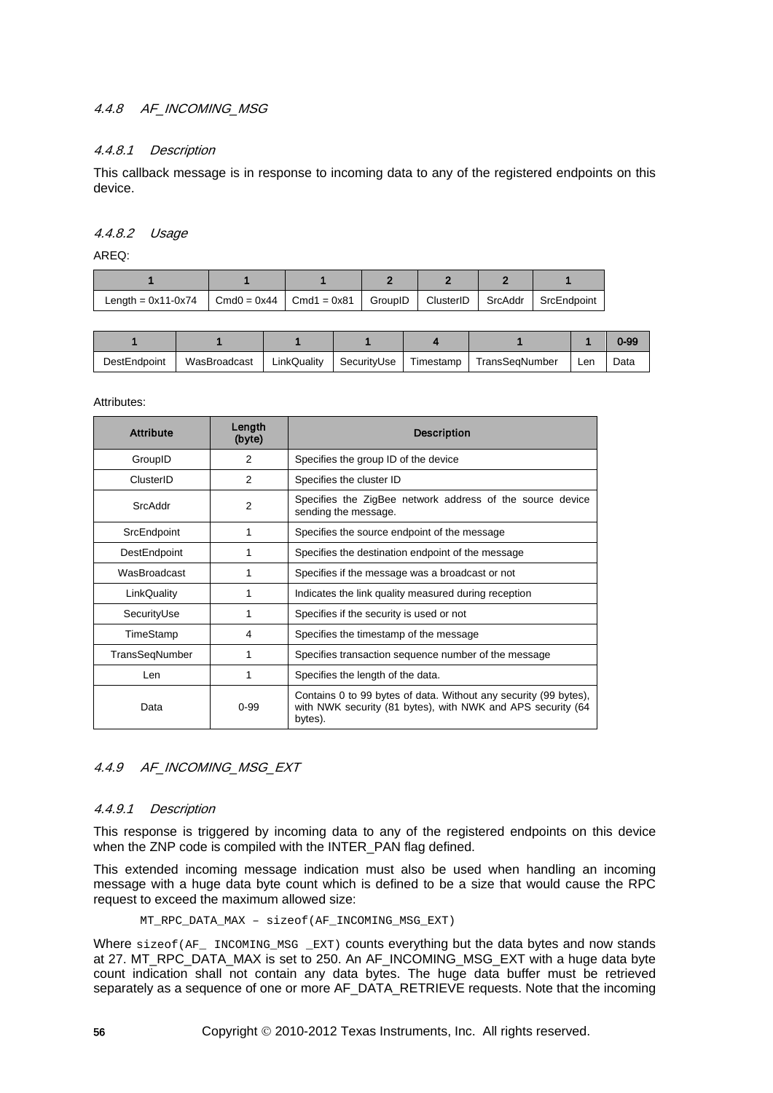## 4.4.8 AF\_INCOMING\_MSG

### 4.4.8.1 Description

This callback message is in response to incoming data to any of the registered endpoints on this device.

### 4.4.8.2 Usage

AREQ:

| Length = $0x11-0x74$ | $\vert$ Cmd0 = 0x44 $\vert$ Cmd1 = 0x81 $\vert$ GroupID $\vert$ ClusterID $\vert$ SrcAddr $\vert$ SrcEndpoint |  |  |
|----------------------|---------------------------------------------------------------------------------------------------------------|--|--|

|              |              |             |             |           |                |     | $0 - 99$ |
|--------------|--------------|-------------|-------------|-----------|----------------|-----|----------|
| DestEndpoint | WasBroadcast | LinkQuality | SecurityUse | Timestamp | TransSegNumber | Len | Data     |

#### Attributes:

| <b>Attribute</b> | Length<br>(byte) | <b>Description</b>                                                                                                                         |  |  |
|------------------|------------------|--------------------------------------------------------------------------------------------------------------------------------------------|--|--|
| GroupID          | $\mathfrak{p}$   | Specifies the group ID of the device                                                                                                       |  |  |
| ClusterID        | $\mathfrak{p}$   | Specifies the cluster ID                                                                                                                   |  |  |
| SrcAddr          | $\overline{2}$   | Specifies the ZigBee network address of the source device<br>sending the message.                                                          |  |  |
| SrcEndpoint      | 1                | Specifies the source endpoint of the message                                                                                               |  |  |
| DestEndpoint     | 1                | Specifies the destination endpoint of the message                                                                                          |  |  |
| WasBroadcast     | 1                | Specifies if the message was a broadcast or not                                                                                            |  |  |
| LinkQuality      | 1                | Indicates the link quality measured during reception                                                                                       |  |  |
| SecurityUse      | 1                | Specifies if the security is used or not                                                                                                   |  |  |
| TimeStamp        | 4                | Specifies the timestamp of the message                                                                                                     |  |  |
| TransSeqNumber   | 1                | Specifies transaction sequence number of the message                                                                                       |  |  |
| Len              | 1                | Specifies the length of the data.                                                                                                          |  |  |
| Data             | $0 - 99$         | Contains 0 to 99 bytes of data. Without any security (99 bytes),<br>with NWK security (81 bytes), with NWK and APS security (64<br>bytes). |  |  |

## 4.4.9 AF\_INCOMING\_MSG\_EXT

## 4.4.9.1 Description

This response is triggered by incoming data to any of the registered endpoints on this device when the ZNP code is compiled with the INTER\_PAN flag defined.

This extended incoming message indication must also be used when handling an incoming message with a huge data byte count which is defined to be a size that would cause the RPC request to exceed the maximum allowed size:

MT\_RPC\_DATA\_MAX – sizeof(AF\_INCOMING\_MSG\_EXT)

Where sizeof (AF INCOMING MSG EXT) counts everything but the data bytes and now stands at 27. MT\_RPC\_DATA\_MAX is set to 250. An AF\_INCOMING\_MSG\_EXT with a huge data byte count indication shall not contain any data bytes. The huge data buffer must be retrieved separately as a sequence of one or more AF\_DATA\_RETRIEVE requests. Note that the incoming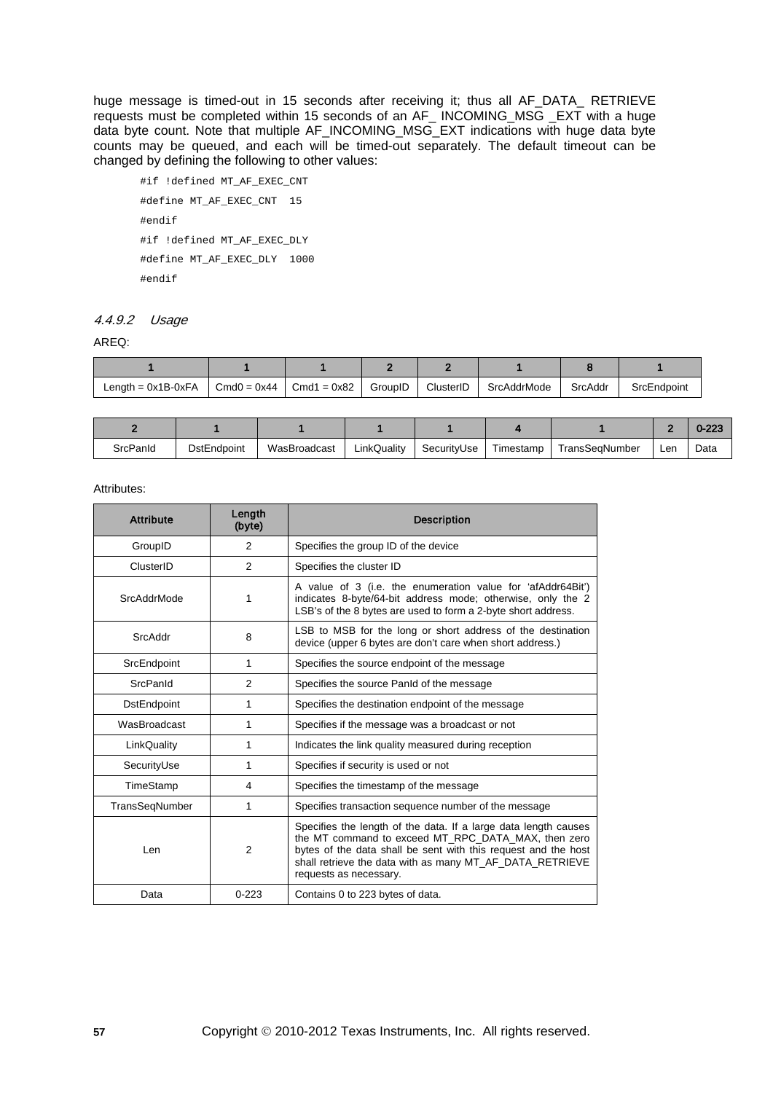huge message is timed-out in 15 seconds after receiving it; thus all AF\_DATA\_ RETRIEVE requests must be completed within 15 seconds of an AF\_ INCOMING\_MSG \_EXT with a huge data byte count. Note that multiple AF\_INCOMING\_MSG\_EXT indications with huge data byte counts may be queued, and each will be timed-out separately. The default timeout can be changed by defining the following to other values:

```
#if !defined MT_AF_EXEC_CNT
#define MT_AF_EXEC_CNT 15
#endif
#if !defined MT_AF_EXEC_DLY
#define MT_AF_EXEC_DLY 1000
#endif
```
## 4.4.9.2 Usage

AREQ:

| Length = $0x1B-0xFA$ | $Cmd0 = 0x44$ | $Cmd1 = 0x82$ | GroupID | ClusterID | SrcAddrMode | SrcAddr | SrcEndpoint |
|----------------------|---------------|---------------|---------|-----------|-------------|---------|-------------|

|          |                    |              |             |             |           |                |     | $0 - 223$ |
|----------|--------------------|--------------|-------------|-------------|-----------|----------------|-----|-----------|
| SrcPanId | <b>DstEndpoint</b> | WasBroadcast | LinkQuality | SecurityUse | Timestamp | TransSeɑNumber | Len | Data      |

| <b>Attribute</b> | Length<br>(byte) | <b>Description</b>                                                                                                                                                                                                                                                             |  |  |  |
|------------------|------------------|--------------------------------------------------------------------------------------------------------------------------------------------------------------------------------------------------------------------------------------------------------------------------------|--|--|--|
| GroupID          | 2                | Specifies the group ID of the device                                                                                                                                                                                                                                           |  |  |  |
| ClusterID        | $\mathfrak{p}$   | Specifies the cluster ID                                                                                                                                                                                                                                                       |  |  |  |
| SrcAddrMode      | 1                | A value of 3 (i.e. the enumeration value for 'afAddr64Bit')<br>indicates 8-byte/64-bit address mode; otherwise, only the 2<br>LSB's of the 8 bytes are used to form a 2-byte short address.                                                                                    |  |  |  |
| SrcAddr          | 8                | LSB to MSB for the long or short address of the destination<br>device (upper 6 bytes are don't care when short address.)                                                                                                                                                       |  |  |  |
| SrcEndpoint      | 1                | Specifies the source endpoint of the message                                                                                                                                                                                                                                   |  |  |  |
| SrcPanld         | 2                | Specifies the source Panid of the message                                                                                                                                                                                                                                      |  |  |  |
| DstEndpoint      | 1                | Specifies the destination endpoint of the message                                                                                                                                                                                                                              |  |  |  |
| WasBroadcast     | 1                | Specifies if the message was a broadcast or not                                                                                                                                                                                                                                |  |  |  |
| LinkQuality      | 1                | Indicates the link quality measured during reception                                                                                                                                                                                                                           |  |  |  |
| SecurityUse      | 1                | Specifies if security is used or not                                                                                                                                                                                                                                           |  |  |  |
| TimeStamp        | 4                | Specifies the timestamp of the message                                                                                                                                                                                                                                         |  |  |  |
| TransSegNumber   | 1                | Specifies transaction sequence number of the message                                                                                                                                                                                                                           |  |  |  |
| Len              | $\overline{2}$   | Specifies the length of the data. If a large data length causes<br>the MT command to exceed MT_RPC_DATA_MAX, then zero<br>bytes of the data shall be sent with this request and the host<br>shall retrieve the data with as many MT_AF_DATA_RETRIEVE<br>requests as necessary. |  |  |  |
| Data             | $0 - 223$        | Contains 0 to 223 bytes of data.                                                                                                                                                                                                                                               |  |  |  |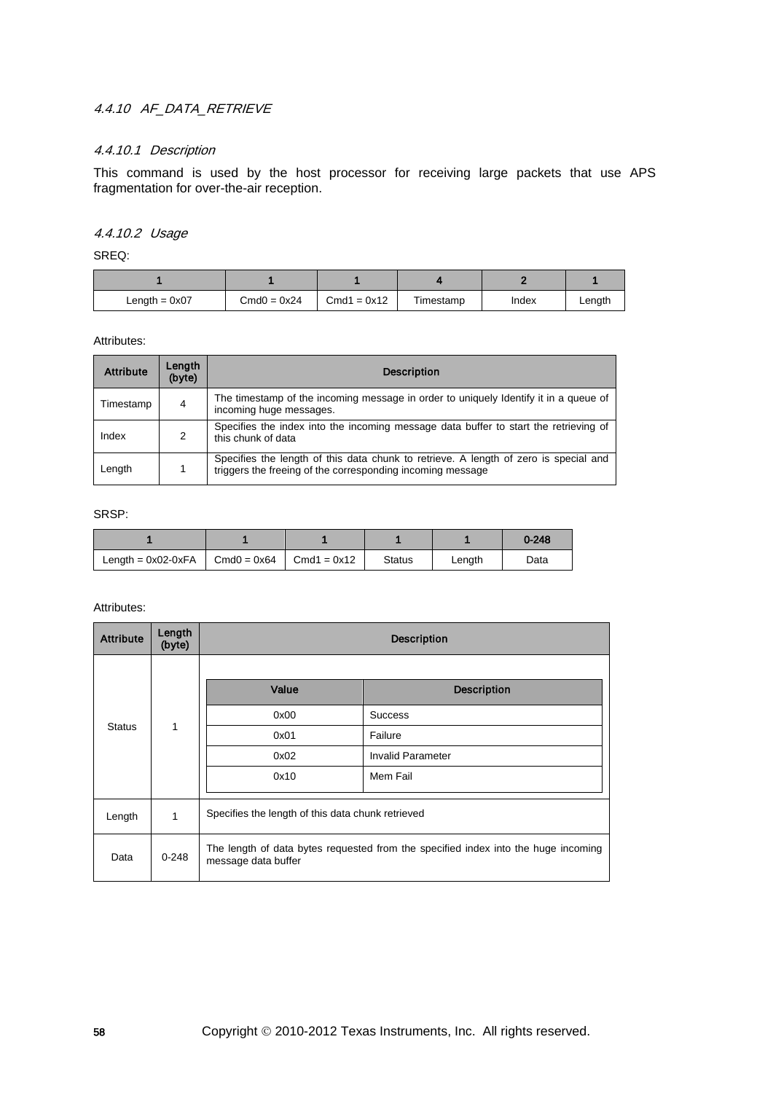## 4.4.10 AF DATA RETRIEVE

## 4.4.10.1 Description

This command is used by the host processor for receiving large packets that use APS fragmentation for over-the-air reception.

## 4.4.10.2 Usage

SREQ:

| Length = $0x07$ | $Cmd0 = 0x24$ | $Cmd1 = 0x12$ | Timestamp | Index | Length |
|-----------------|---------------|---------------|-----------|-------|--------|

Attributes:

| <b>Attribute</b> | Length<br>(byte) | <b>Description</b>                                                                                                                                 |
|------------------|------------------|----------------------------------------------------------------------------------------------------------------------------------------------------|
| Timestamp        | 4                | The timestamp of the incoming message in order to uniquely Identify it in a queue of<br>incoming huge messages.                                    |
| Index            | 2                | Specifies the index into the incoming message data buffer to start the retrieving of<br>this chunk of data                                         |
| Length           |                  | Specifies the length of this data chunk to retrieve. A length of zero is special and<br>triggers the freeing of the corresponding incoming message |

#### SRSP:

|                                     |               |               |        | $0 - 248$ |
|-------------------------------------|---------------|---------------|--------|-----------|
| Length = $0x02-0xFA$ Cmd $0 = 0x64$ | $Cmd1 = 0x12$ | <b>Status</b> | Length | Data      |

| <b>Attribute</b> | Length<br>(byte) | <b>Description</b>                                                                                        |                          |                |  |  |
|------------------|------------------|-----------------------------------------------------------------------------------------------------------|--------------------------|----------------|--|--|
|                  |                  | Value                                                                                                     | <b>Description</b>       |                |  |  |
|                  | 1                |                                                                                                           | 0x00                     | <b>Success</b> |  |  |
| <b>Status</b>    |                  | 0x01                                                                                                      | Failure                  |                |  |  |
|                  |                  | 0x02                                                                                                      | <b>Invalid Parameter</b> |                |  |  |
|                  |                  | 0x10                                                                                                      | Mem Fail                 |                |  |  |
| Length           | 1                | Specifies the length of this data chunk retrieved                                                         |                          |                |  |  |
| Data             | $0 - 248$        | The length of data bytes requested from the specified index into the huge incoming<br>message data buffer |                          |                |  |  |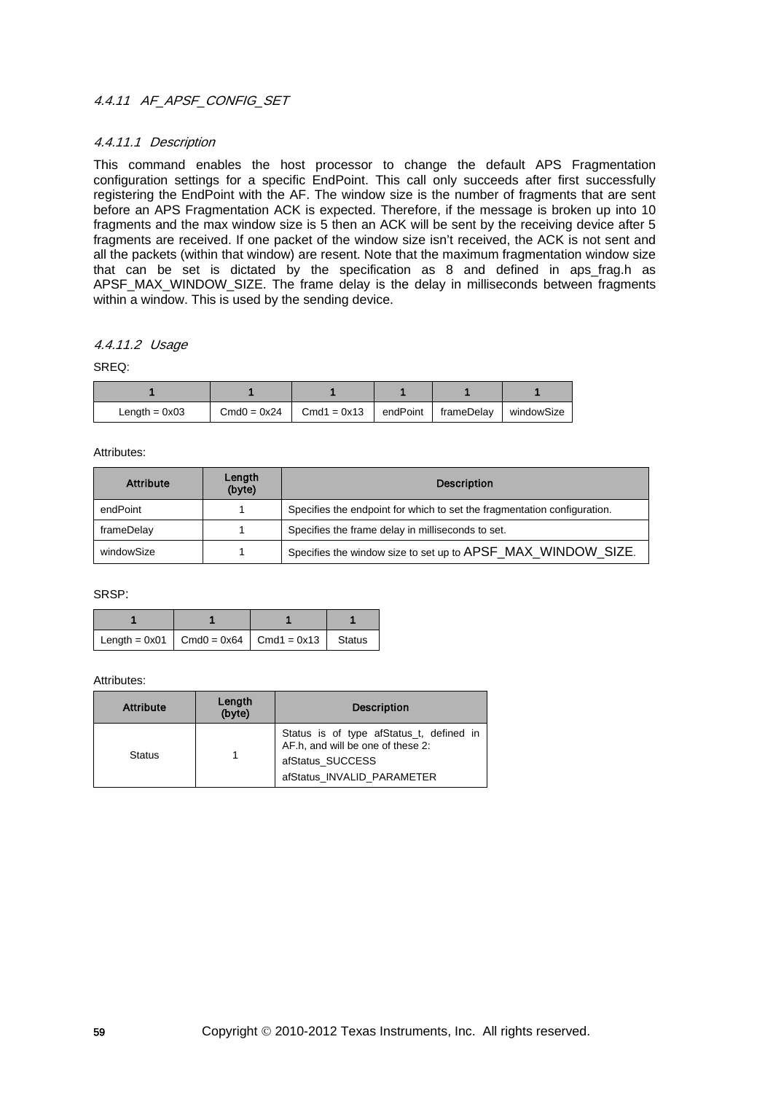## 4.4.11 AF\_APSF\_CONFIG\_SET

### 4.4.11.1 Description

This command enables the host processor to change the default APS Fragmentation configuration settings for a specific EndPoint. This call only succeeds after first successfully registering the EndPoint with the AF. The window size is the number of fragments that are sent before an APS Fragmentation ACK is expected. Therefore, if the message is broken up into 10 fragments and the max window size is 5 then an ACK will be sent by the receiving device after 5 fragments are received. If one packet of the window size isn't received, the ACK is not sent and all the packets (within that window) are resent. Note that the maximum fragmentation window size that can be set is dictated by the specification as 8 and defined in aps\_frag.h as APSF\_MAX\_WINDOW\_SIZE. The frame delay is the delay in milliseconds between fragments within a window. This is used by the sending device.

### 4.4.11.2 Usage

### SREQ:

| Length $= 0x03$ | $Cmd0 = 0x24$ | Cmd1 = $0x13$ | endPoint   frameDelay | windowSize |
|-----------------|---------------|---------------|-----------------------|------------|

#### Attributes:

| <b>Attribute</b> | Length<br>(byte) | <b>Description</b>                                                       |  |
|------------------|------------------|--------------------------------------------------------------------------|--|
| endPoint         |                  | Specifies the endpoint for which to set the fragmentation configuration. |  |
| frameDelay       |                  | Specifies the frame delay in milliseconds to set.                        |  |
| windowSize       |                  | Specifies the window size to set up to APSF_MAX_WINDOW_SIZE.             |  |

#### SRSP:

| $\vert$ Length = 0x01 $\vert$ Cmd0 = 0x64 $\vert$ Cmd1 = 0x13 $\vert$ Status |  |  |
|------------------------------------------------------------------------------|--|--|

| <b>Attribute</b> | Length<br>(byte) | <b>Description</b>                                                            |  |
|------------------|------------------|-------------------------------------------------------------------------------|--|
| <b>Status</b>    |                  | Status is of type afStatus_t, defined in<br>AF.h. and will be one of these 2: |  |
|                  |                  | afStatus SUCCESS<br>afStatus INVALID PARAMETER                                |  |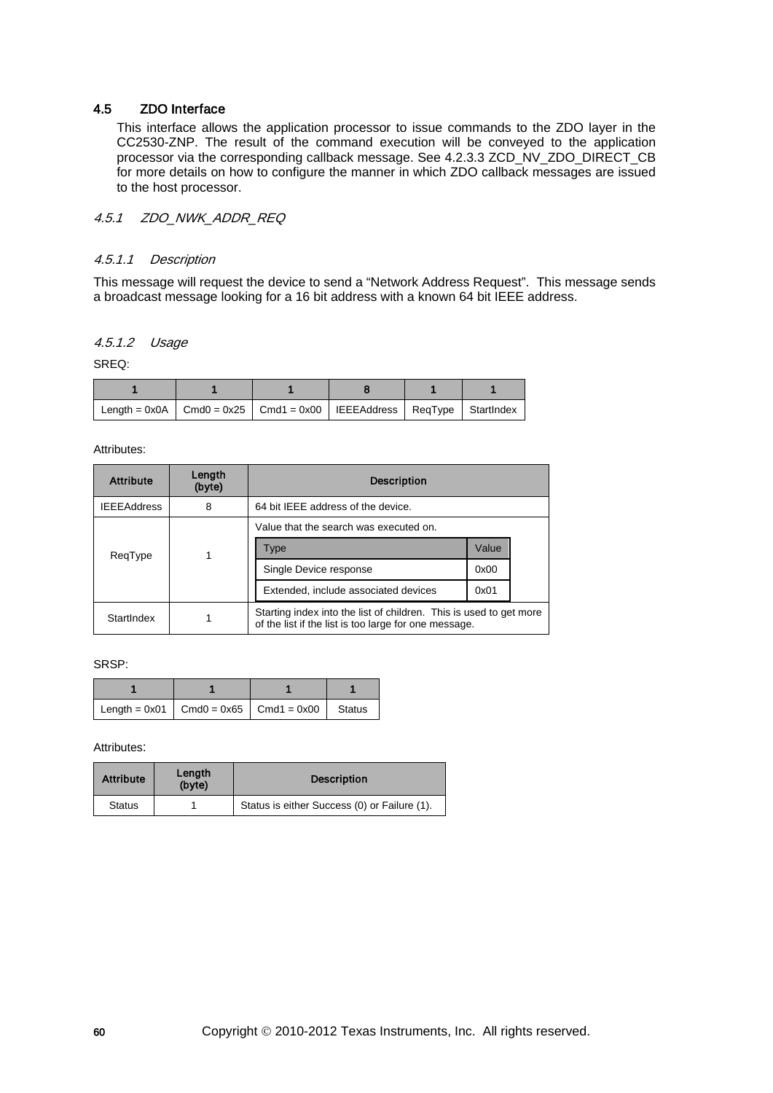### 4.5 ZDO Interface

This interface allows the application processor to issue commands to the ZDO layer in the CC2530-ZNP. The result of the command execution will be conveyed to the application processor via the corresponding callback message. See [4.2.3.3](#page-33-0) ZCD\_NV\_ZDO\_DIRECT\_CB for more details on how to configure the manner in which ZDO callback messages are issued to the host processor.

## 4.5.1 ZDO NWK ADDR REQ

#### 4.5.1.1 Description

This message will request the device to send a "Network Address Request". This message sends a broadcast message looking for a 16 bit address with a known 64 bit IEEE address.

## 4.5.1.2 Usage

SREQ:

| Length = 0x0A $\vert$ Cmd0 = 0x25 $\vert$ Cmd1 = 0x00 $\vert$ IEEEAddress $\vert$ ReqType $\vert$ StartIndex $\vert$ |  |  |  |
|----------------------------------------------------------------------------------------------------------------------|--|--|--|

Attributes:

| <b>Attribute</b>   | Length<br>(byte) | <b>Description</b>                                                                                                          |       |  |  |
|--------------------|------------------|-----------------------------------------------------------------------------------------------------------------------------|-------|--|--|
| <b>IEEEAddress</b> | 8                | 64 bit IEEE address of the device.                                                                                          |       |  |  |
|                    |                  | Value that the search was executed on.                                                                                      |       |  |  |
| ReqType            |                  | Type                                                                                                                        | Value |  |  |
|                    |                  | Single Device response                                                                                                      | 0x00  |  |  |
|                    |                  | Extended, include associated devices                                                                                        | 0x01  |  |  |
| StartIndex         |                  | Starting index into the list of children. This is used to get more<br>of the list if the list is too large for one message. |       |  |  |

SRSP:

| Length = 0x01   Cmd0 = 0x65   Cmd1 = 0x00   Status |  |  |
|----------------------------------------------------|--|--|

| <b>Attribute</b> | Length<br>(byte) | <b>Description</b>                           |
|------------------|------------------|----------------------------------------------|
| <b>Status</b>    |                  | Status is either Success (0) or Failure (1). |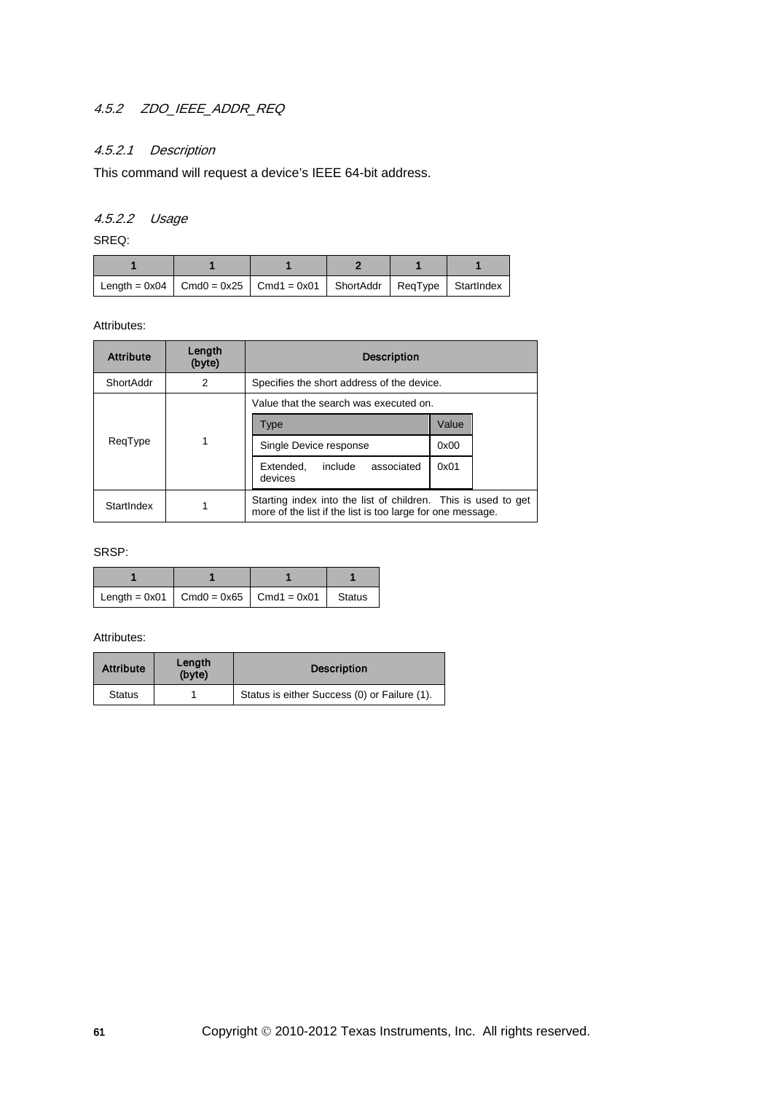# 4.5.2 ZDO\_IEEE\_ADDR\_REQ

## 4.5.2.1 Description

This command will request a device's IEEE 64-bit address.

## 4.5.2.2 Usage

SREQ:

| Length = $0x04$   Cmd0 = $0x25$   Cmd1 = $0x01$   ShortAddr   ReqType   StartIndex |  |  |  |
|------------------------------------------------------------------------------------|--|--|--|

#### Attributes:

| <b>Attribute</b> | Length<br>(byte)                              | <b>Description</b>                                                                                                          |       |  |
|------------------|-----------------------------------------------|-----------------------------------------------------------------------------------------------------------------------------|-------|--|
| ShortAddr        | 2                                             | Specifies the short address of the device.                                                                                  |       |  |
|                  |                                               | Value that the search was executed on.                                                                                      |       |  |
| ReqType          |                                               | Type                                                                                                                        | Value |  |
|                  |                                               | Single Device response                                                                                                      | 0x00  |  |
|                  | associated<br>include<br>Extended.<br>devices | 0x01                                                                                                                        |       |  |
| StartIndex       |                                               | Starting index into the list of children. This is used to get<br>more of the list if the list is too large for one message. |       |  |

### SRSP:

| Length = 0x01   Cmd0 = 0x65   Cmd1 = 0x01   Status |  |  |
|----------------------------------------------------|--|--|

| <b>Attribute</b> | Length<br>(byte) | <b>Description</b>                           |
|------------------|------------------|----------------------------------------------|
| <b>Status</b>    |                  | Status is either Success (0) or Failure (1). |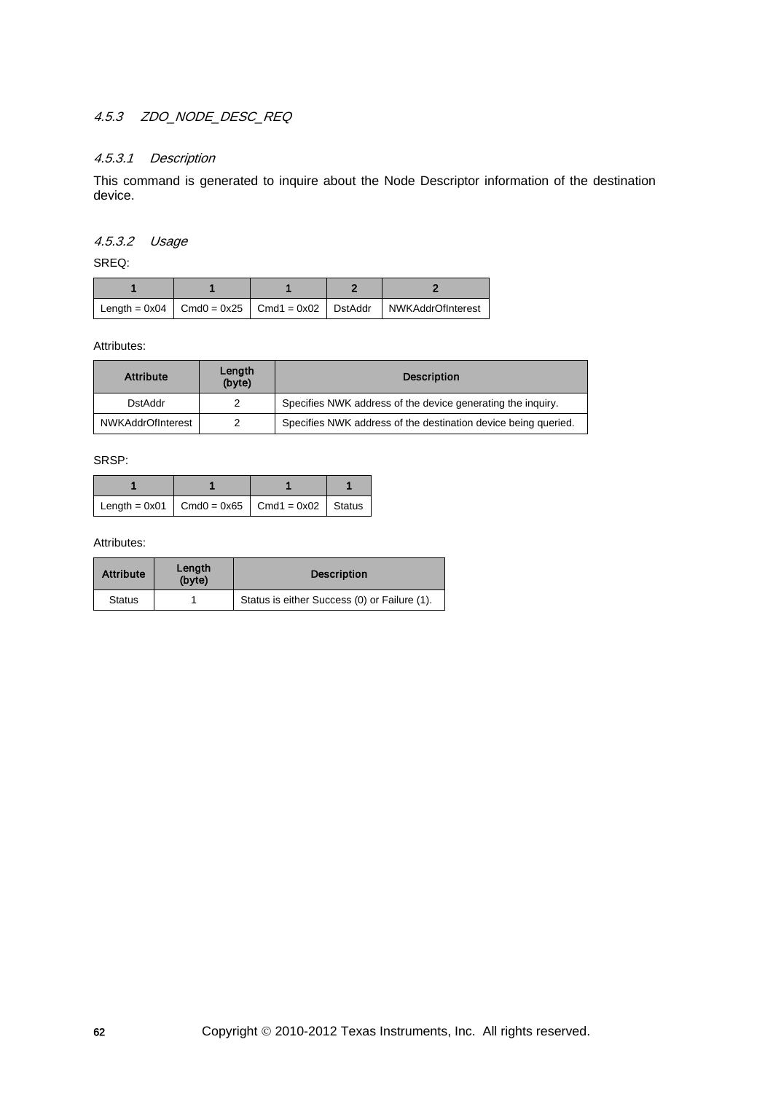## 4.5.3 ZDO\_NODE\_DESC\_REQ

## 4.5.3.1 Description

This command is generated to inquire about the Node Descriptor information of the destination device.

## 4.5.3.2 Usage

SREQ:

|  |  | $\vert$ Length = 0x04 $\vert$ Cmd0 = 0x25 $\vert$ Cmd1 = 0x02 $\vert$ DstAddr $\vert$ NWKAddrOfInterest |
|--|--|---------------------------------------------------------------------------------------------------------|

Attributes:

| <b>Attribute</b>         | Length<br>(byte) | <b>Description</b>                                             |  |
|--------------------------|------------------|----------------------------------------------------------------|--|
| <b>DstAddr</b>           |                  | Specifies NWK address of the device generating the inquiry.    |  |
| <b>NWKAddrOfInterest</b> |                  | Specifies NWK address of the destination device being queried. |  |

SRSP:

| Length = $0x01$   Cmd0 = $0x65$   Cmd1 = $0x02$   Status |  |  |
|----------------------------------------------------------|--|--|

| <b>Attribute</b> | Length<br>(byte) | <b>Description</b>                           |  |
|------------------|------------------|----------------------------------------------|--|
| <b>Status</b>    |                  | Status is either Success (0) or Failure (1). |  |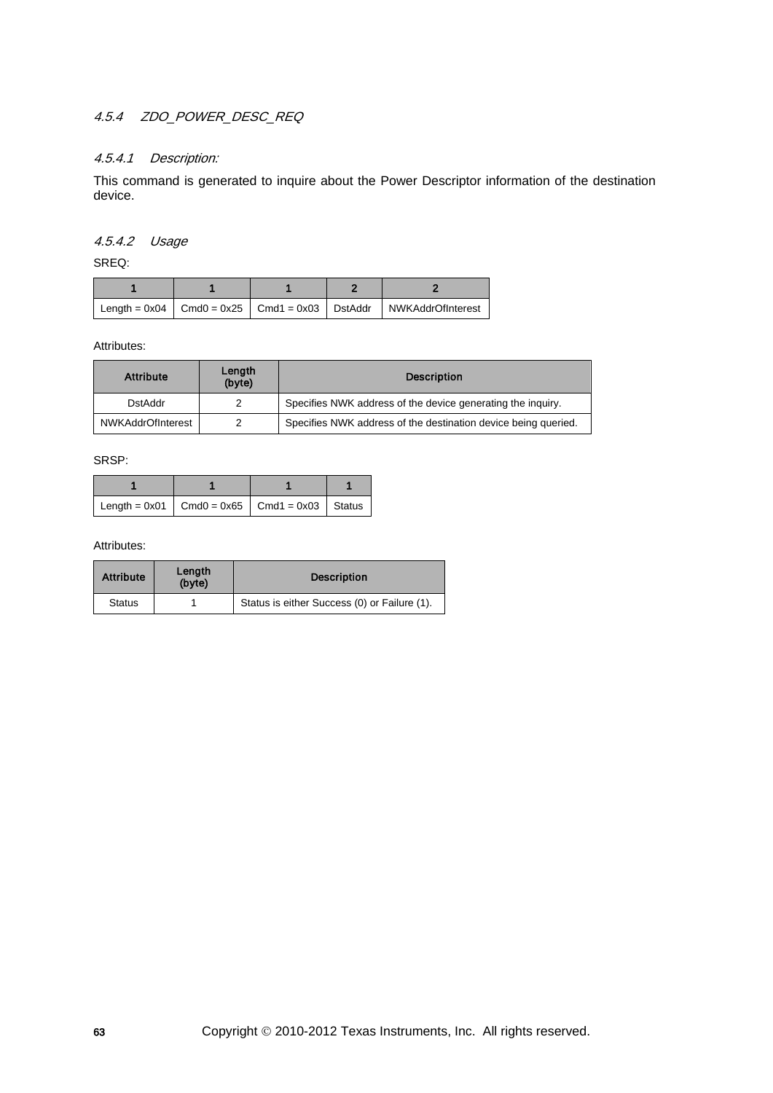## 4.5.4 ZDO\_POWER\_DESC\_REQ

### 4.5.4.1 Description:

This command is generated to inquire about the Power Descriptor information of the destination device.

## 4.5.4.2 Usage

SREQ:

|  |  | $\vert$ Length = 0x04 $\vert$ Cmd0 = 0x25 $\vert$ Cmd1 = 0x03 $\vert$ DstAddr $\vert$ NWKAddrOfInterest |
|--|--|---------------------------------------------------------------------------------------------------------|

Attributes:

| <b>Attribute</b>  | Length<br>(byte) | <b>Description</b>                                             |  |
|-------------------|------------------|----------------------------------------------------------------|--|
| <b>DstAddr</b>    |                  | Specifies NWK address of the device generating the inquiry.    |  |
| NWKAddrOfInterest |                  | Specifies NWK address of the destination device being queried. |  |

SRSP:

| Length = $0x01$   Cmd0 = $0x65$   Cmd1 = $0x03$   Status |  |  |
|----------------------------------------------------------|--|--|

| <b>Attribute</b> | Length<br>(byte) | <b>Description</b>                           |  |
|------------------|------------------|----------------------------------------------|--|
| <b>Status</b>    |                  | Status is either Success (0) or Failure (1). |  |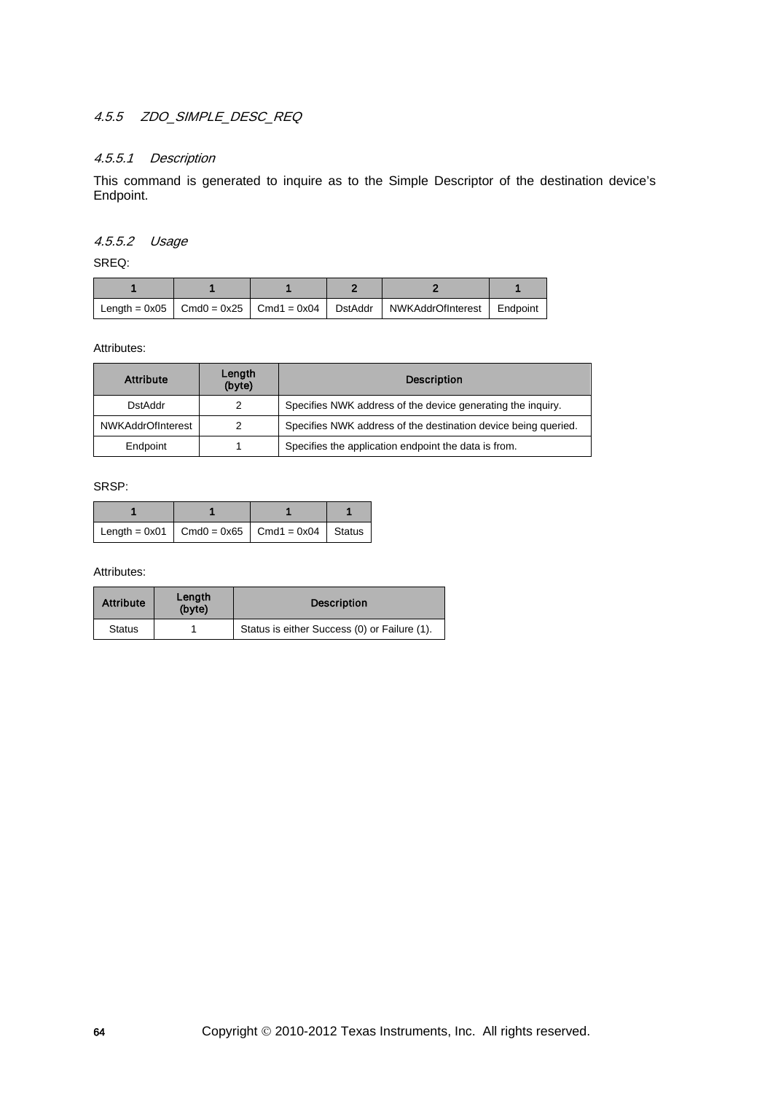# 4.5.5 ZDO\_SIMPLE\_DESC\_REQ

## 4.5.5.1 Description

This command is generated to inquire as to the Simple Descriptor of the destination device's Endpoint.

### 4.5.5.2 Usage

SREQ:

|  |  | Length = $0x05$   Cmd0 = $0x25$   Cmd1 = $0x04$   DstAddr   NWKAddrOfInterest   Endpoint |  |
|--|--|------------------------------------------------------------------------------------------|--|

Attributes:

| <b>Attribute</b>         | Length<br>(byte) | <b>Description</b>                                             |  |
|--------------------------|------------------|----------------------------------------------------------------|--|
| DstAddr                  |                  | Specifies NWK address of the device generating the inquiry.    |  |
| <b>NWKAddrOfInterest</b> |                  | Specifies NWK address of the destination device being queried. |  |
| Endpoint                 |                  | Specifies the application endpoint the data is from.           |  |

SRSP:

| Length = $0x01$   Cmd0 = $0x65$   Cmd1 = $0x04$   Status |  |  |
|----------------------------------------------------------|--|--|

| <b>Attribute</b> | Length<br>(byte) | <b>Description</b>                           |  |
|------------------|------------------|----------------------------------------------|--|
| <b>Status</b>    |                  | Status is either Success (0) or Failure (1). |  |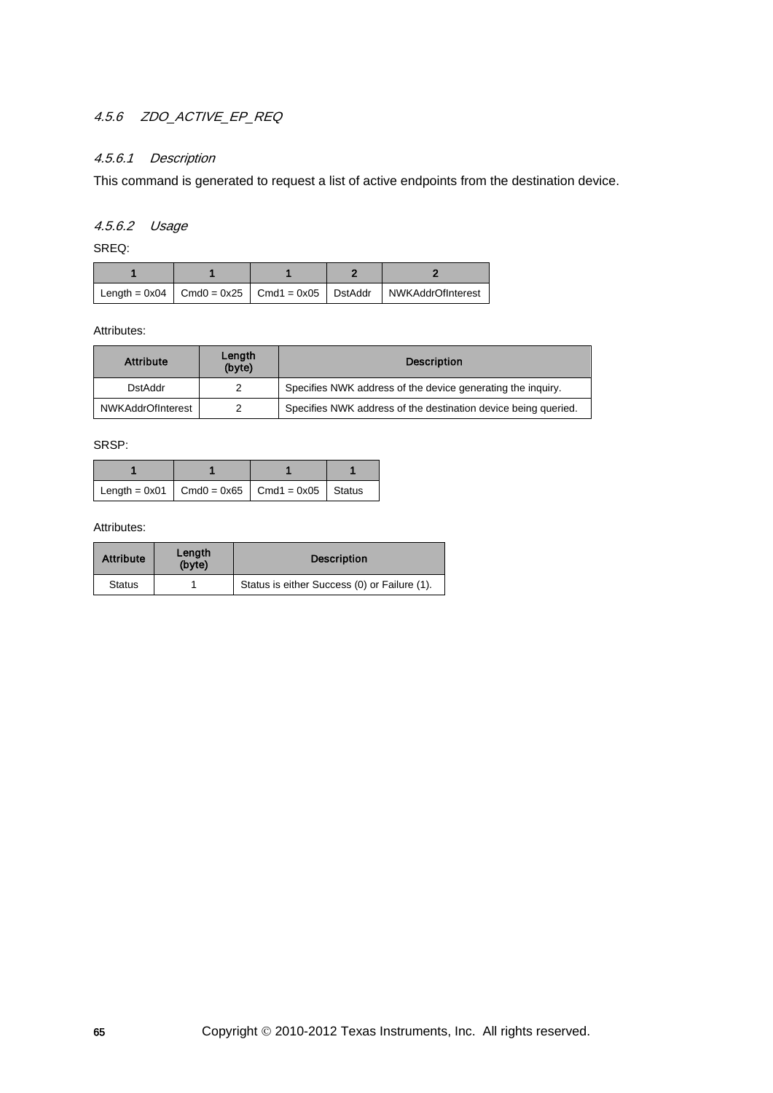## 4.5.6 ZDO\_ACTIVE\_EP\_REQ

### 4.5.6.1 Description

This command is generated to request a list of active endpoints from the destination device.

## 4.5.6.2 Usage

SREQ:

|  |  | Length = $0x04$   Cmd0 = $0x25$   Cmd1 = $0x05$   DstAddr   NWKAddrOfInterest |
|--|--|-------------------------------------------------------------------------------|

Attributes:

| <b>Attribute</b>         | Length<br>(byte) | <b>Description</b>                                             |
|--------------------------|------------------|----------------------------------------------------------------|
| <b>DstAddr</b>           |                  | Specifies NWK address of the device generating the inquiry.    |
| <b>NWKAddrOfInterest</b> |                  | Specifies NWK address of the destination device being queried. |

SRSP:

| Length = $0x01$ Cmd0 = $0x65$ Cmd1 = $0x05$ Status |  |  |
|----------------------------------------------------|--|--|

| <b>Attribute</b> | Length<br>(byte) | <b>Description</b>                           |
|------------------|------------------|----------------------------------------------|
| <b>Status</b>    |                  | Status is either Success (0) or Failure (1). |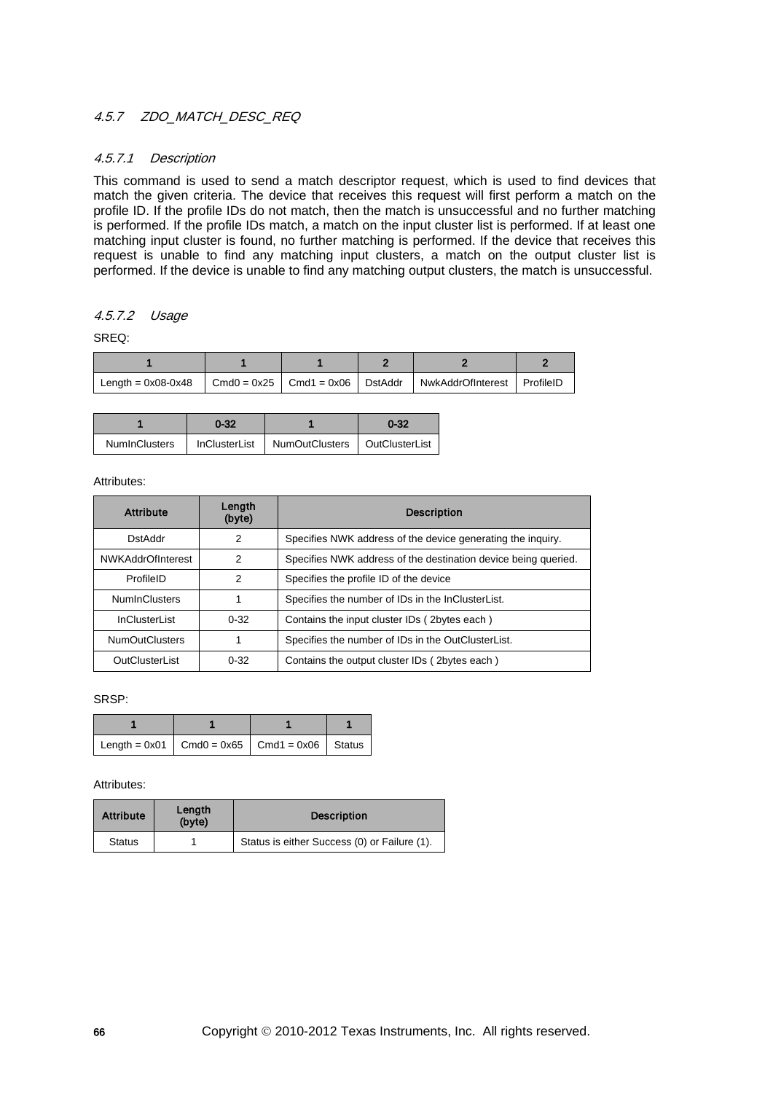## 4.5.7 ZDO MATCH DESC REQ

## 4.5.7.1 Description

This command is used to send a match descriptor request, which is used to find devices that match the given criteria. The device that receives this request will first perform a match on the profile ID. If the profile IDs do not match, then the match is unsuccessful and no further matching is performed. If the profile IDs match, a match on the input cluster list is performed. If at least one matching input cluster is found, no further matching is performed. If the device that receives this request is unable to find any matching input clusters, a match on the output cluster list is performed. If the device is unable to find any matching output clusters, the match is unsuccessful.

## 4.5.7.2 Usage

SREQ:

| Length = $0x08-0x48$   Cmd0 = $0x25$   Cmd1 = $0x06$   DstAddr |  | NwkAddrOfInterest   ProfileID |  |
|----------------------------------------------------------------|--|-------------------------------|--|

|               | 0-32 |                                                 |  |
|---------------|------|-------------------------------------------------|--|
| NumInClusters |      | InClusterList   NumOutClusters   OutClusterList |  |

Attributes:

| <b>Attribute</b>         | Length<br>(byte) | <b>Description</b>                                             |
|--------------------------|------------------|----------------------------------------------------------------|
| <b>DstAddr</b>           | 2                | Specifies NWK address of the device generating the inquiry.    |
| <b>NWKAddrOfInterest</b> | 2                | Specifies NWK address of the destination device being queried. |
| ProfileID                | 2                | Specifies the profile ID of the device                         |
| <b>NumInClusters</b>     |                  | Specifies the number of IDs in the InClusterList.              |
| <b>InClusterList</b>     | $0 - 32$         | Contains the input cluster IDs (2bytes each)                   |
| <b>NumOutClusters</b>    |                  | Specifies the number of IDs in the OutClusterList.             |
| OutClusterList           | $0 - 32$         | Contains the output cluster IDs (2bytes each)                  |

SRSP:

| Length = $0x01$ Cmd0 = $0x65$ Cmd1 = $0x06$ Status |  |  |
|----------------------------------------------------|--|--|

| <b>Attribute</b> | Length<br>(byte) | <b>Description</b>                           |
|------------------|------------------|----------------------------------------------|
| <b>Status</b>    |                  | Status is either Success (0) or Failure (1). |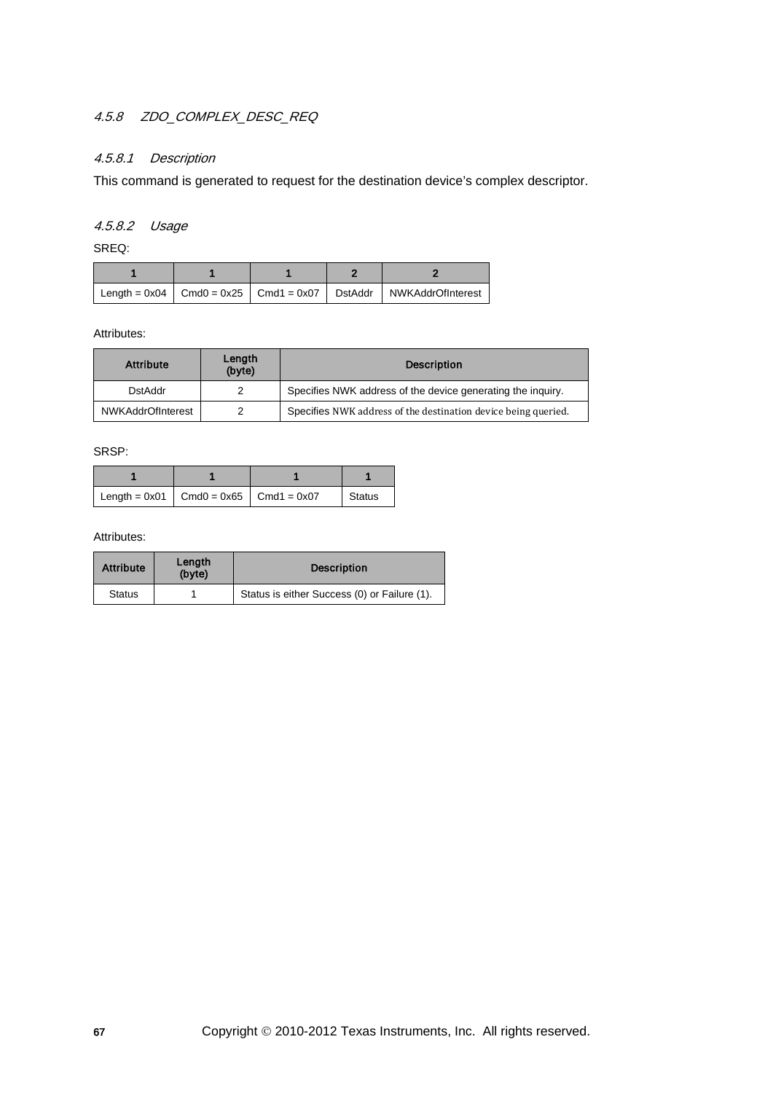# 4.5.8 ZDO\_COMPLEX\_DESC\_REQ

## 4.5.8.1 Description

This command is generated to request for the destination device's complex descriptor.

## 4.5.8.2 Usage

SREQ:

|  |  | Length = $0x04$   Cmd0 = $0x25$   Cmd1 = $0x07$   DstAddr   NWKAddrOfInterest |
|--|--|-------------------------------------------------------------------------------|

Attributes:

| <b>Attribute</b>  | Length<br>(byte) | <b>Description</b>                                             |
|-------------------|------------------|----------------------------------------------------------------|
| DstAddr           |                  | Specifies NWK address of the device generating the inquiry.    |
| NWKAddrOfInterest |                  | Specifies NWK address of the destination device being queried. |

SRSP:

| Length = $0x01$ Cmd0 = $0x65$ Cmd1 = $0x07$ |  | Status |
|---------------------------------------------|--|--------|

| <b>Attribute</b> | Length<br>(byte) | <b>Description</b>                           |
|------------------|------------------|----------------------------------------------|
| <b>Status</b>    |                  | Status is either Success (0) or Failure (1). |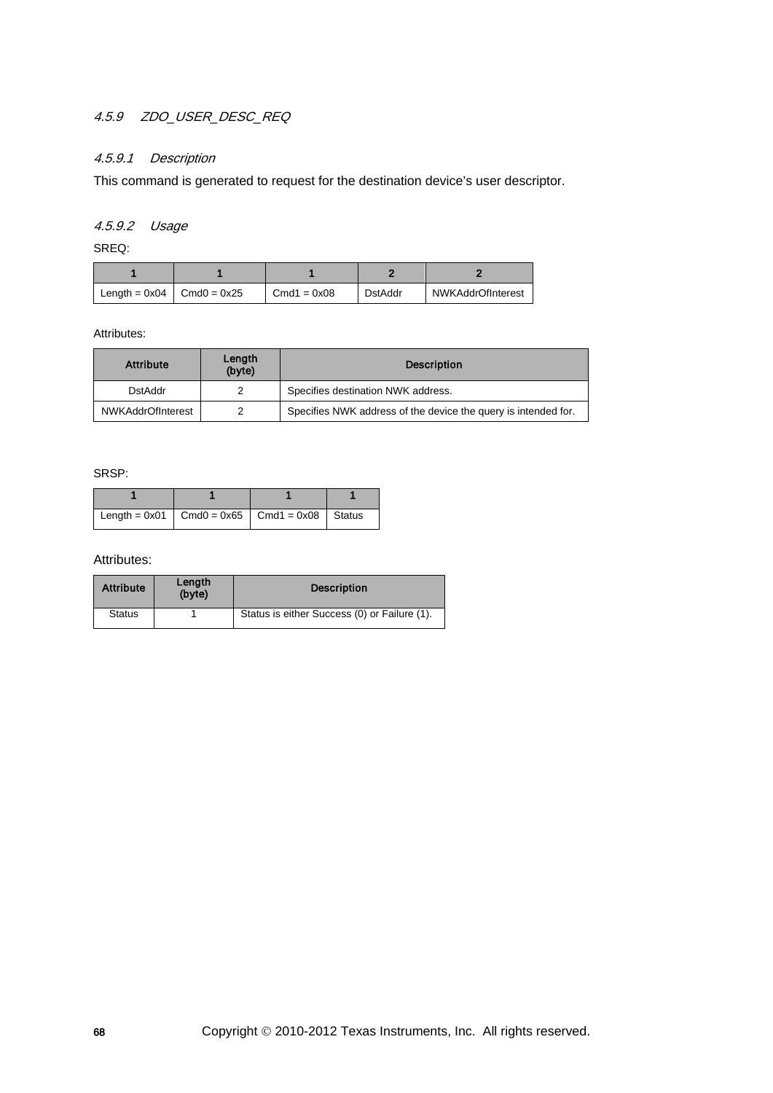# 4.5.9 ZDO\_USER\_DESC\_REQ

## 4.5.9.1 Description

This command is generated to request for the destination device's user descriptor.

## 4.5.9.2 Usage

SREQ:

| Length = $0x04$   Cmd $0 = 0x25$ | $Cmd1 = 0x08$ | <b>DstAddr</b> | NWKAddrOfInterest |
|----------------------------------|---------------|----------------|-------------------|

Attributes:

| <b>Attribute</b>         | Length<br>(byte) | <b>Description</b>                                             |
|--------------------------|------------------|----------------------------------------------------------------|
| DstAddr                  |                  | Specifies destination NWK address.                             |
| <b>NWKAddrOfInterest</b> |                  | Specifies NWK address of the device the query is intended for. |

SRSP:

| Length = $0x01$   Cmd0 = $0x65$   Cmd1 = $0x08$   Status |  |  |
|----------------------------------------------------------|--|--|

| <b>Attribute</b> | Length<br>(byte) | <b>Description</b>                           |
|------------------|------------------|----------------------------------------------|
| <b>Status</b>    |                  | Status is either Success (0) or Failure (1). |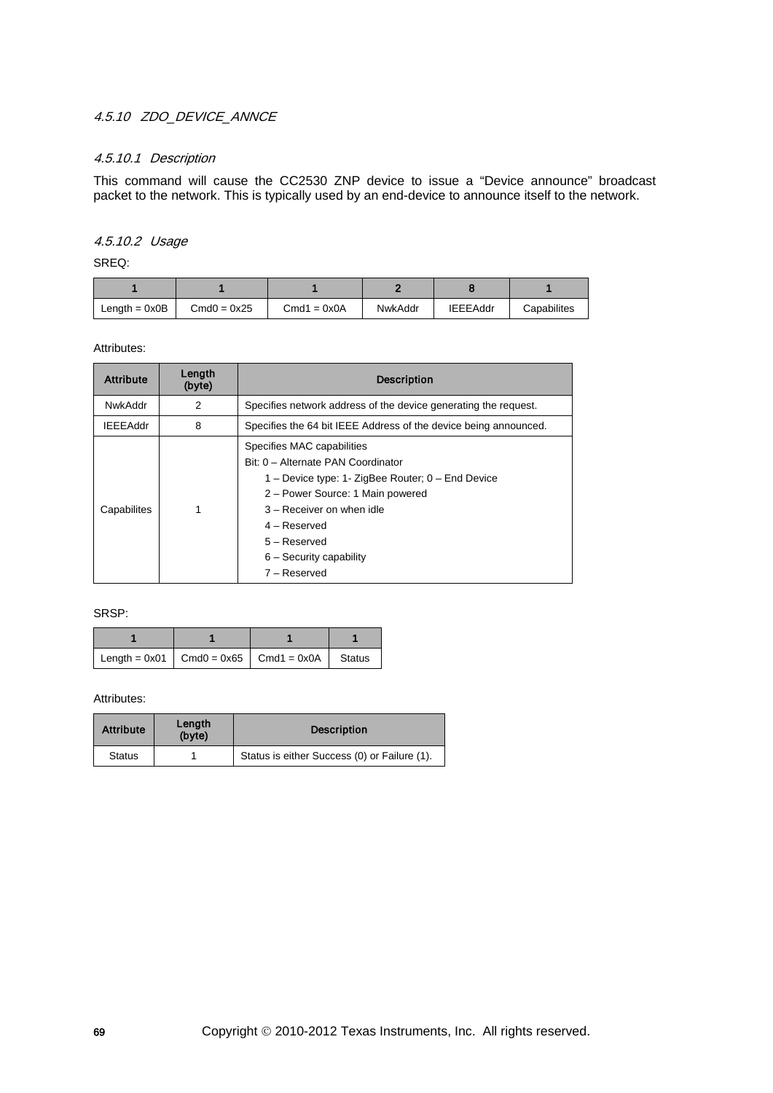## 4.5.10 ZDO DEVICE ANNCE

## 4.5.10.1 Description

This command will cause the CC2530 ZNP device to issue a "Device announce" broadcast packet to the network. This is typically used by an end-device to announce itself to the network.

## 4.5.10.2 Usage

SREQ:

| Length $= 0x0B$ | $Cmd0 = 0x25$ | $Cmd1 = 0x0A$ | NwkAddr | <b>IEEEAddr</b> | Capabilites |
|-----------------|---------------|---------------|---------|-----------------|-------------|

Attributes:

| <b>Attribute</b> | Length<br>(byte) | <b>Description</b>                                                                                                                                                                                                                                                        |  |
|------------------|------------------|---------------------------------------------------------------------------------------------------------------------------------------------------------------------------------------------------------------------------------------------------------------------------|--|
| NwkAddr          | 2                | Specifies network address of the device generating the request.                                                                                                                                                                                                           |  |
| <b>IEEEAddr</b>  | 8                | Specifies the 64 bit IEEE Address of the device being announced.                                                                                                                                                                                                          |  |
| Capabilites      |                  | Specifies MAC capabilities<br>Bit: 0 - Alternate PAN Coordinator<br>1 – Device type: 1- ZigBee Router; $0$ – End Device<br>2 – Power Source: 1 Main powered<br>$3 -$ Receiver on when idle<br>4 – Reserved<br>$5 -$ Reserved<br>$6 -$ Security capability<br>7 – Reserved |  |

#### SRSP:

| Length = $0x01$   Cmd0 = $0x65$   Cmd1 = $0x0A$   Status |  |  |
|----------------------------------------------------------|--|--|

| <b>Attribute</b> | Length<br>(byte) | <b>Description</b>                           |
|------------------|------------------|----------------------------------------------|
| <b>Status</b>    |                  | Status is either Success (0) or Failure (1). |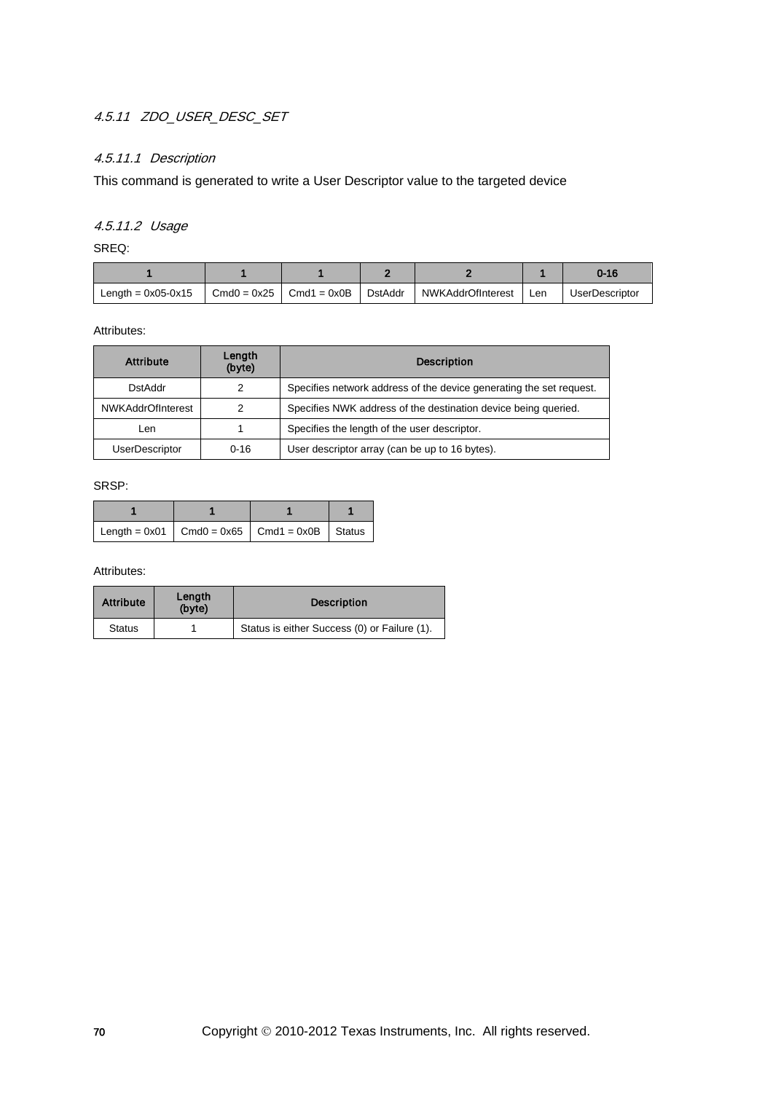# 4.5.11 ZDO\_USER\_DESC\_SET

## 4.5.11.1 Description

This command is generated to write a User Descriptor value to the targeted device

# 4.5.11.2 Usage

SREQ:

|                      |               |               |         |                   |     | 0-16                  |
|----------------------|---------------|---------------|---------|-------------------|-----|-----------------------|
| Length = $0x05-0x15$ | $Cmd0 = 0x25$ | $Cmd1 = 0x0B$ | DstAddr | NWKAddrOfInterest | Len | <b>UserDescriptor</b> |

Attributes:

| <b>Attribute</b>      | Length<br>(byte) | <b>Description</b>                                                  |
|-----------------------|------------------|---------------------------------------------------------------------|
| DstAddr               |                  | Specifies network address of the device generating the set request. |
| NWKAddrOfInterest     | 2                | Specifies NWK address of the destination device being queried.      |
| Len                   |                  | Specifies the length of the user descriptor.                        |
| <b>UserDescriptor</b> | $0 - 16$         | User descriptor array (can be up to 16 bytes).                      |

SRSP:

| Length = $0x01$   Cmd0 = $0x65$   Cmd1 = $0x0B$   Status |  |  |
|----------------------------------------------------------|--|--|

| <b>Attribute</b> | Length<br>(byte) | <b>Description</b>                           |
|------------------|------------------|----------------------------------------------|
| <b>Status</b>    |                  | Status is either Success (0) or Failure (1). |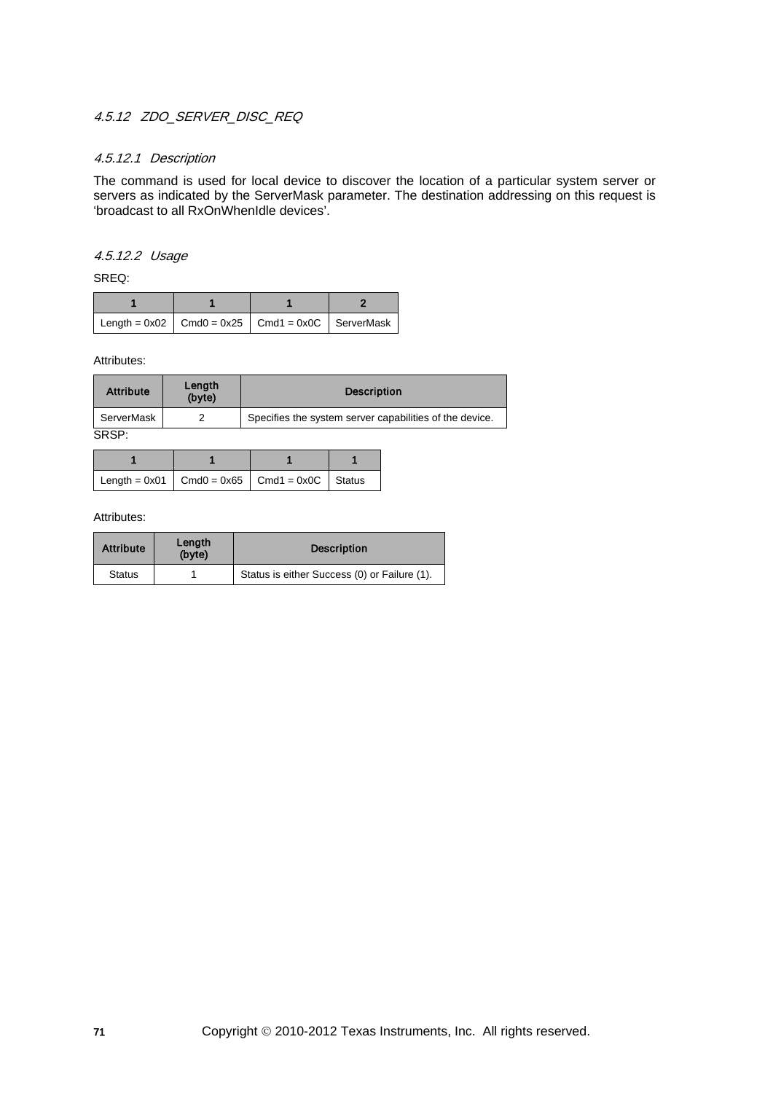## 4.5.12 ZDO SERVER DISC REQ

### 4.5.12.1 Description

The command is used for local device to discover the location of a particular system server or servers as indicated by the ServerMask parameter. The destination addressing on this request is 'broadcast to all RxOnWhenIdle devices'.

## 4.5.12.2 Usage

SREQ:

| Length = $0x02$   Cmd0 = $0x25$   Cmd1 = $0x0C$   ServerMask |  |  |
|--------------------------------------------------------------|--|--|

Attributes:

| <b>Attribute</b> | Length<br>(byte) | <b>Description</b>                                      |
|------------------|------------------|---------------------------------------------------------|
| ServerMask       |                  | Specifies the system server capabilities of the device. |
| SRSP:            |                  |                                                         |

| Length = $0x01$   Cmd0 = $0x65$   Cmd1 = $0x0C$   Status |  |  |
|----------------------------------------------------------|--|--|

| <b>Attribute</b> | Length<br>(byte) | <b>Description</b>                           |
|------------------|------------------|----------------------------------------------|
| <b>Status</b>    |                  | Status is either Success (0) or Failure (1). |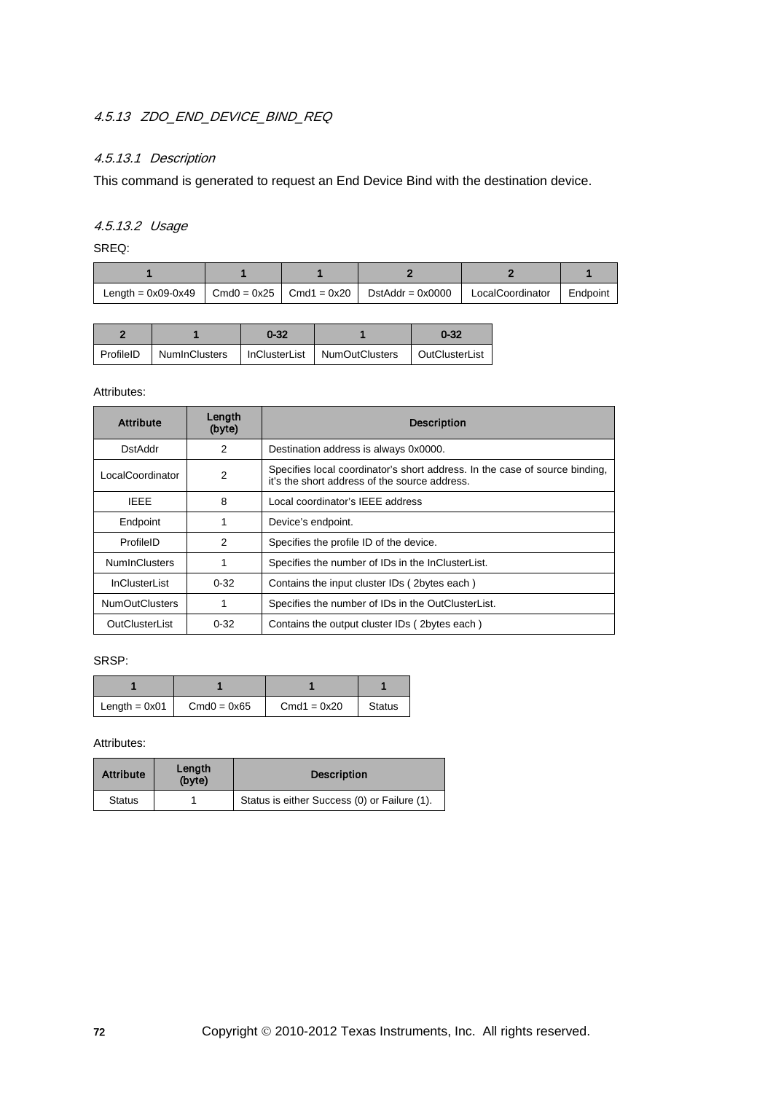## 4.5.13 ZDO\_END\_DEVICE\_BIND\_REQ

## 4.5.13.1 Description

This command is generated to request an End Device Bind with the destination device.

# 4.5.13.2 Usage

SREQ:

| Length = $0x09-0x49$ | $\vert$ Cmd0 = 0x25 $\vert$ Cmd1 = 0x20 $\vert$ | $DstAddr = 0x0000$ | LocalCoordinator | Endpoint |
|----------------------|-------------------------------------------------|--------------------|------------------|----------|

|  | $0 - 32$ |                                                                             | $0 - 32$ |
|--|----------|-----------------------------------------------------------------------------|----------|
|  |          | ProfileID   NumInClusters   InClusterList   NumOutClusters   OutClusterList |          |

## Attributes:

| <b>Attribute</b>      | Length<br>(byte) | <b>Description</b>                                                                                                           |
|-----------------------|------------------|------------------------------------------------------------------------------------------------------------------------------|
| DstAddr               | 2                | Destination address is always 0x0000.                                                                                        |
| LocalCoordinator      | $\overline{2}$   | Specifies local coordinator's short address. In the case of source binding,<br>it's the short address of the source address. |
| <b>IEEE</b>           | 8                | Local coordinator's IEEE address                                                                                             |
| Endpoint              |                  | Device's endpoint.                                                                                                           |
| ProfileID             | 2                | Specifies the profile ID of the device.                                                                                      |
| <b>NumInClusters</b>  |                  | Specifies the number of IDs in the InClusterList.                                                                            |
| <b>InClusterList</b>  | $0 - 32$         | Contains the input cluster IDs (2bytes each)                                                                                 |
| <b>NumOutClusters</b> | 1                | Specifies the number of IDs in the OutClusterList.                                                                           |
| OutClusterList        | $0 - 32$         | Contains the output cluster IDs (2bytes each)                                                                                |

## SRSP:

| Length $= 0x01$ | $Cmd0 = 0x65$ | $Cmd1 = 0x20$ | <b>Status</b> |
|-----------------|---------------|---------------|---------------|

| <b>Attribute</b> | Length<br>(byte) | <b>Description</b>                           |
|------------------|------------------|----------------------------------------------|
| <b>Status</b>    |                  | Status is either Success (0) or Failure (1). |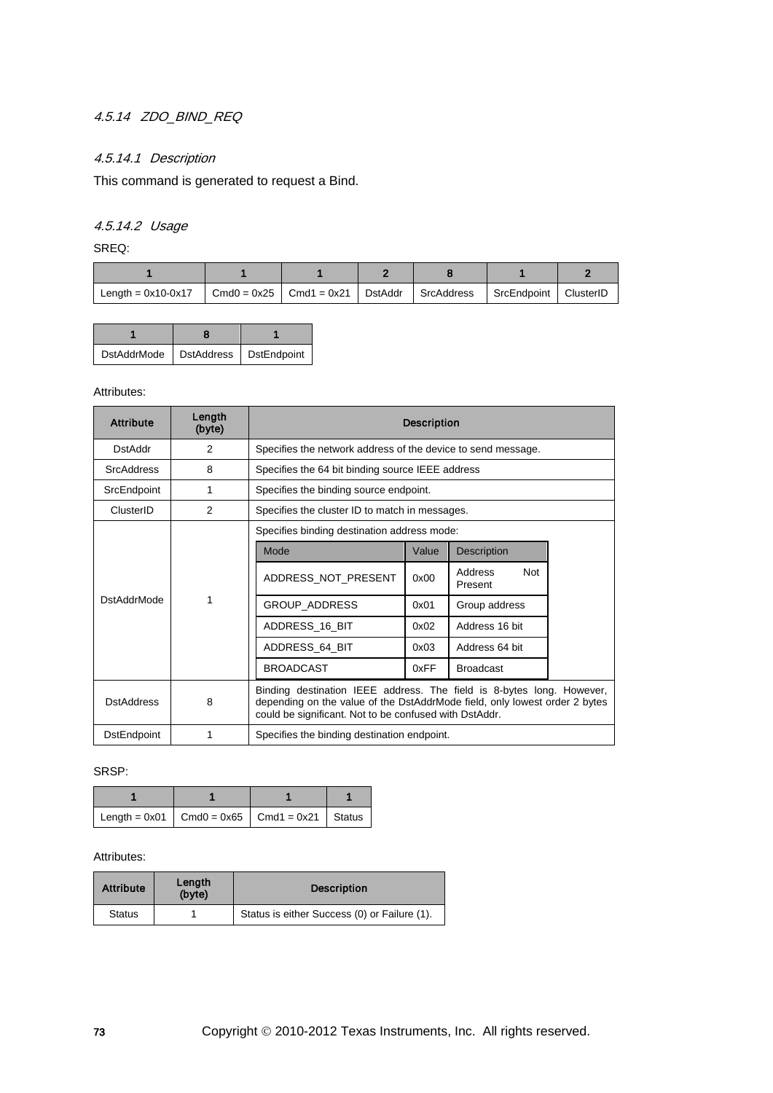# 4.5.14 ZDO\_BIND\_REQ

## 4.5.14.1 Description

This command is generated to request a Bind.

# 4.5.14.2 Usage

SREQ:

| Length = $0x10-0x17$ | Cmd0 = $0x25$   Cmd1 = $0x21$   DstAddr   SrcAddress   SrcEndpoint |  | ClusterID |
|----------------------|--------------------------------------------------------------------|--|-----------|

| <b>DstAddrMode</b> | DstAddress | DstEndpoint |
|--------------------|------------|-------------|

### Attributes:

| <b>Attribute</b>   | Length<br>(byte) | <b>Description</b>                                                                                                                                                                                            |       |                                  |  |  |  |
|--------------------|------------------|---------------------------------------------------------------------------------------------------------------------------------------------------------------------------------------------------------------|-------|----------------------------------|--|--|--|
| <b>DstAddr</b>     | $\mathcal{P}$    | Specifies the network address of the device to send message.                                                                                                                                                  |       |                                  |  |  |  |
| <b>SrcAddress</b>  | 8                | Specifies the 64 bit binding source IEEE address                                                                                                                                                              |       |                                  |  |  |  |
| SrcEndpoint        | 1                | Specifies the binding source endpoint.                                                                                                                                                                        |       |                                  |  |  |  |
| ClusterID          | $\mathfrak{p}$   | Specifies the cluster ID to match in messages.                                                                                                                                                                |       |                                  |  |  |  |
|                    |                  | Specifies binding destination address mode:                                                                                                                                                                   |       |                                  |  |  |  |
|                    |                  | Mode                                                                                                                                                                                                          | Value | Description                      |  |  |  |
|                    | 1                | ADDRESS_NOT_PRESENT                                                                                                                                                                                           | 0x00  | <b>Not</b><br>Address<br>Present |  |  |  |
| <b>DstAddrMode</b> |                  | <b>GROUP ADDRESS</b>                                                                                                                                                                                          | 0x01  | Group address                    |  |  |  |
|                    |                  | ADDRESS_16_BIT                                                                                                                                                                                                | 0x02  | Address 16 bit                   |  |  |  |
|                    |                  | ADDRESS_64_BIT                                                                                                                                                                                                | 0x03  | Address 64 bit                   |  |  |  |
|                    |                  | <b>BROADCAST</b>                                                                                                                                                                                              | 0xFF  | <b>Broadcast</b>                 |  |  |  |
| <b>DstAddress</b>  | 8                | Binding destination IEEE address. The field is 8-bytes long. However,<br>depending on the value of the DstAddrMode field, only lowest order 2 bytes<br>could be significant. Not to be confused with DstAddr. |       |                                  |  |  |  |
| <b>DstEndpoint</b> | 1                | Specifies the binding destination endpoint.                                                                                                                                                                   |       |                                  |  |  |  |

### SRSP:

| Length = $0x01$ Cmd0 = $0x65$ Cmd1 = $0x21$ Status |  |  |
|----------------------------------------------------|--|--|

| <b>Attribute</b> | Length<br>(byte) | <b>Description</b>                           |
|------------------|------------------|----------------------------------------------|
| <b>Status</b>    |                  | Status is either Success (0) or Failure (1). |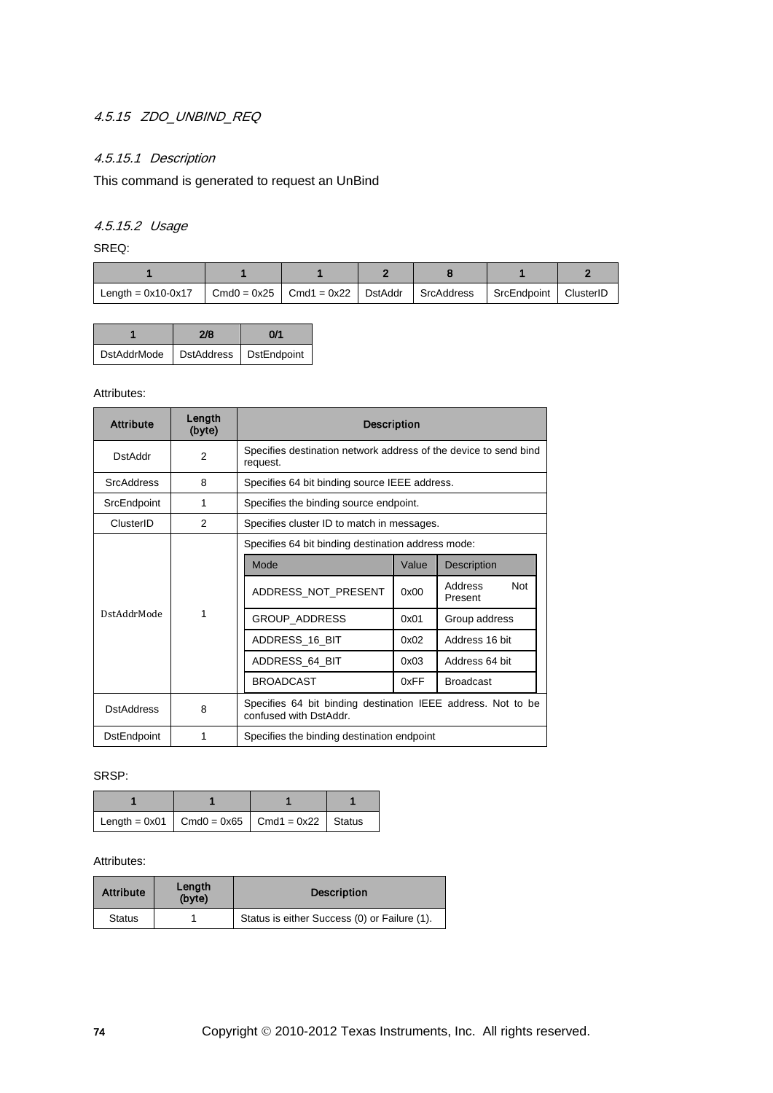## 4.5.15 ZDO\_UNBIND\_REQ

## 4.5.15.1 Description

This command is generated to request an UnBind

## 4.5.15.2 Usage

SREQ:

| Length = $0x10-0x17$ | $Cmd0 = 0x25$ Cmd1 = 0x22 DstAddr | SrcAddress | SrcEndpoint | ClusterID |
|----------------------|-----------------------------------|------------|-------------|-----------|

|                    | 2/8                             | 0/1 |
|--------------------|---------------------------------|-----|
| <b>DstAddrMode</b> | <b>DstAddress</b>   DstEndpoint |     |

### Attributes:

| <b>Attribute</b>   | Length<br>(byte) | <b>Description</b>                                                                     |       |                                  |  |  |  |
|--------------------|------------------|----------------------------------------------------------------------------------------|-------|----------------------------------|--|--|--|
| <b>DstAddr</b>     | 2                | Specifies destination network address of the device to send bind<br>request.           |       |                                  |  |  |  |
| <b>SrcAddress</b>  | 8                | Specifies 64 bit binding source IEEE address.                                          |       |                                  |  |  |  |
| SrcEndpoint        | 1                | Specifies the binding source endpoint.                                                 |       |                                  |  |  |  |
| ClusterID          | $\mathfrak{p}$   | Specifies cluster ID to match in messages.                                             |       |                                  |  |  |  |
|                    |                  | Specifies 64 bit binding destination address mode:                                     |       |                                  |  |  |  |
|                    |                  | Mode                                                                                   | Value | Description                      |  |  |  |
|                    |                  | ADDRESS_NOT_PRESENT                                                                    | 0x00  | <b>Not</b><br>Address<br>Present |  |  |  |
| DstAddrMode        | 1                | GROUP_ADDRESS                                                                          | 0x01  | Group address                    |  |  |  |
|                    |                  | ADDRESS 16 BIT                                                                         | 0x02  | Address 16 bit                   |  |  |  |
|                    |                  | ADDRESS 64 BIT                                                                         | 0x03  | Address 64 bit                   |  |  |  |
|                    |                  | <b>BROADCAST</b>                                                                       | 0xFF  | <b>Broadcast</b>                 |  |  |  |
| <b>DstAddress</b>  | 8                | Specifies 64 bit binding destination IEEE address. Not to be<br>confused with DstAddr. |       |                                  |  |  |  |
| <b>DstEndpoint</b> | 1                | Specifies the binding destination endpoint                                             |       |                                  |  |  |  |

### SRSP:

| Length = $0x01$ Cmd0 = $0x65$ Cmd1 = $0x22$ Status |  |  |
|----------------------------------------------------|--|--|

| <b>Attribute</b> | Length<br>(byte) | <b>Description</b>                           |
|------------------|------------------|----------------------------------------------|
| <b>Status</b>    |                  | Status is either Success (0) or Failure (1). |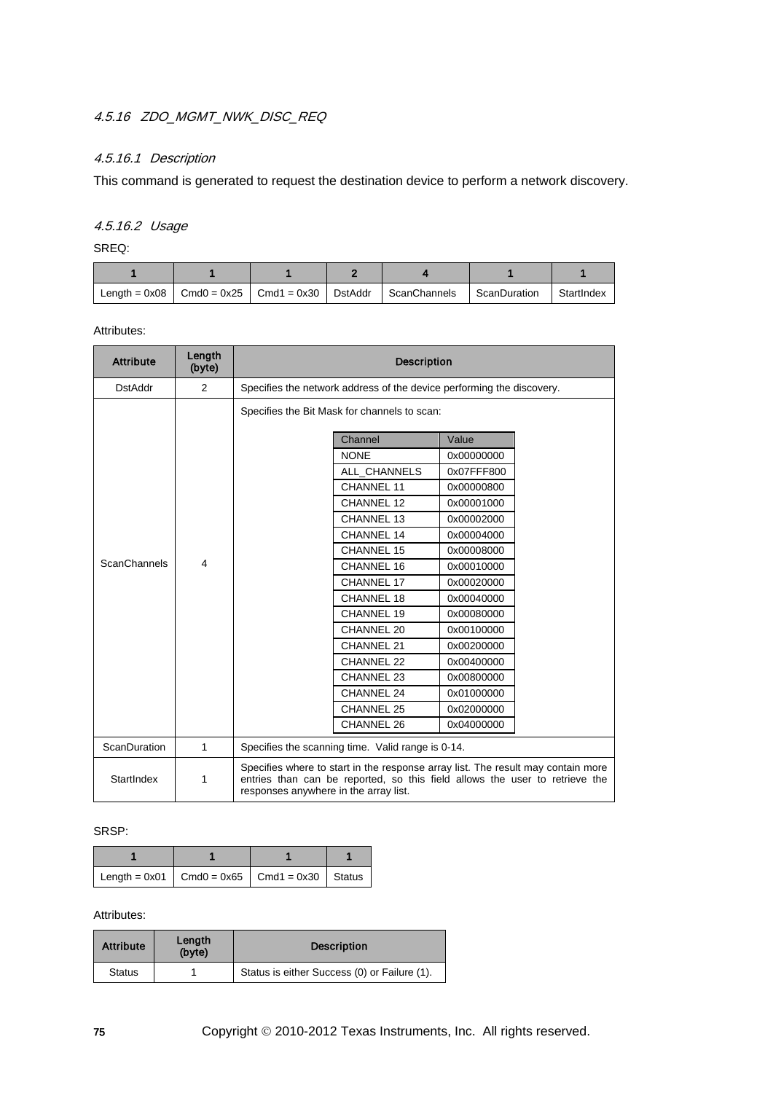## 4.5.16 ZDO\_MGMT\_NWK\_DISC\_REQ

## 4.5.16.1 Description

This command is generated to request the destination device to perform a network discovery.

# 4.5.16.2 Usage

SREQ:

| Length = 0x08 LCmd0 = 0x25 LCmd1 = 0x30 LDstAddr LScanChannels |  |  | ScanDuration | StartIndex |
|----------------------------------------------------------------|--|--|--------------|------------|

Attributes:

| <b>Attribute</b>    | Length<br>(byte)        | <b>Description</b>                                                    |                                                                                                                                                                                                          |            |  |  |
|---------------------|-------------------------|-----------------------------------------------------------------------|----------------------------------------------------------------------------------------------------------------------------------------------------------------------------------------------------------|------------|--|--|
| <b>DstAddr</b>      | $\overline{2}$          | Specifies the network address of the device performing the discovery. |                                                                                                                                                                                                          |            |  |  |
|                     |                         |                                                                       | Specifies the Bit Mask for channels to scan:                                                                                                                                                             |            |  |  |
|                     |                         |                                                                       | Channel                                                                                                                                                                                                  | Value      |  |  |
|                     |                         |                                                                       | <b>NONE</b>                                                                                                                                                                                              | 0x00000000 |  |  |
|                     |                         |                                                                       | ALL CHANNELS                                                                                                                                                                                             | 0x07FFF800 |  |  |
|                     |                         |                                                                       | <b>CHANNEL 11</b>                                                                                                                                                                                        | 0x00000800 |  |  |
|                     |                         |                                                                       | CHANNEL 12                                                                                                                                                                                               | 0x00001000 |  |  |
|                     |                         |                                                                       | <b>CHANNEL 13</b>                                                                                                                                                                                        | 0x00002000 |  |  |
|                     |                         |                                                                       | CHANNEL 14                                                                                                                                                                                               | 0x00004000 |  |  |
|                     |                         |                                                                       | CHANNEL 15                                                                                                                                                                                               | 0x00008000 |  |  |
| <b>ScanChannels</b> | $\overline{\mathbf{A}}$ |                                                                       | CHANNEL 16                                                                                                                                                                                               | 0x00010000 |  |  |
|                     |                         |                                                                       | CHANNEL 17                                                                                                                                                                                               | 0x00020000 |  |  |
|                     |                         |                                                                       | <b>CHANNEL 18</b>                                                                                                                                                                                        | 0x00040000 |  |  |
|                     |                         |                                                                       | CHANNEL 19                                                                                                                                                                                               | 0x00080000 |  |  |
|                     |                         |                                                                       | CHANNEL 20                                                                                                                                                                                               | 0x00100000 |  |  |
|                     |                         |                                                                       | CHANNEL 21                                                                                                                                                                                               | 0x00200000 |  |  |
|                     |                         |                                                                       | CHANNEL 22                                                                                                                                                                                               | 0x00400000 |  |  |
|                     |                         |                                                                       | CHANNEL 23                                                                                                                                                                                               | 0x00800000 |  |  |
|                     |                         |                                                                       | CHANNEL 24                                                                                                                                                                                               | 0x01000000 |  |  |
|                     |                         |                                                                       | CHANNEL 25                                                                                                                                                                                               | 0x02000000 |  |  |
|                     |                         |                                                                       | CHANNEL 26                                                                                                                                                                                               | 0x04000000 |  |  |
| ScanDuration        | $\mathbf{1}$            | Specifies the scanning time. Valid range is 0-14.                     |                                                                                                                                                                                                          |            |  |  |
| StartIndex          | 1                       |                                                                       | Specifies where to start in the response array list. The result may contain more<br>entries than can be reported, so this field allows the user to retrieve the<br>responses anywhere in the array list. |            |  |  |

### SRSP:

| $\vert$ Length = 0x01 $\vert$ Cmd0 = 0x65 $\vert$ Cmd1 = 0x30 $\vert$ Status |  |  |
|------------------------------------------------------------------------------|--|--|

| <b>Attribute</b> | Length<br>(byte) | <b>Description</b>                           |
|------------------|------------------|----------------------------------------------|
| <b>Status</b>    |                  | Status is either Success (0) or Failure (1). |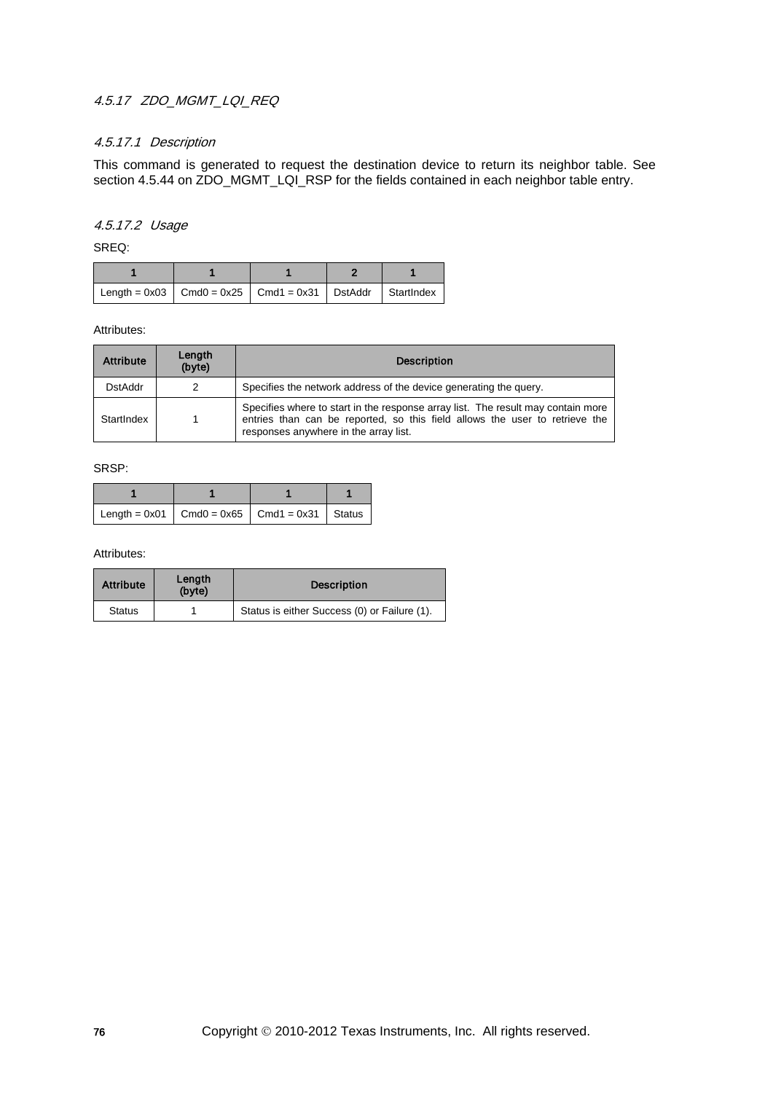## 4.5.17 ZDO\_MGMT\_LQI\_REQ

### 4.5.17.1 Description

This command is generated to request the destination device to return its neighbor table. See section 4.5.44 on ZDO\_MGMT\_LQI\_RSP for the fields contained in each neighbor table entry.

## 4.5.17.2 Usage

SREQ:

| Length = 0x03   Cmd0 = 0x25   Cmd1 = 0x31   DstAddr   Startlndex |  |  |
|------------------------------------------------------------------|--|--|

Attributes:

| <b>Attribute</b> | Length<br>(byte) | <b>Description</b>                                                                                                                                                                                       |
|------------------|------------------|----------------------------------------------------------------------------------------------------------------------------------------------------------------------------------------------------------|
| <b>DstAddr</b>   | 2                | Specifies the network address of the device generating the query.                                                                                                                                        |
| StartIndex       |                  | Specifies where to start in the response array list. The result may contain more<br>entries than can be reported, so this field allows the user to retrieve the<br>responses anywhere in the array list. |

SRSP:

| $\vert$ Length = 0x01 $\vert$ Cmd0 = 0x65 $\vert$ Cmd1 = 0x31 $\vert$ Status |  |  |
|------------------------------------------------------------------------------|--|--|

| <b>Attribute</b> | Length<br>(byte) | <b>Description</b>                           |
|------------------|------------------|----------------------------------------------|
| <b>Status</b>    |                  | Status is either Success (0) or Failure (1). |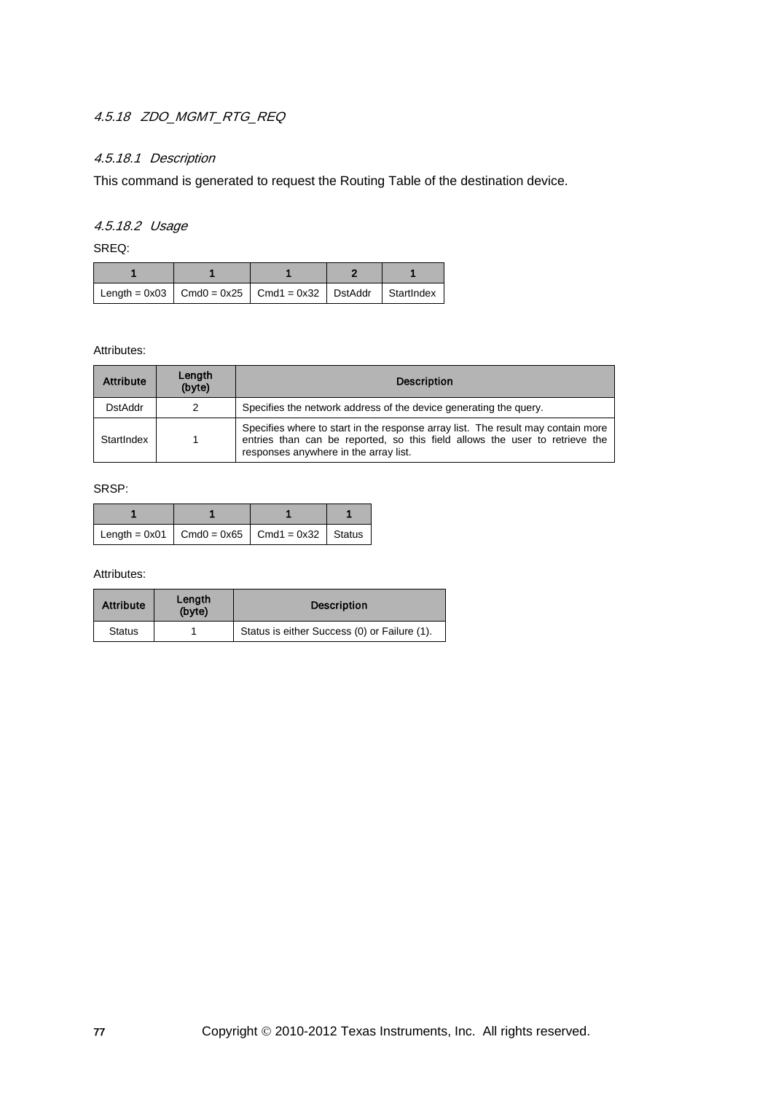## 4.5.18 ZDO\_MGMT\_RTG\_REQ

## 4.5.18.1 Description

This command is generated to request the Routing Table of the destination device.

## 4.5.18.2 Usage

SREQ:

| Length = $0x03$   Cmd0 = $0x25$   Cmd1 = $0x32$   DstAddr   StartIndex |  |  |
|------------------------------------------------------------------------|--|--|

Attributes:

| <b>Attribute</b> | Length<br>(byte) | <b>Description</b>                                                                                                                                                                                       |
|------------------|------------------|----------------------------------------------------------------------------------------------------------------------------------------------------------------------------------------------------------|
| <b>DstAddr</b>   | 2                | Specifies the network address of the device generating the query.                                                                                                                                        |
| StartIndex       |                  | Specifies where to start in the response array list. The result may contain more<br>entries than can be reported, so this field allows the user to retrieve the<br>responses anywhere in the array list. |

SRSP:

| Length = $0x01$ Cmd0 = $0x65$ Cmd1 = $0x32$ Status |  |  |
|----------------------------------------------------|--|--|

| <b>Attribute</b> | Length<br>(byte) | <b>Description</b>                           |
|------------------|------------------|----------------------------------------------|
| <b>Status</b>    |                  | Status is either Success (0) or Failure (1). |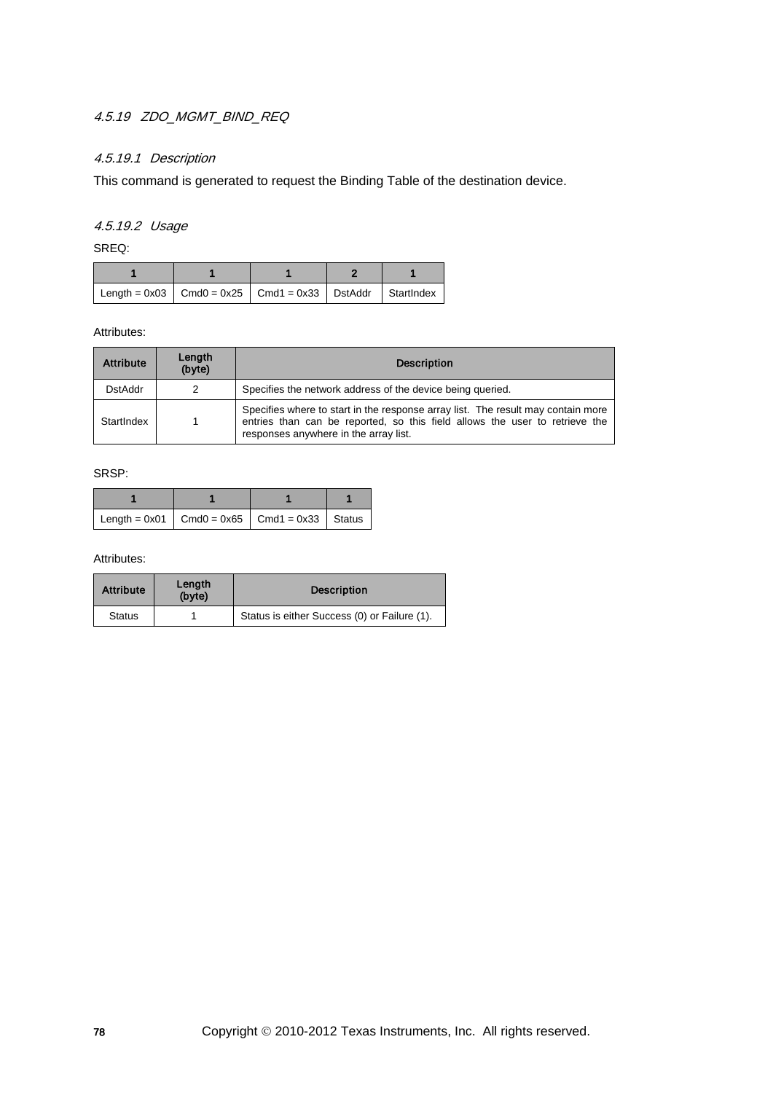## 4.5.19 ZDO\_MGMT\_BIND\_REQ

## 4.5.19.1 Description

This command is generated to request the Binding Table of the destination device.

# 4.5.19.2 Usage

SREQ:

| $\vert$ Length = 0x03 $\vert$ Cmd0 = 0x25 $\vert$ Cmd1 = 0x33 $\vert$ DstAddr $\vert$ StartIndex $\vert$ |  |  |
|----------------------------------------------------------------------------------------------------------|--|--|

#### Attributes:

| <b>Attribute</b> | Length<br>(byte) | <b>Description</b>                                                                                                                                                                                       |
|------------------|------------------|----------------------------------------------------------------------------------------------------------------------------------------------------------------------------------------------------------|
| <b>DstAddr</b>   | 2                | Specifies the network address of the device being queried.                                                                                                                                               |
| StartIndex       |                  | Specifies where to start in the response array list. The result may contain more<br>entries than can be reported, so this field allows the user to retrieve the<br>responses anywhere in the array list. |

SRSP:

| Length = $0x01$ Cmd0 = $0x65$ Cmd1 = $0x33$ Status |  |  |
|----------------------------------------------------|--|--|

| <b>Attribute</b> | Length<br>(byte) | <b>Description</b>                           |
|------------------|------------------|----------------------------------------------|
| <b>Status</b>    |                  | Status is either Success (0) or Failure (1). |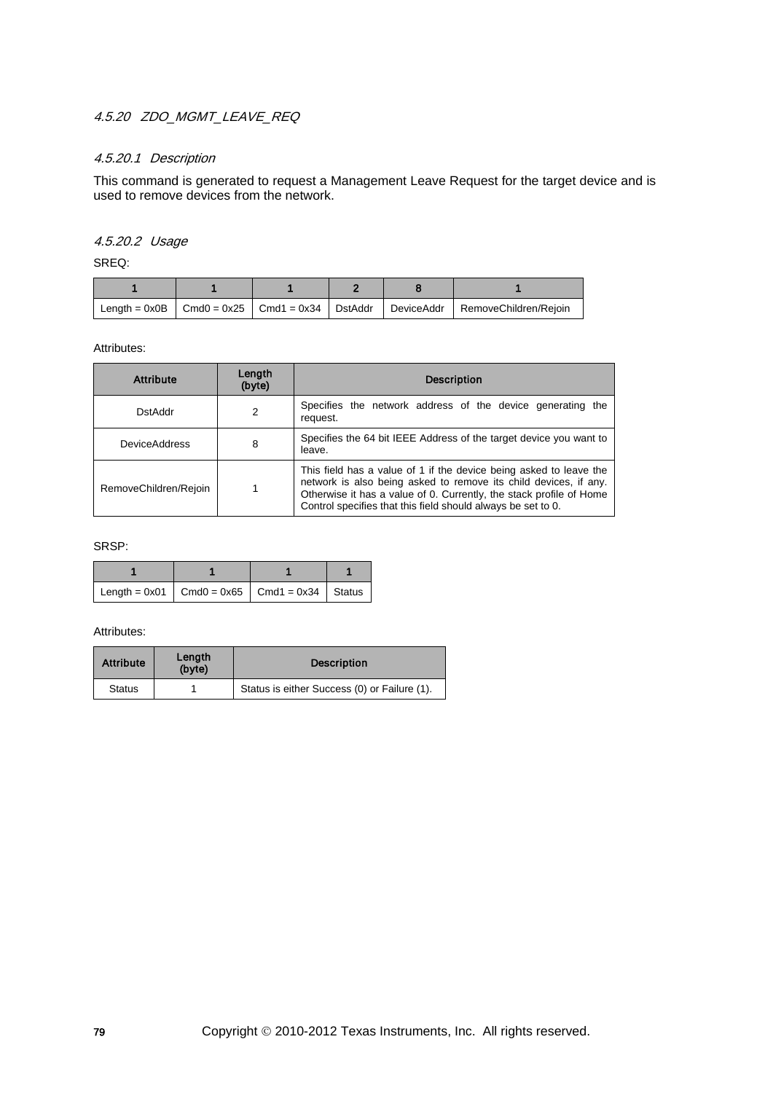## 4.5.20 ZDO\_MGMT\_LEAVE\_REQ

## 4.5.20.1 Description

This command is generated to request a Management Leave Request for the target device and is used to remove devices from the network.

# 4.5.20.2 Usage

SREQ:

| Length = $0x0B$   Cmd $0 = 0x25$   Cmd $1 = 0x34$   DstAddr |  |  | DeviceAddr RemoveChildren/Rejoin |
|-------------------------------------------------------------|--|--|----------------------------------|

Attributes:

| <b>Attribute</b>      | Length<br>(byte) | <b>Description</b>                                                                                                                                                                                                                                                            |
|-----------------------|------------------|-------------------------------------------------------------------------------------------------------------------------------------------------------------------------------------------------------------------------------------------------------------------------------|
| <b>DstAddr</b>        | 2                | Specifies the network address of the device generating the<br>request.                                                                                                                                                                                                        |
| <b>DeviceAddress</b>  | 8                | Specifies the 64 bit IEEE Address of the target device you want to<br>leave.                                                                                                                                                                                                  |
| RemoveChildren/Rejoin |                  | This field has a value of 1 if the device being asked to leave the<br>network is also being asked to remove its child devices, if any.<br>Otherwise it has a value of 0. Currently, the stack profile of Home<br>Control specifies that this field should always be set to 0. |

SRSP:

| Length = $0x01$   Cmd0 = $0x65$   Cmd1 = $0x34$   Status |  |  |
|----------------------------------------------------------|--|--|

| <b>Attribute</b> | Length<br>(byte) | <b>Description</b>                           |
|------------------|------------------|----------------------------------------------|
| <b>Status</b>    |                  | Status is either Success (0) or Failure (1). |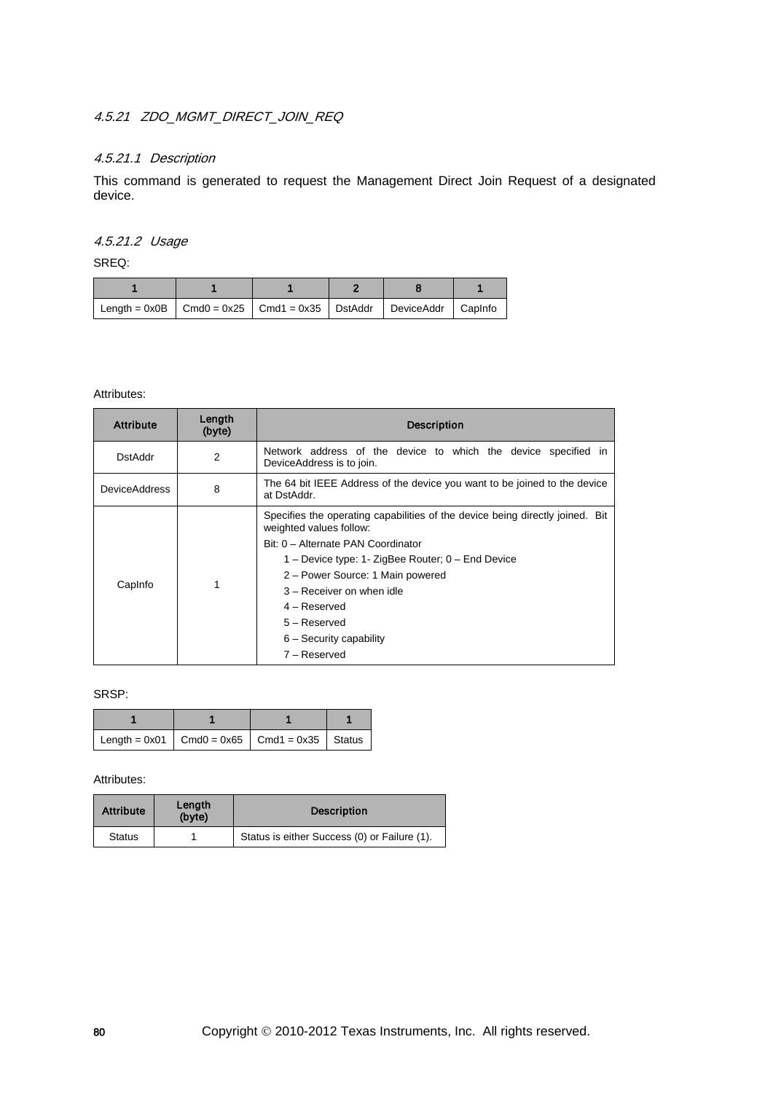## 4.5.21 ZDO\_MGMT\_DIRECT\_JOIN\_REQ

### 4.5.21.1 Description

This command is generated to request the Management Direct Join Request of a designated device.

## 4.5.21.2 Usage

SREQ:

| Length = $0x0B$   Cmd0 = $0x25$   Cmd1 = $0x35$   DstAddr   DeviceAddr   Caplnfo |  |  |  |
|----------------------------------------------------------------------------------|--|--|--|

#### Attributes:

| <b>Attribute</b>     | Length<br>(byte) | <b>Description</b>                                                                                                                                                                                                                                                                                                                                    |  |  |
|----------------------|------------------|-------------------------------------------------------------------------------------------------------------------------------------------------------------------------------------------------------------------------------------------------------------------------------------------------------------------------------------------------------|--|--|
| DstAddr              | 2                | Network address of the device to which the device specified in<br>DeviceAddress is to join.                                                                                                                                                                                                                                                           |  |  |
| <b>DeviceAddress</b> | 8                | The 64 bit IEEE Address of the device you want to be joined to the device<br>at DstAddr.                                                                                                                                                                                                                                                              |  |  |
| CapInfo              |                  | Specifies the operating capabilities of the device being directly joined. Bit<br>weighted values follow:<br>Bit: 0 - Alternate PAN Coordinator<br>1 – Device type: 1- ZigBee Router; 0 – End Device<br>2 - Power Source: 1 Main powered<br>3 - Receiver on when idle<br>$4 -$ Reserved<br>$5 -$ Reserved<br>$6 -$ Security capability<br>7 – Reserved |  |  |

### SRSP:

| Length = 0x01   Cmd0 = 0x65   Cmd1 = 0x35   Status |  |  |
|----------------------------------------------------|--|--|

| <b>Attribute</b> | Length<br>(byte) | <b>Description</b>                           |
|------------------|------------------|----------------------------------------------|
| <b>Status</b>    |                  | Status is either Success (0) or Failure (1). |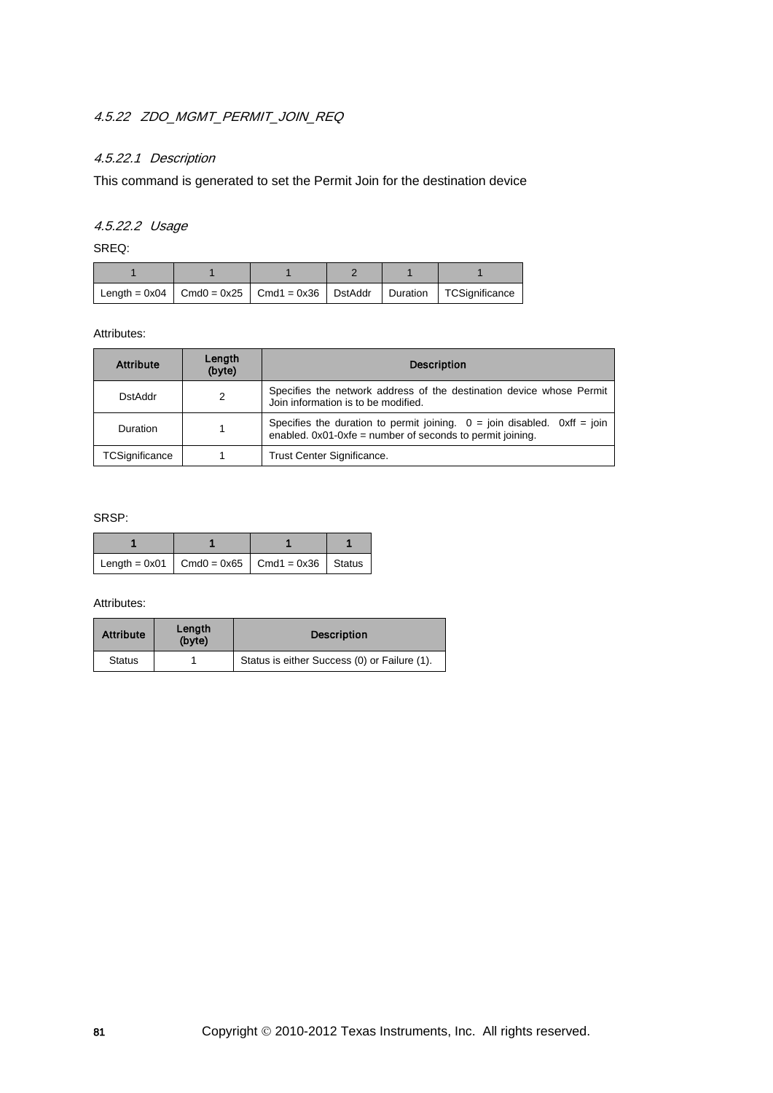## 4.5.22 ZDO\_MGMT\_PERMIT\_JOIN\_REQ

## 4.5.22.1 Description

This command is generated to set the Permit Join for the destination device

## 4.5.22.2 Usage

SREQ:

|  |  | Length = $0x04$   Cmd0 = $0x25$   Cmd1 = $0x36$   DstAddr   Duration   TCSignificance |
|--|--|---------------------------------------------------------------------------------------|

Attributes:

| <b>Attribute</b> | Length<br>(byte) | <b>Description</b>                                                                                                                      |  |
|------------------|------------------|-----------------------------------------------------------------------------------------------------------------------------------------|--|
| <b>DstAddr</b>   | 2                | Specifies the network address of the destination device whose Permit<br>Join information is to be modified.                             |  |
| Duration         |                  | Specifies the duration to permit joining. $0 =$ join disabled. Oxff = join<br>enabled. 0x01-0xfe = number of seconds to permit joining. |  |
| TCSignificance   |                  | Trust Center Significance.                                                                                                              |  |

### SRSP:

| Length = $0x01$   Cmd0 = $0x65$   Cmd1 = $0x36$   Status |  |  |
|----------------------------------------------------------|--|--|

| <b>Attribute</b> | Length<br>(byte) | <b>Description</b>                           |
|------------------|------------------|----------------------------------------------|
| <b>Status</b>    |                  | Status is either Success (0) or Failure (1). |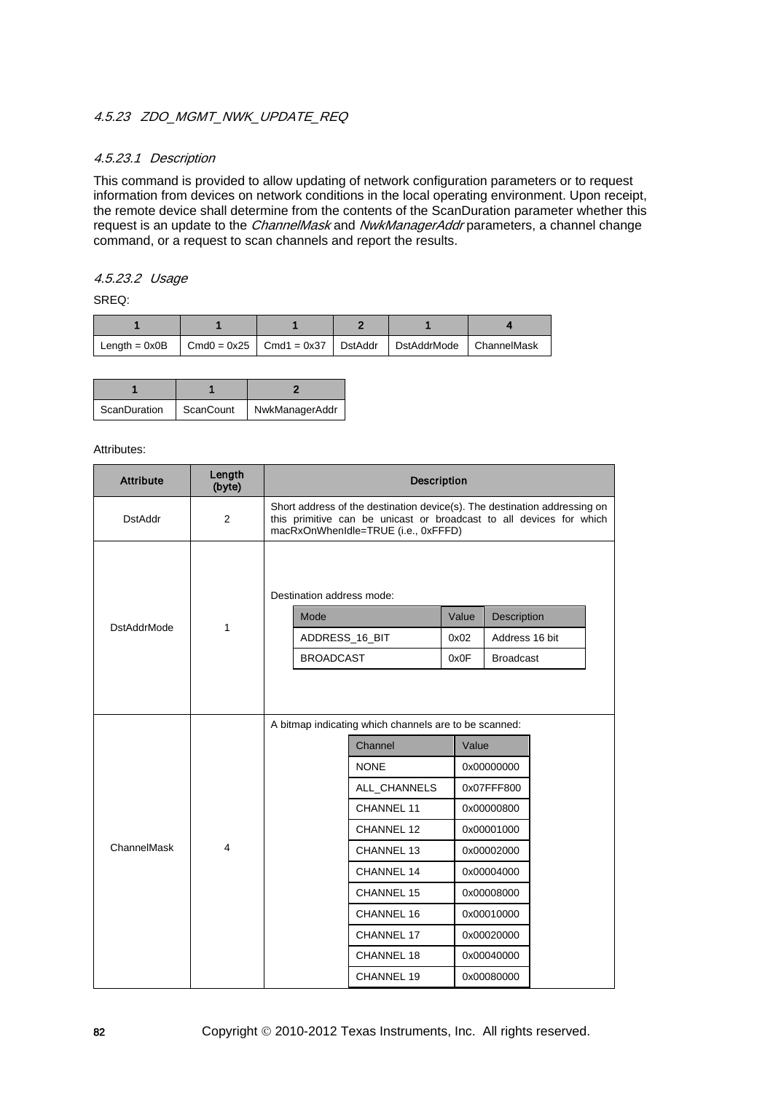## 4.5.23 ZDO MGMT NWK UPDATE REQ

### 4.5.23.1 Description

This command is provided to allow updating of network configuration parameters or to request information from devices on network conditions in the local operating environment. Upon receipt, the remote device shall determine from the contents of the ScanDuration parameter whether this request is an update to the *ChannelMask* and *NwkManagerAddr* parameters, a channel change command, or a request to scan channels and report the results.

### 4.5.23.2 Usage

SREQ:

| Length = $0x0B$   Cmd0 = $0x25$   Cmd1 = $0x37$   DstAddr |  | DstAddrMode ChannelMask |  |
|-----------------------------------------------------------|--|-------------------------|--|

| ScanDuration | ScanCount | NwkManagerAddr |
|--------------|-----------|----------------|

| <b>Attribute</b>   | Length<br>(byte) |                                                                                                                                                                                         |                           | <b>Description</b> |       |                  |  |  |
|--------------------|------------------|-----------------------------------------------------------------------------------------------------------------------------------------------------------------------------------------|---------------------------|--------------------|-------|------------------|--|--|
| <b>DstAddr</b>     | 2                | Short address of the destination device(s). The destination addressing on<br>this primitive can be unicast or broadcast to all devices for which<br>macRxOnWhenIdle=TRUE (i.e., 0xFFFD) |                           |                    |       |                  |  |  |
|                    |                  |                                                                                                                                                                                         | Destination address mode: |                    |       |                  |  |  |
| <b>DstAddrMode</b> | 1                |                                                                                                                                                                                         | Mode                      |                    | Value | Description      |  |  |
|                    |                  |                                                                                                                                                                                         | ADDRESS_16_BIT            |                    | 0x02  | Address 16 bit   |  |  |
|                    |                  |                                                                                                                                                                                         | <b>BROADCAST</b>          |                    | 0x0F  | <b>Broadcast</b> |  |  |
|                    |                  | A bitmap indicating which channels are to be scanned:                                                                                                                                   |                           |                    |       |                  |  |  |
|                    |                  |                                                                                                                                                                                         |                           | Channel            | Value |                  |  |  |
|                    |                  |                                                                                                                                                                                         |                           | <b>NONE</b>        |       | 0x00000000       |  |  |
|                    |                  |                                                                                                                                                                                         |                           | ALL_CHANNELS       |       | 0x07FFF800       |  |  |
|                    |                  |                                                                                                                                                                                         |                           | <b>CHANNEL 11</b>  |       | 0x00000800       |  |  |
|                    |                  |                                                                                                                                                                                         |                           | CHANNEL 12         |       | 0x00001000       |  |  |
| ChannelMask        | $\overline{4}$   |                                                                                                                                                                                         |                           | CHANNEL 13         |       | 0x00002000       |  |  |
|                    |                  |                                                                                                                                                                                         |                           | CHANNEL 14         |       | 0x00004000       |  |  |
|                    |                  |                                                                                                                                                                                         |                           | <b>CHANNEL 15</b>  |       | 0x00008000       |  |  |
|                    |                  |                                                                                                                                                                                         |                           | CHANNEL 16         |       | 0x00010000       |  |  |
|                    |                  |                                                                                                                                                                                         |                           | CHANNEL 17         |       | 0x00020000       |  |  |
|                    |                  |                                                                                                                                                                                         |                           | CHANNEL 18         |       | 0x00040000       |  |  |
|                    |                  |                                                                                                                                                                                         |                           | CHANNEL 19         |       | 0x00080000       |  |  |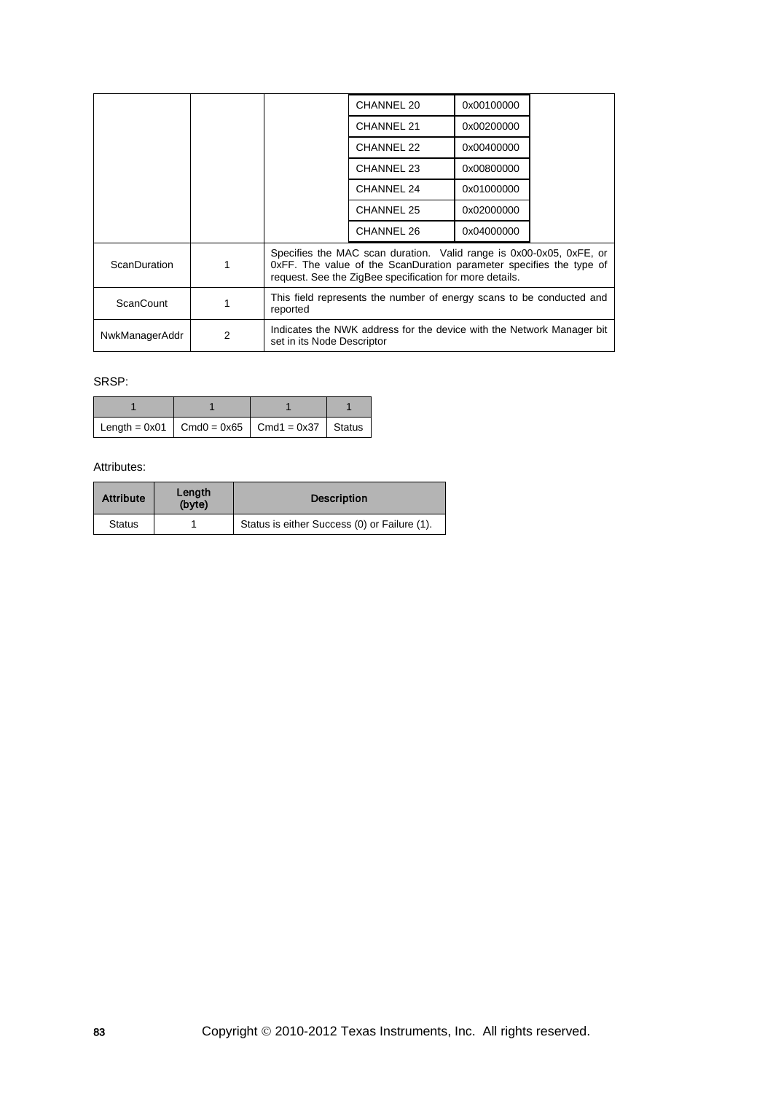|                     |   |                                                                                                                                                                                                       | CHANNEL 20        | 0x00100000 |  |  |
|---------------------|---|-------------------------------------------------------------------------------------------------------------------------------------------------------------------------------------------------------|-------------------|------------|--|--|
|                     |   |                                                                                                                                                                                                       | CHANNEL 21        | 0x00200000 |  |  |
|                     |   |                                                                                                                                                                                                       | CHANNEL 22        | 0x00400000 |  |  |
|                     |   |                                                                                                                                                                                                       | <b>CHANNEL 23</b> | 0x00800000 |  |  |
|                     |   |                                                                                                                                                                                                       | CHANNEL 24        | 0x01000000 |  |  |
|                     |   |                                                                                                                                                                                                       | CHANNEL 25        | 0x02000000 |  |  |
|                     |   |                                                                                                                                                                                                       | CHANNEL 26        | 0x04000000 |  |  |
| <b>ScanDuration</b> |   | Specifies the MAC scan duration. Valid range is 0x00-0x05, 0xFE, or<br>OxFF. The value of the ScanDuration parameter specifies the type of<br>request. See the ZigBee specification for more details. |                   |            |  |  |
| <b>ScanCount</b>    |   | This field represents the number of energy scans to be conducted and<br>reported                                                                                                                      |                   |            |  |  |
| NwkManagerAddr      | 2 | Indicates the NWK address for the device with the Network Manager bit<br>set in its Node Descriptor                                                                                                   |                   |            |  |  |

## SRSP:

| Length = $0x01$   Cmd0 = $0x65$   Cmd1 = $0x37$   Status |  |  |
|----------------------------------------------------------|--|--|

| <b>Attribute</b> | Length<br>(byte) | <b>Description</b>                           |
|------------------|------------------|----------------------------------------------|
| <b>Status</b>    |                  | Status is either Success (0) or Failure (1). |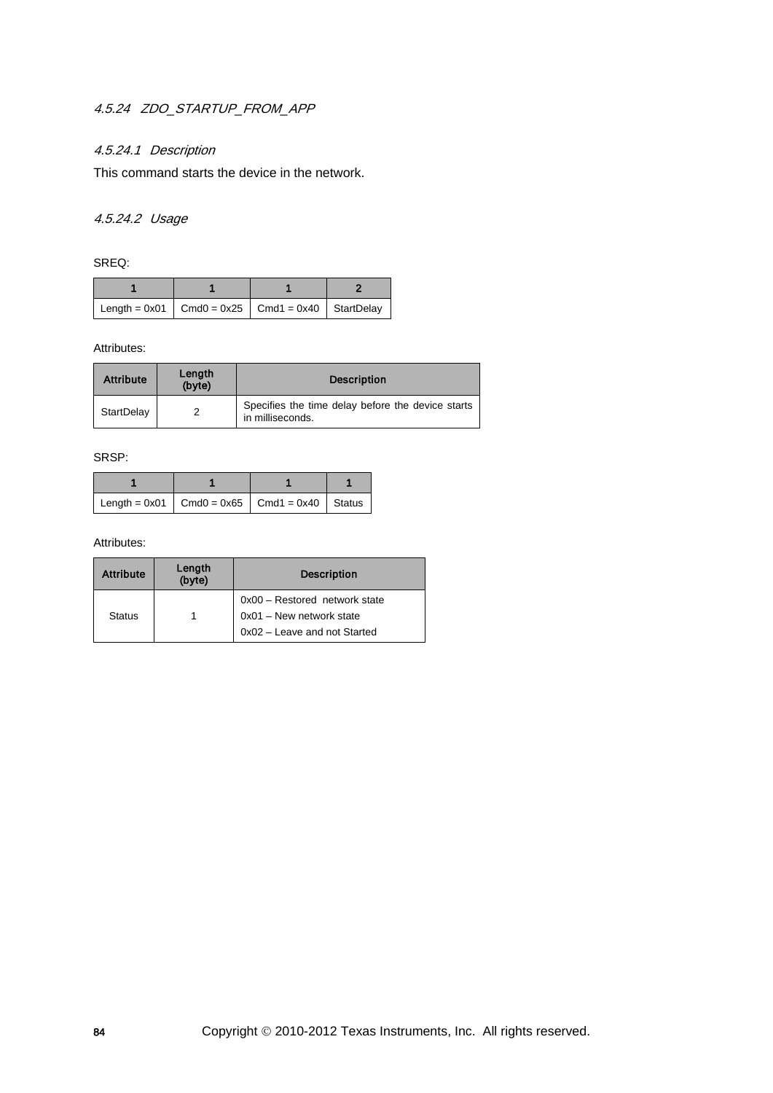## 4.5.24 ZDO\_STARTUP\_FROM\_APP

## 4.5.24.1 Description

This command starts the device in the network.

## 4.5.24.2 Usage

SREQ:

| Length = $0x01$   Cmd0 = $0x25$   Cmd1 = $0x40$   StartDelay |  |  |
|--------------------------------------------------------------|--|--|

### Attributes:

| <b>Attribute</b> | Length<br>(byte) | <b>Description</b>                                                    |
|------------------|------------------|-----------------------------------------------------------------------|
| StartDelay       |                  | Specifies the time delay before the device starts<br>in milliseconds. |

### SRSP:

| Length = $0x01$ Cmd0 = $0x65$ Cmd1 = $0x40$ Status |  |  |
|----------------------------------------------------|--|--|

| <b>Attribute</b> | Length<br>(byte) | <b>Description</b>            |
|------------------|------------------|-------------------------------|
|                  |                  | 0x00 - Restored network state |
| <b>Status</b>    |                  | 0x01 - New network state      |
|                  |                  | 0x02 - Leave and not Started  |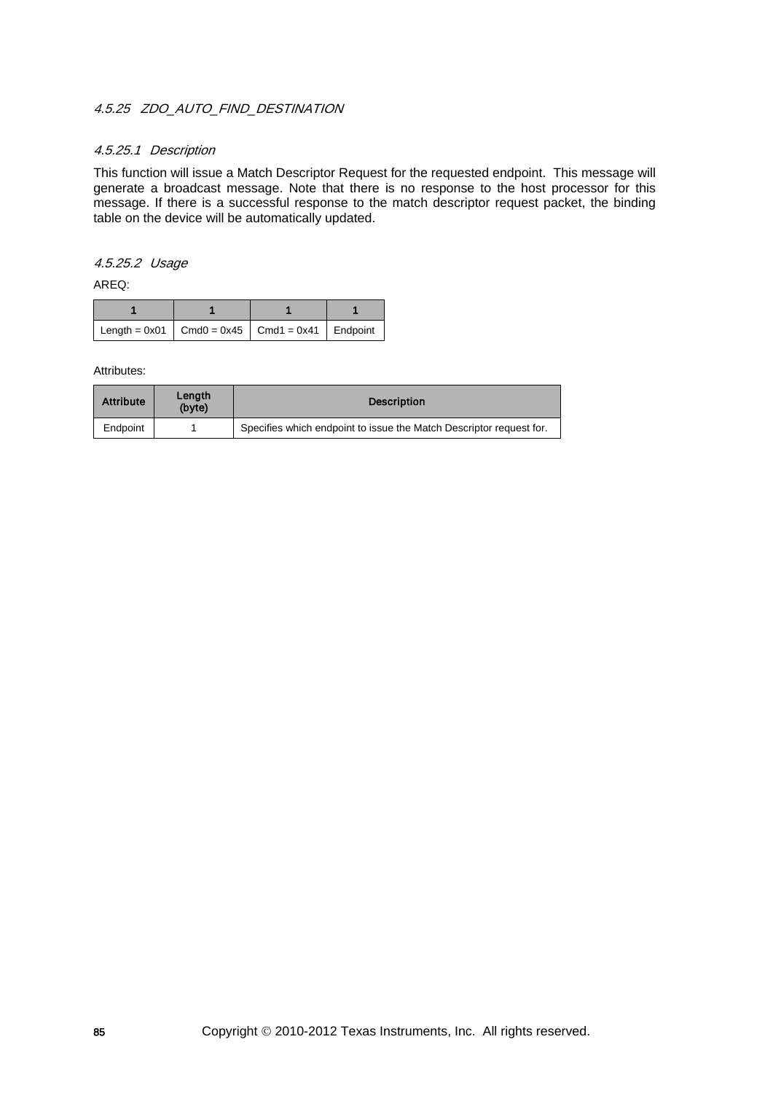## 4.5.25 ZDO AUTO FIND DESTINATION

### 4.5.25.1 Description

This function will issue a Match Descriptor Request for the requested endpoint. This message will generate a broadcast message. Note that there is no response to the host processor for this message. If there is a successful response to the match descriptor request packet, the binding table on the device will be automatically updated.

### 4.5.25.2 Usage

AREQ:

| Length = $0x01$   Cmd0 = $0x45$   Cmd1 = $0x41$   Endpoint |  |  |
|------------------------------------------------------------|--|--|

| <b>Attribute</b> | Lenath<br>(byte) | <b>Description</b>                                                  |
|------------------|------------------|---------------------------------------------------------------------|
| Endpoint         |                  | Specifies which endpoint to issue the Match Descriptor request for. |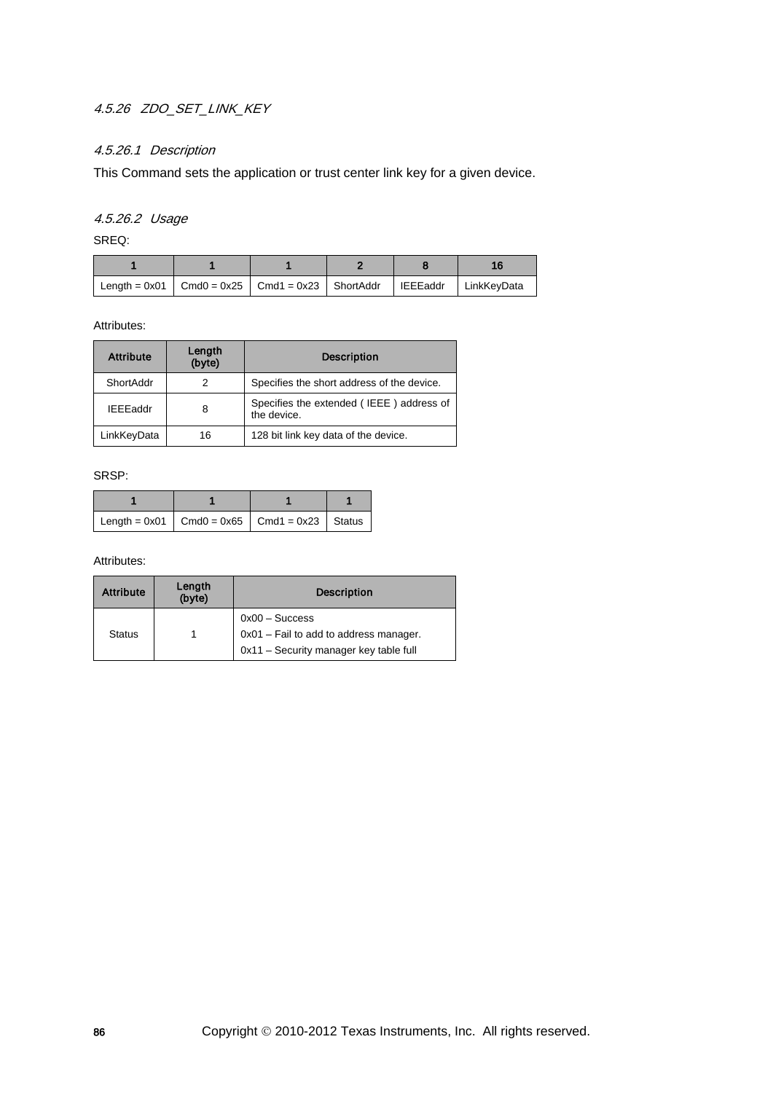## 4.5.26 ZDO\_SET\_LINK\_KEY

## 4.5.26.1 Description

This Command sets the application or trust center link key for a given device.

## 4.5.26.2 Usage

SREQ:

| Length = $0x01$   Cmd0 = $0x25$   Cmd1 = $0x23$   ShortAddr   IEEEaddr   LinkKeyData |  |  |  |
|--------------------------------------------------------------------------------------|--|--|--|

Attributes:

| <b>Attribute</b> | Length<br>(byte) | <b>Description</b>                                      |
|------------------|------------------|---------------------------------------------------------|
| ShortAddr        |                  | Specifies the short address of the device.              |
| <b>IEEEaddr</b>  | 8                | Specifies the extended (IEEE) address of<br>the device. |
| LinkKeyData      | 16               | 128 bit link key data of the device.                    |

SRSP:

| Length = $0x01$   Cmd0 = $0x65$   Cmd1 = $0x23$   Status |  |  |
|----------------------------------------------------------|--|--|

| <b>Attribute</b> | Length<br>(byte) | <b>Description</b>                                                                                   |
|------------------|------------------|------------------------------------------------------------------------------------------------------|
| <b>Status</b>    |                  | $0x00 - Success$<br>0x01 - Fail to add to address manager.<br>0x11 - Security manager key table full |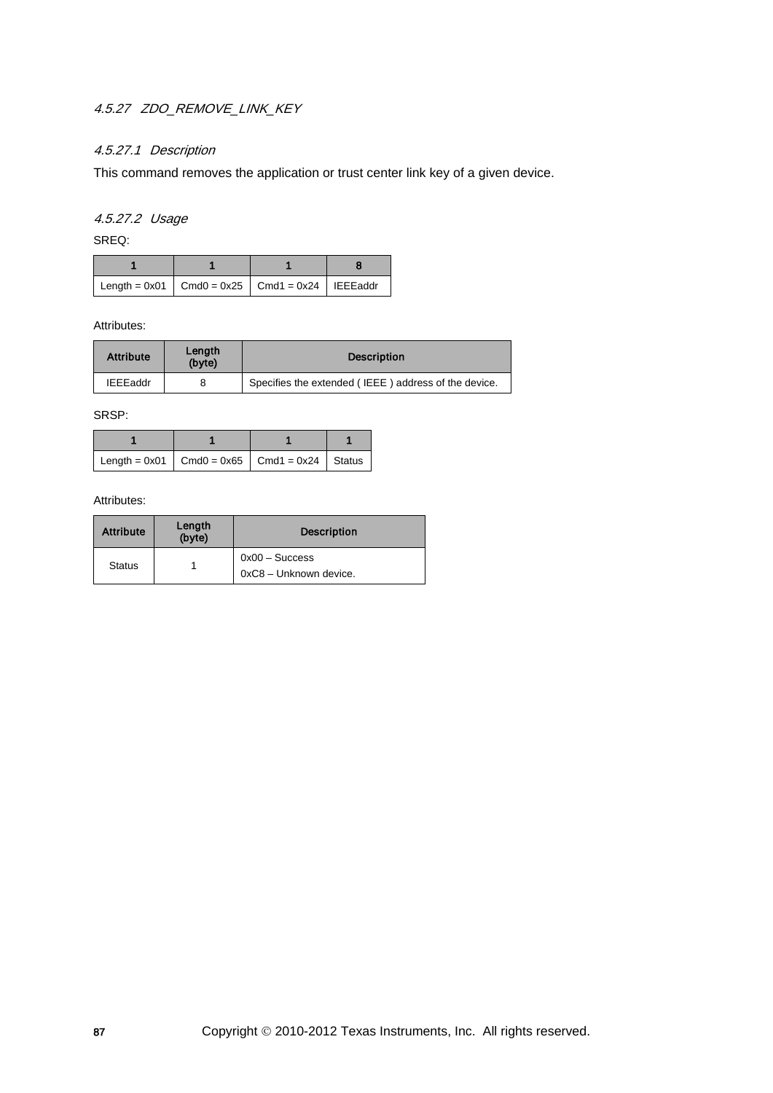# 4.5.27 ZDO\_REMOVE\_LINK\_KEY

## 4.5.27.1 Description

This command removes the application or trust center link key of a given device.

## 4.5.27.2 Usage

SREQ:

| Length = $0x01$ Cmd0 = $0x25$ Cmd1 = $0x24$   IEEEaddr |  |  |
|--------------------------------------------------------|--|--|

Attributes:

| <b>Attribute</b> | Lenath<br>(byte) | <b>Description</b>                                   |
|------------------|------------------|------------------------------------------------------|
| <b>IEEEaddr</b>  |                  | Specifies the extended (IEEE) address of the device. |

SRSP:

| Length = 0x01   Cmd0 = 0x65   Cmd1 = 0x24   Status |  |  |
|----------------------------------------------------|--|--|

| <b>Attribute</b> | Length<br>(byte) | <b>Description</b>                         |
|------------------|------------------|--------------------------------------------|
| <b>Status</b>    |                  | $0x00 -$ Success<br>0xC8 - Unknown device. |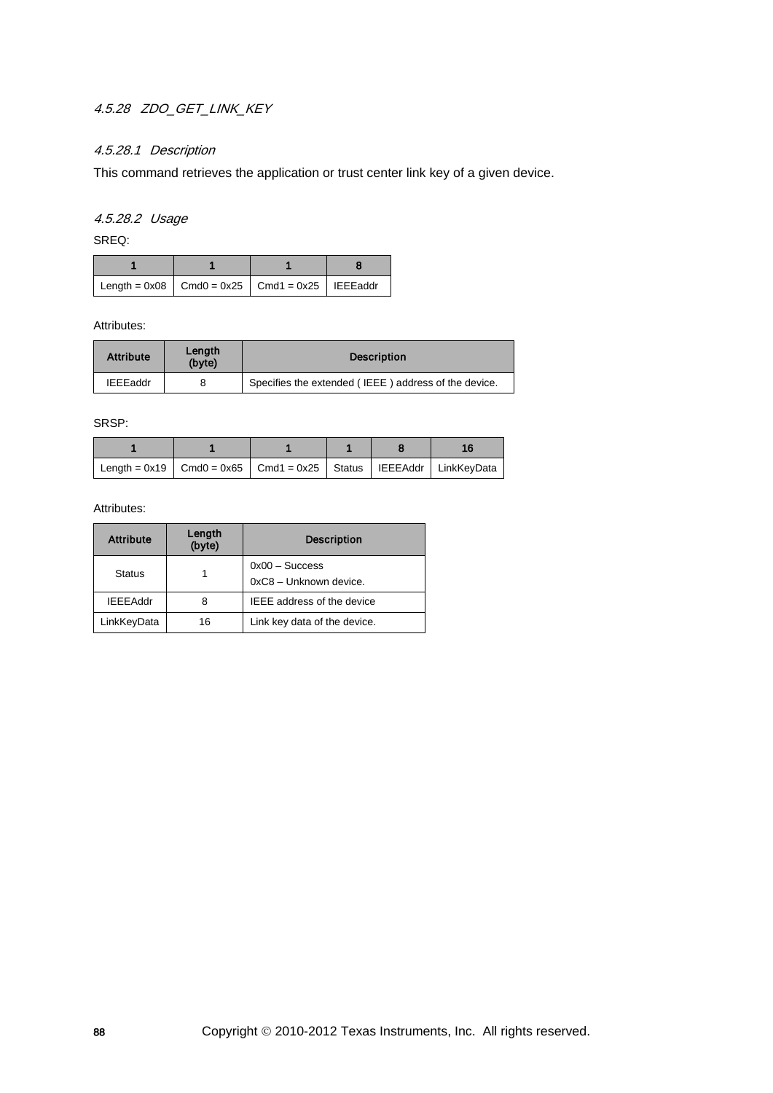## 4.5.28 ZDO\_GET\_LINK\_KEY

## 4.5.28.1 Description

This command retrieves the application or trust center link key of a given device.

## 4.5.28.2 Usage

SREQ:

| Length = $0x08$ Cmd0 = $0x25$ Cmd1 = $0x25$   IEEEaddr |  |  |
|--------------------------------------------------------|--|--|

### Attributes:

| <b>Attribute</b> | Length<br>(byte) | <b>Description</b>                                   |
|------------------|------------------|------------------------------------------------------|
| <b>IEEEaddr</b>  |                  | Specifies the extended (IEEE) address of the device. |

SRSP:

| Length = $0x19$ $\mid$ Cmd0 = $0x65$ $\mid$ Cmd1 = $0x25$ $\mid$ Status $\mid$ IEEEAddr $\mid$ LinkKeyData |  |  |  |
|------------------------------------------------------------------------------------------------------------|--|--|--|

| <b>Attribute</b> | Length<br>(byte) | <b>Description</b>                         |
|------------------|------------------|--------------------------------------------|
| <b>Status</b>    |                  | $0x00 - Success$<br>0xC8 - Unknown device. |
| <b>IEEEAddr</b>  | 8                | <b>IEEE</b> address of the device          |
| LinkKeyData      | 16               | Link key data of the device.               |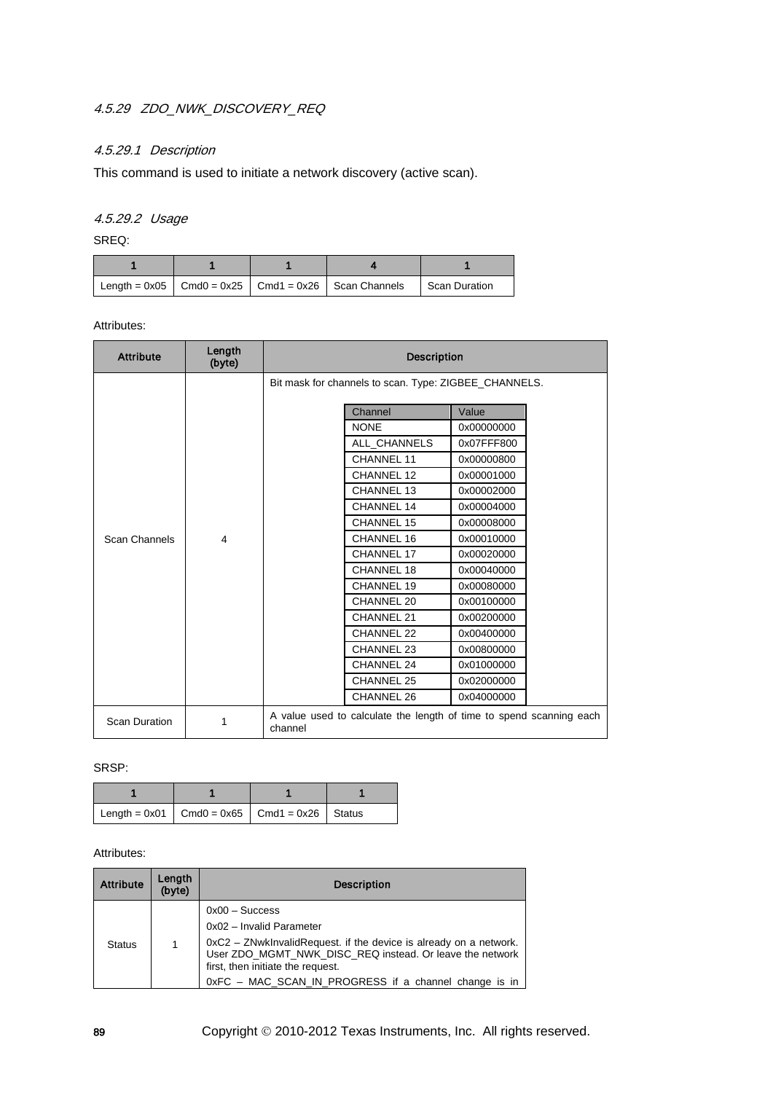## 4.5.29 ZDO\_NWK\_DISCOVERY\_REQ

## 4.5.29.1 Description

This command is used to initiate a network discovery (active scan).

## 4.5.29.2 Usage

SREQ:

|  | $\vert$ Length = 0x05 $\vert$ Cmd0 = 0x25 $\vert$ Cmd1 = 0x26 $\vert$ Scan Channels | Scan Duration |
|--|-------------------------------------------------------------------------------------|---------------|

### Attributes:

| <b>Attribute</b>     | Length<br>(byte) | <b>Description</b>                                    |                   |                                                                     |  |  |
|----------------------|------------------|-------------------------------------------------------|-------------------|---------------------------------------------------------------------|--|--|
|                      |                  | Bit mask for channels to scan. Type: ZIGBEE_CHANNELS. |                   |                                                                     |  |  |
|                      |                  |                                                       | Channel           | Value                                                               |  |  |
|                      |                  |                                                       | <b>NONE</b>       | 0x00000000                                                          |  |  |
|                      |                  |                                                       | ALL CHANNELS      | 0x07FFF800                                                          |  |  |
|                      |                  |                                                       | CHANNEL 11        | 0x00000800                                                          |  |  |
|                      |                  |                                                       | CHANNEL 12        | 0x00001000                                                          |  |  |
|                      |                  |                                                       | CHANNEL 13        | 0x00002000                                                          |  |  |
|                      | $\overline{4}$   |                                                       | CHANNEL 14        | 0x00004000                                                          |  |  |
|                      |                  |                                                       | <b>CHANNEL 15</b> | 0x00008000                                                          |  |  |
| Scan Channels        |                  |                                                       | CHANNEL 16        | 0x00010000                                                          |  |  |
|                      |                  |                                                       | CHANNEL 17        | 0x00020000                                                          |  |  |
|                      |                  |                                                       | CHANNEL 18        | 0x00040000                                                          |  |  |
|                      |                  |                                                       | CHANNEL 19        | 0x00080000                                                          |  |  |
|                      |                  |                                                       | CHANNEL 20        | 0x00100000                                                          |  |  |
|                      |                  |                                                       | CHANNEL 21        | 0x00200000                                                          |  |  |
|                      |                  |                                                       | CHANNEL 22        | 0x00400000                                                          |  |  |
|                      |                  |                                                       | CHANNEL 23        | 0x00800000                                                          |  |  |
|                      |                  |                                                       | CHANNEL 24        | 0x01000000                                                          |  |  |
|                      |                  |                                                       | CHANNEL 25        | 0x02000000                                                          |  |  |
|                      |                  |                                                       | CHANNEL 26        | 0x04000000                                                          |  |  |
| <b>Scan Duration</b> | 1                | channel                                               |                   | A value used to calculate the length of time to spend scanning each |  |  |

### SRSP:

| Length = $0x01$ Cmd0 = $0x65$ Cmd1 = $0x26$ Status |  |  |
|----------------------------------------------------|--|--|

| <b>Attribute</b> | Length<br>(byte) | <b>Description</b>                                                                                                                                                                                                                                                          |
|------------------|------------------|-----------------------------------------------------------------------------------------------------------------------------------------------------------------------------------------------------------------------------------------------------------------------------|
| <b>Status</b>    | 1                | $0x00 - Success$<br>0x02 - Invalid Parameter<br>0xC2 - ZNwkInvalidRequest. if the device is already on a network.<br>User ZDO MGMT NWK DISC REQ instead. Or leave the network<br>first, then initiate the request.<br>0xFC - MAC_SCAN_IN_PROGRESS if a channel change is in |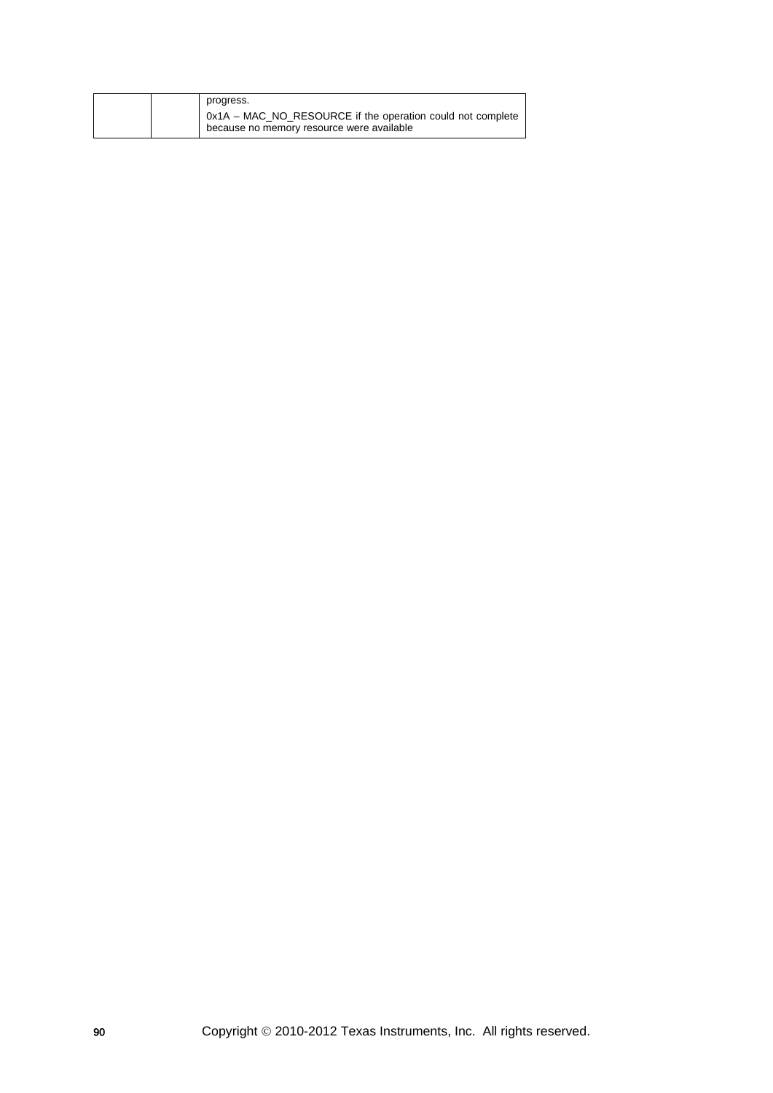| progress.                                                  |
|------------------------------------------------------------|
| 0x1A - MAC_NO_RESOURCE if the operation could not complete |
| because no memory resource were available                  |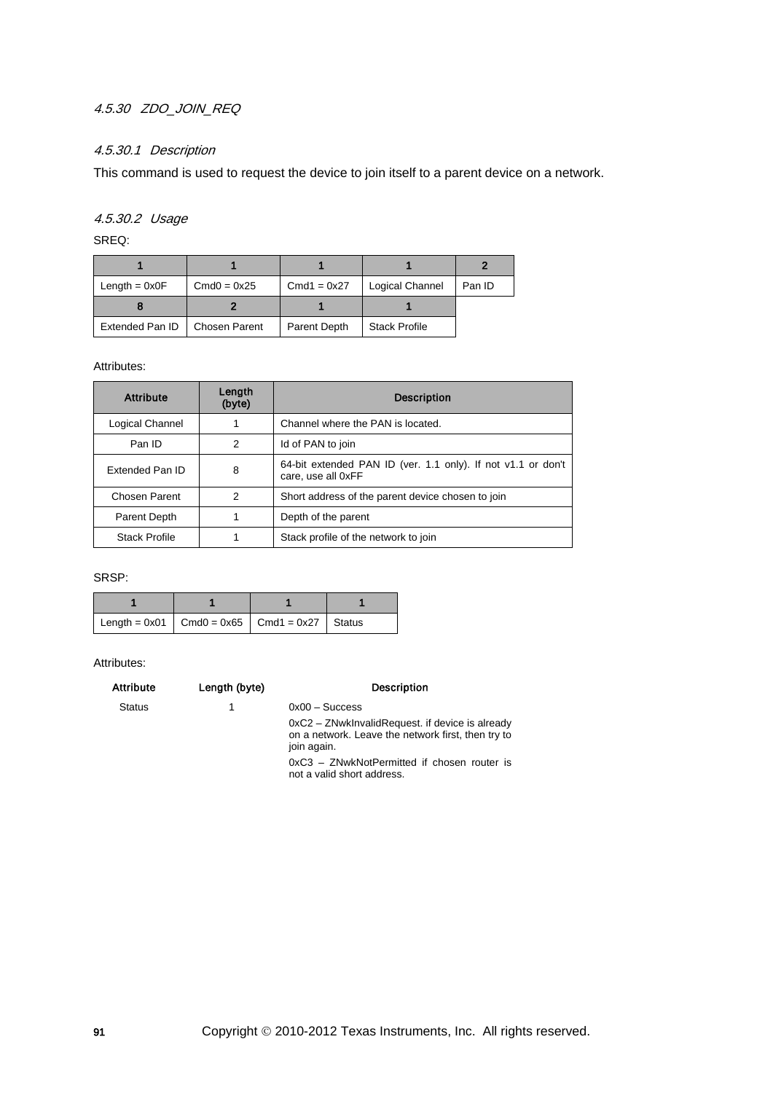## 4.5.30 ZDO\_JOIN\_REQ

## 4.5.30.1 Description

This command is used to request the device to join itself to a parent device on a network.

## 4.5.30.2 Usage

SREQ:

| Length $= 0x0F$ | $Cmd0 = 0x25$        | $Cmd1 = 0x27$ | Logical Channel      | Pan ID |
|-----------------|----------------------|---------------|----------------------|--------|
|                 |                      |               |                      |        |
| Extended Pan ID | <b>Chosen Parent</b> | Parent Depth  | <b>Stack Profile</b> |        |

Attributes:

| <b>Attribute</b>     | Lenath<br>(byte) | <b>Description</b>                                                                 |  |
|----------------------|------------------|------------------------------------------------------------------------------------|--|
| Logical Channel      |                  | Channel where the PAN is located.                                                  |  |
| Pan ID               | 2                | Id of PAN to join                                                                  |  |
| Extended Pan ID      | 8                | 64-bit extended PAN ID (ver. 1.1 only). If not v1.1 or don't<br>care, use all 0xFF |  |
| Chosen Parent        | 2                | Short address of the parent device chosen to join                                  |  |
| Parent Depth         |                  | Depth of the parent                                                                |  |
| <b>Stack Profile</b> |                  | Stack profile of the network to join                                               |  |

SRSP:

| Length = $0x01$ Cmd0 = $0x65$ Cmd1 = $0x27$ Status |  |  |
|----------------------------------------------------|--|--|

| <b>Attribute</b> | Length (byte) | <b>Description</b>                                                                                                   |
|------------------|---------------|----------------------------------------------------------------------------------------------------------------------|
| <b>Status</b>    |               | $0x00 -$ Success                                                                                                     |
|                  |               | 0xC2 – ZNwkInvalidRequest. if device is already<br>on a network. Leave the network first, then try to<br>join again. |
|                  |               | 0xC3 - ZNwkNotPermitted if chosen router is<br>not a valid short address.                                            |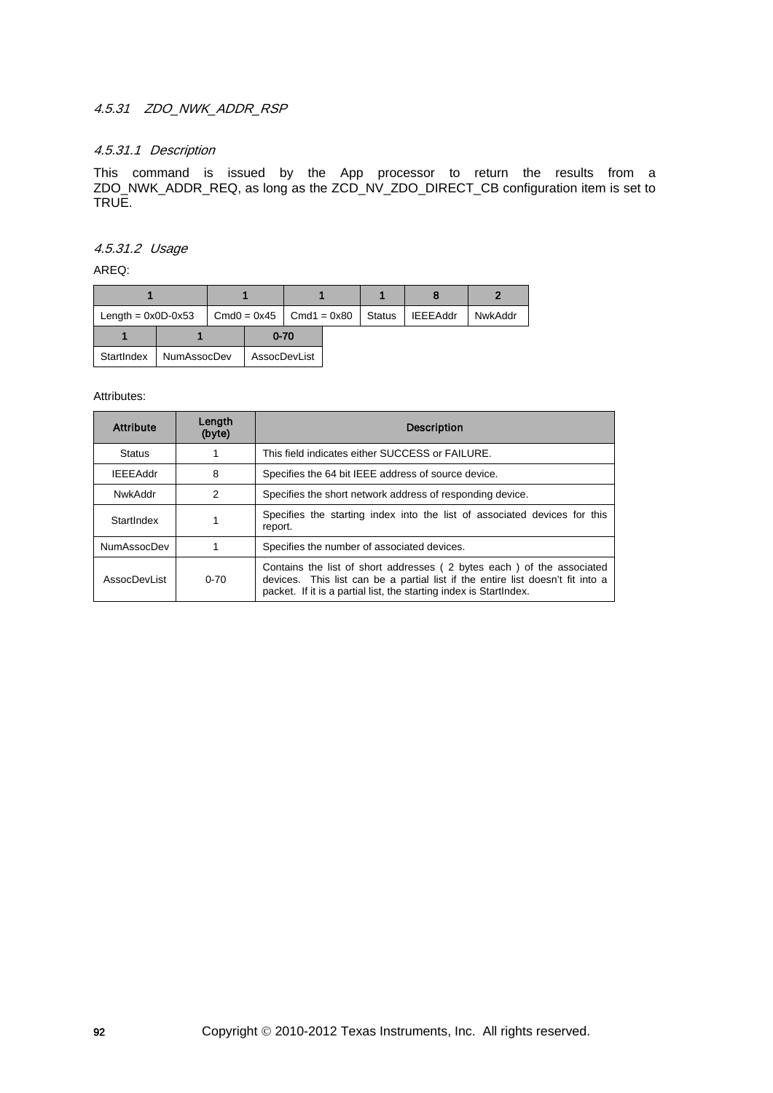## 4.5.31 ZDO\_NWK\_ADDR\_RSP

## 4.5.31.1 Description

This command is issued by the App processor to return the results from a ZDO\_NWK\_ADDR\_REQ, as long as the ZCD\_NV\_ZDO\_DIRECT\_CB configuration item is set to TRUE.

4.5.31.2 Usage

AREQ:

| Length = $0x0D-0x53$ |             | $Cmd0 = 0x45$ $Cmd1 = 0x80$ |              | Status | <b>IEEEAddr</b> | NwkAddr |
|----------------------|-------------|-----------------------------|--------------|--------|-----------------|---------|
|                      |             |                             | $0 - 70$     |        |                 |         |
| StartIndex           | NumAssocDev |                             | AssocDevList |        |                 |         |

| <b>Attribute</b>   | Lenath<br>(byte) | <b>Description</b>                                                                                                                                                                                                            |  |
|--------------------|------------------|-------------------------------------------------------------------------------------------------------------------------------------------------------------------------------------------------------------------------------|--|
| <b>Status</b>      |                  | This field indicates either SUCCESS or FAILURE.                                                                                                                                                                               |  |
| <b>IEEEAddr</b>    | 8                | Specifies the 64 bit IEEE address of source device.                                                                                                                                                                           |  |
| NwkAddr            | 2                | Specifies the short network address of responding device.                                                                                                                                                                     |  |
| StartIndex         |                  | Specifies the starting index into the list of associated devices for this<br>report.                                                                                                                                          |  |
| <b>NumAssocDev</b> |                  | Specifies the number of associated devices.                                                                                                                                                                                   |  |
| AssocDevl ist      | $0 - 70$         | Contains the list of short addresses (2 bytes each) of the associated<br>devices. This list can be a partial list if the entire list doesn't fit into a<br>packet. If it is a partial list, the starting index is StartIndex. |  |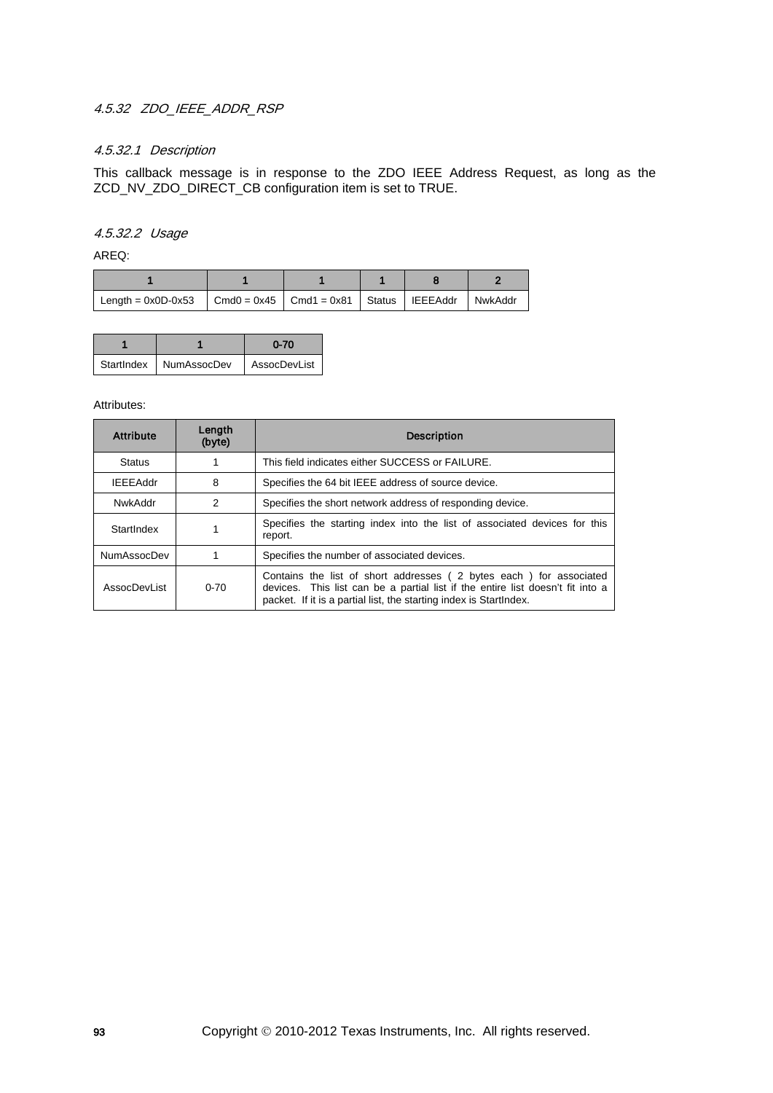## 4.5.32 ZDO IEEE ADDR RSP

## 4.5.32.1 Description

This callback message is in response to the ZDO IEEE Address Request, as long as the ZCD\_NV\_ZDO\_DIRECT\_CB configuration item is set to TRUE.

### 4.5.32.2 Usage

AREQ:

| Length = $0x0D-0x53$ $\vert$ Cmd0 = $0x45$ $\vert$ Cmd1 = $0x81$ $\vert$ Status $\vert$ IEEEAddr |  |  | NwkAddr |
|--------------------------------------------------------------------------------------------------|--|--|---------|

|                          | $0 - 70$     |
|--------------------------|--------------|
| StartIndex   NumAssocDev | AssocDevList |

| <b>Attribute</b>   | Length<br>(byte) | <b>Description</b>                                                                                                                                                                                                         |  |
|--------------------|------------------|----------------------------------------------------------------------------------------------------------------------------------------------------------------------------------------------------------------------------|--|
| <b>Status</b>      |                  | This field indicates either SUCCESS or FAILURE.                                                                                                                                                                            |  |
| <b>IEEEAddr</b>    | 8                | Specifies the 64 bit IEEE address of source device.                                                                                                                                                                        |  |
| NwkAddr            | 2                | Specifies the short network address of responding device.                                                                                                                                                                  |  |
| StartIndex         |                  | Specifies the starting index into the list of associated devices for this<br>report.                                                                                                                                       |  |
| <b>NumAssocDev</b> |                  | Specifies the number of associated devices.                                                                                                                                                                                |  |
| AssocDevList       | $0 - 70$         | Contains the list of short addresses (2 bytes each) for associated<br>devices. This list can be a partial list if the entire list doesn't fit into a<br>packet. If it is a partial list, the starting index is StartIndex. |  |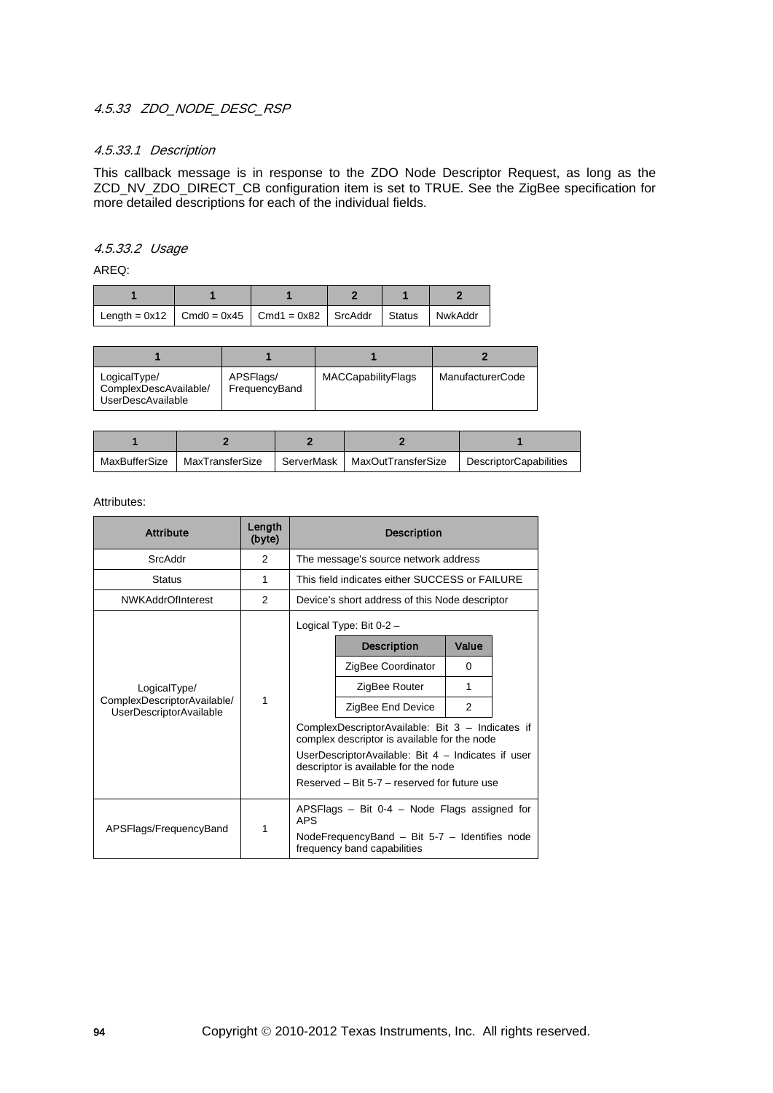## 4.5.33 ZDO\_NODE\_DESC\_RSP

### 4.5.33.1 Description

This callback message is in response to the ZDO Node Descriptor Request, as long as the ZCD\_NV\_ZDO\_DIRECT\_CB configuration item is set to TRUE. See the ZigBee specification for more detailed descriptions for each of the individual fields.

### 4.5.33.2 Usage

AREQ:

| Length = $0x12$   Cmd0 = $0x45$   Cmd1 = $0x82$   SrcAddr   Status   NwkAddr |  |  |  |
|------------------------------------------------------------------------------|--|--|--|

| LogicalType/<br>ComplexDescAvailable/<br>UserDescAvailable | APSFlags/<br>FrequencyBand | MACCapabilityFlags | <b>ManufacturerCode</b> |
|------------------------------------------------------------|----------------------------|--------------------|-------------------------|

| MaxBufferSize | MaxTransferSize | ServerMask | MaxOutTransferSize | <b>DescriptorCapabilities</b> |
|---------------|-----------------|------------|--------------------|-------------------------------|

| <b>Attribute</b>                                              | Length<br>(byte) | <b>Description</b> |                                                                                                  |       |  |                   |   |  |
|---------------------------------------------------------------|------------------|--------------------|--------------------------------------------------------------------------------------------------|-------|--|-------------------|---|--|
| SrcAddr                                                       | 2                |                    | The message's source network address                                                             |       |  |                   |   |  |
| <b>Status</b>                                                 | 1                |                    | This field indicates either SUCCESS or FAILURE                                                   |       |  |                   |   |  |
| <b>NWKAddrOfInterest</b>                                      | 2                |                    | Device's short address of this Node descriptor                                                   |       |  |                   |   |  |
|                                                               |                  |                    | Logical Type: Bit $0-2$ -                                                                        |       |  |                   |   |  |
|                                                               |                  |                    | <b>Description</b>                                                                               | Value |  |                   |   |  |
|                                                               |                  |                    | ZigBee Coordinator                                                                               | 0     |  |                   |   |  |
| LogicalType/                                                  |                  |                    | ZigBee Router                                                                                    | 1     |  |                   |   |  |
| ComplexDescriptorAvailable/<br><b>UserDescriptorAvailable</b> | 1                |                    |                                                                                                  |       |  | ZigBee End Device | 2 |  |
|                                                               |                  |                    | ComplexDescriptorAvailable: Bit 3 - Indicates if<br>complex descriptor is available for the node |       |  |                   |   |  |
|                                                               |                  |                    | UserDescriptorAvailable: Bit 4 - Indicates if user<br>descriptor is available for the node       |       |  |                   |   |  |
|                                                               |                  |                    | Reserved - Bit 5-7 - reserved for future use                                                     |       |  |                   |   |  |
|                                                               | 1                | <b>APS</b>         | APSFlags $-$ Bit 0-4 $-$ Node Flags assigned for                                                 |       |  |                   |   |  |
| APSFlags/FrequencyBand                                        |                  |                    | Node Frequency Band $-$ Bit 5-7 $-$ Identifies node<br>frequency band capabilities               |       |  |                   |   |  |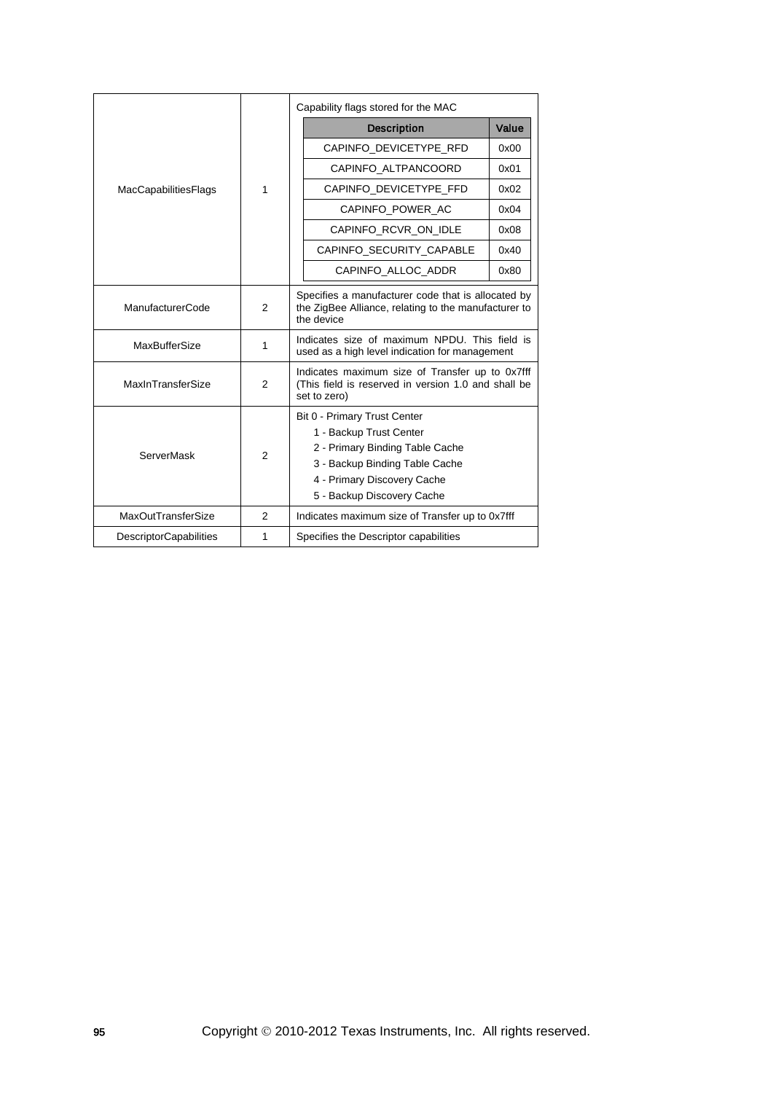|                               |                | Capability flags stored for the MAC                                                                                                                                                       |       |  |
|-------------------------------|----------------|-------------------------------------------------------------------------------------------------------------------------------------------------------------------------------------------|-------|--|
|                               |                | <b>Description</b>                                                                                                                                                                        | Value |  |
|                               |                | CAPINFO_DEVICETYPE_RFD                                                                                                                                                                    | 0x00  |  |
|                               |                | CAPINFO ALTPANCOORD                                                                                                                                                                       | 0x01  |  |
| <b>MacCapabilitiesFlags</b>   | 1              | CAPINFO DEVICETYPE FFD                                                                                                                                                                    | 0x02  |  |
|                               |                | CAPINFO POWER AC                                                                                                                                                                          | 0x04  |  |
|                               |                | CAPINFO RCVR ON IDLE                                                                                                                                                                      | 0x08  |  |
|                               |                | CAPINFO SECURITY CAPABLE                                                                                                                                                                  | 0x40  |  |
|                               |                | CAPINFO ALLOC ADDR                                                                                                                                                                        | 0x80  |  |
| ManufacturerCode              | 2              | Specifies a manufacturer code that is allocated by<br>the ZigBee Alliance, relating to the manufacturer to<br>the device                                                                  |       |  |
| <b>MaxBufferSize</b>          | 1              | Indicates size of maximum NPDU. This field is<br>used as a high level indication for management                                                                                           |       |  |
| MaxInTransferSize             | 2              | Indicates maximum size of Transfer up to 0x7fff<br>(This field is reserved in version 1.0 and shall be<br>set to zero)                                                                    |       |  |
| <b>ServerMask</b>             | $\overline{2}$ | Bit 0 - Primary Trust Center<br>1 - Backup Trust Center<br>2 - Primary Binding Table Cache<br>3 - Backup Binding Table Cache<br>4 - Primary Discovery Cache<br>5 - Backup Discovery Cache |       |  |
| <b>MaxOutTransferSize</b>     | 2              | Indicates maximum size of Transfer up to 0x7fff                                                                                                                                           |       |  |
| <b>DescriptorCapabilities</b> | 1              | Specifies the Descriptor capabilities                                                                                                                                                     |       |  |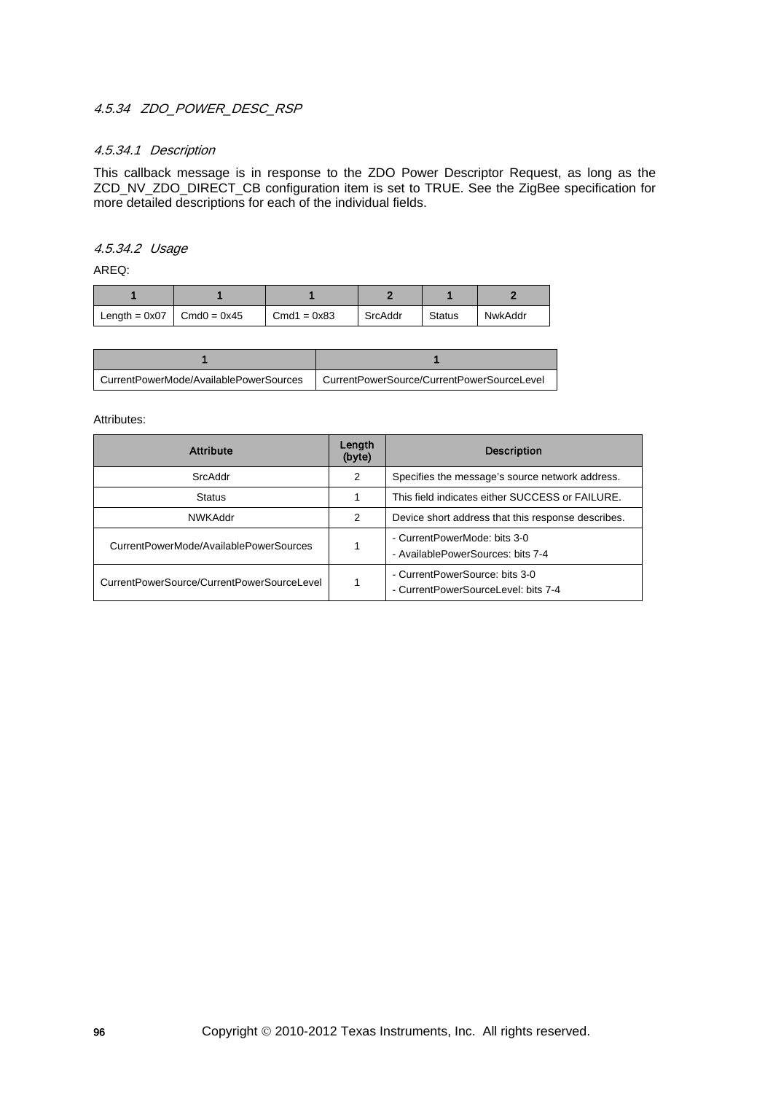## 4.5.34 ZDO\_POWER\_DESC\_RSP

### 4.5.34.1 Description

This callback message is in response to the ZDO Power Descriptor Request, as long as the ZCD\_NV\_ZDO\_DIRECT\_CB configuration item is set to TRUE. See the ZigBee specification for more detailed descriptions for each of the individual fields.

### 4.5.34.2 Usage

AREQ:

| Length = $0x07$ Cmd $0 = 0x45$ | $Cmd1 = 0x83$ | SrcAddr | <b>Status</b> | NwkAddr |
|--------------------------------|---------------|---------|---------------|---------|

| CurrentPowerMode/AvailablePowerSources | CurrentPowerSource/CurrentPowerSourceLevel |
|----------------------------------------|--------------------------------------------|

| <b>Attribute</b>                           | Length<br>(byte) | <b>Description</b>                                                    |
|--------------------------------------------|------------------|-----------------------------------------------------------------------|
| SrcAddr                                    | 2                | Specifies the message's source network address.                       |
| <b>Status</b>                              |                  | This field indicates either SUCCESS or FAILURE.                       |
| <b>NWKAddr</b>                             | 2                | Device short address that this response describes.                    |
| CurrentPowerMode/AvailablePowerSources     |                  | - CurrentPowerMode: bits 3-0<br>- AvailablePowerSources: bits 7-4     |
| CurrentPowerSource/CurrentPowerSourceLevel |                  | - CurrentPowerSource: bits 3-0<br>- CurrentPowerSourceLevel: bits 7-4 |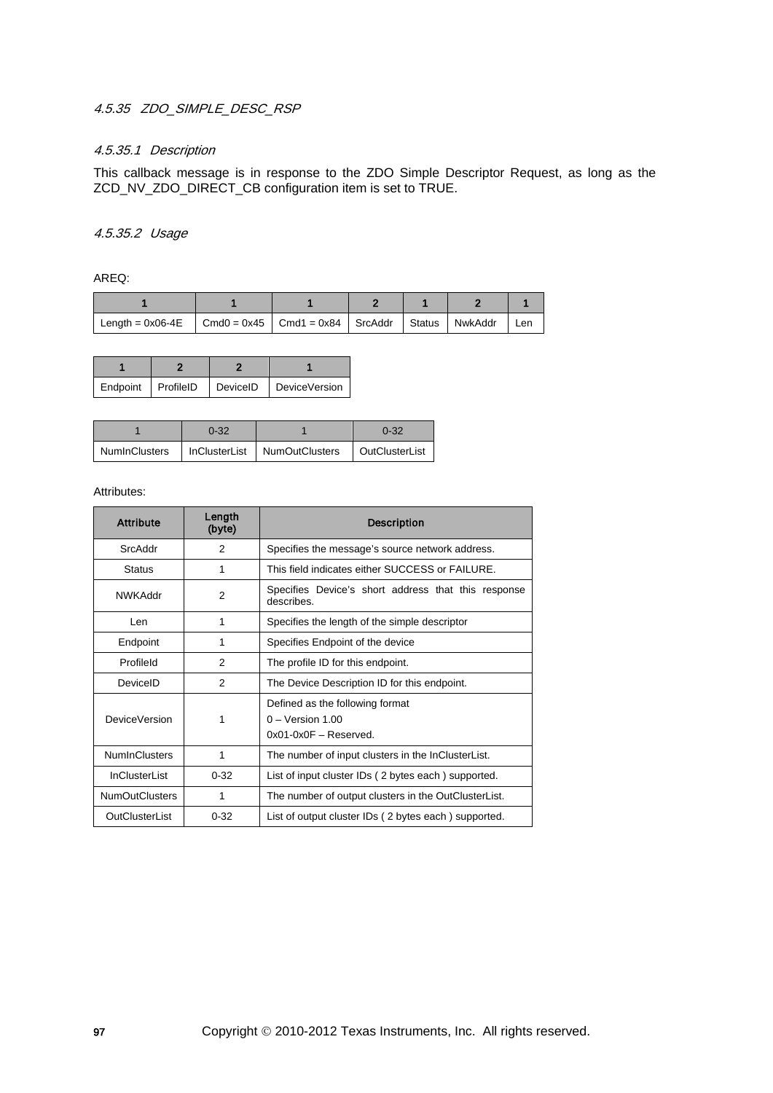## 4.5.35 ZDO\_SIMPLE\_DESC\_RSP

## 4.5.35.1 Description

This callback message is in response to the ZDO Simple Descriptor Request, as long as the ZCD\_NV\_ZDO\_DIRECT\_CB configuration item is set to TRUE.

### 4.5.35.2 Usage

AREQ:

| Length = $0x06-4E$   Cmd0 = $0x45$   Cmd1 = $0x84$   SrcAddr   Status   NwkAddr |  |  | Len |
|---------------------------------------------------------------------------------|--|--|-----|

| Endpoint   ProfileID |  | DeviceID DeviceVersion |  |
|----------------------|--|------------------------|--|

| $0 - 32$ |                                                | $0 - 32$       |  |
|----------|------------------------------------------------|----------------|--|
|          | NumInClusters   InClusterList   NumOutClusters | OutClusterList |  |

| <b>Attribute</b>      | Length<br>(byte) | <b>Description</b>                                                              |  |  |
|-----------------------|------------------|---------------------------------------------------------------------------------|--|--|
| SrcAddr               | 2                | Specifies the message's source network address.                                 |  |  |
| <b>Status</b>         | 1                | This field indicates either SUCCESS or FAILURE.                                 |  |  |
| <b>NWKAddr</b>        | 2                | Specifies Device's short address that this response<br>describes.               |  |  |
| Len                   | 1                | Specifies the length of the simple descriptor                                   |  |  |
| Endpoint              | 1                | Specifies Endpoint of the device                                                |  |  |
| Profileld             | 2                | The profile ID for this endpoint.                                               |  |  |
| DeviceID              | 2                | The Device Description ID for this endpoint.                                    |  |  |
| DeviceVersion         | 1                | Defined as the following format<br>$0 -$ Version 1.00<br>$0x01-0x0F - Reserved$ |  |  |
| <b>NumInClusters</b>  | 1                | The number of input clusters in the InClusterList.                              |  |  |
| <b>InClusterList</b>  | $0 - 32$         | List of input cluster IDs (2 bytes each) supported.                             |  |  |
| <b>NumOutClusters</b> | 1                | The number of output clusters in the OutClusterList.                            |  |  |
| OutClusterList        | $0 - 32$         | List of output cluster IDs (2 bytes each) supported.                            |  |  |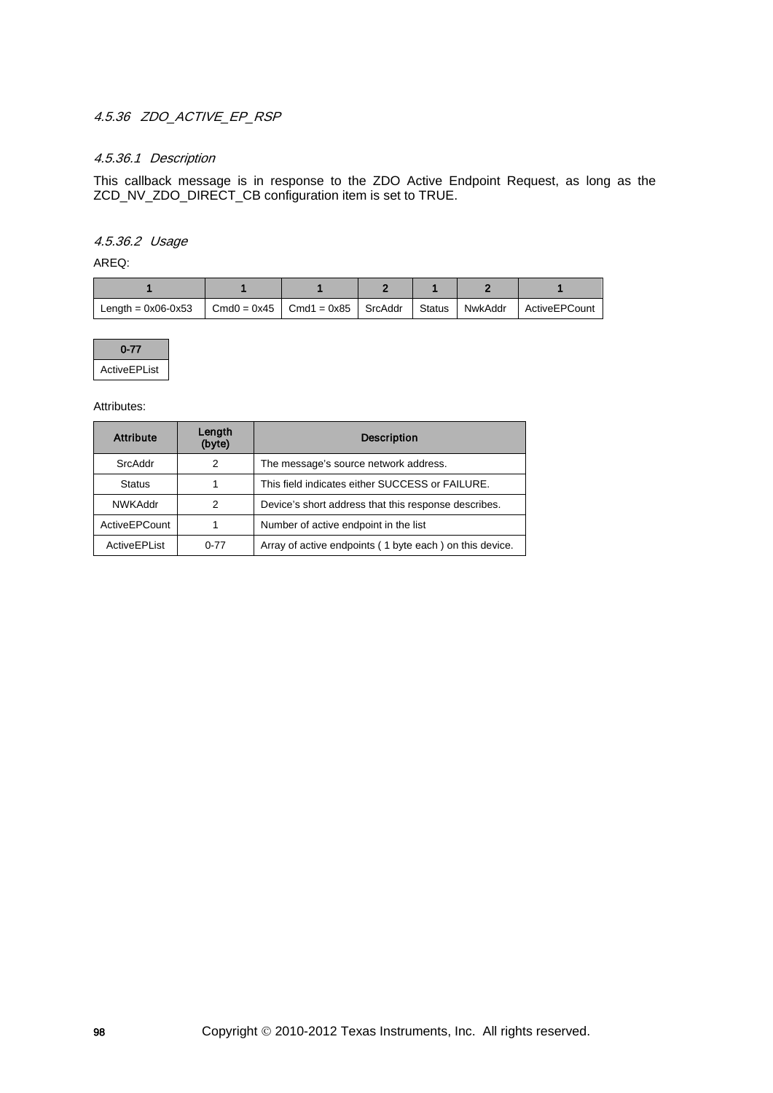## 4.5.36 ZDO\_ACTIVE\_EP\_RSP

### 4.5.36.1 Description

This callback message is in response to the ZDO Active Endpoint Request, as long as the ZCD\_NV\_ZDO\_DIRECT\_CB configuration item is set to TRUE.

## 4.5.36.2 Usage

AREQ:

| Length = $0x06-0x53$ | $\vert$ Cmd0 = 0x45 $\vert$ Cmd1 = 0x85 $\vert$ SrcAddr $\vert$ Status |  | NwkAddr | ActiveEPCount |
|----------------------|------------------------------------------------------------------------|--|---------|---------------|

| $0 - 77$     |
|--------------|
| ActiveEPList |

| <b>Attribute</b> | Length<br>(byte) | <b>Description</b>                                      |
|------------------|------------------|---------------------------------------------------------|
| SrcAddr          | 2                | The message's source network address.                   |
| <b>Status</b>    |                  | This field indicates either SUCCESS or FAILURE.         |
| <b>NWKAddr</b>   | 2                | Device's short address that this response describes.    |
| ActiveEPCount    |                  | Number of active endpoint in the list                   |
| ActiveEPList     | $0 - 77$         | Array of active endpoints (1 byte each) on this device. |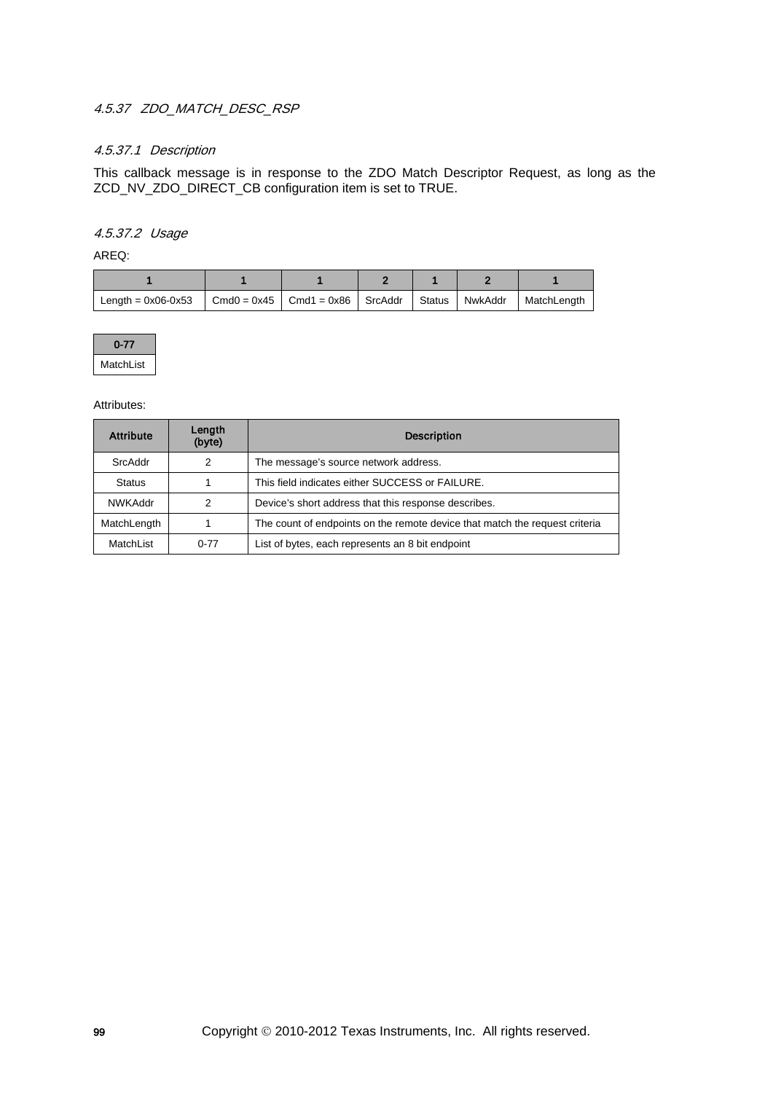## 4.5.37 ZDO MATCH DESC RSP

## 4.5.37.1 Description

This callback message is in response to the ZDO Match Descriptor Request, as long as the ZCD\_NV\_ZDO\_DIRECT\_CB configuration item is set to TRUE.

## 4.5.37.2 Usage

AREQ:

| Length = $0x06-0x53$ | $\vert$ Cmd0 = 0x45 $\vert$ Cmd1 = 0x86 $\vert$ SrcAddr $\vert$ Status |  | NwkAddr | MatchLength |
|----------------------|------------------------------------------------------------------------|--|---------|-------------|



| <b>Attribute</b> | Length<br>(byte) | <b>Description</b>                                                          |
|------------------|------------------|-----------------------------------------------------------------------------|
| SrcAddr          | 2                | The message's source network address.                                       |
| <b>Status</b>    |                  | This field indicates either SUCCESS or FAILURE.                             |
| <b>NWKAddr</b>   | 2                | Device's short address that this response describes.                        |
| MatchLength      |                  | The count of endpoints on the remote device that match the request criteria |
| MatchList        | $0 - 77$         | List of bytes, each represents an 8 bit endpoint                            |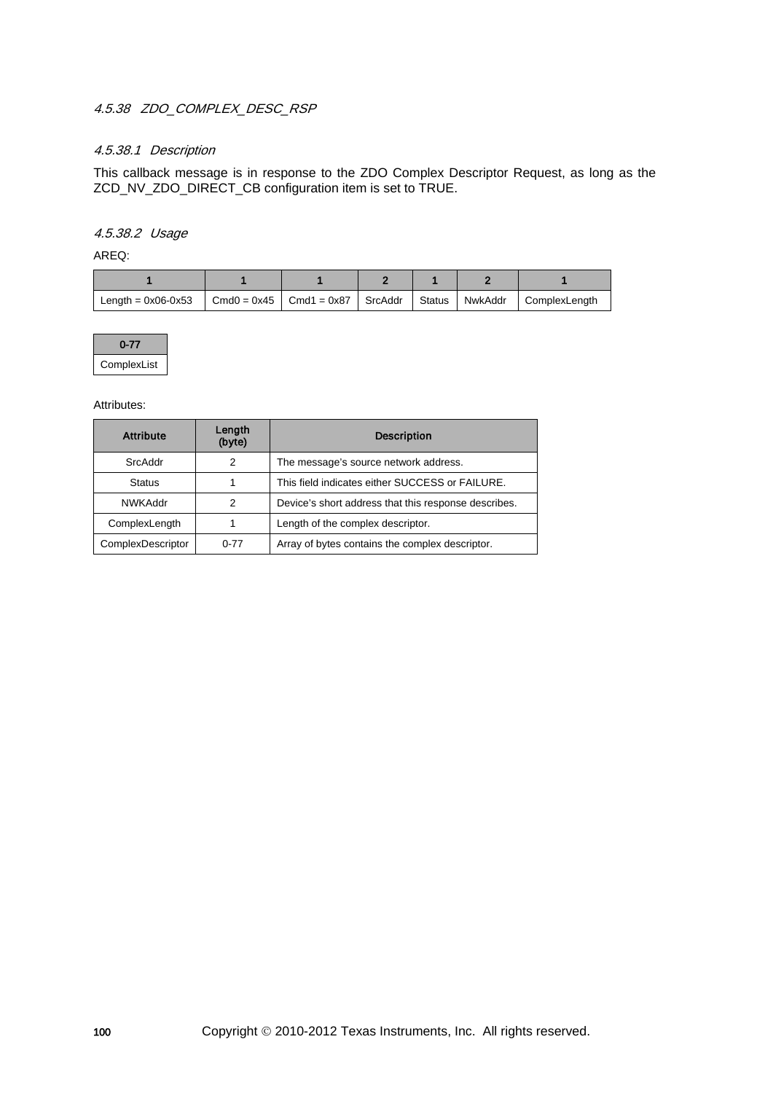## 4.5.38 ZDO\_COMPLEX\_DESC\_RSP

## 4.5.38.1 Description

This callback message is in response to the ZDO Complex Descriptor Request, as long as the ZCD\_NV\_ZDO\_DIRECT\_CB configuration item is set to TRUE.

### 4.5.38.2 Usage

AREQ:

| Length = $0x06-0x53$ | $Cmd0 = 0x45$ | $\vert$ Cmd1 = 0x87 $\vert$ SrcAddr | Status | NwkAddr | ComplexLenath |
|----------------------|---------------|-------------------------------------|--------|---------|---------------|



| <b>Attribute</b>  | Length<br>(byte) | <b>Description</b>                                   |
|-------------------|------------------|------------------------------------------------------|
| SrcAddr           | 2                | The message's source network address.                |
| <b>Status</b>     |                  | This field indicates either SUCCESS or FAILURE.      |
| <b>NWKAddr</b>    | っ                | Device's short address that this response describes. |
| ComplexLength     |                  | Length of the complex descriptor.                    |
| ComplexDescriptor | $0 - 77$         | Array of bytes contains the complex descriptor.      |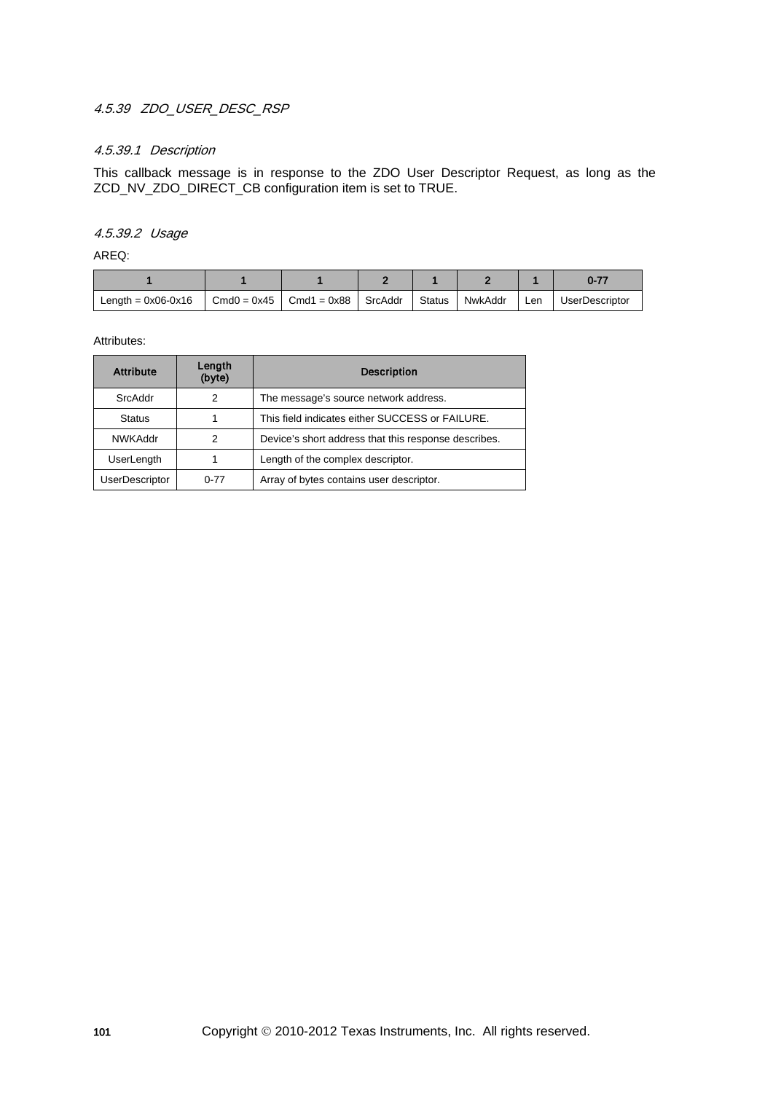## 4.5.39 ZDO\_USER\_DESC\_RSP

## 4.5.39.1 Description

This callback message is in response to the ZDO User Descriptor Request, as long as the ZCD\_NV\_ZDO\_DIRECT\_CB configuration item is set to TRUE.

### 4.5.39.2 Usage

AREQ:

| Length = $0x06-0x16$ | $Cmd0 = 0x45$ Cmd1 = 0x88 SrcAddr | Status | NwkAddr | Len | <b>UserDescriptor</b> |
|----------------------|-----------------------------------|--------|---------|-----|-----------------------|

| <b>Attribute</b>      | Length<br>(byte) | <b>Description</b>                                   |  |
|-----------------------|------------------|------------------------------------------------------|--|
| SrcAddr               | 2                | The message's source network address.                |  |
| <b>Status</b>         |                  | This field indicates either SUCCESS or FAILURE.      |  |
| <b>NWKAddr</b>        | 2                | Device's short address that this response describes. |  |
| <b>UserLength</b>     |                  | Length of the complex descriptor.                    |  |
| <b>UserDescriptor</b> | $0 - 77$         | Array of bytes contains user descriptor.             |  |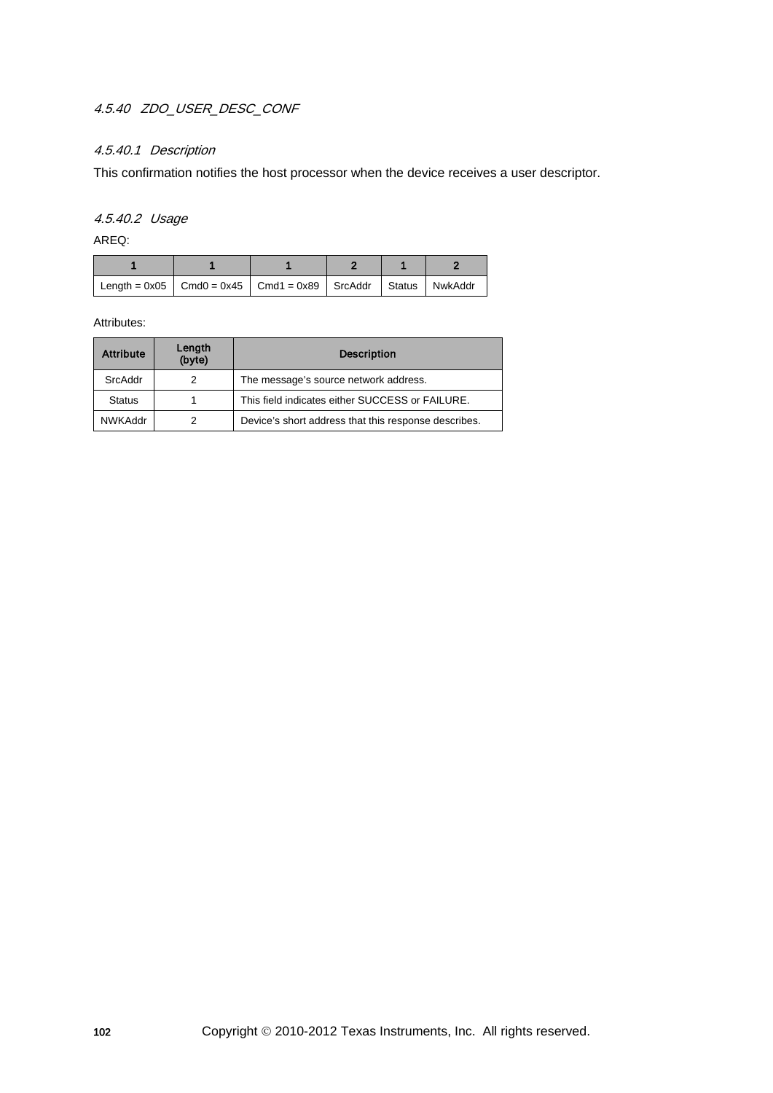## 4.5.40 ZDO\_USER\_DESC\_CONF

## 4.5.40.1 Description

This confirmation notifies the host processor when the device receives a user descriptor.

## 4.5.40.2 Usage

AREQ:

| Length = 0x05   Cmd0 = 0x45   Cmd1 = 0x89   SrcAddr   Status   NwkAddr |  |  |  |
|------------------------------------------------------------------------|--|--|--|

| <b>Attribute</b> | Length<br>(byte) | <b>Description</b>                                   |  |
|------------------|------------------|------------------------------------------------------|--|
| SrcAddr          | 2                | The message's source network address.                |  |
| <b>Status</b>    |                  | This field indicates either SUCCESS or FAILURE.      |  |
| <b>NWKAddr</b>   | 2                | Device's short address that this response describes. |  |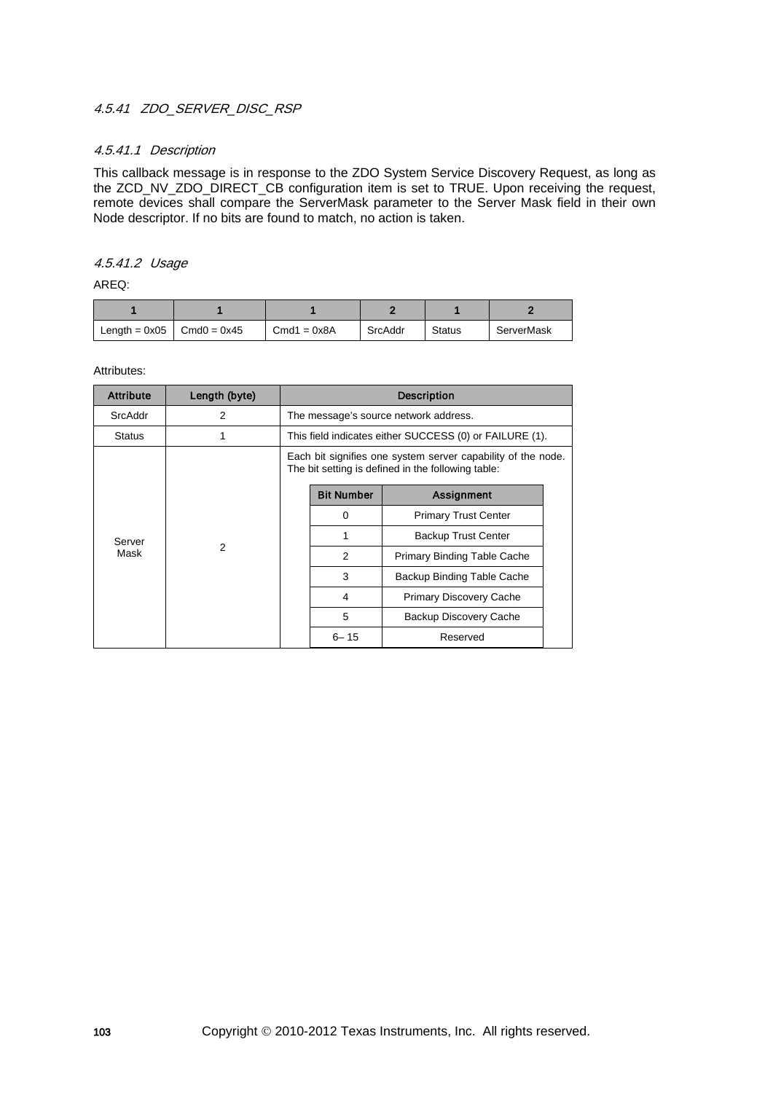## 4.5.41 ZDO\_SERVER\_DISC\_RSP

### 4.5.41.1 Description

This callback message is in response to the ZDO System Service Discovery Request, as long as the ZCD\_NV\_ZDO\_DIRECT\_CB configuration item is set to TRUE. Upon receiving the request, remote devices shall compare the ServerMask parameter to the Server Mask field in their own Node descriptor. If no bits are found to match, no action is taken.

### 4.5.41.2 Usage

AREQ:

| Length = $0x05$ Cmd $0 = 0x45$ | $Cmd1 = 0x8A$ | SrcAddr | <b>Status</b> | ServerMask |
|--------------------------------|---------------|---------|---------------|------------|

| <b>Attribute</b> | Length (byte)       | <b>Description</b>                                                                                                 |                                       |                                                         |   |                            |  |
|------------------|---------------------|--------------------------------------------------------------------------------------------------------------------|---------------------------------------|---------------------------------------------------------|---|----------------------------|--|
| SrcAddr          | 2                   |                                                                                                                    | The message's source network address. |                                                         |   |                            |  |
| <b>Status</b>    |                     |                                                                                                                    |                                       | This field indicates either SUCCESS (0) or FAILURE (1). |   |                            |  |
|                  |                     | Each bit signifies one system server capability of the node.<br>The bit setting is defined in the following table: |                                       |                                                         |   |                            |  |
|                  |                     |                                                                                                                    | <b>Bit Number</b>                     | Assignment                                              |   |                            |  |
|                  | Server<br>2<br>Mask |                                                                                                                    | 0                                     | <b>Primary Trust Center</b>                             |   |                            |  |
|                  |                     |                                                                                                                    | 1                                     | <b>Backup Trust Center</b>                              |   |                            |  |
|                  |                     |                                                                                                                    | 2                                     | <b>Primary Binding Table Cache</b>                      |   |                            |  |
|                  |                     |                                                                                                                    |                                       |                                                         | 3 | Backup Binding Table Cache |  |
|                  |                     |                                                                                                                    | 4                                     | <b>Primary Discovery Cache</b>                          |   |                            |  |
|                  |                     |                                                                                                                    | 5                                     | Backup Discovery Cache                                  |   |                            |  |
|                  |                     |                                                                                                                    | $6 - 15$                              | Reserved                                                |   |                            |  |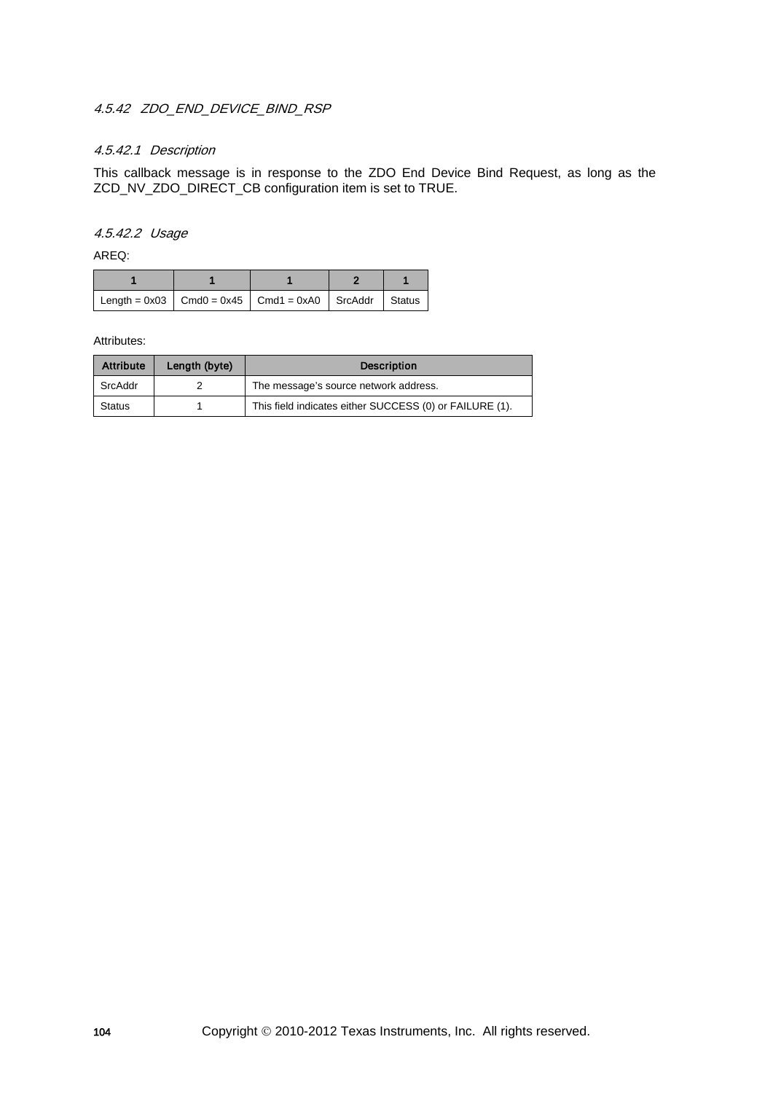## 4.5.42 ZDO END DEVICE BIND RSP

## 4.5.42.1 Description

This callback message is in response to the ZDO End Device Bind Request, as long as the ZCD\_NV\_ZDO\_DIRECT\_CB configuration item is set to TRUE.

### 4.5.42.2 Usage

AREQ:

| Length = $0x03$ Cmd0 = $0x45$ Cmd1 = $0x40$ SrcAddr Status |  |  |  |
|------------------------------------------------------------|--|--|--|

| <b>Attribute</b> | Length (byte) | <b>Description</b>                                      |
|------------------|---------------|---------------------------------------------------------|
| SrcAddr          |               | The message's source network address.                   |
| <b>Status</b>    |               | This field indicates either SUCCESS (0) or FAILURE (1). |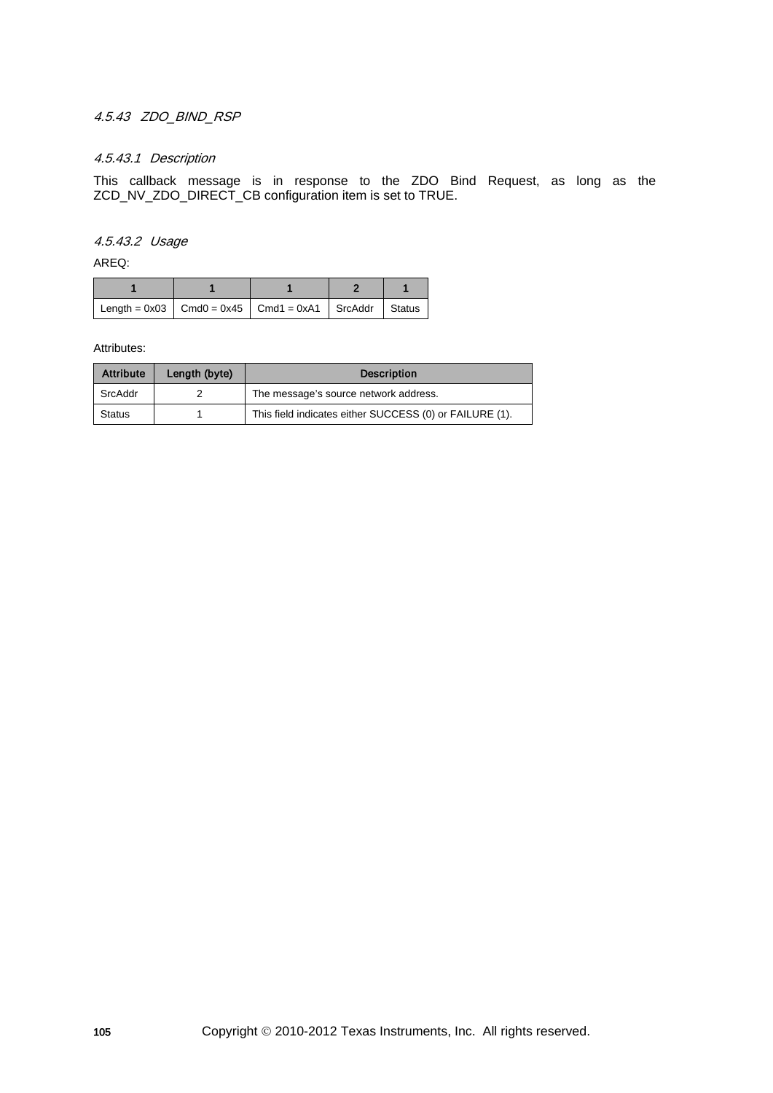## 4.5.43 ZDO\_BIND\_RSP

### 4.5.43.1 Description

This callback message is in response to the ZDO Bind Request, as long as the ZCD\_NV\_ZDO\_DIRECT\_CB configuration item is set to TRUE.

4.5.43.2 Usage

AREQ:

| Length = $0x03$   Cmd0 = $0x45$   Cmd1 = $0xA1$   SrcAddr   Status |  |  |
|--------------------------------------------------------------------|--|--|

| <b>Attribute</b> | Length (byte) | <b>Description</b>                                      |  |
|------------------|---------------|---------------------------------------------------------|--|
| SrcAddr          |               | The message's source network address.                   |  |
| Status           |               | This field indicates either SUCCESS (0) or FAILURE (1). |  |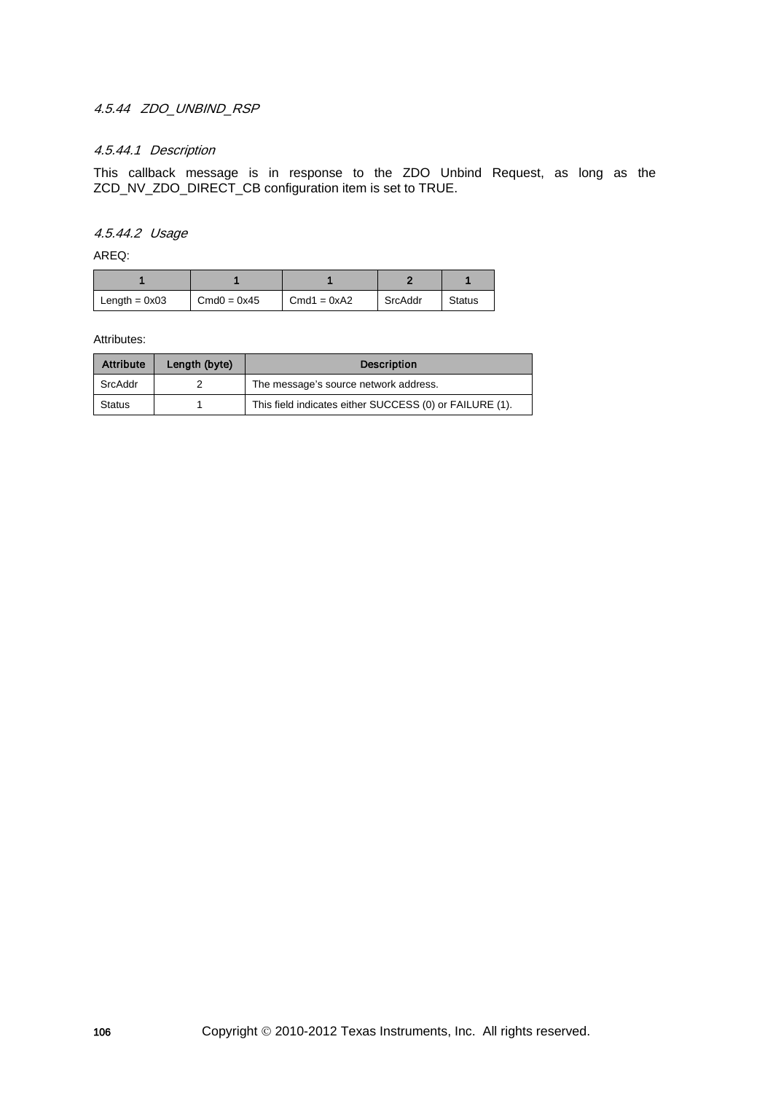## 4.5.44 ZDO\_UNBIND\_RSP

## 4.5.44.1 Description

This callback message is in response to the ZDO Unbind Request, as long as the ZCD\_NV\_ZDO\_DIRECT\_CB configuration item is set to TRUE.

### 4.5.44.2 Usage

AREQ:

| Length = $0x03$ | $Cmd0 = 0x45$ | $Cmd1 = 0xA2$ | SrcAddr | Status |
|-----------------|---------------|---------------|---------|--------|

| <b>Attribute</b> | Length (byte) | <b>Description</b>                                      |
|------------------|---------------|---------------------------------------------------------|
| SrcAddr          |               | The message's source network address.                   |
| <b>Status</b>    |               | This field indicates either SUCCESS (0) or FAILURE (1). |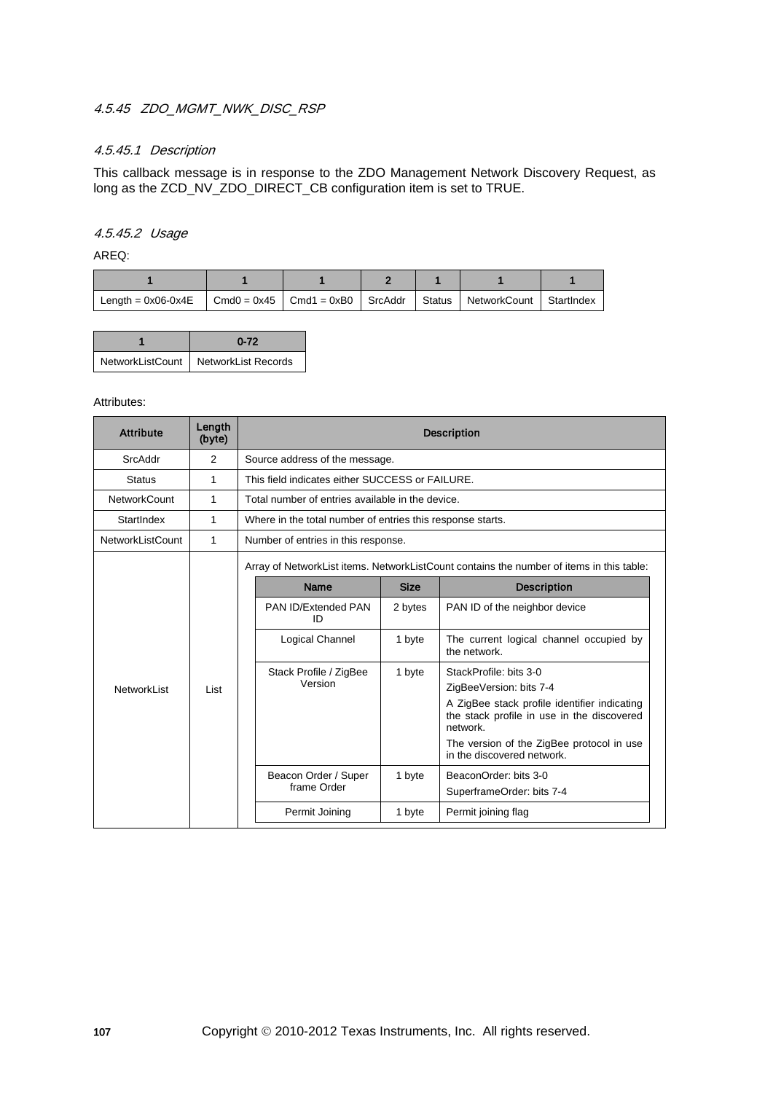## 4.5.45 ZDO MGMT\_NWK\_DISC\_RSP

## 4.5.45.1 Description

This callback message is in response to the ZDO Management Network Discovery Request, as long as the ZCD\_NV\_ZDO\_DIRECT\_CB configuration item is set to TRUE.

### 4.5.45.2 Usage

AREQ:

| Length = $0x06-0x4E$   Cmd0 = $0x45$   Cmd1 = $0xB0$   SrcAddr   Status   NetworkCount   Startlndex |  |  |  |
|-----------------------------------------------------------------------------------------------------|--|--|--|

| $0 - 72$                               |  |  |
|----------------------------------------|--|--|
| NetworkListCount   NetworkList Records |  |  |

| <b>Attribute</b>        | Length<br>(byte) | <b>Description</b>                                                                       |                                   |                                                                                                        |  |  |  |
|-------------------------|------------------|------------------------------------------------------------------------------------------|-----------------------------------|--------------------------------------------------------------------------------------------------------|--|--|--|
| SrcAddr                 | 2                | Source address of the message.                                                           |                                   |                                                                                                        |  |  |  |
| <b>Status</b>           | 1                | This field indicates either SUCCESS or FAILURE.                                          |                                   |                                                                                                        |  |  |  |
| <b>NetworkCount</b>     | 1                | Total number of entries available in the device.                                         |                                   |                                                                                                        |  |  |  |
| StartIndex              | 1                | Where in the total number of entries this response starts.                               |                                   |                                                                                                        |  |  |  |
| <b>NetworkListCount</b> | 1                | Number of entries in this response.                                                      |                                   |                                                                                                        |  |  |  |
|                         |                  | Array of NetworkList items. NetworkListCount contains the number of items in this table: |                                   |                                                                                                        |  |  |  |
|                         | List             | Name                                                                                     | <b>Size</b><br><b>Description</b> |                                                                                                        |  |  |  |
|                         |                  | PAN ID/Extended PAN<br>ID                                                                | 2 bytes                           | PAN ID of the neighbor device                                                                          |  |  |  |
|                         |                  | Logical Channel                                                                          | 1 byte                            | The current logical channel occupied by<br>the network.                                                |  |  |  |
|                         |                  | Stack Profile / ZigBee                                                                   | 1 byte                            | StackProfile: bits 3-0                                                                                 |  |  |  |
| NetworkList             |                  | Version                                                                                  |                                   | ZigBeeVersion: bits 7-4                                                                                |  |  |  |
|                         |                  |                                                                                          |                                   | A ZigBee stack profile identifier indicating<br>the stack profile in use in the discovered<br>network. |  |  |  |
|                         |                  |                                                                                          |                                   | The version of the ZigBee protocol in use<br>in the discovered network.                                |  |  |  |
|                         |                  | Beacon Order / Super                                                                     | 1 byte                            | BeaconOrder: bits 3-0                                                                                  |  |  |  |
|                         |                  | frame Order                                                                              |                                   | SuperframeOrder: bits 7-4                                                                              |  |  |  |
|                         |                  | Permit Joining                                                                           | 1 byte                            | Permit joining flag                                                                                    |  |  |  |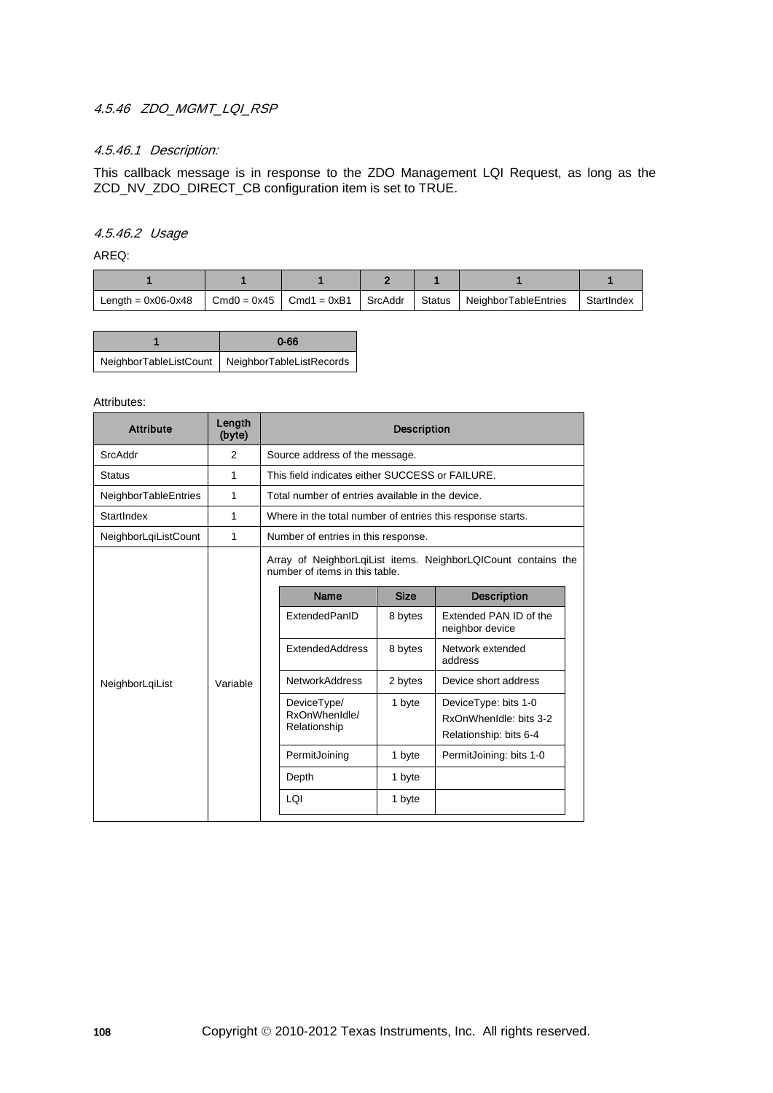## 4.5.46 ZDO MGMT LQI RSP

## 4.5.46.1 Description:

This callback message is in response to the ZDO Management LQI Request, as long as the ZCD\_NV\_ZDO\_DIRECT\_CB configuration item is set to TRUE.

### 4.5.46.2 Usage

AREQ:

| Length = $0x06-0x48$ | $Cmd0 = 0x45$ Cmd1 = 0xB1 SrcAddr | Status | NeighborTableEntries | StartIndex |
|----------------------|-----------------------------------|--------|----------------------|------------|

| $0 - 66$                                          |
|---------------------------------------------------|
| NeighborTableListCount   NeighborTableListRecords |

| <b>Attribute</b>     | Length<br>(byte) | <b>Description</b>                              |                                                                                                 |             |                                                                          |  |  |
|----------------------|------------------|-------------------------------------------------|-------------------------------------------------------------------------------------------------|-------------|--------------------------------------------------------------------------|--|--|
| SrcAddr              | 2                | Source address of the message.                  |                                                                                                 |             |                                                                          |  |  |
| <b>Status</b>        | 1                | This field indicates either SUCCESS or FAILURE. |                                                                                                 |             |                                                                          |  |  |
| NeighborTableEntries | 1                |                                                 | Total number of entries available in the device.                                                |             |                                                                          |  |  |
| StartIndex           | 1                |                                                 | Where in the total number of entries this response starts.                                      |             |                                                                          |  |  |
| NeighborLqiListCount | 1                |                                                 | Number of entries in this response.                                                             |             |                                                                          |  |  |
|                      | Variable         |                                                 | Array of NeighborLqiList items. NeighborLQICount contains the<br>number of items in this table. |             |                                                                          |  |  |
|                      |                  |                                                 | Name                                                                                            | <b>Size</b> | <b>Description</b>                                                       |  |  |
| NeighborLgiList      |                  |                                                 | ExtendedPanID                                                                                   | 8 bytes     | Extended PAN ID of the<br>neighbor device                                |  |  |
|                      |                  |                                                 | <b>ExtendedAddress</b>                                                                          | 8 bytes     | Network extended<br>address                                              |  |  |
|                      |                  |                                                 | <b>NetworkAddress</b>                                                                           | 2 bytes     | Device short address                                                     |  |  |
|                      |                  |                                                 | DeviceType/<br>RxOnWhenIdle/<br>Relationship                                                    | 1 byte      | DeviceType: bits 1-0<br>RxOnWhenIdle: bits 3-2<br>Relationship: bits 6-4 |  |  |
|                      |                  |                                                 | PermitJoining                                                                                   | 1 byte      | PermitJoining: bits 1-0                                                  |  |  |
|                      |                  |                                                 | Depth                                                                                           | 1 byte      |                                                                          |  |  |
|                      |                  |                                                 | LOI                                                                                             | 1 byte      |                                                                          |  |  |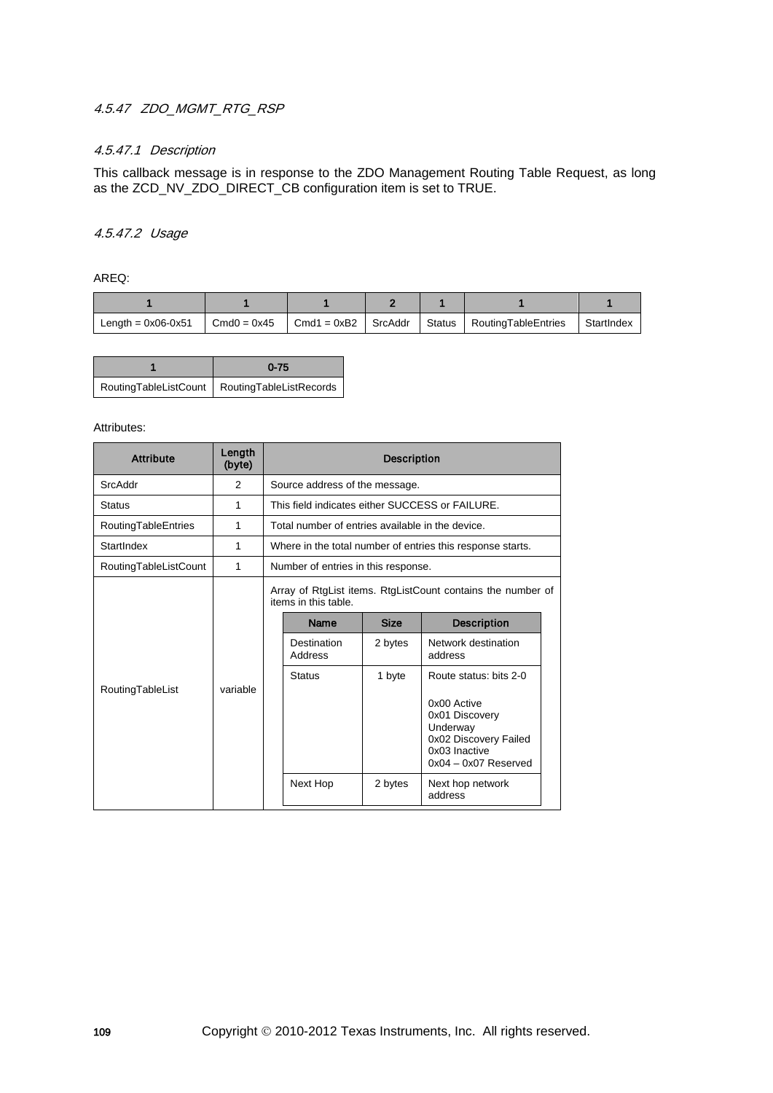# 4.5.47 ZDO MGMT RTG RSP

## 4.5.47.1 Description

This callback message is in response to the ZDO Management Routing Table Request, as long as the ZCD\_NV\_ZDO\_DIRECT\_CB configuration item is set to TRUE.

#### 4.5.47.2 Usage

AREQ:

| Length = $0x06-0x51$ | $Cmd0 = 0x45$ |  | $\vert$ Cmd1 = 0xB2 $\vert$ SrcAddr $\vert$ Status $\vert$ Routing Table Entries | StartIndex |
|----------------------|---------------|--|----------------------------------------------------------------------------------|------------|

| $0 - 75$                                        |  |
|-------------------------------------------------|--|
| RoutingTableListCount   RoutingTableListRecords |  |

| <b>Attribute</b>      | Length<br>(byte) | <b>Description</b>                                                                                                                                                 |  |  |  |  |
|-----------------------|------------------|--------------------------------------------------------------------------------------------------------------------------------------------------------------------|--|--|--|--|
| SrcAddr               | $\mathcal{P}$    | Source address of the message.                                                                                                                                     |  |  |  |  |
| <b>Status</b>         | 1                | This field indicates either SUCCESS or FAILURE.                                                                                                                    |  |  |  |  |
| RoutingTableEntries   | 1                | Total number of entries available in the device.                                                                                                                   |  |  |  |  |
| StartIndex            | 1                | Where in the total number of entries this response starts.                                                                                                         |  |  |  |  |
| RoutingTableListCount | 1                | Number of entries in this response.                                                                                                                                |  |  |  |  |
|                       | variable         | Array of RtgList items. RtgListCount contains the number of<br>items in this table.                                                                                |  |  |  |  |
|                       |                  | <b>Size</b><br><b>Description</b><br>Name                                                                                                                          |  |  |  |  |
|                       |                  | Network destination<br>Destination<br>2 bytes<br>Address<br>address                                                                                                |  |  |  |  |
| RoutingTableList      |                  | <b>Status</b><br>1 byte<br>Route status: bits 2-0<br>0x00 Active<br>0x01 Discovery<br>Underway<br>0x02 Discovery Failed<br>0x03 Inactive<br>$0x04 - 0x07$ Reserved |  |  |  |  |
|                       |                  | Next Hop<br>Next hop network<br>2 bytes<br>address                                                                                                                 |  |  |  |  |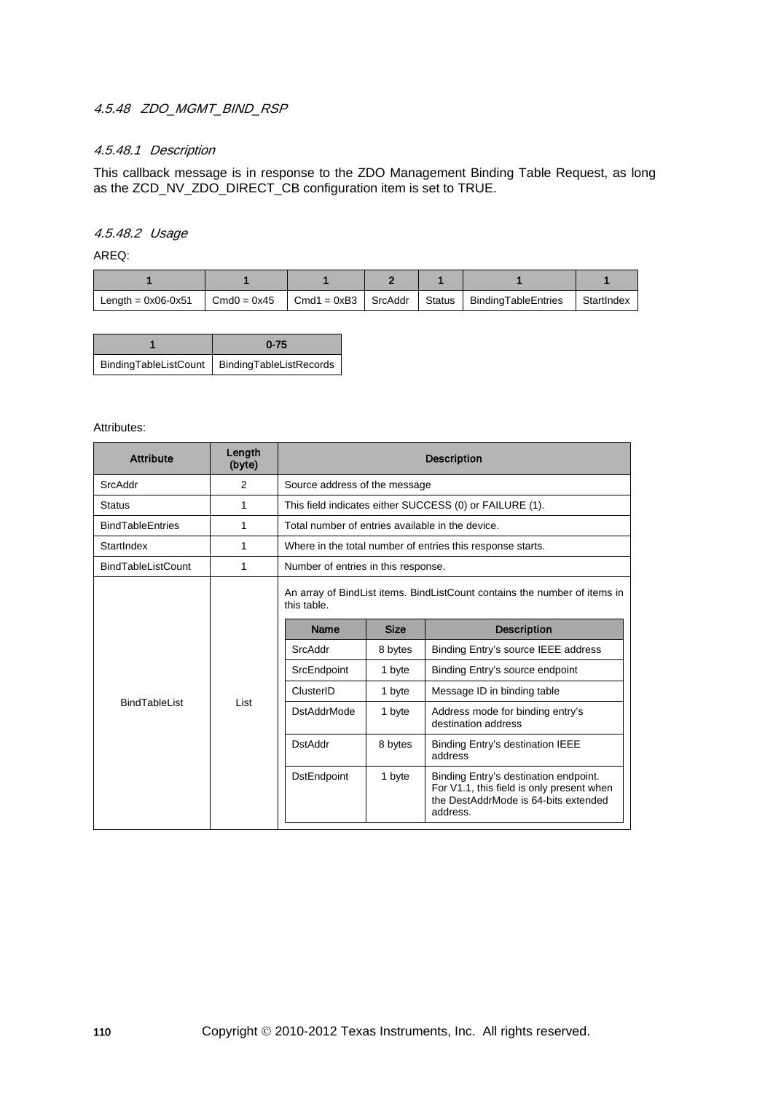# 4.5.48 ZDO MGMT BIND RSP

## 4.5.48.1 Description

This callback message is in response to the ZDO Management Binding Table Request, as long as the ZCD\_NV\_ZDO\_DIRECT\_CB configuration item is set to TRUE.

#### 4.5.48.2 Usage

AREQ:

| Length = $0x06-0x51$ | $Cmd0 = 0x45$ | $Cmd1 = 0xB3$ SrcAddr | Ⅰ Status | BindingTableEntries | StartIndex |
|----------------------|---------------|-----------------------|----------|---------------------|------------|

| $0 - 75$                                        |  |
|-------------------------------------------------|--|
| BindingTableListCount   BindingTableListRecords |  |

| <b>Attribute</b>          | Length<br>(byte) | <b>Description</b>                               |                                                         |                                                                                                                                        |  |  |  |
|---------------------------|------------------|--------------------------------------------------|---------------------------------------------------------|----------------------------------------------------------------------------------------------------------------------------------------|--|--|--|
| SrcAddr                   | 2                | Source address of the message                    |                                                         |                                                                                                                                        |  |  |  |
| <b>Status</b>             | 1                |                                                  | This field indicates either SUCCESS (0) or FAILURE (1). |                                                                                                                                        |  |  |  |
| <b>BindTableEntries</b>   | 1                | Total number of entries available in the device. |                                                         |                                                                                                                                        |  |  |  |
| StartIndex                | 1                |                                                  |                                                         | Where in the total number of entries this response starts.                                                                             |  |  |  |
| <b>BindTableListCount</b> | 1                | Number of entries in this response.              |                                                         |                                                                                                                                        |  |  |  |
|                           | I ist            | this table.<br><b>Name</b>                       | <b>Size</b>                                             | An array of BindList items. BindListCount contains the number of items in<br><b>Description</b>                                        |  |  |  |
|                           |                  | SrcAddr                                          | 8 bytes                                                 | Binding Entry's source IEEE address                                                                                                    |  |  |  |
|                           |                  | SrcEndpoint                                      | 1 byte                                                  | Binding Entry's source endpoint                                                                                                        |  |  |  |
|                           |                  | ClusterID                                        | 1 byte                                                  | Message ID in binding table                                                                                                            |  |  |  |
| <b>BindTablel ist</b>     |                  | <b>DstAddrMode</b>                               | 1 byte                                                  | Address mode for binding entry's<br>destination address                                                                                |  |  |  |
|                           |                  | <b>DstAddr</b>                                   | 8 bytes                                                 | Binding Entry's destination IEEE<br>address                                                                                            |  |  |  |
|                           |                  | <b>DstEndpoint</b>                               | 1 byte                                                  | Binding Entry's destination endpoint.<br>For V1.1, this field is only present when<br>the DestAddrMode is 64-bits extended<br>address. |  |  |  |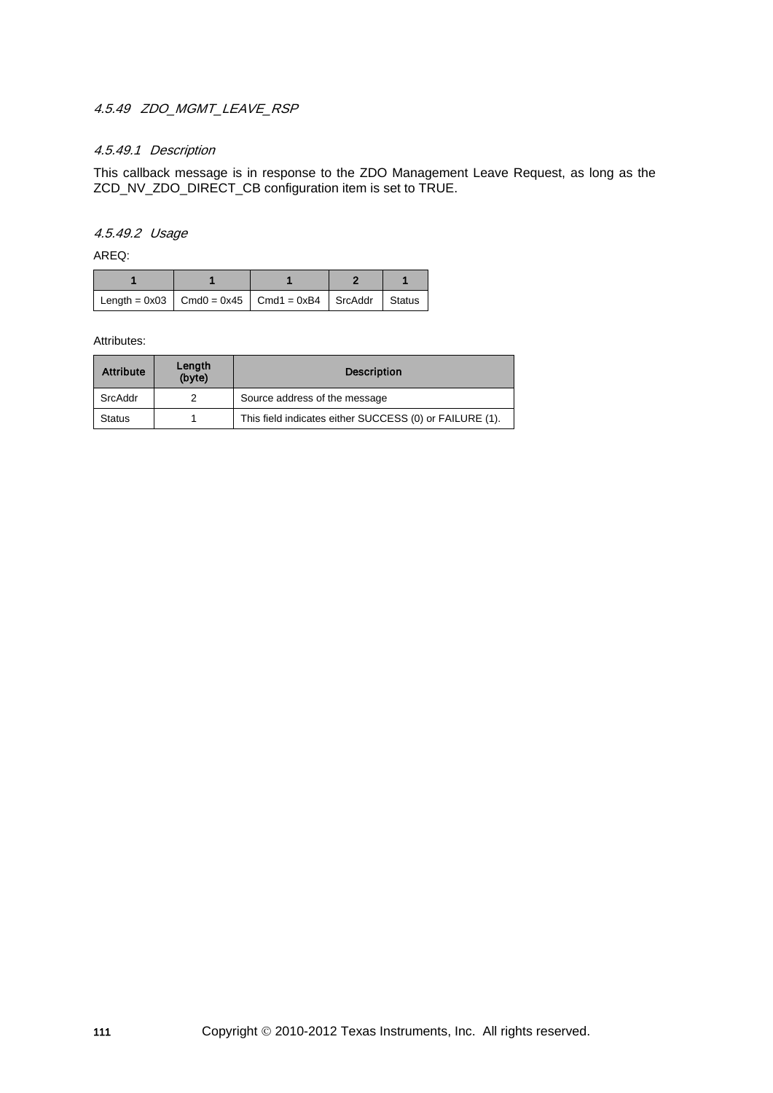## 4.5.49 ZDO MGMT LEAVE RSP

## 4.5.49.1 Description

This callback message is in response to the ZDO Management Leave Request, as long as the ZCD\_NV\_ZDO\_DIRECT\_CB configuration item is set to TRUE.

#### 4.5.49.2 Usage

AREQ:

| Length = $0x03$ Cmd0 = $0x45$ Cmd1 = $0xB4$ SrcAddr Status |  |  |
|------------------------------------------------------------|--|--|

| <b>Attribute</b> | Length<br>(byte) | <b>Description</b>                                      |  |
|------------------|------------------|---------------------------------------------------------|--|
| SrcAddr          |                  | Source address of the message                           |  |
| <b>Status</b>    |                  | This field indicates either SUCCESS (0) or FAILURE (1). |  |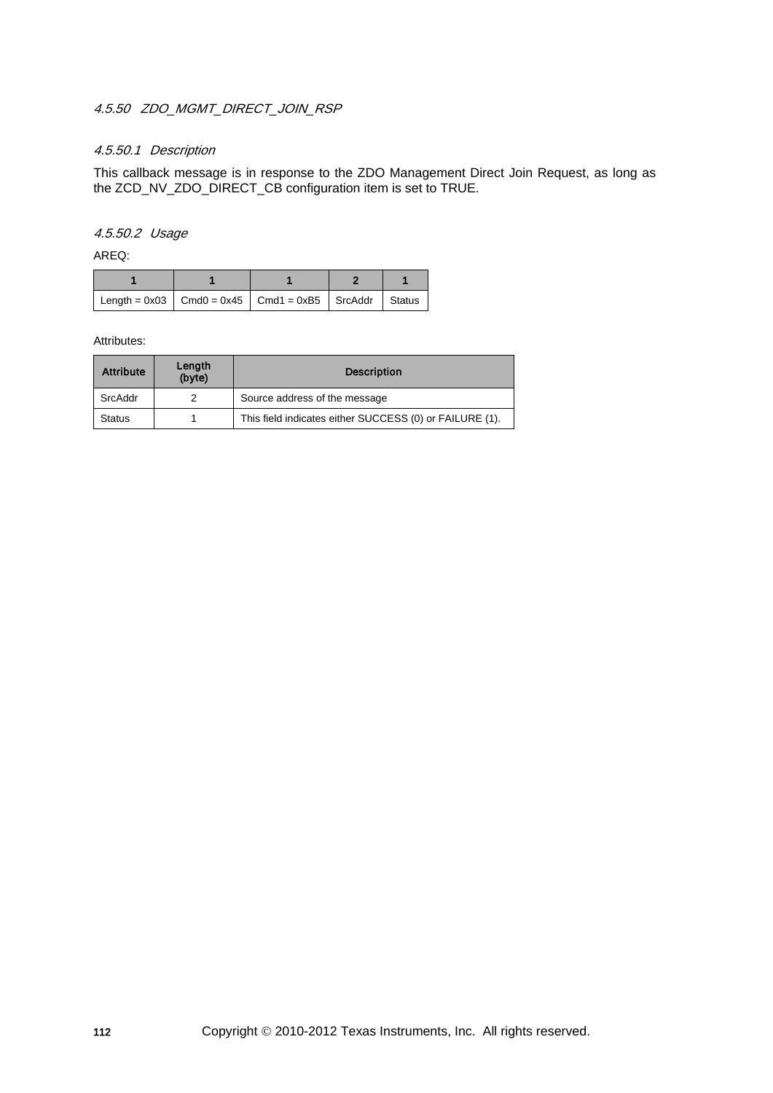## 4.5.50 ZDO MGMT DIRECT JOIN RSP

## 4.5.50.1 Description

This callback message is in response to the ZDO Management Direct Join Request, as long as the ZCD\_NV\_ZDO\_DIRECT\_CB configuration item is set to TRUE.

#### 4.5.50.2 Usage

AREQ:

| Length = $0x03$ Cmd0 = $0x45$ Cmd1 = $0xB5$ SrcAddr Status |  |  |
|------------------------------------------------------------|--|--|

| <b>Attribute</b> | Length<br>(byte) | <b>Description</b>                                      |  |
|------------------|------------------|---------------------------------------------------------|--|
| SrcAddr          |                  | Source address of the message                           |  |
| <b>Status</b>    |                  | This field indicates either SUCCESS (0) or FAILURE (1). |  |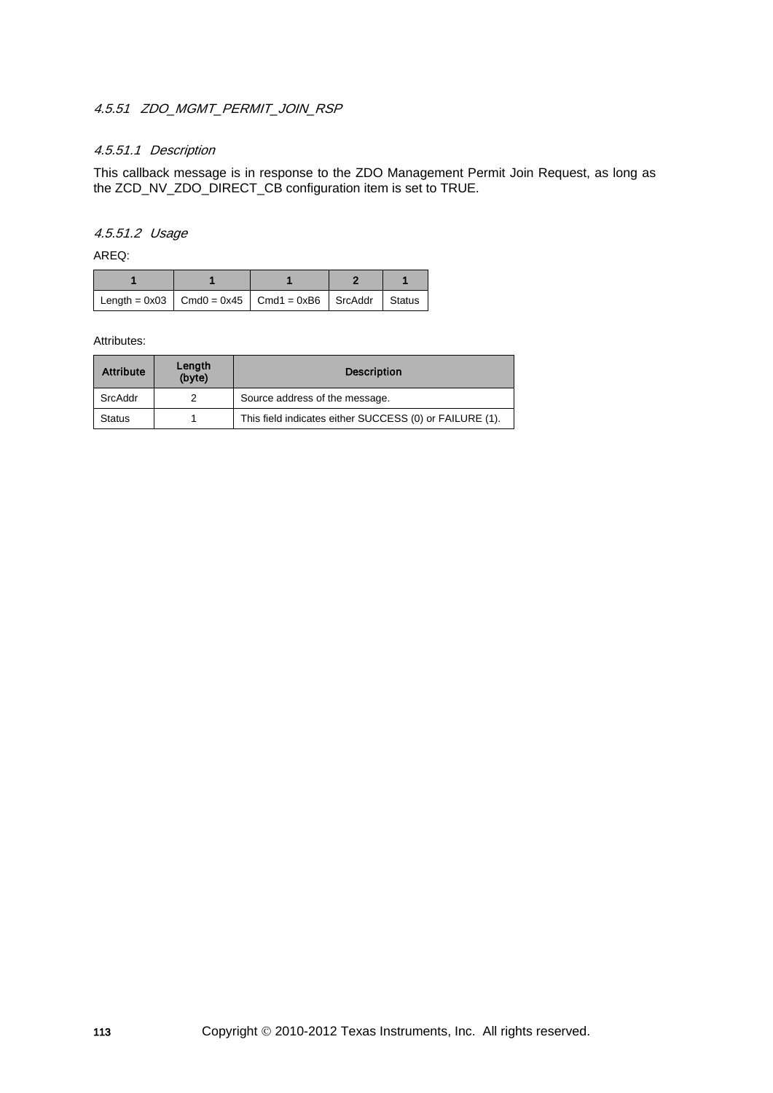## 4.5.51 ZDO MGMT PERMIT JOIN RSP

## 4.5.51.1 Description

This callback message is in response to the ZDO Management Permit Join Request, as long as the ZCD\_NV\_ZDO\_DIRECT\_CB configuration item is set to TRUE.

### 4.5.51.2 Usage

AREQ:

| $\vert$ Length = 0x03 $\vert$ Cmd0 = 0x45 $\vert$ Cmd1 = 0xB6 $\vert$ SrcAddr $\vert$ Status |  |  |
|----------------------------------------------------------------------------------------------|--|--|

| <b>Attribute</b> | Length<br>(byte) | <b>Description</b>                                      |
|------------------|------------------|---------------------------------------------------------|
| SrcAddr          |                  | Source address of the message.                          |
| <b>Status</b>    |                  | This field indicates either SUCCESS (0) or FAILURE (1). |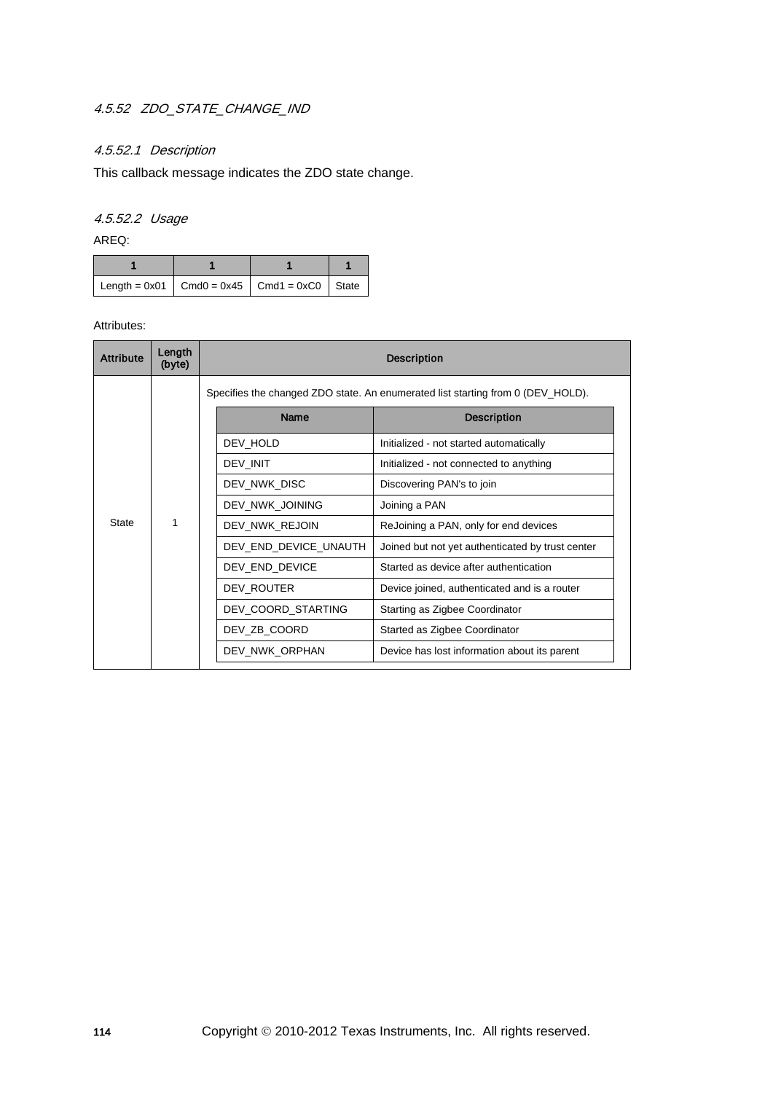# 4.5.52 ZDO\_STATE\_CHANGE\_IND

## 4.5.52.1 Description

This callback message indicates the ZDO state change.

# 4.5.52.2 Usage

AREQ:

| Length = $0x01$ Cmd0 = $0x45$ Cmd1 = $0xC0$ State |  |  |
|---------------------------------------------------|--|--|

| <b>Attribute</b> | Length<br>(byte)  | <b>Description</b> |                                                                                 |                                                  |                                        |  |  |  |  |                 |                                       |  |  |  |  |              |                           |
|------------------|-------------------|--------------------|---------------------------------------------------------------------------------|--------------------------------------------------|----------------------------------------|--|--|--|--|-----------------|---------------------------------------|--|--|--|--|--------------|---------------------------|
|                  |                   |                    | Specifies the changed ZDO state. An enumerated list starting from 0 (DEV_HOLD). |                                                  |                                        |  |  |  |  |                 |                                       |  |  |  |  |              |                           |
|                  |                   |                    | <b>Name</b>                                                                     | <b>Description</b>                               |                                        |  |  |  |  |                 |                                       |  |  |  |  |              |                           |
|                  |                   |                    | DEV HOLD                                                                        | Initialized - not started automatically          |                                        |  |  |  |  |                 |                                       |  |  |  |  |              |                           |
|                  |                   |                    | DEV INIT                                                                        | Initialized - not connected to anything          |                                        |  |  |  |  |                 |                                       |  |  |  |  |              |                           |
|                  | 1<br><b>State</b> |                    |                                                                                 |                                                  |                                        |  |  |  |  |                 |                                       |  |  |  |  | DEV NWK DISC | Discovering PAN's to join |
|                  |                   |                    |                                                                                 |                                                  |                                        |  |  |  |  | DEV_NWK_JOINING | Joining a PAN                         |  |  |  |  |              |                           |
|                  |                   |                    |                                                                                 |                                                  |                                        |  |  |  |  | DEV_NWK_REJOIN  | ReJoining a PAN, only for end devices |  |  |  |  |              |                           |
|                  |                   |                    | DEV END DEVICE UNAUTH                                                           | Joined but not yet authenticated by trust center |                                        |  |  |  |  |                 |                                       |  |  |  |  |              |                           |
|                  |                   |                    | DEV END DEVICE                                                                  |                                                  | Started as device after authentication |  |  |  |  |                 |                                       |  |  |  |  |              |                           |
|                  |                   |                    | DEV ROUTER                                                                      | Device joined, authenticated and is a router     |                                        |  |  |  |  |                 |                                       |  |  |  |  |              |                           |
|                  |                   | DEV_COORD_STARTING |                                                                                 | Starting as Zigbee Coordinator                   |                                        |  |  |  |  |                 |                                       |  |  |  |  |              |                           |
|                  |                   | DEV ZB COORD       |                                                                                 | Started as Zigbee Coordinator                    |                                        |  |  |  |  |                 |                                       |  |  |  |  |              |                           |
|                  |                   |                    | DEV NWK ORPHAN                                                                  | Device has lost information about its parent     |                                        |  |  |  |  |                 |                                       |  |  |  |  |              |                           |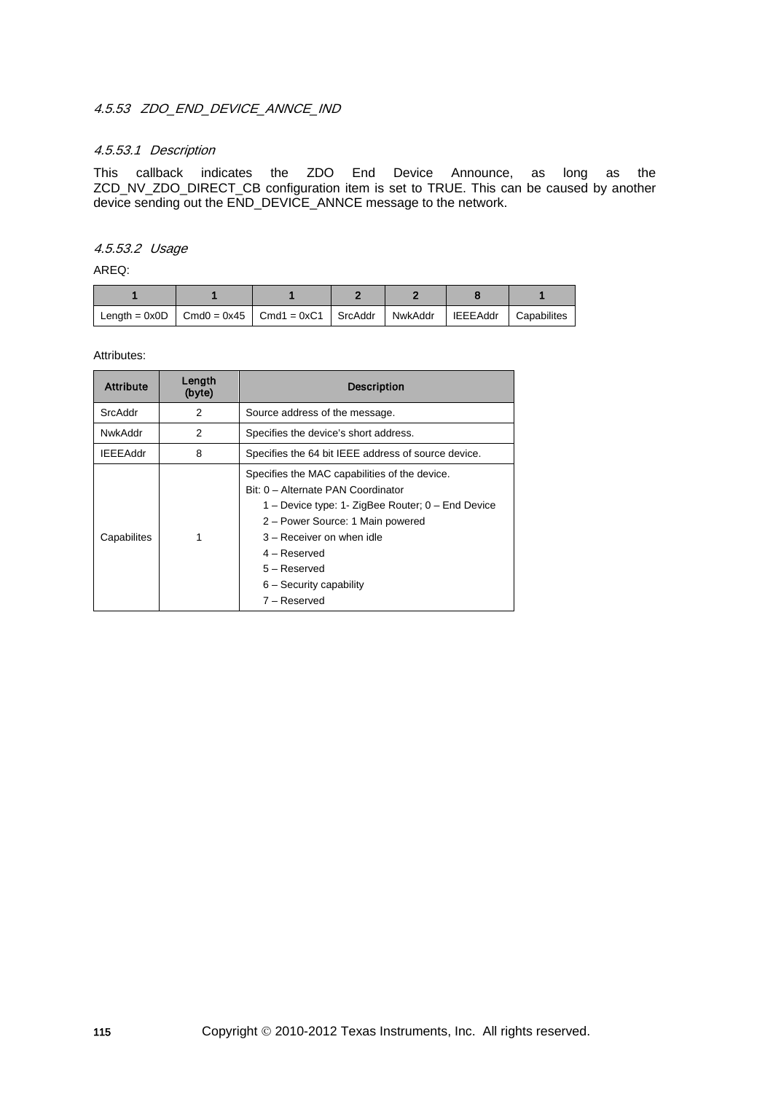## 4.5.53 ZDO END DEVICE ANNCE IND

#### 4.5.53.1 Description

This callback indicates the ZDO End Device Announce, as long as the ZCD\_NV\_ZDO\_DIRECT\_CB configuration item is set to TRUE. This can be caused by another device sending out the END\_DEVICE\_ANNCE message to the network.

### 4.5.53.2 Usage

AREQ:

| Length = $0x0D$   Cmd0 = $0x45$   Cmd1 = $0xC1$   SrcAddr   NwkAddr |  |  | <b>IEEEAddr</b> | <b>Capabilites</b> |
|---------------------------------------------------------------------|--|--|-----------------|--------------------|

| <b>Attribute</b> | Length<br>(byte) | <b>Description</b>                                                                                                                                                                                                                                                                       |  |
|------------------|------------------|------------------------------------------------------------------------------------------------------------------------------------------------------------------------------------------------------------------------------------------------------------------------------------------|--|
| SrcAddr          | 2                | Source address of the message.                                                                                                                                                                                                                                                           |  |
| NwkAddr          | 2                | Specifies the device's short address.                                                                                                                                                                                                                                                    |  |
| <b>IEEEAddr</b>  | 8                | Specifies the 64 bit IEEE address of source device.                                                                                                                                                                                                                                      |  |
| Capabilites      |                  | Specifies the MAC capabilities of the device.<br>Bit: 0 - Alternate PAN Coordinator<br>1 - Device type: 1- ZigBee Router; 0 - End Device<br>2 – Power Source: 1 Main powered<br>3 - Receiver on when idle<br>$4 -$ Reserved<br>5 – Reserved<br>$6 -$ Security capability<br>7 – Reserved |  |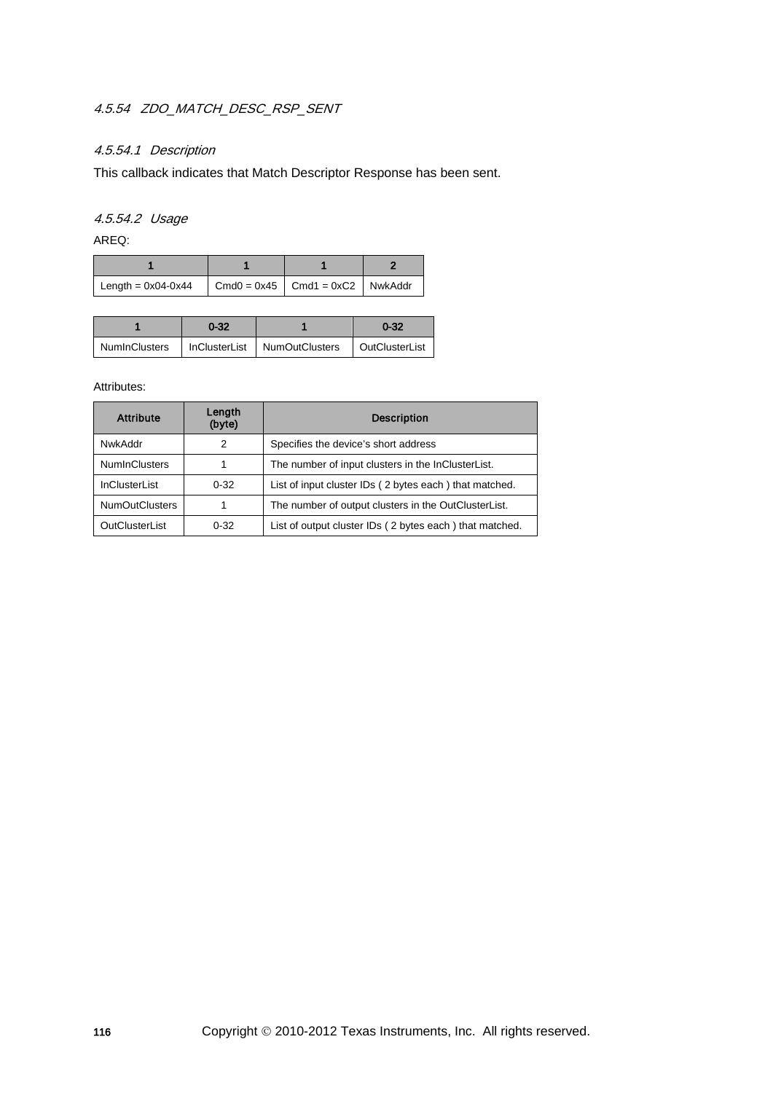# 4.5.54 ZDO\_MATCH\_DESC\_RSP\_SENT

## 4.5.54.1 Description

This callback indicates that Match Descriptor Response has been sent.

## 4.5.54.2 Usage

AREQ:

| Length = $0x04-0x44$ | $\vert$ Cmd0 = 0x45 $\vert$ Cmd1 = 0xC2 $\vert$ NwkAddr |  |
|----------------------|---------------------------------------------------------|--|

|               | $0 - 32$ |                                | $0 - 32$       |
|---------------|----------|--------------------------------|----------------|
| NumInClusters |          | InClusterList   NumOutClusters | OutClusterList |

| <b>Attribute</b>      | Length<br>(byte) | <b>Description</b>                                      |
|-----------------------|------------------|---------------------------------------------------------|
| NwkAddr               | 2                | Specifies the device's short address                    |
| <b>NumInClusters</b>  |                  | The number of input clusters in the InClusterList.      |
| <b>InClusterList</b>  | $0 - 32$         | List of input cluster IDs (2 bytes each) that matched.  |
| <b>NumOutClusters</b> |                  | The number of output clusters in the OutClusterList.    |
| OutClusterList        | $0 - 32$         | List of output cluster IDs (2 bytes each) that matched. |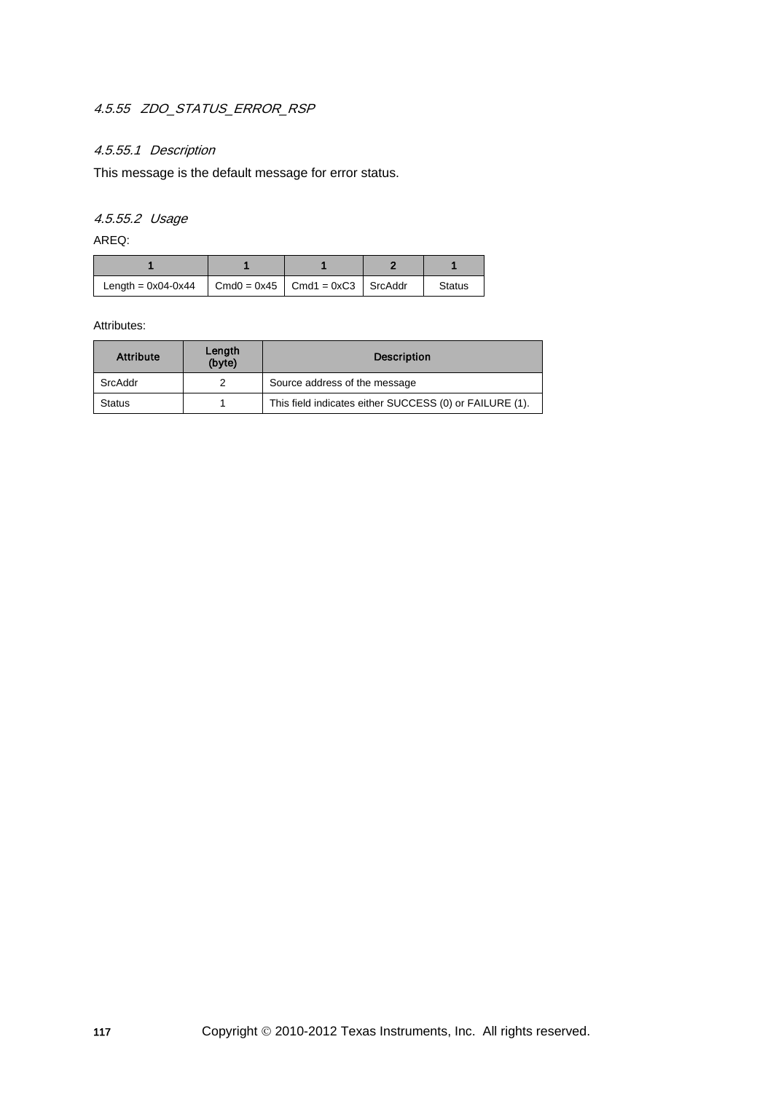# 4.5.55 ZDO\_STATUS\_ERROR\_RSP

## 4.5.55.1 Description

This message is the default message for error status.

4.5.55.2 Usage

AREQ:

| Length = $0x04-0x44$ $\vert$ Cmd0 = $0x45$ $\vert$ Cmd1 = $0xC3$ $\vert$ SrcAddr |  |  | <b>Status</b> |
|----------------------------------------------------------------------------------|--|--|---------------|

| <b>Attribute</b> | Length<br>(byte) | <b>Description</b>                                      |
|------------------|------------------|---------------------------------------------------------|
| SrcAddr          |                  | Source address of the message                           |
| <b>Status</b>    |                  | This field indicates either SUCCESS (0) or FAILURE (1). |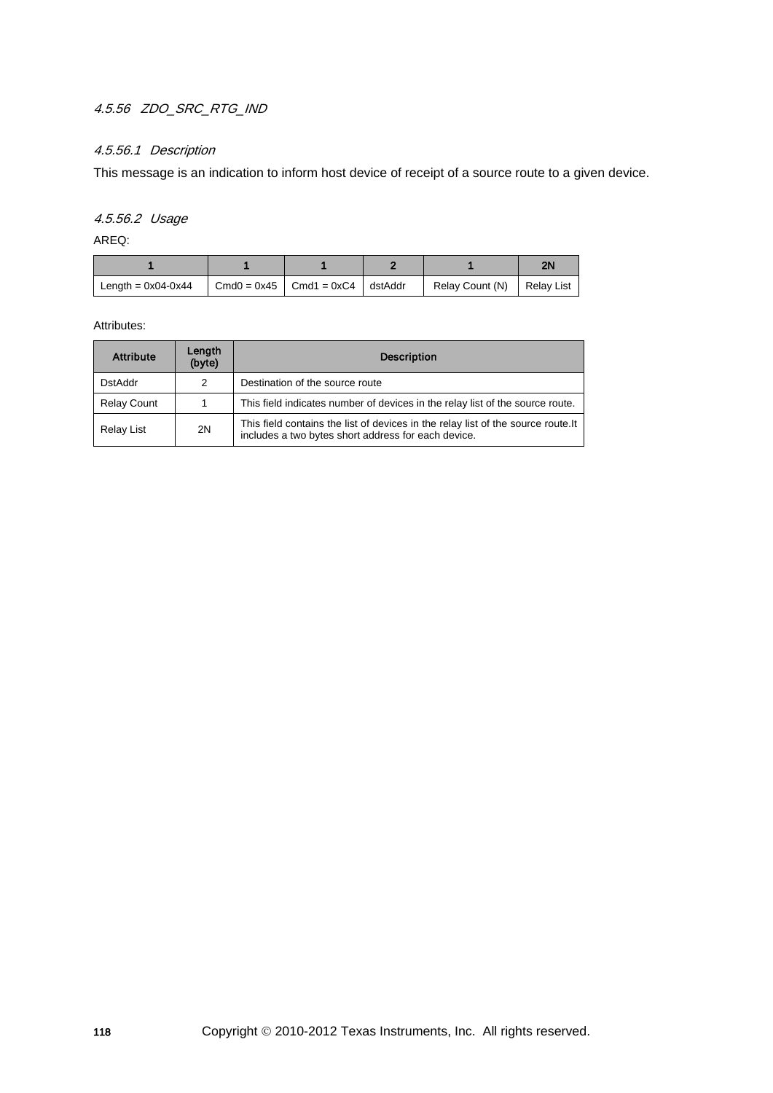# 4.5.56 ZDO\_SRC\_RTG\_IND

## 4.5.56.1 Description

This message is an indication to inform host device of receipt of a source route to a given device.

## 4.5.56.2 Usage

AREQ:

|                      |                                                         |                            | 2٨ |
|----------------------|---------------------------------------------------------|----------------------------|----|
| Length = $0x04-0x44$ | $\vert$ Cmd0 = 0x45 $\vert$ Cmd1 = 0xC4 $\vert$ dstAddr | Relay Count (N) Relay List |    |

| <b>Attribute</b>   | Length<br>(byte) | <b>Description</b>                                                                                                                       |  |  |
|--------------------|------------------|------------------------------------------------------------------------------------------------------------------------------------------|--|--|
| <b>DstAddr</b>     | 2                | Destination of the source route                                                                                                          |  |  |
| <b>Relay Count</b> | 1                | This field indicates number of devices in the relay list of the source route.                                                            |  |  |
| Relay List         | 2N               | This field contains the list of devices in the relay list of the source route. It<br>includes a two bytes short address for each device. |  |  |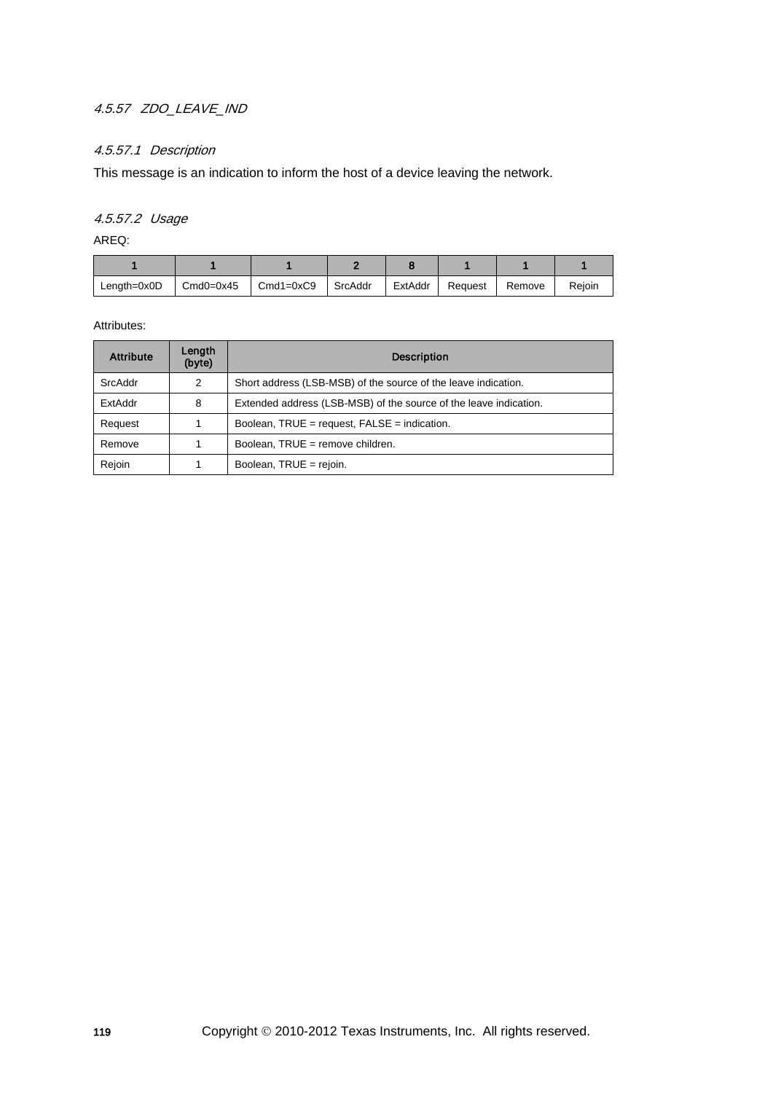# 4.5.57 ZDO\_LEAVE\_IND

## 4.5.57.1 Description

This message is an indication to inform the host of a device leaving the network.

## 4.5.57.2 Usage

AREQ:

| $Lenath=0x0D$ | $Cmd0=0x45$ | $Cmd1=0xC9$ | I SrcAddr | ExtAddr | Request | Remove | Reioin |
|---------------|-------------|-------------|-----------|---------|---------|--------|--------|

| <b>Attribute</b> | Length<br>(byte) | <b>Description</b>                                                |
|------------------|------------------|-------------------------------------------------------------------|
| SrcAddr          | 2                | Short address (LSB-MSB) of the source of the leave indication.    |
| ExtAddr          | 8                | Extended address (LSB-MSB) of the source of the leave indication. |
| Request          |                  | Boolean, $TRUE = request$ , $FALSE = indication$ .                |
| Remove           |                  | Boolean, TRUE = remove children.                                  |
| Rejoin           |                  | Boolean, TRUE = rejoin.                                           |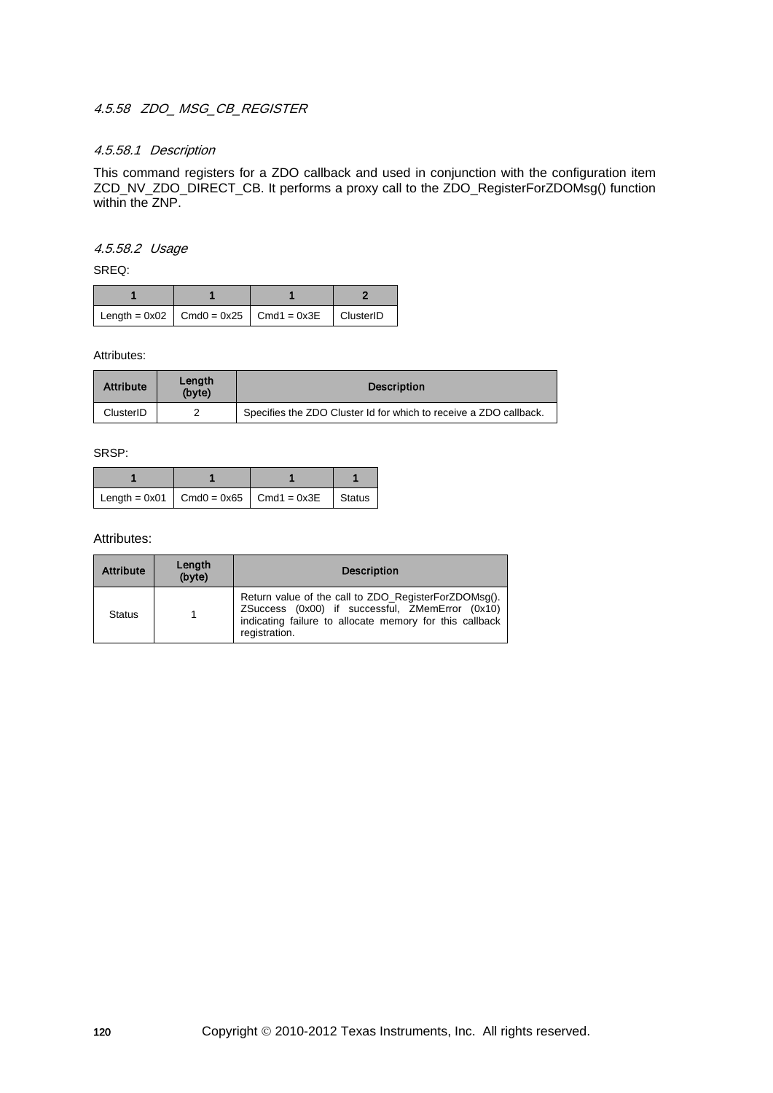### 4.5.58 ZDO\_ MSG\_CB\_REGISTER

#### 4.5.58.1 Description

This command registers for a ZDO callback and used in conjunction with the configuration item ZCD\_NV\_ZDO\_DIRECT\_CB. It performs a proxy call to the ZDO\_RegisterForZDOMsg() function within the ZNP.

#### 4.5.58.2 Usage

SREQ:

|  | Length = $0x02$   Cmd0 = $0x25$   Cmd1 = $0x3E$   ClusterID |  |
|--|-------------------------------------------------------------|--|

Attributes:

| <b>Attribute</b> | Lenath<br>(byte) | <b>Description</b>                                                |
|------------------|------------------|-------------------------------------------------------------------|
| ClusterID        |                  | Specifies the ZDO Cluster Id for which to receive a ZDO callback. |

SRSP:

|  | Length = $0x01$   Cmd0 = $0x65$   Cmd1 = $0x3E$   Status |  |
|--|----------------------------------------------------------|--|

| <b>Attribute</b> | Length<br>(byte) | <b>Description</b>                                                                                                                                                                  |
|------------------|------------------|-------------------------------------------------------------------------------------------------------------------------------------------------------------------------------------|
| <b>Status</b>    |                  | Return value of the call to ZDO_RegisterForZDOMsg().<br>ZSuccess (0x00) if successful, ZMemError (0x10)<br>indicating failure to allocate memory for this callback<br>registration. |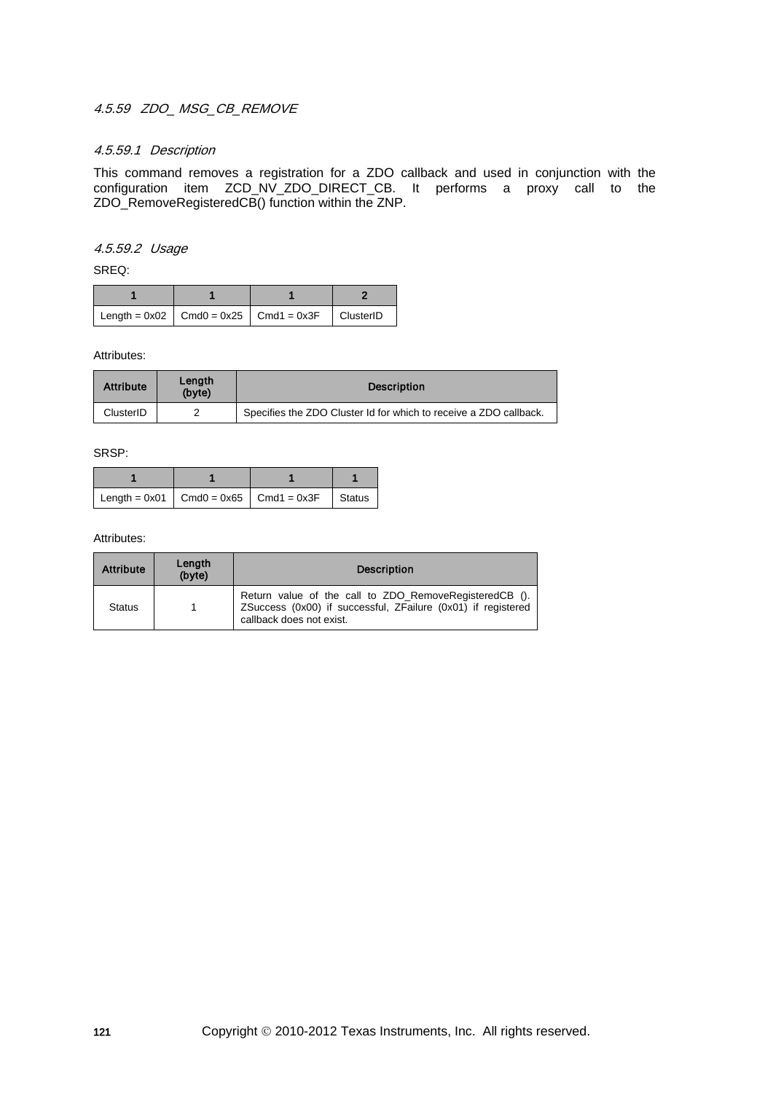# 4.5.59 ZDO\_ MSG\_CB\_REMOVE

#### 4.5.59.1 Description

This command removes a registration for a ZDO callback and used in conjunction with the configuration item ZCD\_NV\_ZDO\_DIRECT\_CB. It performs a proxy call to the ZDO\_RemoveRegisteredCB() function within the ZNP.

#### 4.5.59.2 Usage

SREQ:

|  | Length = $0x02$   Cmd0 = $0x25$   Cmd1 = $0x3F$   ClusterID |  |
|--|-------------------------------------------------------------|--|

Attributes:

| <b>Attribute</b> | Lenath<br>(byte) | <b>Description</b>                                                |
|------------------|------------------|-------------------------------------------------------------------|
| ClusterID        | ◠                | Specifies the ZDO Cluster Id for which to receive a ZDO callback. |

SRSP:

|  | Length = $0x01$ Cmd0 = $0x65$ Cmd1 = $0x3F$ Status |  |
|--|----------------------------------------------------|--|

| <b>Attribute</b> | Length<br>(byte) | <b>Description</b>                                                                                                                                 |
|------------------|------------------|----------------------------------------------------------------------------------------------------------------------------------------------------|
| <b>Status</b>    | 1                | Return value of the call to ZDO_RemoveRegisteredCB ().<br>ZSuccess (0x00) if successful, ZFailure (0x01) if registered<br>callback does not exist. |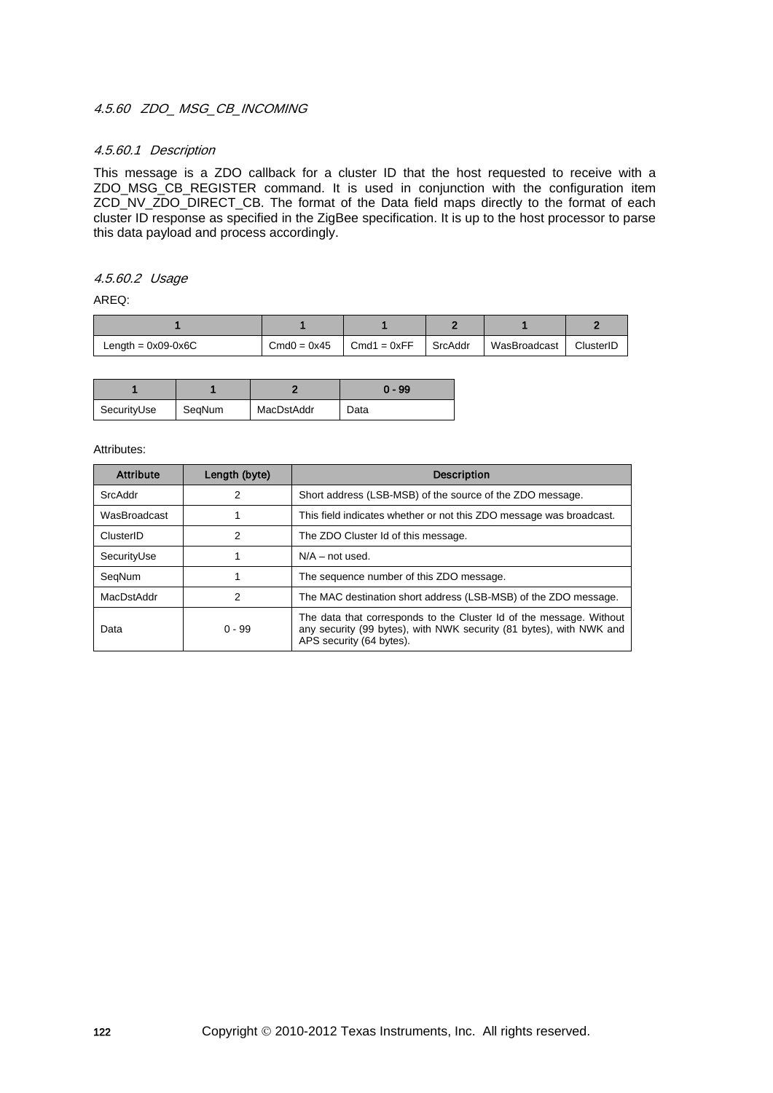#### 4.5.60 ZDO\_ MSG\_CB\_INCOMING

#### 4.5.60.1 Description

This message is a ZDO callback for a cluster ID that the host requested to receive with a ZDO\_MSG\_CB\_REGISTER command. It is used in conjunction with the configuration item ZCD\_NV\_ZDO\_DIRECT\_CB. The format of the Data field maps directly to the format of each cluster ID response as specified in the ZigBee specification. It is up to the host processor to parse this data payload and process accordingly.

#### 4.5.60.2 Usage

AREQ:

| Length = $0x09-0x6C$ | $Cmd0 = 0x45$ | $Cmd1 = 0xFF$ | SrcAddr | WasBroadcast | ClusterID |
|----------------------|---------------|---------------|---------|--------------|-----------|

|             |        |            | $0 - 99$ |
|-------------|--------|------------|----------|
| SecurityUse | SegNum | MacDstAddr | Data     |

| <b>Attribute</b> | Length (byte) | <b>Description</b>                                                                                                                                                     |
|------------------|---------------|------------------------------------------------------------------------------------------------------------------------------------------------------------------------|
| SrcAddr          | 2             | Short address (LSB-MSB) of the source of the ZDO message.                                                                                                              |
| WasBroadcast     |               | This field indicates whether or not this ZDO message was broadcast.                                                                                                    |
| ClusterID        | 2             | The ZDO Cluster Id of this message.                                                                                                                                    |
| SecurityUse      |               | $N/A$ – not used.                                                                                                                                                      |
| SegNum           |               | The sequence number of this ZDO message.                                                                                                                               |
| MacDstAddr       | 2             | The MAC destination short address (LSB-MSB) of the ZDO message.                                                                                                        |
| Data             | $0 - 99$      | The data that corresponds to the Cluster Id of the message. Without<br>any security (99 bytes), with NWK security (81 bytes), with NWK and<br>APS security (64 bytes). |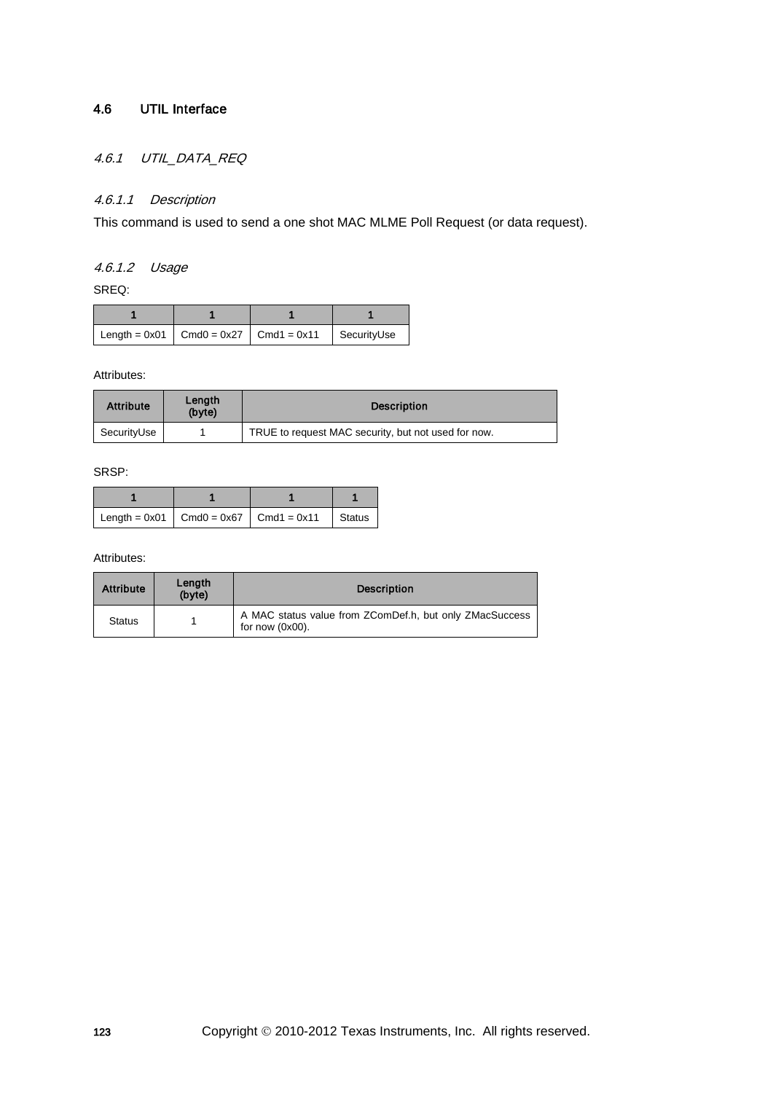# 4.6 UTIL Interface

# 4.6.1 UTIL\_DATA\_REQ

# 4.6.1.1 Description

This command is used to send a one shot MAC MLME Poll Request (or data request).

## 4.6.1.2 Usage

SREQ:

|  | Length = $0x01$   Cmd0 = $0x27$   Cmd1 = $0x11$   SecurityUse |  |
|--|---------------------------------------------------------------|--|

Attributes:

| <b>Attribute</b> | Length<br>(byte) | <b>Description</b>                                  |
|------------------|------------------|-----------------------------------------------------|
| SecurityUse      |                  | TRUE to request MAC security, but not used for now. |

SRSP:

|  | Length = $0x01$ Cmd0 = $0x67$ Cmd1 = $0x11$ Status |  |
|--|----------------------------------------------------|--|

| <b>Attribute</b> | Length<br>(byte) | <b>Description</b>                                                            |
|------------------|------------------|-------------------------------------------------------------------------------|
| <b>Status</b>    |                  | A MAC status value from ZComDef.h, but only ZMacSuccess<br>for now $(0x00)$ . |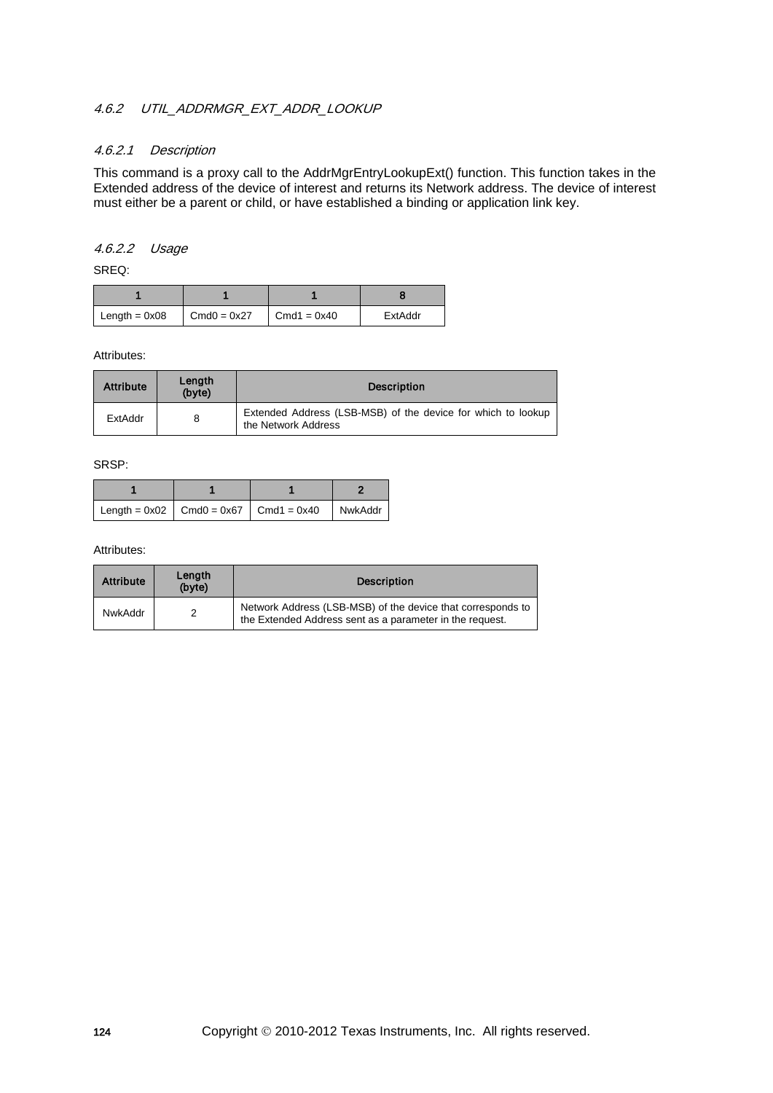## 4.6.2 UTIL ADDRMGR\_EXT\_ADDR\_LOOKUP

#### 4.6.2.1 Description

This command is a proxy call to the AddrMgrEntryLookupExt() function. This function takes in the Extended address of the device of interest and returns its Network address. The device of interest must either be a parent or child, or have established a binding or application link key.

## 4.6.2.2 Usage

SREQ:

| $Length = 0x08$ | $Cmd0 = 0x27$ | $Cmd1 = 0x40$ | ExtAddr |
|-----------------|---------------|---------------|---------|

Attributes:

| <b>Attribute</b> | Length<br>(byte) | <b>Description</b>                                                                  |
|------------------|------------------|-------------------------------------------------------------------------------------|
| ExtAddr          | 8                | Extended Address (LSB-MSB) of the device for which to lookup<br>the Network Address |

SRSP:

|  | $\vert$ Length = 0x02 $\vert$ Cmd0 = 0x67 $\vert$ Cmd1 = 0x40 $\vert$ NwkAddr $\vert$ |  |
|--|---------------------------------------------------------------------------------------|--|

| <b>Attribute</b> | Length<br>(byte) | <b>Description</b>                                                                                                      |
|------------------|------------------|-------------------------------------------------------------------------------------------------------------------------|
| NwkAddr          |                  | Network Address (LSB-MSB) of the device that corresponds to<br>the Extended Address sent as a parameter in the request. |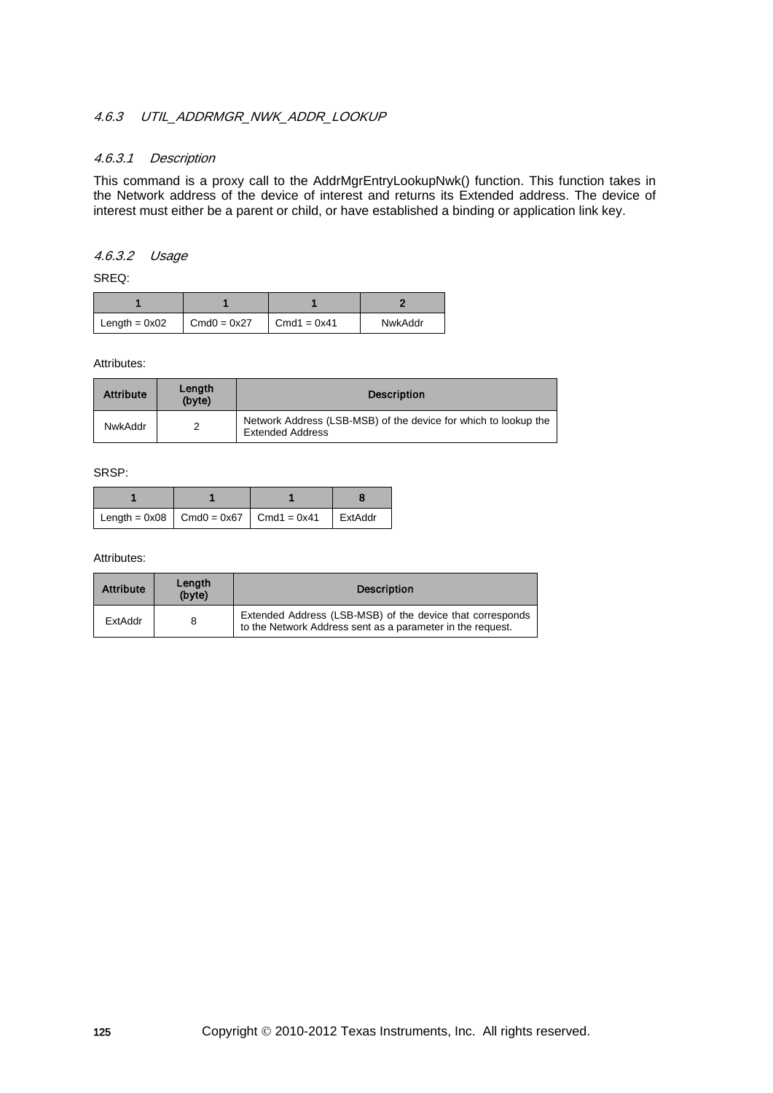### 4.6.3 UTIL ADDRMGR\_NWK\_ADDR\_LOOKUP

### 4.6.3.1 Description

This command is a proxy call to the AddrMgrEntryLookupNwk() function. This function takes in the Network address of the device of interest and returns its Extended address. The device of interest must either be a parent or child, or have established a binding or application link key.

### 4.6.3.2 Usage

SREQ:

| Length = $0x02$ | $Cmd0 = 0x27$ | $\blacksquare$ Cmd1 = 0x41 | NwkAddr |
|-----------------|---------------|----------------------------|---------|

Attributes:

| <b>Attribute</b> | Length<br>(byte) | <b>Description</b>                                                                         |
|------------------|------------------|--------------------------------------------------------------------------------------------|
| NwkAddr          | っ                | Network Address (LSB-MSB) of the device for which to lookup the<br><b>Extended Address</b> |

SRSP:

|  | $\vert$ Length = 0x08 $\vert$ Cmd0 = 0x67 $\vert$ Cmd1 = 0x41 $\vert$ ExtAddr |  |
|--|-------------------------------------------------------------------------------|--|

| <b>Attribute</b> | Length<br>(byte) | <b>Description</b>                                                                                                      |
|------------------|------------------|-------------------------------------------------------------------------------------------------------------------------|
| ExtAddr          |                  | Extended Address (LSB-MSB) of the device that corresponds<br>to the Network Address sent as a parameter in the request. |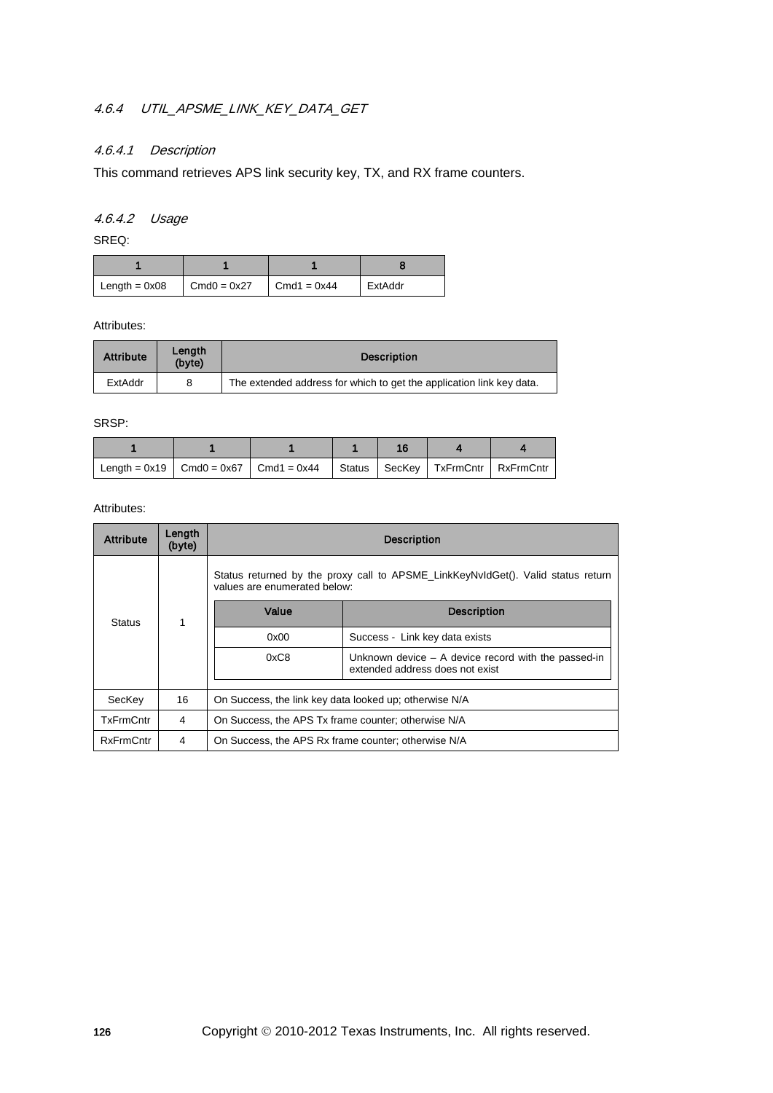# 4.6.4 UTIL\_APSME\_LINK\_KEY\_DATA\_GET

# 4.6.4.1 Description

This command retrieves APS link security key, TX, and RX frame counters.

# 4.6.4.2 Usage

SREQ:

| Length = $0x08$ | $Cmd0 = 0x27$ | $Cmd1 = 0x44$ | ExtAddr |
|-----------------|---------------|---------------|---------|

Attributes:

| <b>Attribute</b> | Lenath<br>(byte) | <b>Description</b>                                                   |
|------------------|------------------|----------------------------------------------------------------------|
| ExtAddr          |                  | The extended address for which to get the application link key data. |

SRSP:

|  | Length = $0x19$   Cmd0 = $0x67$   Cmd1 = $0x44$   Status   SecKey   TxFrmCntr   RxFrmCntr |  |  |
|--|-------------------------------------------------------------------------------------------|--|--|

| <b>Attribute</b> | Length<br>(byte) | <b>Description</b>                                                                                               |                                                                                          |  |
|------------------|------------------|------------------------------------------------------------------------------------------------------------------|------------------------------------------------------------------------------------------|--|
|                  |                  | Status returned by the proxy call to APSME_LinkKeyNvIdGet(). Valid status return<br>values are enumerated below: |                                                                                          |  |
| <b>Status</b>    | 1                | Value                                                                                                            | <b>Description</b>                                                                       |  |
|                  |                  | 0x00                                                                                                             | Success - Link key data exists                                                           |  |
|                  |                  | 0xC8                                                                                                             | Unknown device $-$ A device record with the passed-in<br>extended address does not exist |  |
| SecKey           | 16               | On Success, the link key data looked up; otherwise N/A                                                           |                                                                                          |  |
| TxFrmCntr        | 4                | On Success, the APS Tx frame counter; otherwise N/A                                                              |                                                                                          |  |
|                  |                  |                                                                                                                  |                                                                                          |  |
| <b>RxFrmCntr</b> | 4                | On Success, the APS Rx frame counter; otherwise N/A                                                              |                                                                                          |  |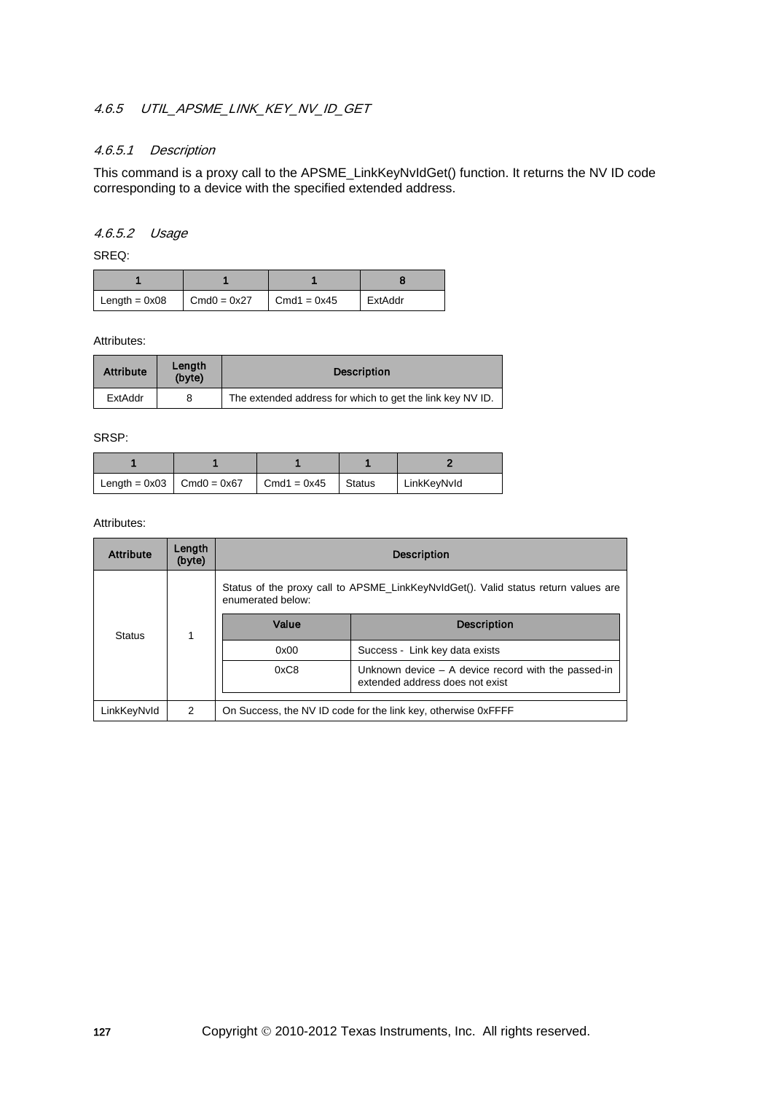# 4.6.5 UTIL APSME LINK KEY NV ID GET

#### 4.6.5.1 Description

This command is a proxy call to the APSME\_LinkKeyNvIdGet() function. It returns the NV ID code corresponding to a device with the specified extended address.

#### 4.6.5.2 Usage

SREQ:

| $\mathsf{Length} = 0 \times 08$ | $Cmd0 = 0x27$ | $Cmd1 = 0x45$ | ExtAddr |
|---------------------------------|---------------|---------------|---------|

Attributes:

| <b>Attribute</b> | Length<br>(byte) | <b>Description</b>                                        |
|------------------|------------------|-----------------------------------------------------------|
| ExtAddr          | 8                | The extended address for which to get the link key NV ID. |

SRSP:

| Length = $0x03$ Cmd $0 = 0x67$ | $Cmd1 = 0x45$ | Status | LinkKeyNvId |
|--------------------------------|---------------|--------|-------------|

| <b>Attribute</b> | Length<br>(byte) | <b>Description</b>                                                                       |                                                                                    |  |
|------------------|------------------|------------------------------------------------------------------------------------------|------------------------------------------------------------------------------------|--|
|                  |                  | enumerated below:                                                                        | Status of the proxy call to APSME LinkKeyNvIdGet(). Valid status return values are |  |
| Status           |                  | Value                                                                                    | <b>Description</b>                                                                 |  |
|                  |                  | 0x00                                                                                     | Success - Link key data exists                                                     |  |
|                  | 0xC8             | Unknown device $-$ A device record with the passed-in<br>extended address does not exist |                                                                                    |  |
| LinkKeyNvId      | 2                | On Success, the NV ID code for the link key, otherwise 0xFFFF                            |                                                                                    |  |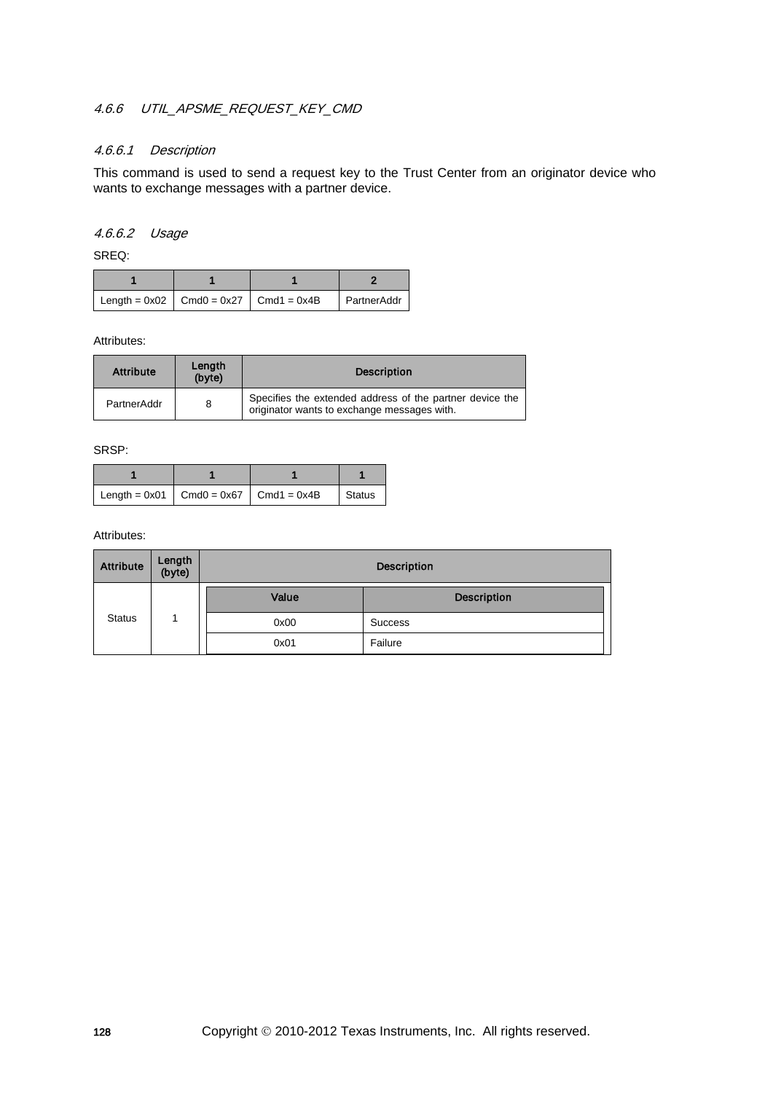# 4.6.6 UTIL APSME REQUEST KEY CMD

#### 4.6.6.1 Description

This command is used to send a request key to the Trust Center from an originator device who wants to exchange messages with a partner device.

#### 4.6.6.2 Usage

SREQ:

| $\vert$ Length = 0x02 $\vert$ Cmd0 = 0x27 $\vert$ Cmd1 = 0x4B |  | <b>PartnerAddr</b> |
|---------------------------------------------------------------|--|--------------------|

Attributes:

| <b>Attribute</b> | Length<br>(byte) | <b>Description</b>                                                                                      |
|------------------|------------------|---------------------------------------------------------------------------------------------------------|
| PartnerAddr      | 8                | Specifies the extended address of the partner device the<br>originator wants to exchange messages with. |

SRSP:

| Length = $0x01$ Cmd0 = $0x67$ Cmd1 = $0x4B$ |  | <b>Status</b> |
|---------------------------------------------|--|---------------|

| <b>Attribute</b> | Length<br>(byte) | <b>Description</b> |                    |  |
|------------------|------------------|--------------------|--------------------|--|
|                  |                  | Value              | <b>Description</b> |  |
| <b>Status</b>    |                  | 0x00               | <b>Success</b>     |  |
|                  |                  | 0x01               | Failure            |  |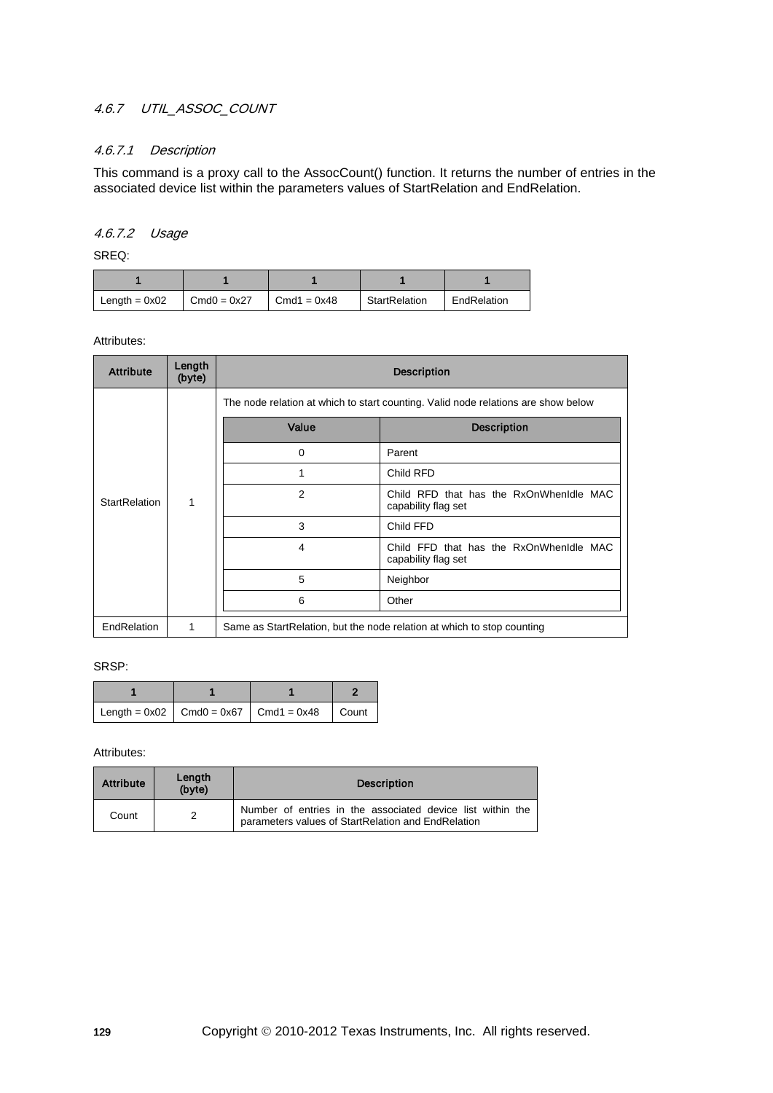## 4.6.7 UTIL\_ASSOC\_COUNT

## 4.6.7.1 Description

This command is a proxy call to the AssocCount() function. It returns the number of entries in the associated device list within the parameters values of StartRelation and EndRelation.

### 4.6.7.2 Usage

SREQ:

| Length = $0x02$ | $Cmd0 = 0x27$ | $Cmd1 = 0x48$ | StartRelation | EndRelation |
|-----------------|---------------|---------------|---------------|-------------|

Attributes:

| <b>Attribute</b>     | Length<br>(byte) | <b>Description</b>                                                      |                                                                                   |  |  |  |
|----------------------|------------------|-------------------------------------------------------------------------|-----------------------------------------------------------------------------------|--|--|--|
|                      |                  |                                                                         | The node relation at which to start counting. Valid node relations are show below |  |  |  |
|                      |                  | Value                                                                   | <b>Description</b>                                                                |  |  |  |
|                      |                  | $\mathbf 0$                                                             | Parent                                                                            |  |  |  |
|                      |                  |                                                                         | Child RFD                                                                         |  |  |  |
| <b>StartRelation</b> | 1                | 2                                                                       | Child RFD that has the RxOnWhenIdle MAC<br>capability flag set                    |  |  |  |
|                      |                  | 3                                                                       | Child FFD                                                                         |  |  |  |
|                      |                  | 4                                                                       | Child FFD that has the RxOnWhenIdle MAC<br>capability flag set                    |  |  |  |
|                      |                  | 5                                                                       | Neighbor                                                                          |  |  |  |
|                      |                  | 6                                                                       | Other                                                                             |  |  |  |
| EndRelation          | 1                | Same as Start Relation, but the node relation at which to stop counting |                                                                                   |  |  |  |

SRSP:

|  | $\vert$ Length = 0x02 $\vert$ Cmd0 = 0x67 $\vert$ Cmd1 = 0x48 $\vert$ Count |  |
|--|-----------------------------------------------------------------------------|--|

| <b>Attribute</b> | Length<br>(byte) | <b>Description</b>                                                                                               |
|------------------|------------------|------------------------------------------------------------------------------------------------------------------|
| Count            |                  | Number of entries in the associated device list within the<br>parameters values of StartRelation and EndRelation |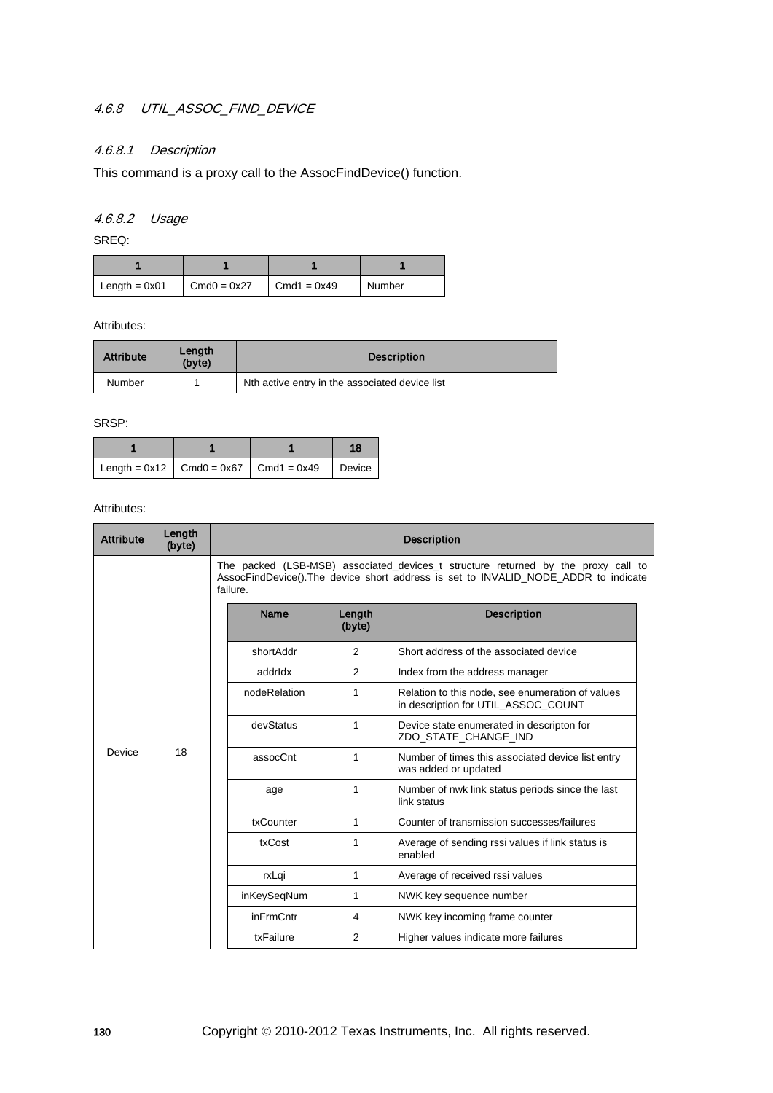# 4.6.8 UTIL\_ASSOC\_FIND\_DEVICE

# 4.6.8.1 Description

This command is a proxy call to the AssocFindDevice() function.

# 4.6.8.2 Usage

SREQ:

| Length = $0x01$ | $Cmd0 = 0x27$ | $Cmd1 = 0x49$ | Number |
|-----------------|---------------|---------------|--------|

Attributes:

| <b>Attribute</b> | Length<br>(byte) | <b>Description</b>                             |  |
|------------------|------------------|------------------------------------------------|--|
| Number           |                  | Nth active entry in the associated device list |  |

SRSP:

|  |                                                                              | 18. |
|--|------------------------------------------------------------------------------|-----|
|  | $\vert$ Length = 0x12 $\vert$ Cmd0 = 0x67 $\vert$ Cmd1 = 0x49 $\vert$ Device |     |

| <b>Attribute</b> | Length<br>(byte) | <b>Description</b>             |                  |                                                                                                                                                                         |                                                                 |  |   |                                                                   |
|------------------|------------------|--------------------------------|------------------|-------------------------------------------------------------------------------------------------------------------------------------------------------------------------|-----------------------------------------------------------------|--|---|-------------------------------------------------------------------|
|                  |                  | failure.                       |                  | The packed (LSB-MSB) associated_devices_t structure returned by the proxy call to<br>AssocFindDevice().The device short address is set to INVALID NODE ADDR to indicate |                                                                 |  |   |                                                                   |
|                  |                  | <b>Name</b>                    | Length<br>(byte) | <b>Description</b>                                                                                                                                                      |                                                                 |  |   |                                                                   |
|                  |                  | shortAddr                      | $\overline{2}$   | Short address of the associated device                                                                                                                                  |                                                                 |  |   |                                                                   |
|                  |                  | addrldx                        | $\overline{2}$   | Index from the address manager                                                                                                                                          |                                                                 |  |   |                                                                   |
|                  |                  | nodeRelation                   | 1                | Relation to this node, see enumeration of values<br>in description for UTIL ASSOC COUNT                                                                                 |                                                                 |  |   |                                                                   |
|                  |                  |                                |                  |                                                                                                                                                                         | devStatus                                                       |  | 1 | Device state enumerated in descripton for<br>ZDO STATE CHANGE IND |
| Device           | 18               | assocCnt                       | 1                | Number of times this associated device list entry<br>was added or updated                                                                                               |                                                                 |  |   |                                                                   |
|                  |                  |                                | age              | 1                                                                                                                                                                       | Number of nwk link status periods since the last<br>link status |  |   |                                                                   |
|                  |                  | txCounter                      | 1                | Counter of transmission successes/failures                                                                                                                              |                                                                 |  |   |                                                                   |
|                  |                  | txCost<br>rxLqi<br>inKeySeqNum | 1                | Average of sending rssi values if link status is<br>enabled                                                                                                             |                                                                 |  |   |                                                                   |
|                  |                  |                                |                  | 1                                                                                                                                                                       | Average of received rssi values                                 |  |   |                                                                   |
|                  |                  |                                |                  | 1                                                                                                                                                                       | NWK key sequence number                                         |  |   |                                                                   |
|                  |                  | inFrmCntr                      | 4                | NWK key incoming frame counter                                                                                                                                          |                                                                 |  |   |                                                                   |
|                  |                  | txFailure                      | 2                | Higher values indicate more failures                                                                                                                                    |                                                                 |  |   |                                                                   |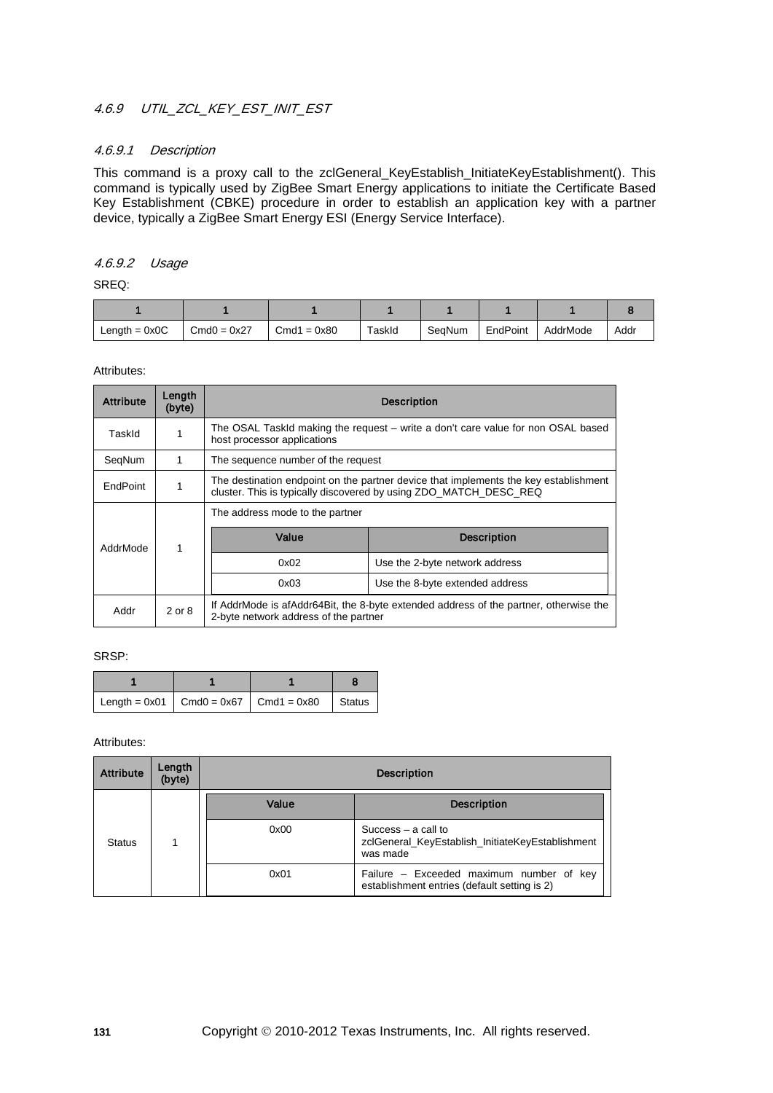# 4.6.9 UTIL\_ZCL\_KEY\_EST\_INIT\_EST

#### 4.6.9.1 Description

This command is a proxy call to the zclGeneral\_KeyEstablish\_InitiateKeyEstablishment(). This command is typically used by ZigBee Smart Energy applications to initiate the Certificate Based Key Establishment (CBKE) procedure in order to establish an application key with a partner device, typically a ZigBee Smart Energy ESI (Energy Service Interface).

#### 4.6.9.2 Usage

SREQ:

| Length = $0x0C$ | $Cmd0 = 0x27$ | $Cmd1 = 0x80$ | TaskId | SeaNum | EndPoint | AddrMode | Addr |
|-----------------|---------------|---------------|--------|--------|----------|----------|------|

Attributes:

| <b>Attribute</b> | Length<br>(byte) | <b>Description</b>                                                                                                                                        |                                 |  |  |
|------------------|------------------|-----------------------------------------------------------------------------------------------------------------------------------------------------------|---------------------------------|--|--|
| TaskId           |                  | The OSAL TaskId making the request – write a don't care value for non OSAL based<br>host processor applications                                           |                                 |  |  |
| SeqNum           | 1                | The sequence number of the request                                                                                                                        |                                 |  |  |
| EndPoint         |                  | The destination endpoint on the partner device that implements the key establishment<br>cluster. This is typically discovered by using ZDO MATCH DESC REQ |                                 |  |  |
|                  |                  | The address mode to the partner                                                                                                                           |                                 |  |  |
| AddrMode         |                  | Value                                                                                                                                                     | <b>Description</b>              |  |  |
|                  |                  | 0x02                                                                                                                                                      | Use the 2-byte network address  |  |  |
|                  |                  | 0x03                                                                                                                                                      | Use the 8-byte extended address |  |  |
| Addr             | 2 or 8           | If AddrMode is afAddr64Bit, the 8-byte extended address of the partner, otherwise the<br>2-byte network address of the partner                            |                                 |  |  |

SRSP:

|  | Length = $0x01$ Cmd0 = $0x67$ Cmd1 = $0x80$ Status |  |
|--|----------------------------------------------------|--|

| <b>Attribute</b> | Length<br>(byte) | <b>Description</b> |                                                                                          |  |
|------------------|------------------|--------------------|------------------------------------------------------------------------------------------|--|
|                  |                  | Value              | <b>Description</b>                                                                       |  |
| <b>Status</b>    |                  | 0x00               | Success $-$ a call to<br>zclGeneral_KeyEstablish_InitiateKeyEstablishment<br>was made    |  |
|                  |                  | 0x01               | Failure - Exceeded maximum number of key<br>establishment entries (default setting is 2) |  |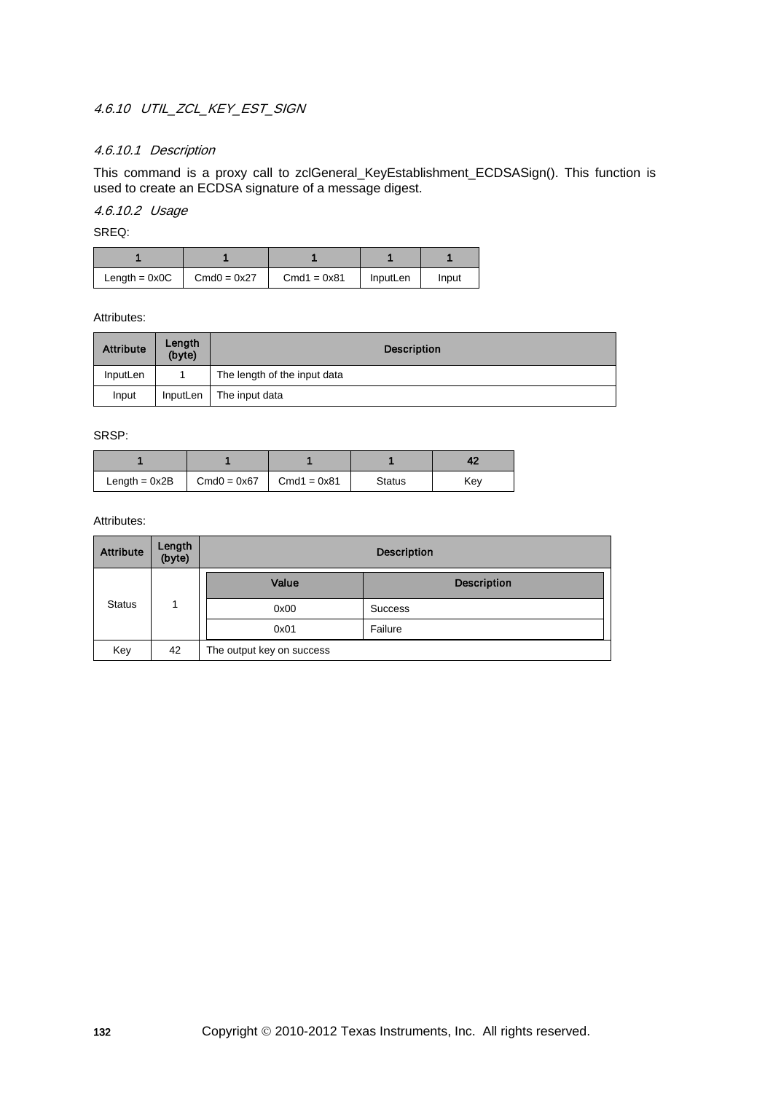# 4.6.10 UTIL ZCL KEY EST SIGN

## 4.6.10.1 Description

This command is a proxy call to zclGeneral\_KeyEstablishment\_ECDSASign(). This function is used to create an ECDSA signature of a message digest.

# 4.6.10.2 Usage

SREQ:

| $Length = 0x0C$ | $Cmd0 = 0x27$ | $Cmd1 = 0x81$ | InputLen | Input |
|-----------------|---------------|---------------|----------|-------|

Attributes:

| <b>Attribute</b> | Length<br>(byte) | <b>Description</b>           |
|------------------|------------------|------------------------------|
| InputLen         |                  | The length of the input data |
| Input            | InputLen         | The input data               |

SRSP:

| Length = 0x2B | $Cmd0 = 0x67$ | $Cmd1 = 0x81$ | <b>Status</b> | Kev |
|---------------|---------------|---------------|---------------|-----|

| <b>Attribute</b> | Length<br>(byte) | <b>Description</b>        |                    |  |
|------------------|------------------|---------------------------|--------------------|--|
|                  |                  | Value                     | <b>Description</b> |  |
| <b>Status</b>    | 1                | 0x00                      | <b>Success</b>     |  |
|                  |                  | 0x01                      | Failure            |  |
| Key              | 42               | The output key on success |                    |  |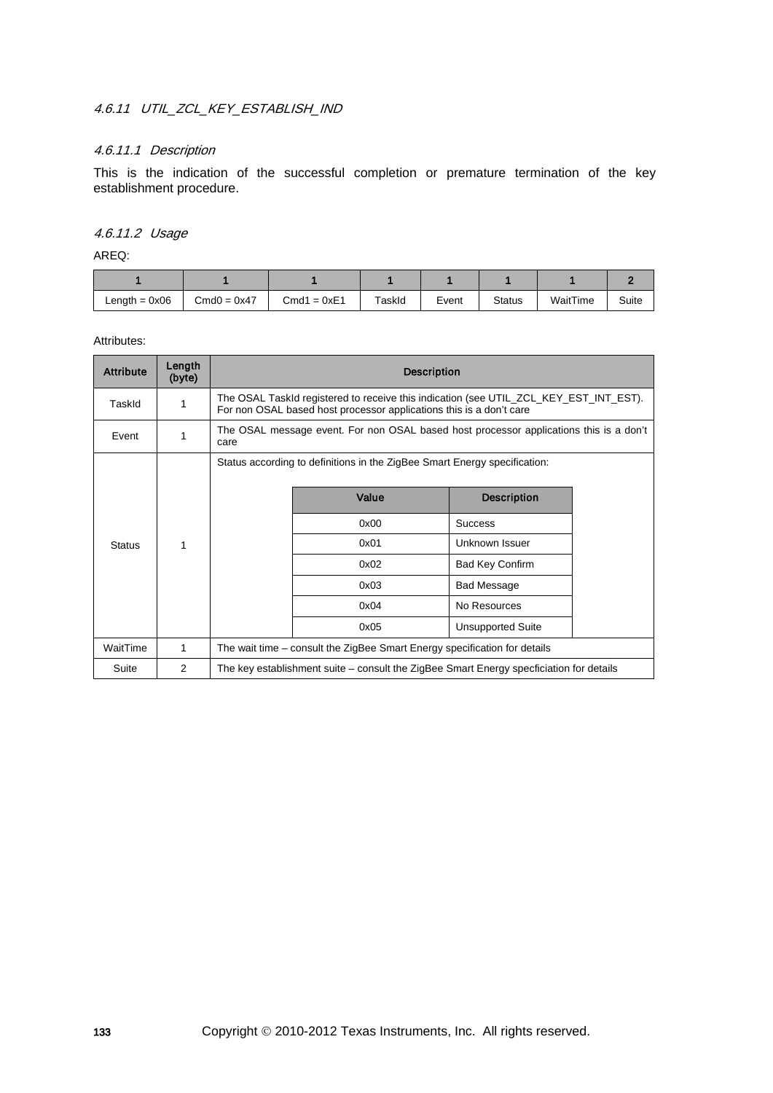# 4.6.11 UTIL ZCL KEY ESTABLISH IND

## 4.6.11.1 Description

This is the indication of the successful completion or premature termination of the key establishment procedure.

### 4.6.11.2 Usage

AREQ:

| Length $= 0x06$ | $Cmd0 = 0x47$ | $Cmd1 = 0xE1$ | TaskId | Event | <b>Status</b> | WaitTime | Suite |
|-----------------|---------------|---------------|--------|-------|---------------|----------|-------|

| <b>Attribute</b> | Length<br>(byte) | <b>Description</b>                                                                                                                                           |       |                          |      |              |  |
|------------------|------------------|--------------------------------------------------------------------------------------------------------------------------------------------------------------|-------|--------------------------|------|--------------|--|
| TaskId           | 1                | The OSAL TaskId registered to receive this indication (see UTIL_ZCL_KEY_EST_INT_EST).<br>For non OSAL based host processor applications this is a don't care |       |                          |      |              |  |
| Event            | 1                | The OSAL message event. For non OSAL based host processor applications this is a don't<br>care                                                               |       |                          |      |              |  |
|                  |                  | Status according to definitions in the ZigBee Smart Energy specification:                                                                                    |       |                          |      |              |  |
|                  |                  |                                                                                                                                                              | Value | <b>Description</b>       |      |              |  |
|                  |                  |                                                                                                                                                              | 0x00  | <b>Success</b>           |      |              |  |
| <b>Status</b>    | 1                |                                                                                                                                                              | 0x01  | Unknown Issuer           |      |              |  |
|                  |                  |                                                                                                                                                              | 0x02  | <b>Bad Key Confirm</b>   |      |              |  |
|                  |                  |                                                                                                                                                              | 0x03  | <b>Bad Message</b>       |      |              |  |
|                  |                  |                                                                                                                                                              |       |                          | 0x04 | No Resources |  |
|                  |                  |                                                                                                                                                              | 0x05  | <b>Unsupported Suite</b> |      |              |  |
| WaitTime         | 1                | The wait time – consult the ZigBee Smart Energy specification for details                                                                                    |       |                          |      |              |  |
| Suite            | 2                | The key establishment suite – consult the ZigBee Smart Energy specficiation for details                                                                      |       |                          |      |              |  |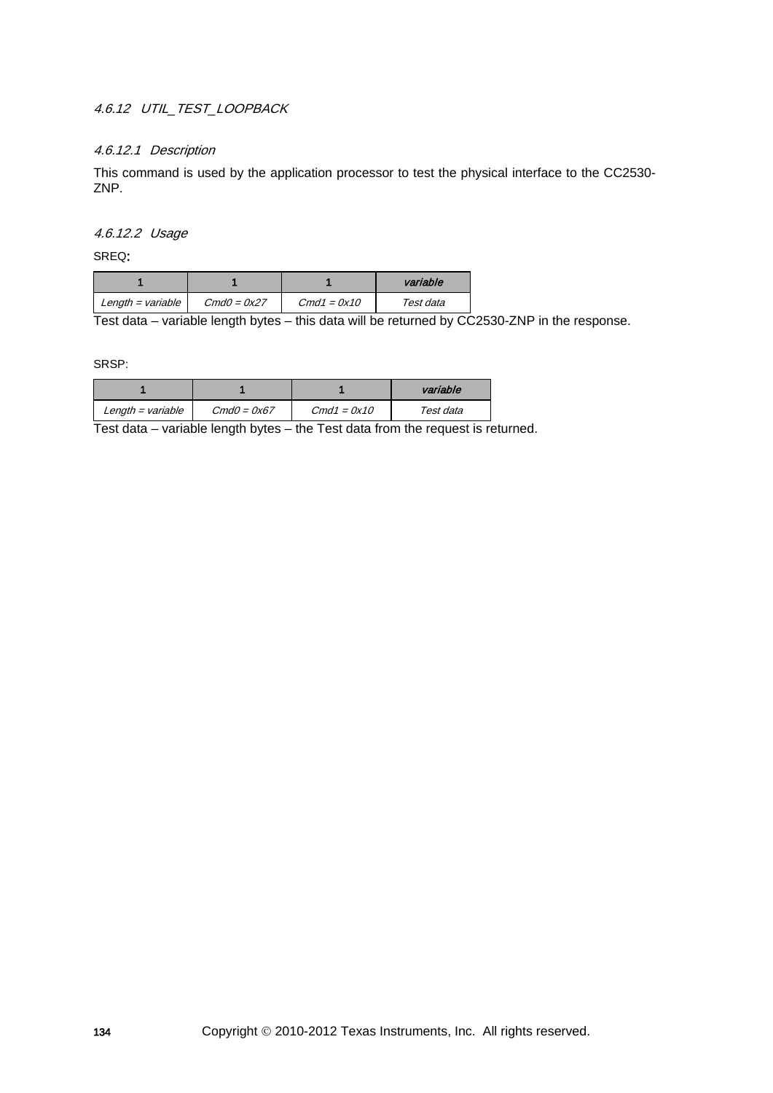# 4.6.12 UTIL TEST LOOPBACK

### 4.6.12.1 Description

This command is used by the application processor to test the physical interface to the CC2530- ZNP.

4.6.12.2 Usage

SREQ:

|                   |               |               | variable  |
|-------------------|---------------|---------------|-----------|
| Length = variable | $CmdO = 0x27$ | $Cmd1 = 0x10$ | Test data |

Test data – variable length bytes – this data will be returned by CC2530-ZNP in the response.

SRSP:

|                   |               |               | variable  |
|-------------------|---------------|---------------|-----------|
| Length = variable | $CmdO = 0x67$ | $Cmd1 = 0x10$ | Test data |

Test data – variable length bytes – the Test data from the request is returned.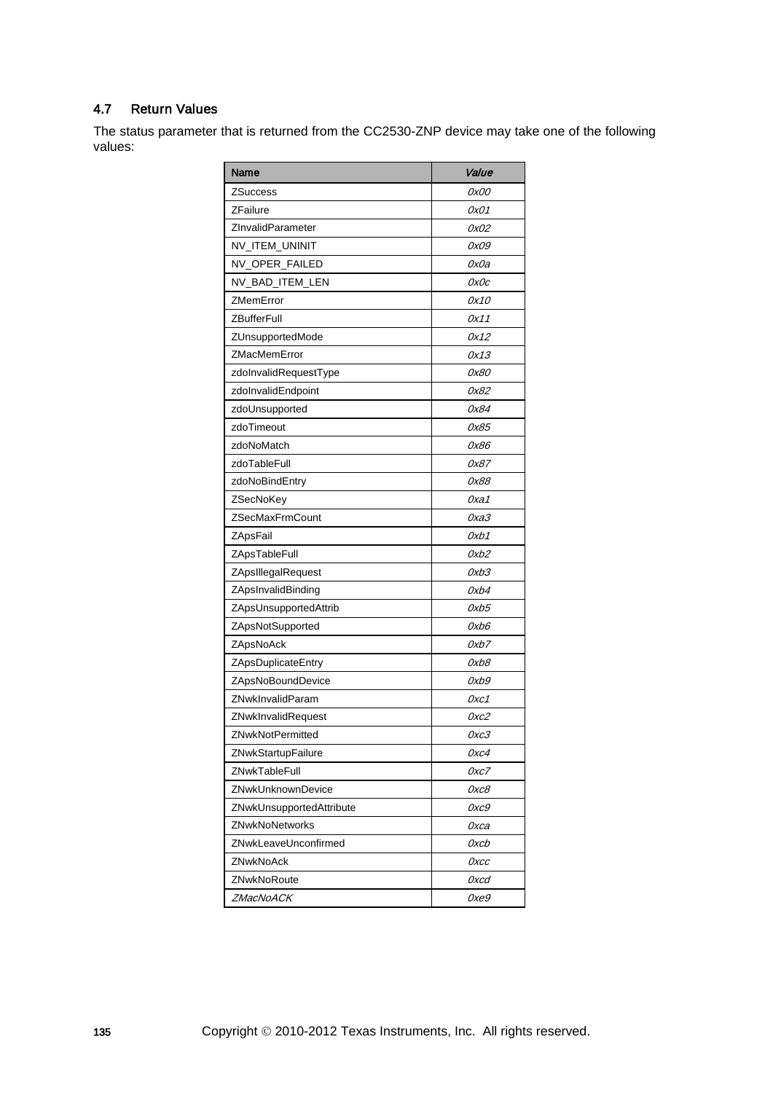# 4.7 Return Values

The status parameter that is returned from the CC2530-ZNP device may take one of the following values:

| Name                     | Value |
|--------------------------|-------|
| <b>ZSuccess</b>          | 0x00  |
| <b>ZFailure</b>          | 0x01  |
| ZInvalidParameter        | 0x02  |
| NV_ITEM_UNINIT           | 0x09  |
| NV_OPER_FAILED           | 0x0a  |
| NV_BAD_ITEM_LEN          | OxOc  |
| ZMemError                | 0x10  |
| <b>ZBufferFull</b>       | 0x11  |
| ZUnsupportedMode         | 0x12  |
| ZMacMemError             | 0x13  |
| zdolnvalidRequestType    | 0x80  |
| zdolnvalidEndpoint       | 0x82  |
| zdoUnsupported           | 0x84  |
| zdoTimeout               | 0x85  |
| zdoNoMatch               | 0x86  |
| zdoTableFull             | 0x87  |
| zdoNoBindEntry           | 0x88  |
| ZSecNoKey                | 0xa1  |
| ZSecMaxFrmCount          | ОхаЗ  |
| ZApsFail                 | Oxb1  |
| ZApsTableFull            | 0xb2  |
| ZApsIllegalRequest       | 0xb3  |
| ZApsInvalidBinding       | 0xb4  |
| ZApsUnsupportedAttrib    | 0xb5  |
| ZApsNotSupported         | 0xb6  |
| ZApsNoAck                | 0xb7  |
| ZApsDuplicateEntry       | 0xb8  |
| ZApsNoBoundDevice        | 0xb9  |
| ZNwkInvalidParam         | Oxc1  |
| ZNwkInvalidRequest       | 0xc2  |
| <b>ZNwkNotPermitted</b>  | 0хс3  |
| ZNwkStartupFailure       | 0xc4  |
| ZNwkTableFull            | Oxc7  |
| ZNwkUnknownDevice        | OxcB  |
| ZNwkUnsupportedAttribute | 0хс9  |
| <b>ZNwkNoNetworks</b>    | Охса  |
| ZNwkLeaveUnconfirmed     | Oxcb  |
| ZNwkNoAck                | Охсс  |
| ZNwkNoRoute              | 0xcd  |
| ZMacNoACK                | 0xe9  |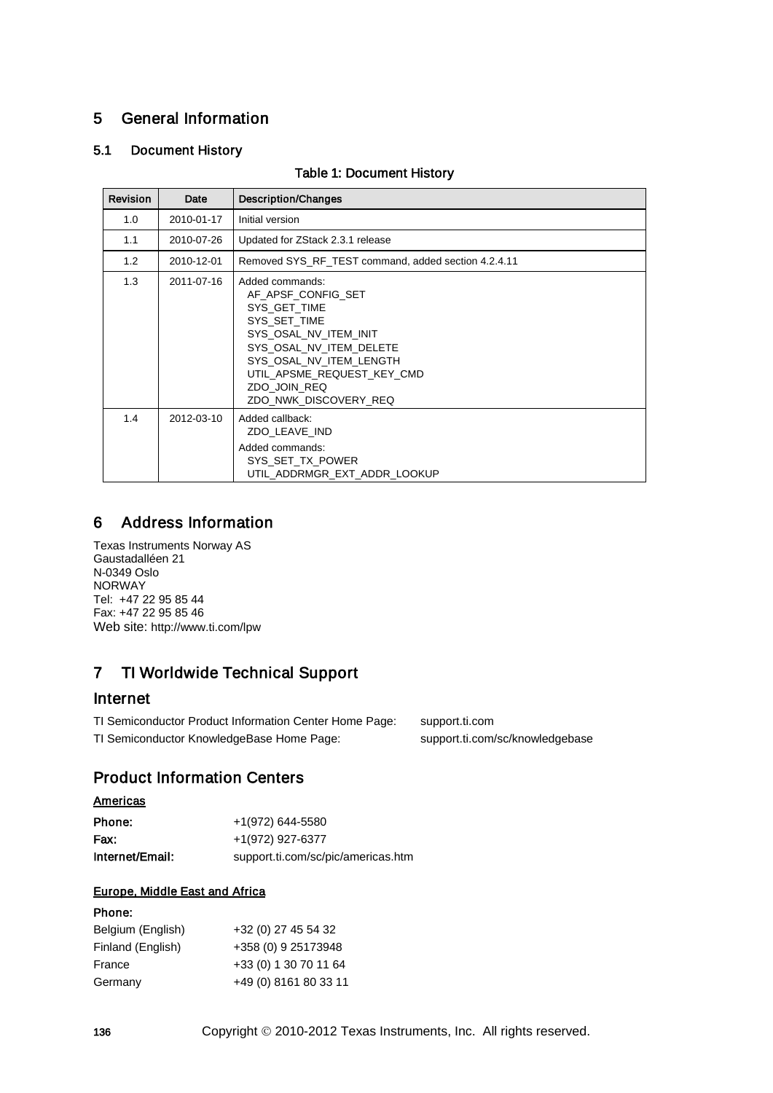# 5 General Information

## 5.1 Document History

| <b>Revision</b> | Date       | <b>Description/Changes</b>                                                                                                                                                                                                  |
|-----------------|------------|-----------------------------------------------------------------------------------------------------------------------------------------------------------------------------------------------------------------------------|
| 1.0             | 2010-01-17 | Initial version                                                                                                                                                                                                             |
| 1.1             | 2010-07-26 | Updated for ZStack 2.3.1 release                                                                                                                                                                                            |
| 1.2             | 2010-12-01 | Removed SYS RF TEST command, added section 4.2.4.11                                                                                                                                                                         |
| 1.3             | 2011-07-16 | Added commands:<br>AF APSF CONFIG SET<br>SYS GET TIME<br>SYS SET TIME<br>SYS OSAL NV ITEM INIT<br>SYS_OSAL_NV_ITEM_DELETE<br>SYS OSAL NV ITEM LENGTH<br>UTIL APSME REQUEST KEY CMD<br>ZDO JOIN REQ<br>ZDO NWK DISCOVERY REQ |
| 1.4             | 2012-03-10 | Added callback:<br>ZDO LEAVE IND<br>Added commands:<br>SYS SET TX POWER<br>UTIL ADDRMGR EXT ADDR LOOKUP                                                                                                                     |

#### Table 1: Document History

# 6 Address Information

Texas Instruments Norway AS Gaustadalléen 21 N-0349 Oslo NORWAY Tel: +47 22 95 85 44 Fax: +47 22 95 85 46 Web site:<http://www.ti.com/lpw>

# 7 TI Worldwide Technical Support

# Internet

TI Semiconductor Product Information Center Home Page: [support.ti.com](http://focus.ti.com/general/docs/dsnsuprt.tsp) TI Semiconductor KnowledgeBase Home Page: [support.ti.com/sc/knowledgebase](http://www-k.ext.ti.com/sc/technical-support/knowledgebase.htm)

# Product Information Centers

### **Americas**

| Phone:          | +1(972) 644-5580                   |
|-----------------|------------------------------------|
| Fax:            | +1(972) 927-6377                   |
| Internet/Email: | support.ti.com/sc/pic/americas.htm |

## Europe, Middle East and Africa

### Phone:

| Belgium (English) | +32 (0) 27 45 54 32   |
|-------------------|-----------------------|
| Finland (English) | +358 (0) 9 25173948   |
| France            | +33 (0) 1 30 70 11 64 |
| Germany           | +49 (0) 8161 80 33 11 |
|                   |                       |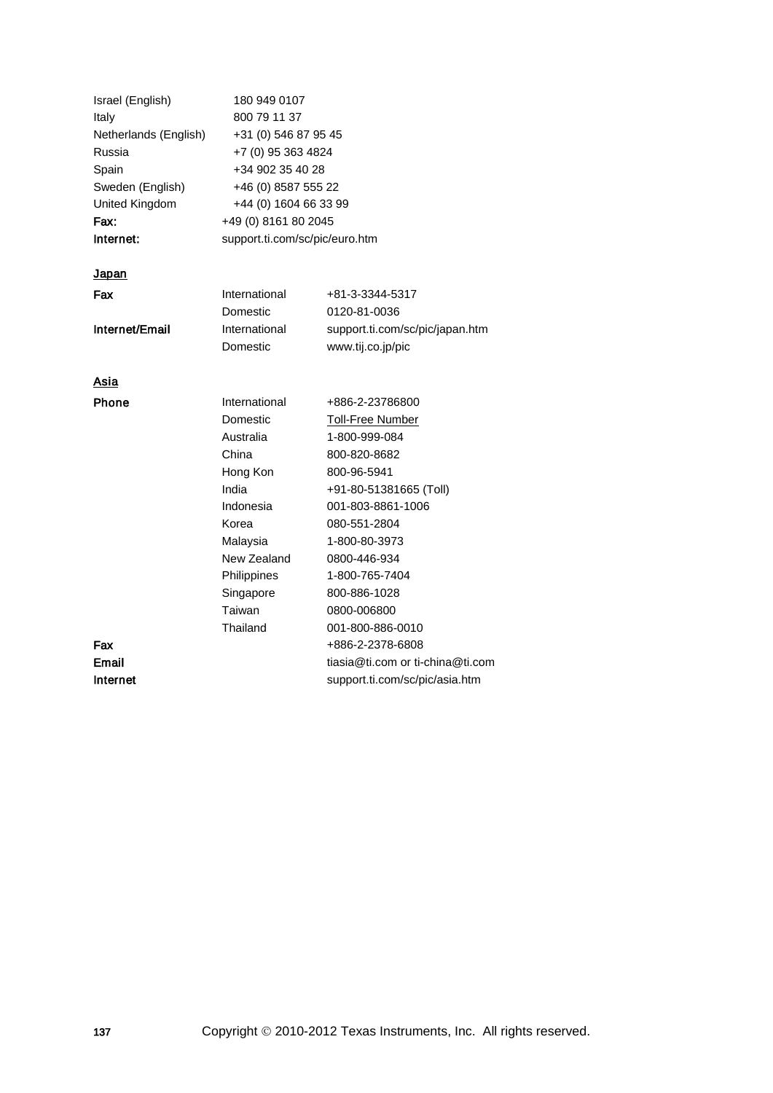| Israel (English)<br>Italy<br>Netherlands (English)<br>Russia<br>Spain<br>Sweden (English)<br>United Kingdom | 180 949 0107<br>800 79 11 37<br>+31 (0) 546 87 95 45<br>+7 (0) 95 363 4824<br>+34 902 35 40 28<br>+46 (0) 8587 555 22<br>+44 (0) 1604 66 33 99 |                                  |  |
|-------------------------------------------------------------------------------------------------------------|------------------------------------------------------------------------------------------------------------------------------------------------|----------------------------------|--|
| Fax:                                                                                                        | +49 (0) 8161 80 2045                                                                                                                           |                                  |  |
| Internet:                                                                                                   | support.ti.com/sc/pic/euro.htm                                                                                                                 |                                  |  |
| <u>Japan</u>                                                                                                |                                                                                                                                                |                                  |  |
| Fax                                                                                                         | International                                                                                                                                  | +81-3-3344-5317                  |  |
|                                                                                                             | Domestic                                                                                                                                       | 0120-81-0036                     |  |
| Internet/Email                                                                                              | International                                                                                                                                  | support.ti.com/sc/pic/japan.htm  |  |
|                                                                                                             | Domestic                                                                                                                                       | www.tij.co.jp/pic                |  |
| Asia                                                                                                        |                                                                                                                                                |                                  |  |
| <b>Phone</b>                                                                                                | International                                                                                                                                  | +886-2-23786800                  |  |
|                                                                                                             | Domestic                                                                                                                                       | <b>Toll-Free Number</b>          |  |
|                                                                                                             | Australia                                                                                                                                      | 1-800-999-084                    |  |
|                                                                                                             | China                                                                                                                                          | 800-820-8682                     |  |
|                                                                                                             | Hong Kon                                                                                                                                       | 800-96-5941                      |  |
|                                                                                                             | India                                                                                                                                          | +91-80-51381665 (Toll)           |  |
|                                                                                                             | Indonesia                                                                                                                                      | 001-803-8861-1006                |  |
|                                                                                                             | Korea                                                                                                                                          | 080-551-2804                     |  |
|                                                                                                             | Malaysia                                                                                                                                       | 1-800-80-3973                    |  |
|                                                                                                             | New Zealand                                                                                                                                    | 0800-446-934                     |  |
|                                                                                                             | Philippines                                                                                                                                    | 1-800-765-7404                   |  |
|                                                                                                             | Singapore                                                                                                                                      | 800-886-1028                     |  |
|                                                                                                             | Taiwan                                                                                                                                         | 0800-006800                      |  |
|                                                                                                             | Thailand                                                                                                                                       | 001-800-886-0010                 |  |
| Fax                                                                                                         |                                                                                                                                                | +886-2-2378-6808                 |  |
| Email                                                                                                       |                                                                                                                                                | tiasia@ti.com or ti-china@ti.com |  |
| Internet                                                                                                    |                                                                                                                                                | support.ti.com/sc/pic/asia.htm   |  |